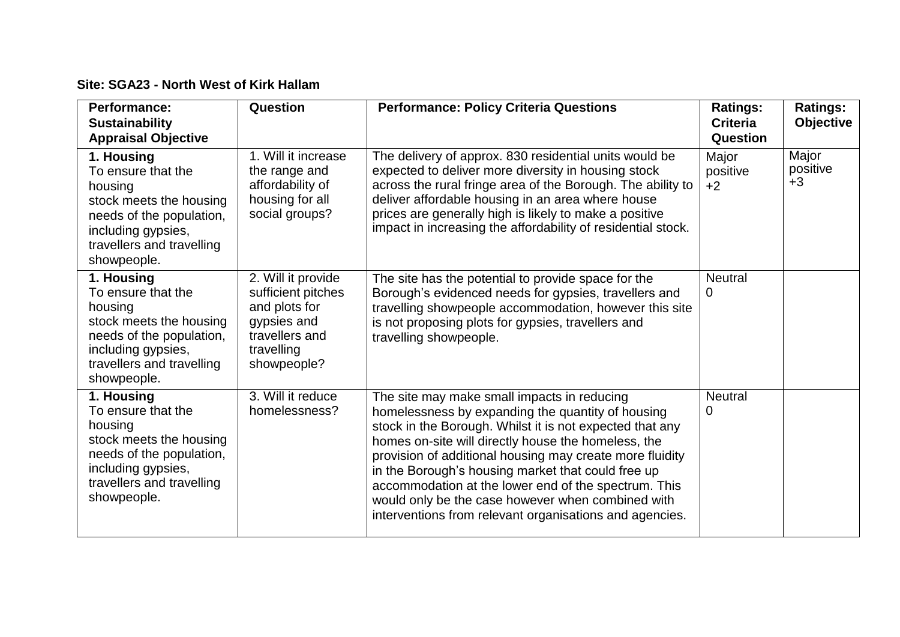## **Site: SGA23 - North West of Kirk Hallam**

| Performance:<br><b>Sustainability</b><br><b>Appraisal Objective</b>                                                                                                  | Question                                                                                                                | <b>Performance: Policy Criteria Questions</b>                                                                                                                                                                                                                                                                                                                                                                                                                                                                 | <b>Ratings:</b><br><b>Criteria</b><br><b>Question</b> | <b>Ratings:</b><br><b>Objective</b> |
|----------------------------------------------------------------------------------------------------------------------------------------------------------------------|-------------------------------------------------------------------------------------------------------------------------|---------------------------------------------------------------------------------------------------------------------------------------------------------------------------------------------------------------------------------------------------------------------------------------------------------------------------------------------------------------------------------------------------------------------------------------------------------------------------------------------------------------|-------------------------------------------------------|-------------------------------------|
| 1. Housing<br>To ensure that the<br>housing<br>stock meets the housing<br>needs of the population,<br>including gypsies,<br>travellers and travelling<br>showpeople. | 1. Will it increase<br>the range and<br>affordability of<br>housing for all<br>social groups?                           | The delivery of approx. 830 residential units would be<br>expected to deliver more diversity in housing stock<br>across the rural fringe area of the Borough. The ability to<br>deliver affordable housing in an area where house<br>prices are generally high is likely to make a positive<br>impact in increasing the affordability of residential stock.                                                                                                                                                   | Major<br>positive<br>$+2$                             | Major<br>positive<br>$+3$           |
| 1. Housing<br>To ensure that the<br>housing<br>stock meets the housing<br>needs of the population,<br>including gypsies,<br>travellers and travelling<br>showpeople. | 2. Will it provide<br>sufficient pitches<br>and plots for<br>gypsies and<br>travellers and<br>travelling<br>showpeople? | The site has the potential to provide space for the<br>Borough's evidenced needs for gypsies, travellers and<br>travelling showpeople accommodation, however this site<br>is not proposing plots for gypsies, travellers and<br>travelling showpeople.                                                                                                                                                                                                                                                        | <b>Neutral</b><br>0                                   |                                     |
| 1. Housing<br>To ensure that the<br>housing<br>stock meets the housing<br>needs of the population,<br>including gypsies,<br>travellers and travelling<br>showpeople. | 3. Will it reduce<br>homelessness?                                                                                      | The site may make small impacts in reducing<br>homelessness by expanding the quantity of housing<br>stock in the Borough. Whilst it is not expected that any<br>homes on-site will directly house the homeless, the<br>provision of additional housing may create more fluidity<br>in the Borough's housing market that could free up<br>accommodation at the lower end of the spectrum. This<br>would only be the case however when combined with<br>interventions from relevant organisations and agencies. | <b>Neutral</b><br>$\overline{0}$                      |                                     |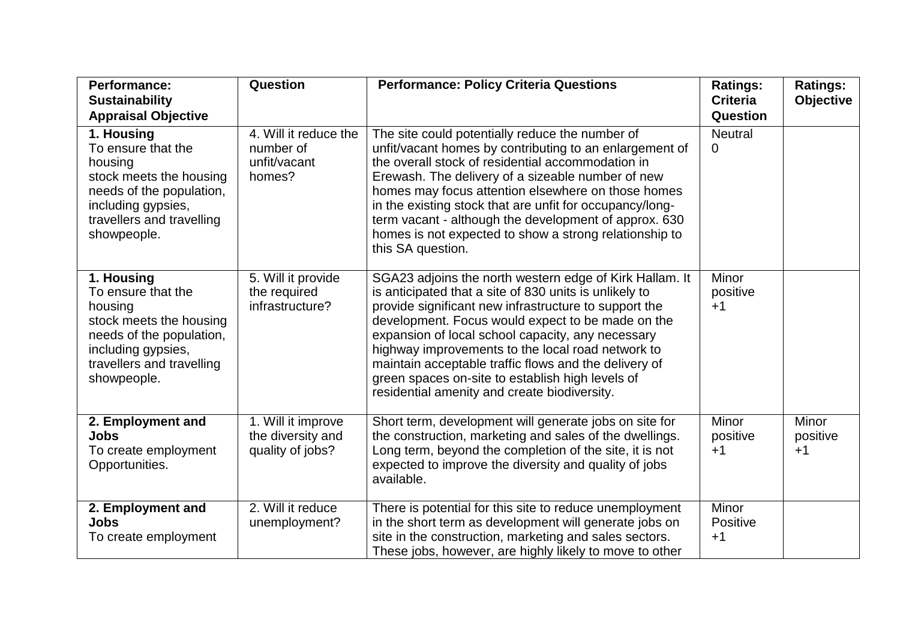| <b>Performance:</b><br><b>Sustainability</b><br><b>Appraisal Objective</b>                                                                                           | Question                                                     | <b>Performance: Policy Criteria Questions</b>                                                                                                                                                                                                                                                                                                                                                                                                                                                          | <b>Ratings:</b><br><b>Criteria</b><br>Question | <b>Ratings:</b><br><b>Objective</b> |
|----------------------------------------------------------------------------------------------------------------------------------------------------------------------|--------------------------------------------------------------|--------------------------------------------------------------------------------------------------------------------------------------------------------------------------------------------------------------------------------------------------------------------------------------------------------------------------------------------------------------------------------------------------------------------------------------------------------------------------------------------------------|------------------------------------------------|-------------------------------------|
| 1. Housing<br>To ensure that the<br>housing<br>stock meets the housing<br>needs of the population,<br>including gypsies,<br>travellers and travelling<br>showpeople. | 4. Will it reduce the<br>number of<br>unfit/vacant<br>homes? | The site could potentially reduce the number of<br>unfit/vacant homes by contributing to an enlargement of<br>the overall stock of residential accommodation in<br>Erewash. The delivery of a sizeable number of new<br>homes may focus attention elsewhere on those homes<br>in the existing stock that are unfit for occupancy/long-<br>term vacant - although the development of approx. 630<br>homes is not expected to show a strong relationship to<br>this SA question.                         | <b>Neutral</b><br>0                            |                                     |
| 1. Housing<br>To ensure that the<br>housing<br>stock meets the housing<br>needs of the population,<br>including gypsies,<br>travellers and travelling<br>showpeople. | 5. Will it provide<br>the required<br>infrastructure?        | SGA23 adjoins the north western edge of Kirk Hallam. It<br>is anticipated that a site of 830 units is unlikely to<br>provide significant new infrastructure to support the<br>development. Focus would expect to be made on the<br>expansion of local school capacity, any necessary<br>highway improvements to the local road network to<br>maintain acceptable traffic flows and the delivery of<br>green spaces on-site to establish high levels of<br>residential amenity and create biodiversity. | <b>Minor</b><br>positive<br>$+1$               |                                     |
| 2. Employment and<br><b>Jobs</b><br>To create employment<br>Opportunities.                                                                                           | 1. Will it improve<br>the diversity and<br>quality of jobs?  | Short term, development will generate jobs on site for<br>the construction, marketing and sales of the dwellings.<br>Long term, beyond the completion of the site, it is not<br>expected to improve the diversity and quality of jobs<br>available.                                                                                                                                                                                                                                                    | <b>Minor</b><br>positive<br>$+1$               | Minor<br>positive<br>$+1$           |
| 2. Employment and<br><b>Jobs</b><br>To create employment                                                                                                             | 2. Will it reduce<br>unemployment?                           | There is potential for this site to reduce unemployment<br>in the short term as development will generate jobs on<br>site in the construction, marketing and sales sectors.<br>These jobs, however, are highly likely to move to other                                                                                                                                                                                                                                                                 | Minor<br>Positive<br>$+1$                      |                                     |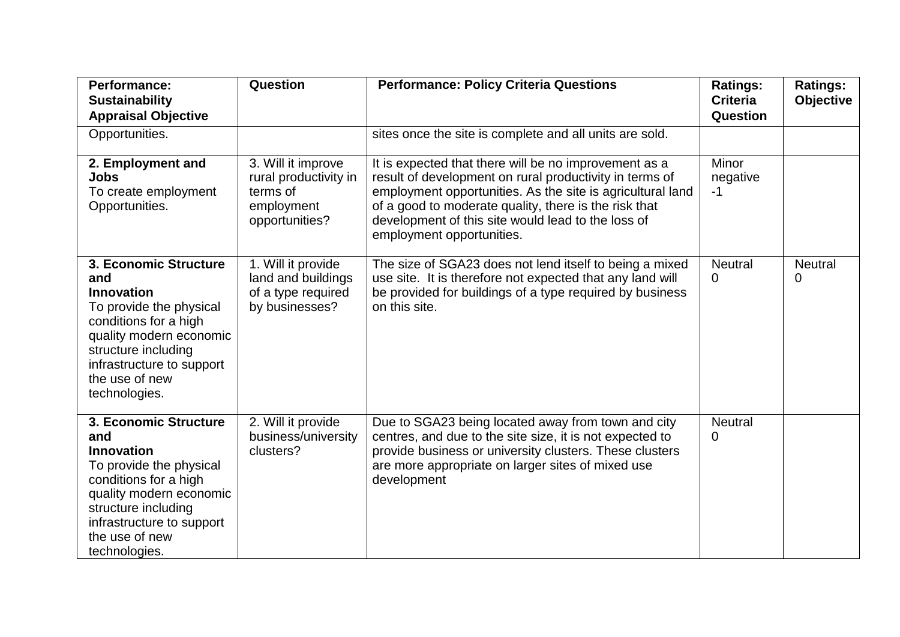| <b>Performance:</b><br><b>Sustainability</b><br><b>Appraisal Objective</b>                                                                                                                                              | Question                                                                                | <b>Performance: Policy Criteria Questions</b>                                                                                                                                                                                                                                                                              | <b>Ratings:</b><br><b>Criteria</b><br>Question | <b>Ratings:</b><br><b>Objective</b> |
|-------------------------------------------------------------------------------------------------------------------------------------------------------------------------------------------------------------------------|-----------------------------------------------------------------------------------------|----------------------------------------------------------------------------------------------------------------------------------------------------------------------------------------------------------------------------------------------------------------------------------------------------------------------------|------------------------------------------------|-------------------------------------|
| Opportunities.                                                                                                                                                                                                          |                                                                                         | sites once the site is complete and all units are sold.                                                                                                                                                                                                                                                                    |                                                |                                     |
| 2. Employment and<br><b>Jobs</b><br>To create employment<br>Opportunities.                                                                                                                                              | 3. Will it improve<br>rural productivity in<br>terms of<br>employment<br>opportunities? | It is expected that there will be no improvement as a<br>result of development on rural productivity in terms of<br>employment opportunities. As the site is agricultural land<br>of a good to moderate quality, there is the risk that<br>development of this site would lead to the loss of<br>employment opportunities. | <b>Minor</b><br>negative<br>$-1$               |                                     |
| 3. Economic Structure<br>and<br><b>Innovation</b><br>To provide the physical<br>conditions for a high<br>quality modern economic<br>structure including<br>infrastructure to support<br>the use of new<br>technologies. | 1. Will it provide<br>land and buildings<br>of a type required<br>by businesses?        | The size of SGA23 does not lend itself to being a mixed<br>use site. It is therefore not expected that any land will<br>be provided for buildings of a type required by business<br>on this site.                                                                                                                          | <b>Neutral</b><br>0                            | <b>Neutral</b><br>0                 |
| 3. Economic Structure<br>and<br><b>Innovation</b><br>To provide the physical<br>conditions for a high<br>quality modern economic<br>structure including<br>infrastructure to support<br>the use of new<br>technologies. | 2. Will it provide<br>business/university<br>clusters?                                  | Due to SGA23 being located away from town and city<br>centres, and due to the site size, it is not expected to<br>provide business or university clusters. These clusters<br>are more appropriate on larger sites of mixed use<br>development                                                                              | <b>Neutral</b><br>0                            |                                     |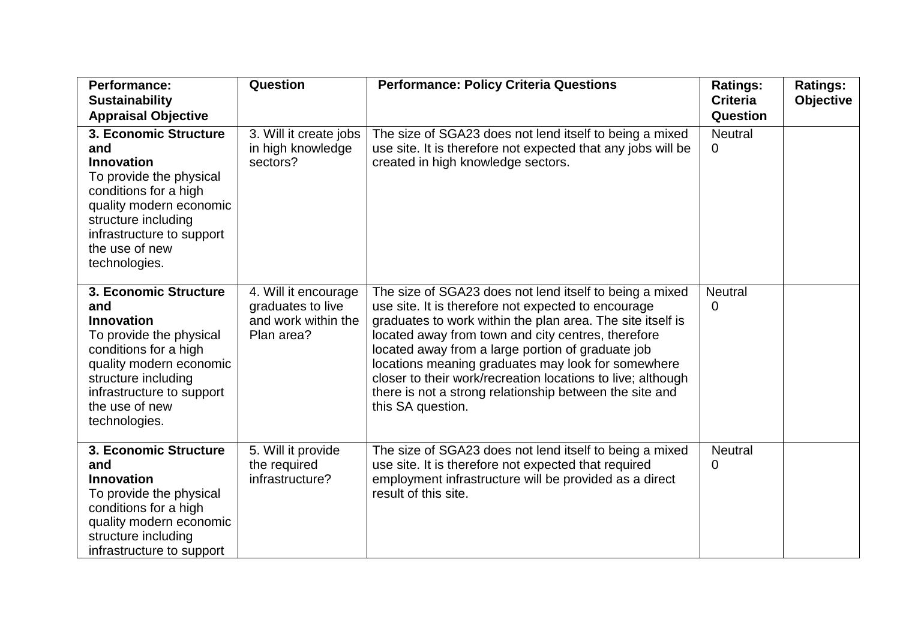| <b>Performance:</b><br><b>Sustainability</b>                                                                                                                                                                            | Question                                                                       | <b>Performance: Policy Criteria Questions</b>                                                                                                                                                                                                                                                                                                                                                                                                                                                | <b>Ratings:</b><br><b>Criteria</b> | <b>Ratings:</b><br><b>Objective</b> |
|-------------------------------------------------------------------------------------------------------------------------------------------------------------------------------------------------------------------------|--------------------------------------------------------------------------------|----------------------------------------------------------------------------------------------------------------------------------------------------------------------------------------------------------------------------------------------------------------------------------------------------------------------------------------------------------------------------------------------------------------------------------------------------------------------------------------------|------------------------------------|-------------------------------------|
| <b>Appraisal Objective</b>                                                                                                                                                                                              |                                                                                |                                                                                                                                                                                                                                                                                                                                                                                                                                                                                              | Question                           |                                     |
| 3. Economic Structure<br>and<br><b>Innovation</b><br>To provide the physical<br>conditions for a high<br>quality modern economic<br>structure including<br>infrastructure to support<br>the use of new<br>technologies. | 3. Will it create jobs<br>in high knowledge<br>sectors?                        | The size of SGA23 does not lend itself to being a mixed<br>use site. It is therefore not expected that any jobs will be<br>created in high knowledge sectors.                                                                                                                                                                                                                                                                                                                                | <b>Neutral</b><br>0                |                                     |
| 3. Economic Structure<br>and<br><b>Innovation</b><br>To provide the physical<br>conditions for a high<br>quality modern economic<br>structure including<br>infrastructure to support<br>the use of new<br>technologies. | 4. Will it encourage<br>graduates to live<br>and work within the<br>Plan area? | The size of SGA23 does not lend itself to being a mixed<br>use site. It is therefore not expected to encourage<br>graduates to work within the plan area. The site itself is<br>located away from town and city centres, therefore<br>located away from a large portion of graduate job<br>locations meaning graduates may look for somewhere<br>closer to their work/recreation locations to live; although<br>there is not a strong relationship between the site and<br>this SA question. | <b>Neutral</b><br>$\mathbf 0$      |                                     |
| 3. Economic Structure<br>and<br><b>Innovation</b><br>To provide the physical<br>conditions for a high<br>quality modern economic<br>structure including<br>infrastructure to support                                    | 5. Will it provide<br>the required<br>infrastructure?                          | The size of SGA23 does not lend itself to being a mixed<br>use site. It is therefore not expected that required<br>employment infrastructure will be provided as a direct<br>result of this site.                                                                                                                                                                                                                                                                                            | <b>Neutral</b><br>0                |                                     |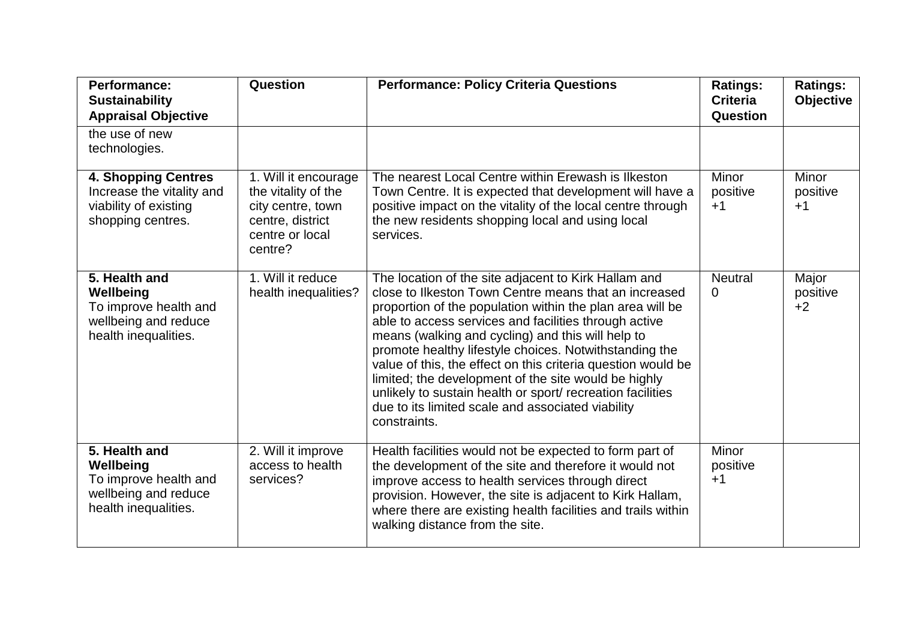| <b>Performance:</b><br><b>Sustainability</b><br><b>Appraisal Objective</b>                            | Question                                                                                                           | <b>Performance: Policy Criteria Questions</b>                                                                                                                                                                                                                                                                                                                                                                                                                                                                                                                                                                 | <b>Ratings:</b><br><b>Criteria</b><br><b>Question</b> | <b>Ratings:</b><br><b>Objective</b> |
|-------------------------------------------------------------------------------------------------------|--------------------------------------------------------------------------------------------------------------------|---------------------------------------------------------------------------------------------------------------------------------------------------------------------------------------------------------------------------------------------------------------------------------------------------------------------------------------------------------------------------------------------------------------------------------------------------------------------------------------------------------------------------------------------------------------------------------------------------------------|-------------------------------------------------------|-------------------------------------|
| the use of new<br>technologies.                                                                       |                                                                                                                    |                                                                                                                                                                                                                                                                                                                                                                                                                                                                                                                                                                                                               |                                                       |                                     |
| <b>4. Shopping Centres</b><br>Increase the vitality and<br>viability of existing<br>shopping centres. | 1. Will it encourage<br>the vitality of the<br>city centre, town<br>centre, district<br>centre or local<br>centre? | The nearest Local Centre within Erewash is Ilkeston<br>Town Centre. It is expected that development will have a<br>positive impact on the vitality of the local centre through<br>the new residents shopping local and using local<br>services.                                                                                                                                                                                                                                                                                                                                                               | Minor<br>positive<br>$+1$                             | Minor<br>positive<br>$+1$           |
| 5. Health and<br>Wellbeing<br>To improve health and<br>wellbeing and reduce<br>health inequalities.   | 1. Will it reduce<br>health inequalities?                                                                          | The location of the site adjacent to Kirk Hallam and<br>close to Ilkeston Town Centre means that an increased<br>proportion of the population within the plan area will be<br>able to access services and facilities through active<br>means (walking and cycling) and this will help to<br>promote healthy lifestyle choices. Notwithstanding the<br>value of this, the effect on this criteria question would be<br>limited; the development of the site would be highly<br>unlikely to sustain health or sport/ recreation facilities<br>due to its limited scale and associated viability<br>constraints. | <b>Neutral</b><br>0                                   | Major<br>positive<br>$+2$           |
| 5. Health and<br>Wellbeing<br>To improve health and<br>wellbeing and reduce<br>health inequalities.   | 2. Will it improve<br>access to health<br>services?                                                                | Health facilities would not be expected to form part of<br>the development of the site and therefore it would not<br>improve access to health services through direct<br>provision. However, the site is adjacent to Kirk Hallam,<br>where there are existing health facilities and trails within<br>walking distance from the site.                                                                                                                                                                                                                                                                          | Minor<br>positive<br>$+1$                             |                                     |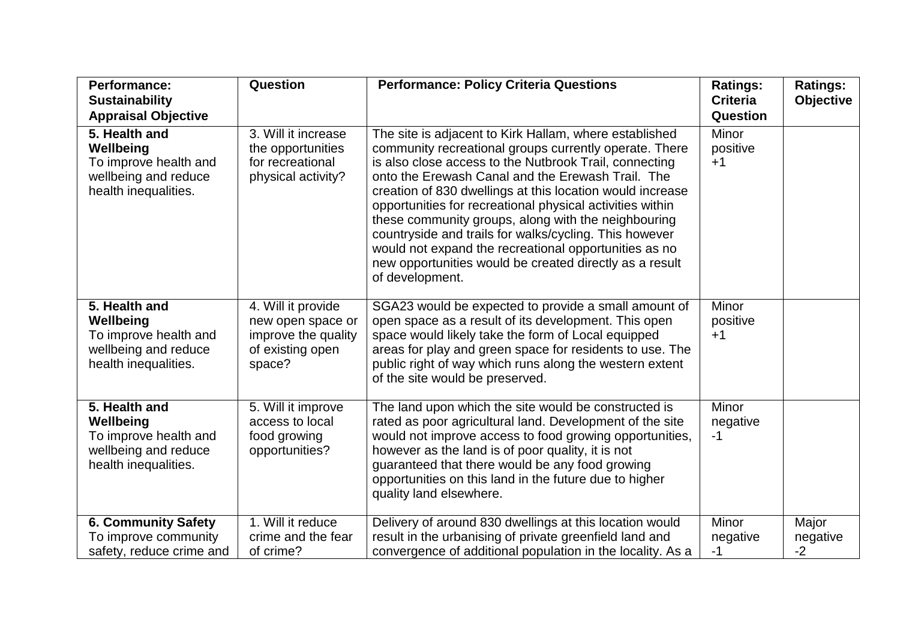| <b>Performance:</b><br><b>Sustainability</b>                                                                                      | Question                                                                                     | <b>Performance: Policy Criteria Questions</b>                                                                                                                                                                                                                                                                                                                                                                                                                                                                                                                                                                     | <b>Ratings:</b><br><b>Criteria</b>    | <b>Ratings:</b><br><b>Objective</b> |
|-----------------------------------------------------------------------------------------------------------------------------------|----------------------------------------------------------------------------------------------|-------------------------------------------------------------------------------------------------------------------------------------------------------------------------------------------------------------------------------------------------------------------------------------------------------------------------------------------------------------------------------------------------------------------------------------------------------------------------------------------------------------------------------------------------------------------------------------------------------------------|---------------------------------------|-------------------------------------|
| <b>Appraisal Objective</b><br>5. Health and<br>Wellbeing<br>To improve health and<br>wellbeing and reduce<br>health inequalities. | 3. Will it increase<br>the opportunities<br>for recreational<br>physical activity?           | The site is adjacent to Kirk Hallam, where established<br>community recreational groups currently operate. There<br>is also close access to the Nutbrook Trail, connecting<br>onto the Erewash Canal and the Erewash Trail. The<br>creation of 830 dwellings at this location would increase<br>opportunities for recreational physical activities within<br>these community groups, along with the neighbouring<br>countryside and trails for walks/cycling. This however<br>would not expand the recreational opportunities as no<br>new opportunities would be created directly as a result<br>of development. | Question<br>Minor<br>positive<br>$+1$ |                                     |
| $\overline{5}$ . Health and<br>Wellbeing<br>To improve health and<br>wellbeing and reduce<br>health inequalities.                 | 4. Will it provide<br>new open space or<br>improve the quality<br>of existing open<br>space? | SGA23 would be expected to provide a small amount of<br>open space as a result of its development. This open<br>space would likely take the form of Local equipped<br>areas for play and green space for residents to use. The<br>public right of way which runs along the western extent<br>of the site would be preserved.                                                                                                                                                                                                                                                                                      | <b>Minor</b><br>positive<br>$+1$      |                                     |
| 5. Health and<br>Wellbeing<br>To improve health and<br>wellbeing and reduce<br>health inequalities.                               | 5. Will it improve<br>access to local<br>food growing<br>opportunities?                      | The land upon which the site would be constructed is<br>rated as poor agricultural land. Development of the site<br>would not improve access to food growing opportunities,<br>however as the land is of poor quality, it is not<br>guaranteed that there would be any food growing<br>opportunities on this land in the future due to higher<br>quality land elsewhere.                                                                                                                                                                                                                                          | <b>Minor</b><br>negative<br>$-1$      |                                     |
| <b>6. Community Safety</b><br>To improve community<br>safety, reduce crime and                                                    | 1. Will it reduce<br>crime and the fear<br>of crime?                                         | Delivery of around 830 dwellings at this location would<br>result in the urbanising of private greenfield land and<br>convergence of additional population in the locality. As a                                                                                                                                                                                                                                                                                                                                                                                                                                  | <b>Minor</b><br>negative<br>$-1$      | Major<br>negative<br>$-2$           |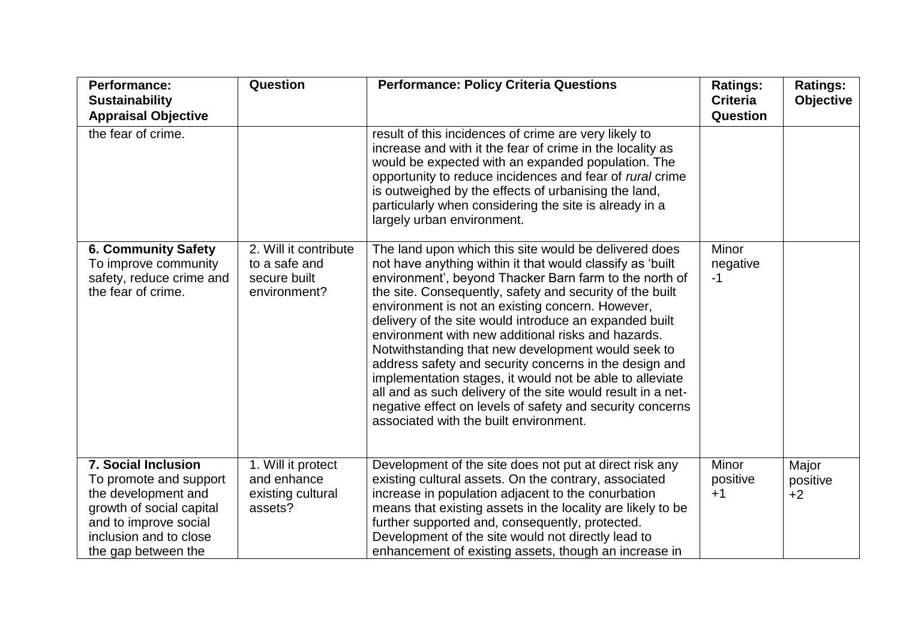| <b>Performance:</b><br><b>Sustainability</b><br><b>Appraisal Objective</b>                                                                                                        | Question                                                               | <b>Performance: Policy Criteria Questions</b>                                                                                                                                                                                                                                                                                                                                                                                                                                                                                                                                                                                                                                                                                                                  | <b>Ratings:</b><br><b>Criteria</b><br>Question | <b>Ratings:</b><br><b>Objective</b> |
|-----------------------------------------------------------------------------------------------------------------------------------------------------------------------------------|------------------------------------------------------------------------|----------------------------------------------------------------------------------------------------------------------------------------------------------------------------------------------------------------------------------------------------------------------------------------------------------------------------------------------------------------------------------------------------------------------------------------------------------------------------------------------------------------------------------------------------------------------------------------------------------------------------------------------------------------------------------------------------------------------------------------------------------------|------------------------------------------------|-------------------------------------|
| the fear of crime.                                                                                                                                                                |                                                                        | result of this incidences of crime are very likely to<br>increase and with it the fear of crime in the locality as<br>would be expected with an expanded population. The<br>opportunity to reduce incidences and fear of rural crime<br>is outweighed by the effects of urbanising the land,<br>particularly when considering the site is already in a<br>largely urban environment.                                                                                                                                                                                                                                                                                                                                                                           |                                                |                                     |
| <b>6. Community Safety</b><br>To improve community<br>safety, reduce crime and<br>the fear of crime.                                                                              | 2. Will it contribute<br>to a safe and<br>secure built<br>environment? | The land upon which this site would be delivered does<br>not have anything within it that would classify as 'built<br>environment', beyond Thacker Barn farm to the north of<br>the site. Consequently, safety and security of the built<br>environment is not an existing concern. However,<br>delivery of the site would introduce an expanded built<br>environment with new additional risks and hazards.<br>Notwithstanding that new development would seek to<br>address safety and security concerns in the design and<br>implementation stages, it would not be able to alleviate<br>all and as such delivery of the site would result in a net-<br>negative effect on levels of safety and security concerns<br>associated with the built environment. | <b>Minor</b><br>negative<br>$-1$               |                                     |
| <b>7. Social Inclusion</b><br>To promote and support<br>the development and<br>growth of social capital<br>and to improve social<br>inclusion and to close<br>the gap between the | 1. Will it protect<br>and enhance<br>existing cultural<br>assets?      | Development of the site does not put at direct risk any<br>existing cultural assets. On the contrary, associated<br>increase in population adjacent to the conurbation<br>means that existing assets in the locality are likely to be<br>further supported and, consequently, protected.<br>Development of the site would not directly lead to<br>enhancement of existing assets, though an increase in                                                                                                                                                                                                                                                                                                                                                        | <b>Minor</b><br>positive<br>$+1$               | Major<br>positive<br>$+2$           |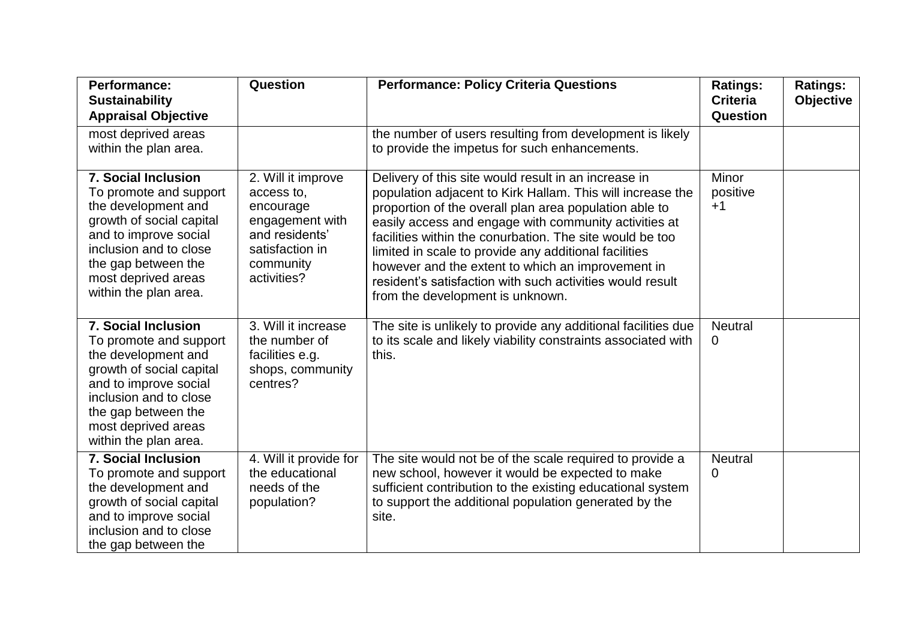| <b>Performance:</b><br><b>Sustainability</b><br><b>Appraisal Objective</b>                                                                                                                                                        | Question                                                                                                                          | <b>Performance: Policy Criteria Questions</b>                                                                                                                                                                                                                                                                                                                                                                                                                                                                    | <b>Ratings:</b><br><b>Criteria</b><br>Question | <b>Ratings:</b><br>Objective |
|-----------------------------------------------------------------------------------------------------------------------------------------------------------------------------------------------------------------------------------|-----------------------------------------------------------------------------------------------------------------------------------|------------------------------------------------------------------------------------------------------------------------------------------------------------------------------------------------------------------------------------------------------------------------------------------------------------------------------------------------------------------------------------------------------------------------------------------------------------------------------------------------------------------|------------------------------------------------|------------------------------|
| most deprived areas<br>within the plan area.                                                                                                                                                                                      |                                                                                                                                   | the number of users resulting from development is likely<br>to provide the impetus for such enhancements.                                                                                                                                                                                                                                                                                                                                                                                                        |                                                |                              |
| <b>7. Social Inclusion</b><br>To promote and support<br>the development and<br>growth of social capital<br>and to improve social<br>inclusion and to close<br>the gap between the<br>most deprived areas<br>within the plan area. | 2. Will it improve<br>access to,<br>encourage<br>engagement with<br>and residents'<br>satisfaction in<br>community<br>activities? | Delivery of this site would result in an increase in<br>population adjacent to Kirk Hallam. This will increase the<br>proportion of the overall plan area population able to<br>easily access and engage with community activities at<br>facilities within the conurbation. The site would be too<br>limited in scale to provide any additional facilities<br>however and the extent to which an improvement in<br>resident's satisfaction with such activities would result<br>from the development is unknown. | <b>Minor</b><br>positive<br>$+1$               |                              |
| <b>7. Social Inclusion</b><br>To promote and support<br>the development and<br>growth of social capital<br>and to improve social<br>inclusion and to close<br>the gap between the<br>most deprived areas<br>within the plan area. | 3. Will it increase<br>the number of<br>facilities e.g.<br>shops, community<br>centres?                                           | The site is unlikely to provide any additional facilities due<br>to its scale and likely viability constraints associated with<br>this.                                                                                                                                                                                                                                                                                                                                                                          | <b>Neutral</b><br>0                            |                              |
| <b>7. Social Inclusion</b><br>To promote and support<br>the development and<br>growth of social capital<br>and to improve social<br>inclusion and to close<br>the gap between the                                                 | 4. Will it provide for<br>the educational<br>needs of the<br>population?                                                          | The site would not be of the scale required to provide a<br>new school, however it would be expected to make<br>sufficient contribution to the existing educational system<br>to support the additional population generated by the<br>site.                                                                                                                                                                                                                                                                     | <b>Neutral</b><br>0                            |                              |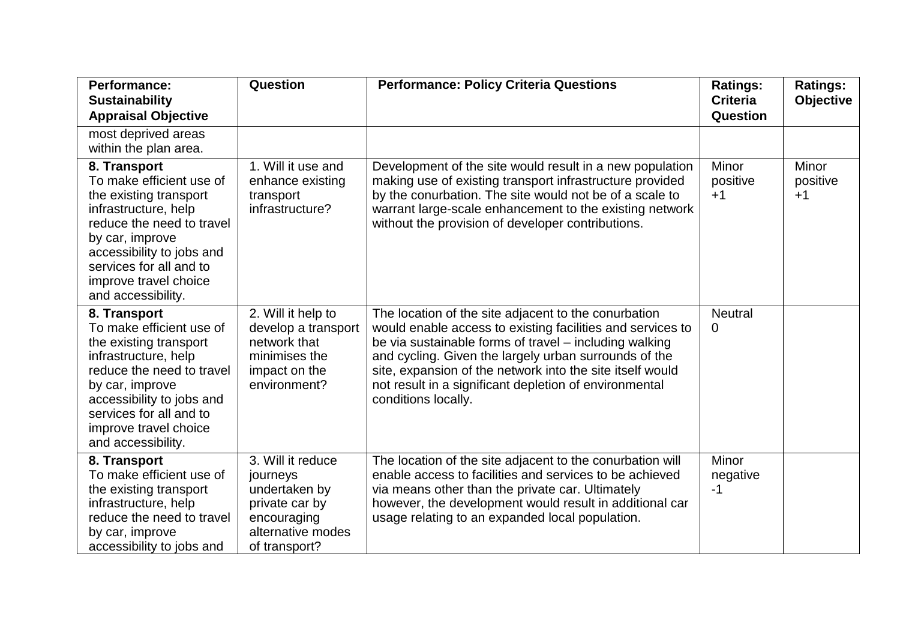| <b>Performance:</b><br><b>Sustainability</b><br><b>Appraisal Objective</b>                                                                                                                                                                        | Question                                                                                                              | <b>Performance: Policy Criteria Questions</b>                                                                                                                                                                                                                                                                                                                                       | <b>Ratings:</b><br><b>Criteria</b><br>Question | <b>Ratings:</b><br><b>Objective</b> |
|---------------------------------------------------------------------------------------------------------------------------------------------------------------------------------------------------------------------------------------------------|-----------------------------------------------------------------------------------------------------------------------|-------------------------------------------------------------------------------------------------------------------------------------------------------------------------------------------------------------------------------------------------------------------------------------------------------------------------------------------------------------------------------------|------------------------------------------------|-------------------------------------|
| most deprived areas<br>within the plan area.                                                                                                                                                                                                      |                                                                                                                       |                                                                                                                                                                                                                                                                                                                                                                                     |                                                |                                     |
| 8. Transport<br>To make efficient use of<br>the existing transport<br>infrastructure, help<br>reduce the need to travel<br>by car, improve<br>accessibility to jobs and<br>services for all and to<br>improve travel choice<br>and accessibility. | 1. Will it use and<br>enhance existing<br>transport<br>infrastructure?                                                | Development of the site would result in a new population<br>making use of existing transport infrastructure provided<br>by the conurbation. The site would not be of a scale to<br>warrant large-scale enhancement to the existing network<br>without the provision of developer contributions.                                                                                     | Minor<br>positive<br>$+1$                      | Minor<br>positive<br>$+1$           |
| 8. Transport<br>To make efficient use of<br>the existing transport<br>infrastructure, help<br>reduce the need to travel<br>by car, improve<br>accessibility to jobs and<br>services for all and to<br>improve travel choice<br>and accessibility. | 2. Will it help to<br>develop a transport<br>network that<br>minimises the<br>impact on the<br>environment?           | The location of the site adjacent to the conurbation<br>would enable access to existing facilities and services to<br>be via sustainable forms of travel - including walking<br>and cycling. Given the largely urban surrounds of the<br>site, expansion of the network into the site itself would<br>not result in a significant depletion of environmental<br>conditions locally. | <b>Neutral</b><br>$\mathbf{0}$                 |                                     |
| 8. Transport<br>To make efficient use of<br>the existing transport<br>infrastructure, help<br>reduce the need to travel<br>by car, improve<br>accessibility to jobs and                                                                           | 3. Will it reduce<br>journeys<br>undertaken by<br>private car by<br>encouraging<br>alternative modes<br>of transport? | The location of the site adjacent to the conurbation will<br>enable access to facilities and services to be achieved<br>via means other than the private car. Ultimately<br>however, the development would result in additional car<br>usage relating to an expanded local population.                                                                                              | Minor<br>negative<br>$-1$                      |                                     |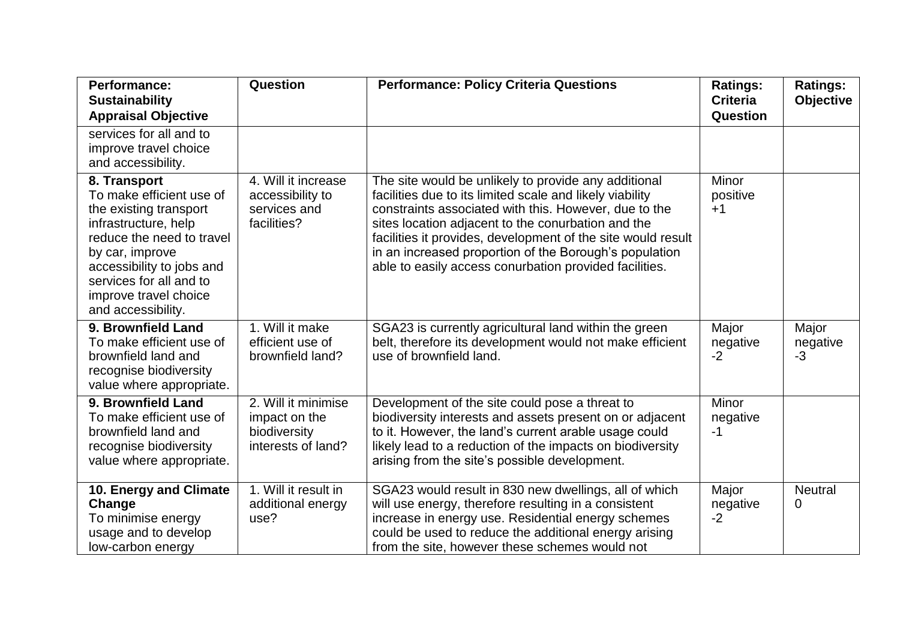| <b>Performance:</b><br><b>Sustainability</b><br><b>Appraisal Objective</b>                                                                                                                                                                        | Question                                                                   | <b>Performance: Policy Criteria Questions</b>                                                                                                                                                                                                                                                                                                                                                                       | <b>Ratings:</b><br><b>Criteria</b><br>Question | <b>Ratings:</b><br><b>Objective</b> |
|---------------------------------------------------------------------------------------------------------------------------------------------------------------------------------------------------------------------------------------------------|----------------------------------------------------------------------------|---------------------------------------------------------------------------------------------------------------------------------------------------------------------------------------------------------------------------------------------------------------------------------------------------------------------------------------------------------------------------------------------------------------------|------------------------------------------------|-------------------------------------|
| services for all and to<br>improve travel choice<br>and accessibility.                                                                                                                                                                            |                                                                            |                                                                                                                                                                                                                                                                                                                                                                                                                     |                                                |                                     |
| 8. Transport<br>To make efficient use of<br>the existing transport<br>infrastructure, help<br>reduce the need to travel<br>by car, improve<br>accessibility to jobs and<br>services for all and to<br>improve travel choice<br>and accessibility. | 4. Will it increase<br>accessibility to<br>services and<br>facilities?     | The site would be unlikely to provide any additional<br>facilities due to its limited scale and likely viability<br>constraints associated with this. However, due to the<br>sites location adjacent to the conurbation and the<br>facilities it provides, development of the site would result<br>in an increased proportion of the Borough's population<br>able to easily access conurbation provided facilities. | <b>Minor</b><br>positive<br>$+1$               |                                     |
| 9. Brownfield Land<br>To make efficient use of<br>brownfield land and<br>recognise biodiversity<br>value where appropriate.                                                                                                                       | 1. Will it make<br>efficient use of<br>brownfield land?                    | SGA23 is currently agricultural land within the green<br>belt, therefore its development would not make efficient<br>use of brownfield land.                                                                                                                                                                                                                                                                        | Major<br>negative<br>$-2$                      | Major<br>negative<br>$-3$           |
| 9. Brownfield Land<br>To make efficient use of<br>brownfield land and<br>recognise biodiversity<br>value where appropriate.                                                                                                                       | 2. Will it minimise<br>impact on the<br>biodiversity<br>interests of land? | Development of the site could pose a threat to<br>biodiversity interests and assets present on or adjacent<br>to it. However, the land's current arable usage could<br>likely lead to a reduction of the impacts on biodiversity<br>arising from the site's possible development.                                                                                                                                   | Minor<br>negative<br>$-1$                      |                                     |
| 10. Energy and Climate<br>Change<br>To minimise energy<br>usage and to develop<br>low-carbon energy                                                                                                                                               | 1. Will it result in<br>additional energy<br>use?                          | SGA23 would result in 830 new dwellings, all of which<br>will use energy, therefore resulting in a consistent<br>increase in energy use. Residential energy schemes<br>could be used to reduce the additional energy arising<br>from the site, however these schemes would not                                                                                                                                      | Major<br>negative<br>$-2$                      | <b>Neutral</b><br>0                 |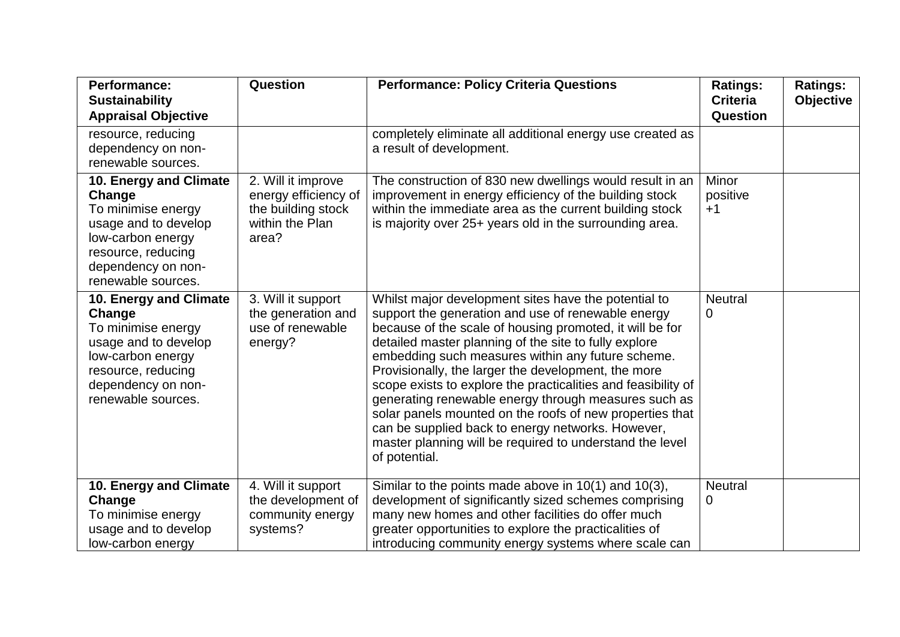| <b>Performance:</b><br><b>Sustainability</b><br><b>Appraisal Objective</b>                                                                                            | Question                                                                                     | <b>Performance: Policy Criteria Questions</b>                                                                                                                                                                                                                                                                                                                                                                                                                                                                                                                                                                                                                      | <b>Ratings:</b><br><b>Criteria</b><br>Question | <b>Ratings:</b><br><b>Objective</b> |
|-----------------------------------------------------------------------------------------------------------------------------------------------------------------------|----------------------------------------------------------------------------------------------|--------------------------------------------------------------------------------------------------------------------------------------------------------------------------------------------------------------------------------------------------------------------------------------------------------------------------------------------------------------------------------------------------------------------------------------------------------------------------------------------------------------------------------------------------------------------------------------------------------------------------------------------------------------------|------------------------------------------------|-------------------------------------|
| resource, reducing<br>dependency on non-<br>renewable sources.                                                                                                        |                                                                                              | completely eliminate all additional energy use created as<br>a result of development.                                                                                                                                                                                                                                                                                                                                                                                                                                                                                                                                                                              |                                                |                                     |
| 10. Energy and Climate<br>Change<br>To minimise energy<br>usage and to develop<br>low-carbon energy<br>resource, reducing<br>dependency on non-<br>renewable sources. | 2. Will it improve<br>energy efficiency of<br>the building stock<br>within the Plan<br>area? | The construction of 830 new dwellings would result in an<br>improvement in energy efficiency of the building stock<br>within the immediate area as the current building stock<br>is majority over 25+ years old in the surrounding area.                                                                                                                                                                                                                                                                                                                                                                                                                           | Minor<br>positive<br>$+1$                      |                                     |
| 10. Energy and Climate<br>Change<br>To minimise energy<br>usage and to develop<br>low-carbon energy<br>resource, reducing<br>dependency on non-<br>renewable sources. | 3. Will it support<br>the generation and<br>use of renewable<br>energy?                      | Whilst major development sites have the potential to<br>support the generation and use of renewable energy<br>because of the scale of housing promoted, it will be for<br>detailed master planning of the site to fully explore<br>embedding such measures within any future scheme.<br>Provisionally, the larger the development, the more<br>scope exists to explore the practicalities and feasibility of<br>generating renewable energy through measures such as<br>solar panels mounted on the roofs of new properties that<br>can be supplied back to energy networks. However,<br>master planning will be required to understand the level<br>of potential. | <b>Neutral</b><br>0                            |                                     |
| 10. Energy and Climate<br>Change<br>To minimise energy<br>usage and to develop<br>low-carbon energy                                                                   | 4. Will it support<br>the development of<br>community energy<br>systems?                     | Similar to the points made above in $10(1)$ and $10(3)$ ,<br>development of significantly sized schemes comprising<br>many new homes and other facilities do offer much<br>greater opportunities to explore the practicalities of<br>introducing community energy systems where scale can                                                                                                                                                                                                                                                                                                                                                                          | <b>Neutral</b><br>0                            |                                     |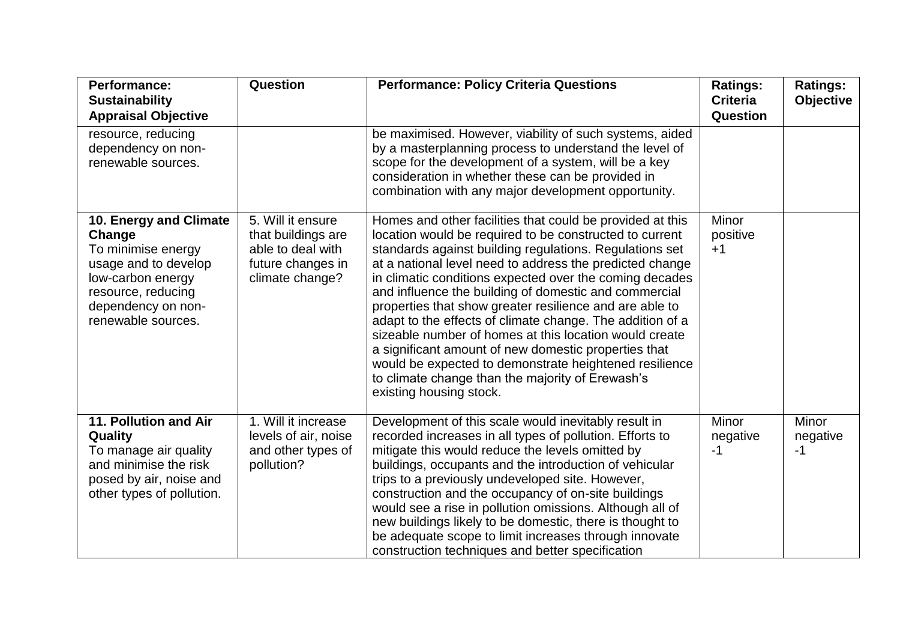| <b>Performance:</b><br><b>Sustainability</b><br><b>Appraisal Objective</b>                                                                                            | Question                                                                                             | <b>Performance: Policy Criteria Questions</b>                                                                                                                                                                                                                                                                                                                                                                                                                                                                                                                                                                                                                                                                                                      | <b>Ratings:</b><br><b>Criteria</b><br><b>Question</b> | <b>Ratings:</b><br><b>Objective</b> |
|-----------------------------------------------------------------------------------------------------------------------------------------------------------------------|------------------------------------------------------------------------------------------------------|----------------------------------------------------------------------------------------------------------------------------------------------------------------------------------------------------------------------------------------------------------------------------------------------------------------------------------------------------------------------------------------------------------------------------------------------------------------------------------------------------------------------------------------------------------------------------------------------------------------------------------------------------------------------------------------------------------------------------------------------------|-------------------------------------------------------|-------------------------------------|
| resource, reducing<br>dependency on non-<br>renewable sources.                                                                                                        |                                                                                                      | be maximised. However, viability of such systems, aided<br>by a masterplanning process to understand the level of<br>scope for the development of a system, will be a key<br>consideration in whether these can be provided in<br>combination with any major development opportunity.                                                                                                                                                                                                                                                                                                                                                                                                                                                              |                                                       |                                     |
| 10. Energy and Climate<br>Change<br>To minimise energy<br>usage and to develop<br>low-carbon energy<br>resource, reducing<br>dependency on non-<br>renewable sources. | 5. Will it ensure<br>that buildings are<br>able to deal with<br>future changes in<br>climate change? | Homes and other facilities that could be provided at this<br>location would be required to be constructed to current<br>standards against building regulations. Regulations set<br>at a national level need to address the predicted change<br>in climatic conditions expected over the coming decades<br>and influence the building of domestic and commercial<br>properties that show greater resilience and are able to<br>adapt to the effects of climate change. The addition of a<br>sizeable number of homes at this location would create<br>a significant amount of new domestic properties that<br>would be expected to demonstrate heightened resilience<br>to climate change than the majority of Erewash's<br>existing housing stock. | Minor<br>positive<br>$+1$                             |                                     |
| 11. Pollution and Air<br><b>Quality</b><br>To manage air quality<br>and minimise the risk<br>posed by air, noise and<br>other types of pollution.                     | 1. Will it increase<br>levels of air, noise<br>and other types of<br>pollution?                      | Development of this scale would inevitably result in<br>recorded increases in all types of pollution. Efforts to<br>mitigate this would reduce the levels omitted by<br>buildings, occupants and the introduction of vehicular<br>trips to a previously undeveloped site. However,<br>construction and the occupancy of on-site buildings<br>would see a rise in pollution omissions. Although all of<br>new buildings likely to be domestic, there is thought to<br>be adequate scope to limit increases through innovate<br>construction techniques and better specification                                                                                                                                                                     | Minor<br>negative<br>$-1$                             | Minor<br>negative<br>$-1$           |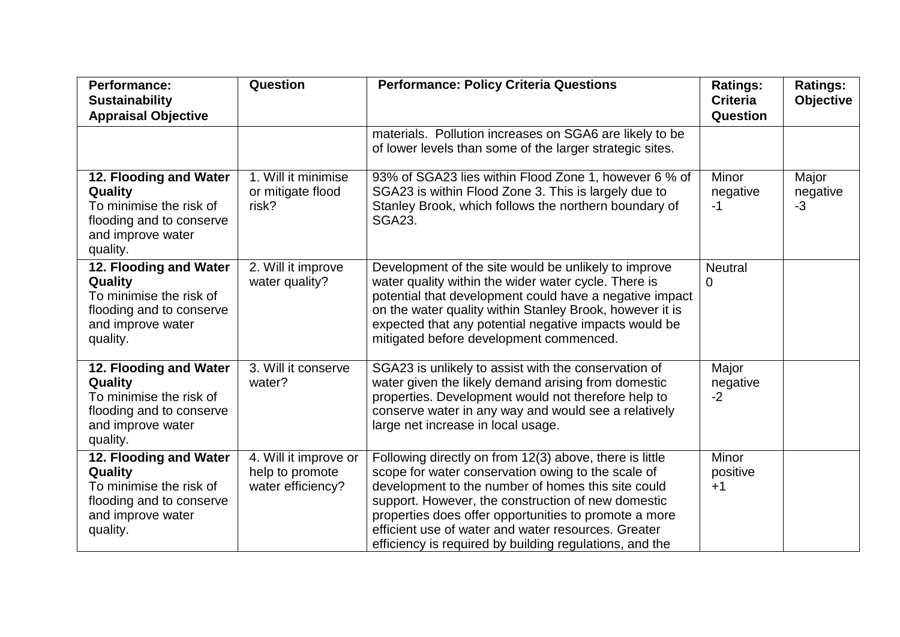| <b>Performance:</b><br><b>Sustainability</b><br><b>Appraisal Objective</b>                                                | Question                                                      | <b>Performance: Policy Criteria Questions</b>                                                                                                                                                                                                                                                                                                                                                        | <b>Ratings:</b><br><b>Criteria</b><br>Question | <b>Ratings:</b><br><b>Objective</b> |
|---------------------------------------------------------------------------------------------------------------------------|---------------------------------------------------------------|------------------------------------------------------------------------------------------------------------------------------------------------------------------------------------------------------------------------------------------------------------------------------------------------------------------------------------------------------------------------------------------------------|------------------------------------------------|-------------------------------------|
|                                                                                                                           |                                                               | materials. Pollution increases on SGA6 are likely to be<br>of lower levels than some of the larger strategic sites.                                                                                                                                                                                                                                                                                  |                                                |                                     |
| 12. Flooding and Water<br>Quality<br>To minimise the risk of<br>flooding and to conserve<br>and improve water<br>quality. | 1. Will it minimise<br>or mitigate flood<br>risk?             | 93% of SGA23 lies within Flood Zone 1, however 6 % of<br>SGA23 is within Flood Zone 3. This is largely due to<br>Stanley Brook, which follows the northern boundary of<br><b>SGA23.</b>                                                                                                                                                                                                              | Minor<br>negative<br>$-1$                      | Major<br>negative<br>$-3$           |
| 12. Flooding and Water<br>Quality<br>To minimise the risk of<br>flooding and to conserve<br>and improve water<br>quality. | 2. Will it improve<br>water quality?                          | Development of the site would be unlikely to improve<br>water quality within the wider water cycle. There is<br>potential that development could have a negative impact<br>on the water quality within Stanley Brook, however it is<br>expected that any potential negative impacts would be<br>mitigated before development commenced.                                                              | <b>Neutral</b><br>$\Omega$                     |                                     |
| 12. Flooding and Water<br>Quality<br>To minimise the risk of<br>flooding and to conserve<br>and improve water<br>quality. | 3. Will it conserve<br>water?                                 | SGA23 is unlikely to assist with the conservation of<br>water given the likely demand arising from domestic<br>properties. Development would not therefore help to<br>conserve water in any way and would see a relatively<br>large net increase in local usage.                                                                                                                                     | Major<br>negative<br>$-2$                      |                                     |
| 12. Flooding and Water<br>Quality<br>To minimise the risk of<br>flooding and to conserve<br>and improve water<br>quality. | 4. Will it improve or<br>help to promote<br>water efficiency? | Following directly on from 12(3) above, there is little<br>scope for water conservation owing to the scale of<br>development to the number of homes this site could<br>support. However, the construction of new domestic<br>properties does offer opportunities to promote a more<br>efficient use of water and water resources. Greater<br>efficiency is required by building regulations, and the | Minor<br>positive<br>$+1$                      |                                     |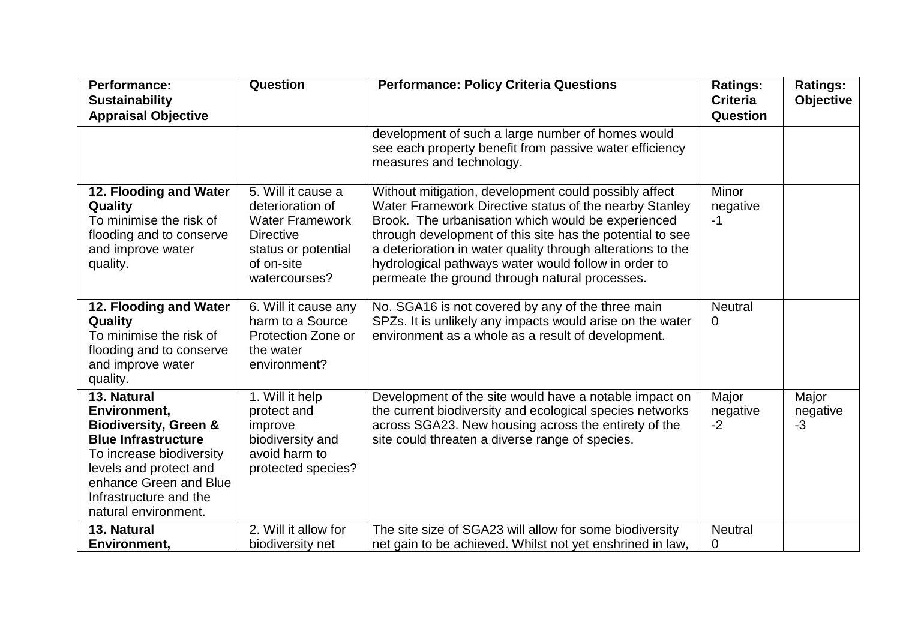| <b>Performance:</b><br><b>Sustainability</b><br><b>Appraisal Objective</b>                                                                                                                                                      | Question                                                                                                                                   | <b>Performance: Policy Criteria Questions</b>                                                                                                                                                                                                                                                                                                                                                               | <b>Ratings:</b><br><b>Criteria</b><br>Question | <b>Ratings:</b><br>Objective |
|---------------------------------------------------------------------------------------------------------------------------------------------------------------------------------------------------------------------------------|--------------------------------------------------------------------------------------------------------------------------------------------|-------------------------------------------------------------------------------------------------------------------------------------------------------------------------------------------------------------------------------------------------------------------------------------------------------------------------------------------------------------------------------------------------------------|------------------------------------------------|------------------------------|
|                                                                                                                                                                                                                                 |                                                                                                                                            | development of such a large number of homes would<br>see each property benefit from passive water efficiency<br>measures and technology.                                                                                                                                                                                                                                                                    |                                                |                              |
| 12. Flooding and Water<br>Quality<br>To minimise the risk of<br>flooding and to conserve<br>and improve water<br>quality.                                                                                                       | 5. Will it cause a<br>deterioration of<br><b>Water Framework</b><br><b>Directive</b><br>status or potential<br>of on-site<br>watercourses? | Without mitigation, development could possibly affect<br>Water Framework Directive status of the nearby Stanley<br>Brook. The urbanisation which would be experienced<br>through development of this site has the potential to see<br>a deterioration in water quality through alterations to the<br>hydrological pathways water would follow in order to<br>permeate the ground through natural processes. | Minor<br>negative<br>$-1$                      |                              |
| 12. Flooding and Water<br>Quality<br>To minimise the risk of<br>flooding and to conserve<br>and improve water<br>quality.                                                                                                       | 6. Will it cause any<br>harm to a Source<br>Protection Zone or<br>the water<br>environment?                                                | No. SGA16 is not covered by any of the three main<br>SPZs. It is unlikely any impacts would arise on the water<br>environment as a whole as a result of development.                                                                                                                                                                                                                                        | <b>Neutral</b><br>0                            |                              |
| 13. Natural<br>Environment,<br><b>Biodiversity, Green &amp;</b><br><b>Blue Infrastructure</b><br>To increase biodiversity<br>levels and protect and<br>enhance Green and Blue<br>Infrastructure and the<br>natural environment. | 1. Will it help<br>protect and<br>improve<br>biodiversity and<br>avoid harm to<br>protected species?                                       | Development of the site would have a notable impact on<br>the current biodiversity and ecological species networks<br>across SGA23. New housing across the entirety of the<br>site could threaten a diverse range of species.                                                                                                                                                                               | Major<br>negative<br>$-2$                      | Major<br>negative<br>$-3$    |
| 13. Natural<br>Environment,                                                                                                                                                                                                     | 2. Will it allow for<br>biodiversity net                                                                                                   | The site size of SGA23 will allow for some biodiversity<br>net gain to be achieved. Whilst not yet enshrined in law,                                                                                                                                                                                                                                                                                        | <b>Neutral</b><br>0                            |                              |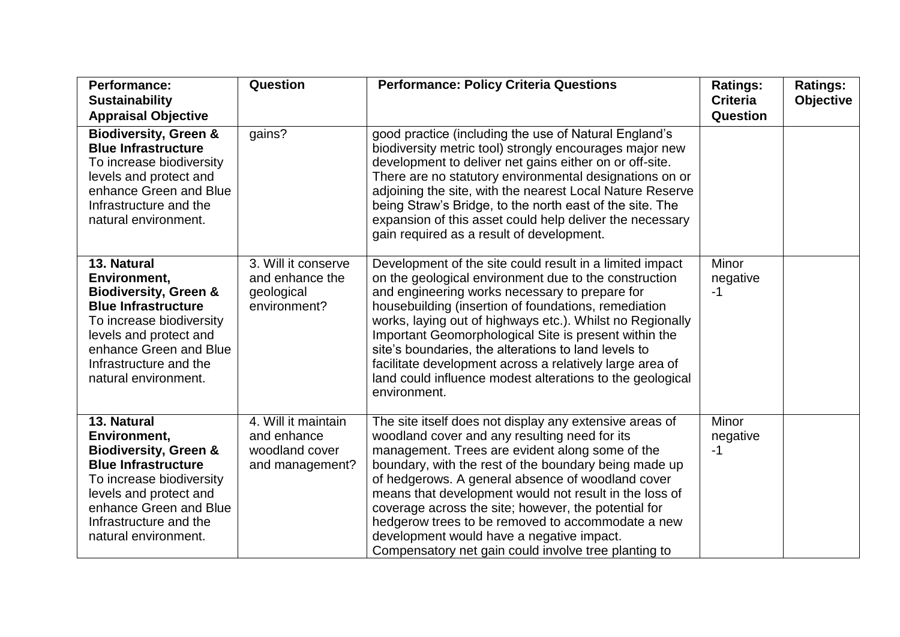| <b>Performance:</b><br><b>Sustainability</b><br><b>Appraisal Objective</b>                                                                                                                                                      | Question                                                                | <b>Performance: Policy Criteria Questions</b>                                                                                                                                                                                                                                                                                                                                                                                                                                                                                                         | <b>Ratings:</b><br><b>Criteria</b><br>Question | <b>Ratings:</b><br><b>Objective</b> |
|---------------------------------------------------------------------------------------------------------------------------------------------------------------------------------------------------------------------------------|-------------------------------------------------------------------------|-------------------------------------------------------------------------------------------------------------------------------------------------------------------------------------------------------------------------------------------------------------------------------------------------------------------------------------------------------------------------------------------------------------------------------------------------------------------------------------------------------------------------------------------------------|------------------------------------------------|-------------------------------------|
| <b>Biodiversity, Green &amp;</b><br><b>Blue Infrastructure</b><br>To increase biodiversity<br>levels and protect and<br>enhance Green and Blue<br>Infrastructure and the<br>natural environment.                                | gains?                                                                  | good practice (including the use of Natural England's<br>biodiversity metric tool) strongly encourages major new<br>development to deliver net gains either on or off-site.<br>There are no statutory environmental designations on or<br>adjoining the site, with the nearest Local Nature Reserve<br>being Straw's Bridge, to the north east of the site. The<br>expansion of this asset could help deliver the necessary<br>gain required as a result of development.                                                                              |                                                |                                     |
| 13. Natural<br>Environment,<br><b>Biodiversity, Green &amp;</b><br><b>Blue Infrastructure</b><br>To increase biodiversity<br>levels and protect and<br>enhance Green and Blue<br>Infrastructure and the<br>natural environment. | 3. Will it conserve<br>and enhance the<br>geological<br>environment?    | Development of the site could result in a limited impact<br>on the geological environment due to the construction<br>and engineering works necessary to prepare for<br>housebuilding (insertion of foundations, remediation<br>works, laying out of highways etc.). Whilst no Regionally<br>Important Geomorphological Site is present within the<br>site's boundaries, the alterations to land levels to<br>facilitate development across a relatively large area of<br>land could influence modest alterations to the geological<br>environment.    | Minor<br>negative<br>$-1$                      |                                     |
| 13. Natural<br>Environment,<br><b>Biodiversity, Green &amp;</b><br><b>Blue Infrastructure</b><br>To increase biodiversity<br>levels and protect and<br>enhance Green and Blue<br>Infrastructure and the<br>natural environment. | 4. Will it maintain<br>and enhance<br>woodland cover<br>and management? | The site itself does not display any extensive areas of<br>woodland cover and any resulting need for its<br>management. Trees are evident along some of the<br>boundary, with the rest of the boundary being made up<br>of hedgerows. A general absence of woodland cover<br>means that development would not result in the loss of<br>coverage across the site; however, the potential for<br>hedgerow trees to be removed to accommodate a new<br>development would have a negative impact.<br>Compensatory net gain could involve tree planting to | <b>Minor</b><br>negative<br>$-1$               |                                     |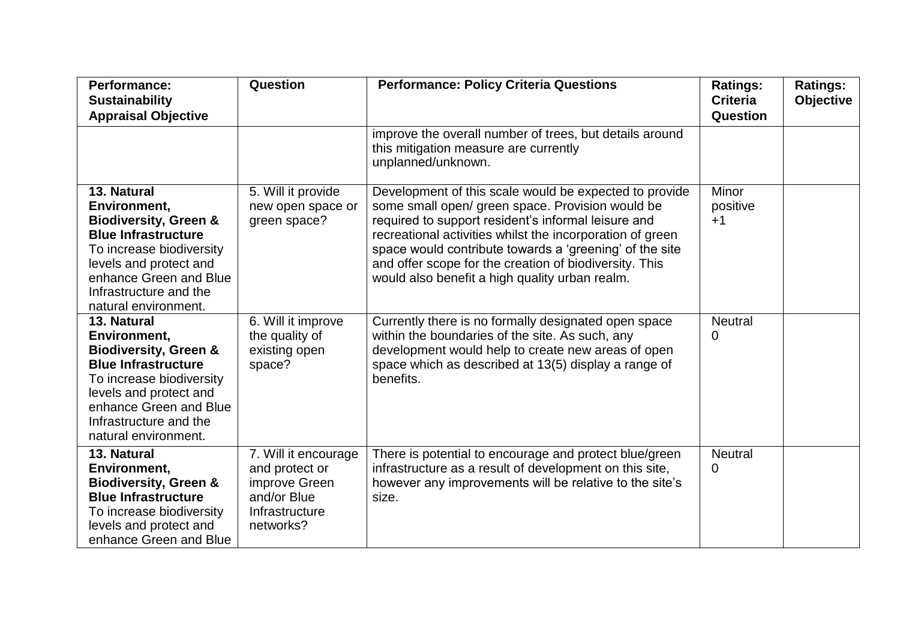| <b>Performance:</b><br><b>Sustainability</b><br><b>Appraisal Objective</b>                                                                                                                                                      | Question                                                                                              | <b>Performance: Policy Criteria Questions</b>                                                                                                                                                                                                                                                                                                                                                         | <b>Ratings:</b><br><b>Criteria</b><br>Question | <b>Ratings:</b><br><b>Objective</b> |
|---------------------------------------------------------------------------------------------------------------------------------------------------------------------------------------------------------------------------------|-------------------------------------------------------------------------------------------------------|-------------------------------------------------------------------------------------------------------------------------------------------------------------------------------------------------------------------------------------------------------------------------------------------------------------------------------------------------------------------------------------------------------|------------------------------------------------|-------------------------------------|
|                                                                                                                                                                                                                                 |                                                                                                       | improve the overall number of trees, but details around<br>this mitigation measure are currently<br>unplanned/unknown.                                                                                                                                                                                                                                                                                |                                                |                                     |
| 13. Natural<br>Environment,<br><b>Biodiversity, Green &amp;</b><br><b>Blue Infrastructure</b><br>To increase biodiversity<br>levels and protect and<br>enhance Green and Blue<br>Infrastructure and the<br>natural environment. | 5. Will it provide<br>new open space or<br>green space?                                               | Development of this scale would be expected to provide<br>some small open/ green space. Provision would be<br>required to support resident's informal leisure and<br>recreational activities whilst the incorporation of green<br>space would contribute towards a 'greening' of the site<br>and offer scope for the creation of biodiversity. This<br>would also benefit a high quality urban realm. | Minor<br>positive<br>$+1$                      |                                     |
| 13. Natural<br>Environment,<br><b>Biodiversity, Green &amp;</b><br><b>Blue Infrastructure</b><br>To increase biodiversity<br>levels and protect and<br>enhance Green and Blue<br>Infrastructure and the<br>natural environment. | 6. Will it improve<br>the quality of<br>existing open<br>space?                                       | Currently there is no formally designated open space<br>within the boundaries of the site. As such, any<br>development would help to create new areas of open<br>space which as described at 13(5) display a range of<br>benefits.                                                                                                                                                                    | <b>Neutral</b><br>0                            |                                     |
| 13. Natural<br>Environment,<br><b>Biodiversity, Green &amp;</b><br><b>Blue Infrastructure</b><br>To increase biodiversity<br>levels and protect and<br>enhance Green and Blue                                                   | 7. Will it encourage<br>and protect or<br>improve Green<br>and/or Blue<br>Infrastructure<br>networks? | There is potential to encourage and protect blue/green<br>infrastructure as a result of development on this site,<br>however any improvements will be relative to the site's<br>size.                                                                                                                                                                                                                 | <b>Neutral</b><br>0                            |                                     |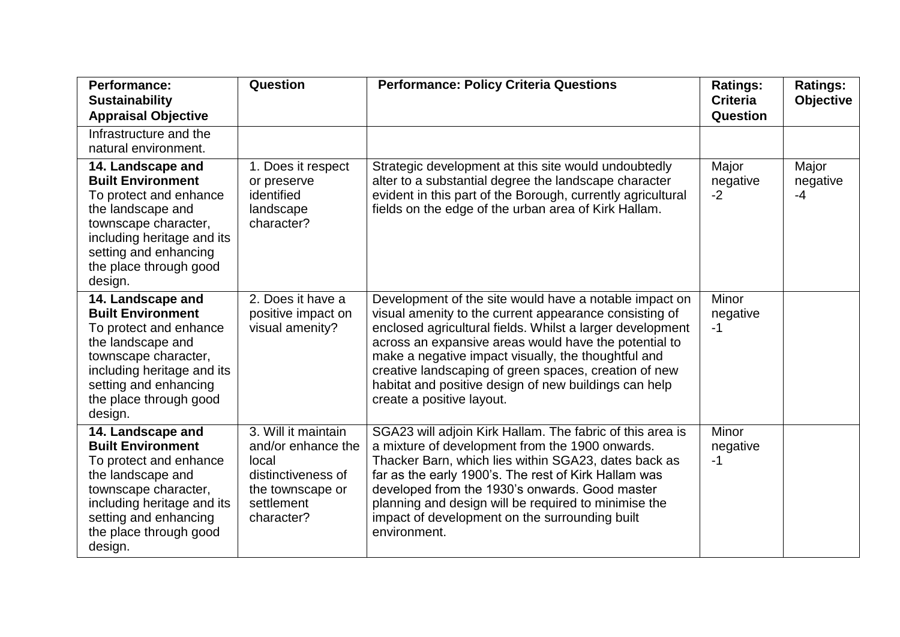| <b>Performance:</b><br><b>Sustainability</b><br><b>Appraisal Objective</b>                                                                                                                                       | Question                                                                                                                 | <b>Performance: Policy Criteria Questions</b>                                                                                                                                                                                                                                                                                                                                                                                                | <b>Ratings:</b><br><b>Criteria</b><br><b>Question</b> | <b>Ratings:</b><br><b>Objective</b> |
|------------------------------------------------------------------------------------------------------------------------------------------------------------------------------------------------------------------|--------------------------------------------------------------------------------------------------------------------------|----------------------------------------------------------------------------------------------------------------------------------------------------------------------------------------------------------------------------------------------------------------------------------------------------------------------------------------------------------------------------------------------------------------------------------------------|-------------------------------------------------------|-------------------------------------|
| Infrastructure and the<br>natural environment.                                                                                                                                                                   |                                                                                                                          |                                                                                                                                                                                                                                                                                                                                                                                                                                              |                                                       |                                     |
| 14. Landscape and<br><b>Built Environment</b><br>To protect and enhance<br>the landscape and<br>townscape character,<br>including heritage and its<br>setting and enhancing<br>the place through good<br>design. | 1. Does it respect<br>or preserve<br>identified<br>landscape<br>character?                                               | Strategic development at this site would undoubtedly<br>alter to a substantial degree the landscape character<br>evident in this part of the Borough, currently agricultural<br>fields on the edge of the urban area of Kirk Hallam.                                                                                                                                                                                                         | Major<br>negative<br>$-2$                             | Major<br>negative<br>$-4$           |
| 14. Landscape and<br><b>Built Environment</b><br>To protect and enhance<br>the landscape and<br>townscape character,<br>including heritage and its<br>setting and enhancing<br>the place through good<br>design. | 2. Does it have a<br>positive impact on<br>visual amenity?                                                               | Development of the site would have a notable impact on<br>visual amenity to the current appearance consisting of<br>enclosed agricultural fields. Whilst a larger development<br>across an expansive areas would have the potential to<br>make a negative impact visually, the thoughtful and<br>creative landscaping of green spaces, creation of new<br>habitat and positive design of new buildings can help<br>create a positive layout. | Minor<br>negative<br>$-1$                             |                                     |
| 14. Landscape and<br><b>Built Environment</b><br>To protect and enhance<br>the landscape and<br>townscape character,<br>including heritage and its<br>setting and enhancing<br>the place through good<br>design. | 3. Will it maintain<br>and/or enhance the<br>local<br>distinctiveness of<br>the townscape or<br>settlement<br>character? | SGA23 will adjoin Kirk Hallam. The fabric of this area is<br>a mixture of development from the 1900 onwards.<br>Thacker Barn, which lies within SGA23, dates back as<br>far as the early 1900's. The rest of Kirk Hallam was<br>developed from the 1930's onwards. Good master<br>planning and design will be required to minimise the<br>impact of development on the surrounding built<br>environment.                                     | Minor<br>negative<br>$-1$                             |                                     |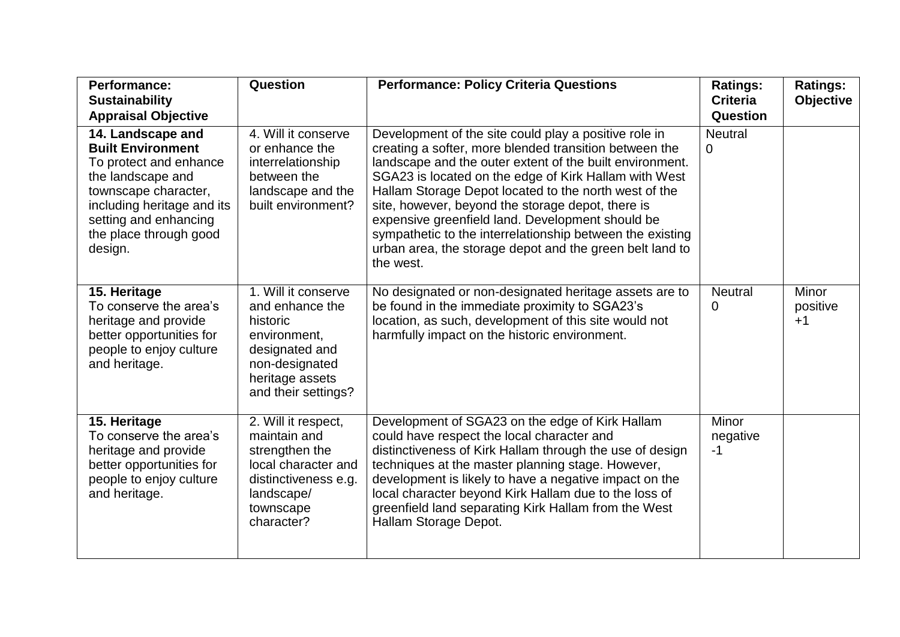| <b>Performance:</b><br><b>Sustainability</b><br><b>Appraisal Objective</b>                                                                                                                                       | Question                                                                                                                                         | <b>Performance: Policy Criteria Questions</b>                                                                                                                                                                                                                                                                                                                                                                                                                                                                                                | <b>Ratings:</b><br><b>Criteria</b><br>Question | <b>Ratings:</b><br><b>Objective</b> |
|------------------------------------------------------------------------------------------------------------------------------------------------------------------------------------------------------------------|--------------------------------------------------------------------------------------------------------------------------------------------------|----------------------------------------------------------------------------------------------------------------------------------------------------------------------------------------------------------------------------------------------------------------------------------------------------------------------------------------------------------------------------------------------------------------------------------------------------------------------------------------------------------------------------------------------|------------------------------------------------|-------------------------------------|
| 14. Landscape and<br><b>Built Environment</b><br>To protect and enhance<br>the landscape and<br>townscape character,<br>including heritage and its<br>setting and enhancing<br>the place through good<br>design. | 4. Will it conserve<br>or enhance the<br>interrelationship<br>between the<br>landscape and the<br>built environment?                             | Development of the site could play a positive role in<br>creating a softer, more blended transition between the<br>landscape and the outer extent of the built environment.<br>SGA23 is located on the edge of Kirk Hallam with West<br>Hallam Storage Depot located to the north west of the<br>site, however, beyond the storage depot, there is<br>expensive greenfield land. Development should be<br>sympathetic to the interrelationship between the existing<br>urban area, the storage depot and the green belt land to<br>the west. | <b>Neutral</b><br>$\Omega$                     |                                     |
| 15. Heritage<br>To conserve the area's<br>heritage and provide<br>better opportunities for<br>people to enjoy culture<br>and heritage.                                                                           | 1. Will it conserve<br>and enhance the<br>historic<br>environment,<br>designated and<br>non-designated<br>heritage assets<br>and their settings? | No designated or non-designated heritage assets are to<br>be found in the immediate proximity to SGA23's<br>location, as such, development of this site would not<br>harmfully impact on the historic environment.                                                                                                                                                                                                                                                                                                                           | <b>Neutral</b><br>$\mathbf{0}$                 | Minor<br>positive<br>$+1$           |
| 15. Heritage<br>To conserve the area's<br>heritage and provide<br>better opportunities for<br>people to enjoy culture<br>and heritage.                                                                           | 2. Will it respect,<br>maintain and<br>strengthen the<br>local character and<br>distinctiveness e.g.<br>landscape/<br>townscape<br>character?    | Development of SGA23 on the edge of Kirk Hallam<br>could have respect the local character and<br>distinctiveness of Kirk Hallam through the use of design<br>techniques at the master planning stage. However,<br>development is likely to have a negative impact on the<br>local character beyond Kirk Hallam due to the loss of<br>greenfield land separating Kirk Hallam from the West<br>Hallam Storage Depot.                                                                                                                           | <b>Minor</b><br>negative<br>$-1$               |                                     |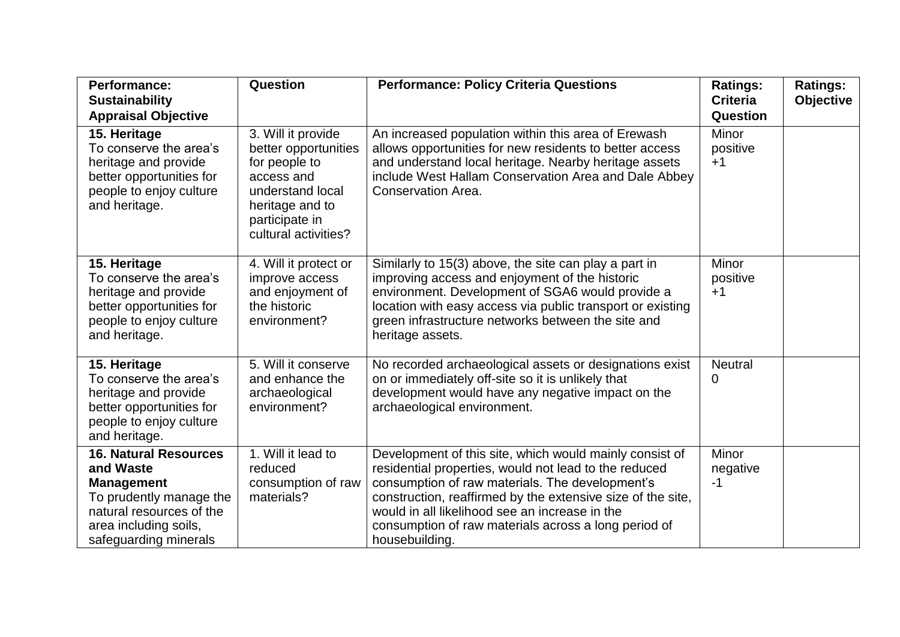| <b>Performance:</b><br><b>Sustainability</b><br><b>Appraisal Objective</b>                                                                                              | Question                                                                                                                                                   | <b>Performance: Policy Criteria Questions</b>                                                                                                                                                                                                                                                                                                                  | <b>Ratings:</b><br><b>Criteria</b><br>Question | <b>Ratings:</b><br><b>Objective</b> |
|-------------------------------------------------------------------------------------------------------------------------------------------------------------------------|------------------------------------------------------------------------------------------------------------------------------------------------------------|----------------------------------------------------------------------------------------------------------------------------------------------------------------------------------------------------------------------------------------------------------------------------------------------------------------------------------------------------------------|------------------------------------------------|-------------------------------------|
| 15. Heritage<br>To conserve the area's<br>heritage and provide<br>better opportunities for<br>people to enjoy culture<br>and heritage.                                  | 3. Will it provide<br>better opportunities<br>for people to<br>access and<br>understand local<br>heritage and to<br>participate in<br>cultural activities? | An increased population within this area of Erewash<br>allows opportunities for new residents to better access<br>and understand local heritage. Nearby heritage assets<br>include West Hallam Conservation Area and Dale Abbey<br>Conservation Area.                                                                                                          | Minor<br>positive<br>$+1$                      |                                     |
| 15. Heritage<br>To conserve the area's<br>heritage and provide<br>better opportunities for<br>people to enjoy culture<br>and heritage.                                  | 4. Will it protect or<br>improve access<br>and enjoyment of<br>the historic<br>environment?                                                                | Similarly to 15(3) above, the site can play a part in<br>improving access and enjoyment of the historic<br>environment. Development of SGA6 would provide a<br>location with easy access via public transport or existing<br>green infrastructure networks between the site and<br>heritage assets.                                                            | <b>Minor</b><br>positive<br>$+1$               |                                     |
| 15. Heritage<br>To conserve the area's<br>heritage and provide<br>better opportunities for<br>people to enjoy culture<br>and heritage.                                  | 5. Will it conserve<br>and enhance the<br>archaeological<br>environment?                                                                                   | No recorded archaeological assets or designations exist<br>on or immediately off-site so it is unlikely that<br>development would have any negative impact on the<br>archaeological environment.                                                                                                                                                               | <b>Neutral</b><br>$\mathbf{0}$                 |                                     |
| <b>16. Natural Resources</b><br>and Waste<br><b>Management</b><br>To prudently manage the<br>natural resources of the<br>area including soils,<br>safeguarding minerals | 1. Will it lead to<br>reduced<br>consumption of raw<br>materials?                                                                                          | Development of this site, which would mainly consist of<br>residential properties, would not lead to the reduced<br>consumption of raw materials. The development's<br>construction, reaffirmed by the extensive size of the site,<br>would in all likelihood see an increase in the<br>consumption of raw materials across a long period of<br>housebuilding. | <b>Minor</b><br>negative<br>$-1$               |                                     |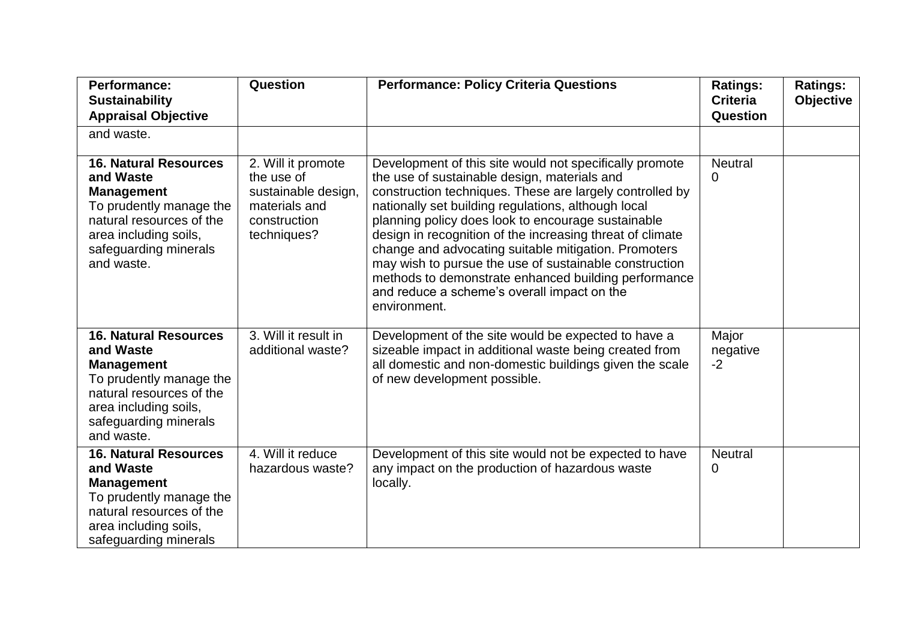| <b>Performance:</b><br><b>Sustainability</b><br><b>Appraisal Objective</b>                                                                                                            | Question                                                                                                | <b>Performance: Policy Criteria Questions</b>                                                                                                                                                                                                                                                                                                                                                                                                                                                                                                                                          | <b>Ratings:</b><br><b>Criteria</b><br><b>Question</b> | <b>Ratings:</b><br><b>Objective</b> |
|---------------------------------------------------------------------------------------------------------------------------------------------------------------------------------------|---------------------------------------------------------------------------------------------------------|----------------------------------------------------------------------------------------------------------------------------------------------------------------------------------------------------------------------------------------------------------------------------------------------------------------------------------------------------------------------------------------------------------------------------------------------------------------------------------------------------------------------------------------------------------------------------------------|-------------------------------------------------------|-------------------------------------|
| and waste.                                                                                                                                                                            |                                                                                                         |                                                                                                                                                                                                                                                                                                                                                                                                                                                                                                                                                                                        |                                                       |                                     |
| <b>16. Natural Resources</b><br>and Waste<br><b>Management</b><br>To prudently manage the<br>natural resources of the<br>area including soils,<br>safeguarding minerals<br>and waste. | 2. Will it promote<br>the use of<br>sustainable design,<br>materials and<br>construction<br>techniques? | Development of this site would not specifically promote<br>the use of sustainable design, materials and<br>construction techniques. These are largely controlled by<br>nationally set building regulations, although local<br>planning policy does look to encourage sustainable<br>design in recognition of the increasing threat of climate<br>change and advocating suitable mitigation. Promoters<br>may wish to pursue the use of sustainable construction<br>methods to demonstrate enhanced building performance<br>and reduce a scheme's overall impact on the<br>environment. | <b>Neutral</b><br>0                                   |                                     |
| <b>16. Natural Resources</b><br>and Waste<br><b>Management</b><br>To prudently manage the<br>natural resources of the<br>area including soils,<br>safeguarding minerals<br>and waste. | 3. Will it result in<br>additional waste?                                                               | Development of the site would be expected to have a<br>sizeable impact in additional waste being created from<br>all domestic and non-domestic buildings given the scale<br>of new development possible.                                                                                                                                                                                                                                                                                                                                                                               | Major<br>negative<br>$-2$                             |                                     |
| <b>16. Natural Resources</b><br>and Waste<br><b>Management</b><br>To prudently manage the<br>natural resources of the<br>area including soils,<br>safeguarding minerals               | 4. Will it reduce<br>hazardous waste?                                                                   | Development of this site would not be expected to have<br>any impact on the production of hazardous waste<br>locally.                                                                                                                                                                                                                                                                                                                                                                                                                                                                  | <b>Neutral</b><br>0                                   |                                     |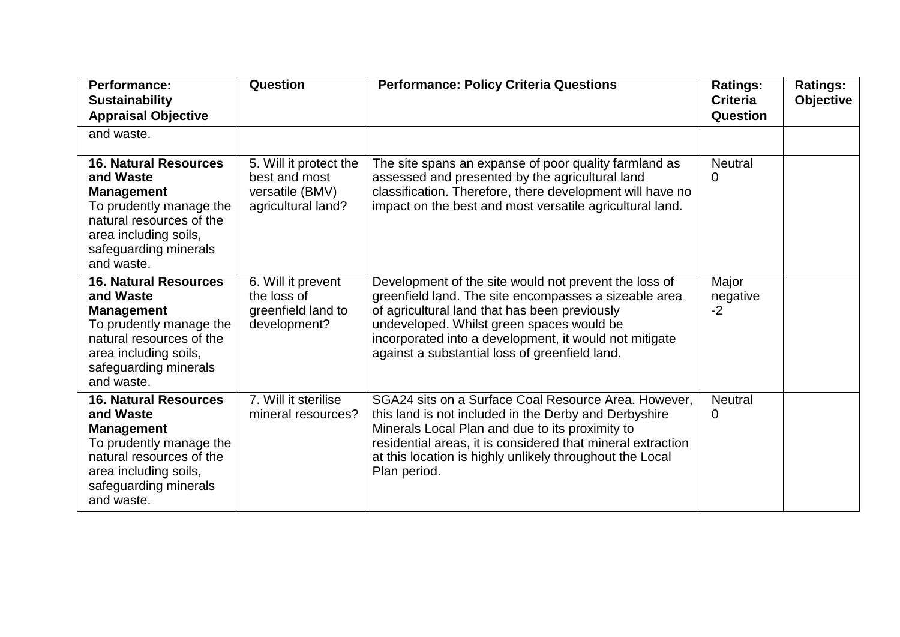| <b>Performance:</b><br><b>Sustainability</b><br><b>Appraisal Objective</b>                                                                                                            | Question                                                                         | <b>Performance: Policy Criteria Questions</b>                                                                                                                                                                                                                                                                            | <b>Ratings:</b><br><b>Criteria</b><br>Question | <b>Ratings:</b><br><b>Objective</b> |
|---------------------------------------------------------------------------------------------------------------------------------------------------------------------------------------|----------------------------------------------------------------------------------|--------------------------------------------------------------------------------------------------------------------------------------------------------------------------------------------------------------------------------------------------------------------------------------------------------------------------|------------------------------------------------|-------------------------------------|
| and waste.                                                                                                                                                                            |                                                                                  |                                                                                                                                                                                                                                                                                                                          |                                                |                                     |
| <b>16. Natural Resources</b><br>and Waste<br><b>Management</b><br>To prudently manage the<br>natural resources of the<br>area including soils,<br>safeguarding minerals<br>and waste. | 5. Will it protect the<br>best and most<br>versatile (BMV)<br>agricultural land? | The site spans an expanse of poor quality farmland as<br>assessed and presented by the agricultural land<br>classification. Therefore, there development will have no<br>impact on the best and most versatile agricultural land.                                                                                        | <b>Neutral</b><br>0                            |                                     |
| <b>16. Natural Resources</b><br>and Waste<br><b>Management</b><br>To prudently manage the<br>natural resources of the<br>area including soils,<br>safeguarding minerals<br>and waste. | 6. Will it prevent<br>the loss of<br>greenfield land to<br>development?          | Development of the site would not prevent the loss of<br>greenfield land. The site encompasses a sizeable area<br>of agricultural land that has been previously<br>undeveloped. Whilst green spaces would be<br>incorporated into a development, it would not mitigate<br>against a substantial loss of greenfield land. | Major<br>negative<br>$-2$                      |                                     |
| <b>16. Natural Resources</b><br>and Waste<br><b>Management</b><br>To prudently manage the<br>natural resources of the<br>area including soils,<br>safeguarding minerals<br>and waste. | 7. Will it sterilise<br>mineral resources?                                       | SGA24 sits on a Surface Coal Resource Area. However,<br>this land is not included in the Derby and Derbyshire<br>Minerals Local Plan and due to its proximity to<br>residential areas, it is considered that mineral extraction<br>at this location is highly unlikely throughout the Local<br>Plan period.              | <b>Neutral</b><br>0                            |                                     |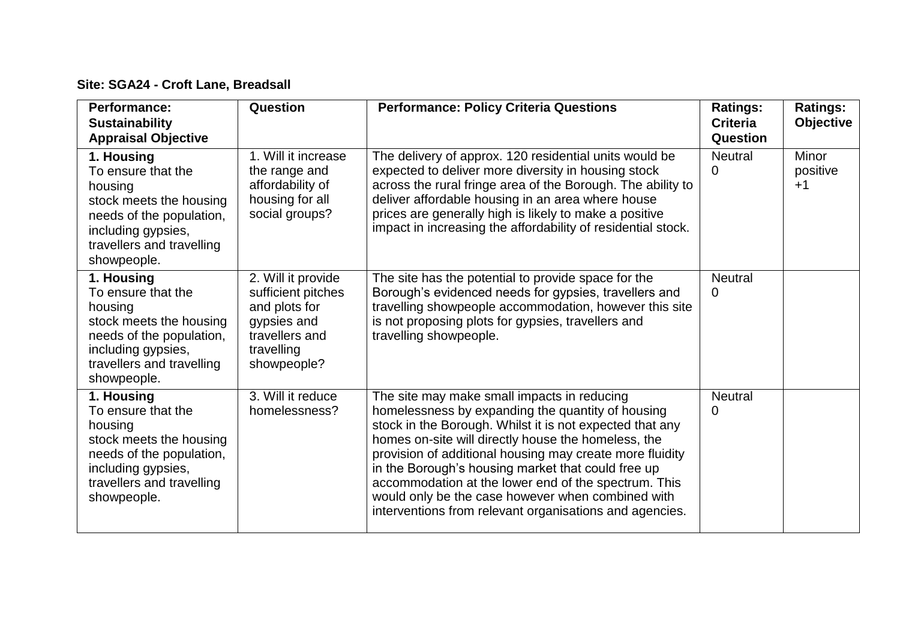## **Site: SGA24 - Croft Lane, Breadsall**

| Performance:<br><b>Sustainability</b><br><b>Appraisal Objective</b>                                                                                                  | <b>Question</b>                                                                                                         | <b>Performance: Policy Criteria Questions</b>                                                                                                                                                                                                                                                                                                                                                                                                                                                                 | <b>Ratings:</b><br><b>Criteria</b><br><b>Question</b> | <b>Ratings:</b><br><b>Objective</b> |
|----------------------------------------------------------------------------------------------------------------------------------------------------------------------|-------------------------------------------------------------------------------------------------------------------------|---------------------------------------------------------------------------------------------------------------------------------------------------------------------------------------------------------------------------------------------------------------------------------------------------------------------------------------------------------------------------------------------------------------------------------------------------------------------------------------------------------------|-------------------------------------------------------|-------------------------------------|
| 1. Housing<br>To ensure that the<br>housing<br>stock meets the housing<br>needs of the population,<br>including gypsies,<br>travellers and travelling<br>showpeople. | 1. Will it increase<br>the range and<br>affordability of<br>housing for all<br>social groups?                           | The delivery of approx. 120 residential units would be<br>expected to deliver more diversity in housing stock<br>across the rural fringe area of the Borough. The ability to<br>deliver affordable housing in an area where house<br>prices are generally high is likely to make a positive<br>impact in increasing the affordability of residential stock.                                                                                                                                                   | <b>Neutral</b><br>$\Omega$                            | Minor<br>positive<br>$+1$           |
| 1. Housing<br>To ensure that the<br>housing<br>stock meets the housing<br>needs of the population,<br>including gypsies,<br>travellers and travelling<br>showpeople. | 2. Will it provide<br>sufficient pitches<br>and plots for<br>gypsies and<br>travellers and<br>travelling<br>showpeople? | The site has the potential to provide space for the<br>Borough's evidenced needs for gypsies, travellers and<br>travelling showpeople accommodation, however this site<br>is not proposing plots for gypsies, travellers and<br>travelling showpeople.                                                                                                                                                                                                                                                        | <b>Neutral</b><br>$\Omega$                            |                                     |
| 1. Housing<br>To ensure that the<br>housing<br>stock meets the housing<br>needs of the population,<br>including gypsies,<br>travellers and travelling<br>showpeople. | 3. Will it reduce<br>homelessness?                                                                                      | The site may make small impacts in reducing<br>homelessness by expanding the quantity of housing<br>stock in the Borough. Whilst it is not expected that any<br>homes on-site will directly house the homeless, the<br>provision of additional housing may create more fluidity<br>in the Borough's housing market that could free up<br>accommodation at the lower end of the spectrum. This<br>would only be the case however when combined with<br>interventions from relevant organisations and agencies. | <b>Neutral</b><br>$\Omega$                            |                                     |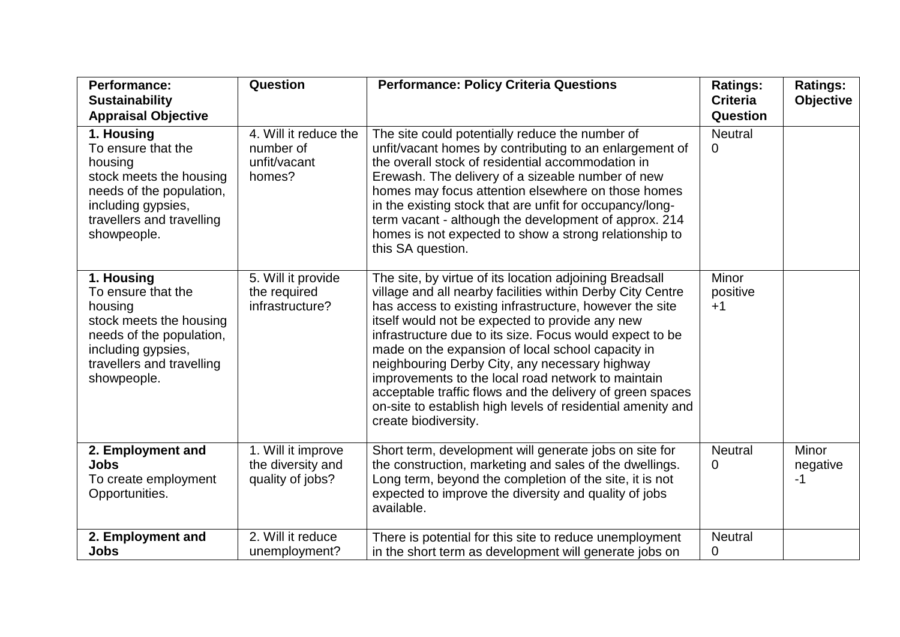| <b>Performance:</b><br><b>Sustainability</b><br><b>Appraisal Objective</b>                                                                                           | Question                                                     | <b>Performance: Policy Criteria Questions</b>                                                                                                                                                                                                                                                                                                                                                                                                                                                                                                                                                                    | <b>Ratings:</b><br><b>Criteria</b><br>Question | <b>Ratings:</b><br><b>Objective</b> |
|----------------------------------------------------------------------------------------------------------------------------------------------------------------------|--------------------------------------------------------------|------------------------------------------------------------------------------------------------------------------------------------------------------------------------------------------------------------------------------------------------------------------------------------------------------------------------------------------------------------------------------------------------------------------------------------------------------------------------------------------------------------------------------------------------------------------------------------------------------------------|------------------------------------------------|-------------------------------------|
| 1. Housing<br>To ensure that the<br>housing<br>stock meets the housing<br>needs of the population,<br>including gypsies,<br>travellers and travelling<br>showpeople. | 4. Will it reduce the<br>number of<br>unfit/vacant<br>homes? | The site could potentially reduce the number of<br>unfit/vacant homes by contributing to an enlargement of<br>the overall stock of residential accommodation in<br>Erewash. The delivery of a sizeable number of new<br>homes may focus attention elsewhere on those homes<br>in the existing stock that are unfit for occupancy/long-<br>term vacant - although the development of approx. 214<br>homes is not expected to show a strong relationship to<br>this SA question.                                                                                                                                   | <b>Neutral</b><br>0                            |                                     |
| 1. Housing<br>To ensure that the<br>housing<br>stock meets the housing<br>needs of the population,<br>including gypsies,<br>travellers and travelling<br>showpeople. | 5. Will it provide<br>the required<br>infrastructure?        | The site, by virtue of its location adjoining Breadsall<br>village and all nearby facilities within Derby City Centre<br>has access to existing infrastructure, however the site<br>itself would not be expected to provide any new<br>infrastructure due to its size. Focus would expect to be<br>made on the expansion of local school capacity in<br>neighbouring Derby City, any necessary highway<br>improvements to the local road network to maintain<br>acceptable traffic flows and the delivery of green spaces<br>on-site to establish high levels of residential amenity and<br>create biodiversity. | Minor<br>positive<br>$+1$                      |                                     |
| 2. Employment and<br>Jobs<br>To create employment<br>Opportunities.                                                                                                  | 1. Will it improve<br>the diversity and<br>quality of jobs?  | Short term, development will generate jobs on site for<br>the construction, marketing and sales of the dwellings.<br>Long term, beyond the completion of the site, it is not<br>expected to improve the diversity and quality of jobs<br>available.                                                                                                                                                                                                                                                                                                                                                              | <b>Neutral</b><br>0                            | Minor<br>negative<br>-1             |
| 2. Employment and<br><b>Jobs</b>                                                                                                                                     | 2. Will it reduce<br>unemployment?                           | There is potential for this site to reduce unemployment<br>in the short term as development will generate jobs on                                                                                                                                                                                                                                                                                                                                                                                                                                                                                                | <b>Neutral</b><br>0                            |                                     |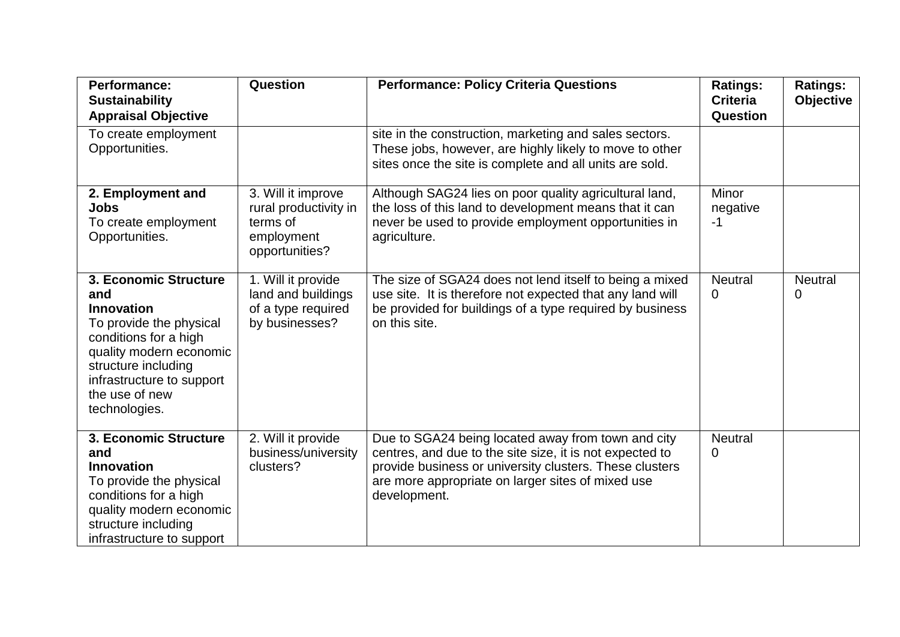| <b>Performance:</b><br><b>Sustainability</b><br><b>Appraisal Objective</b>                                                                                                                                              | Question                                                                                | <b>Performance: Policy Criteria Questions</b>                                                                                                                                                                                                  | <b>Ratings:</b><br><b>Criteria</b><br>Question | <b>Ratings:</b><br>Objective |
|-------------------------------------------------------------------------------------------------------------------------------------------------------------------------------------------------------------------------|-----------------------------------------------------------------------------------------|------------------------------------------------------------------------------------------------------------------------------------------------------------------------------------------------------------------------------------------------|------------------------------------------------|------------------------------|
| To create employment<br>Opportunities.                                                                                                                                                                                  |                                                                                         | site in the construction, marketing and sales sectors.<br>These jobs, however, are highly likely to move to other<br>sites once the site is complete and all units are sold.                                                                   |                                                |                              |
| 2. Employment and<br>Jobs<br>To create employment<br>Opportunities.                                                                                                                                                     | 3. Will it improve<br>rural productivity in<br>terms of<br>employment<br>opportunities? | Although SAG24 lies on poor quality agricultural land,<br>the loss of this land to development means that it can<br>never be used to provide employment opportunities in<br>agriculture.                                                       | Minor<br>negative<br>$-1$                      |                              |
| 3. Economic Structure<br>and<br><b>Innovation</b><br>To provide the physical<br>conditions for a high<br>quality modern economic<br>structure including<br>infrastructure to support<br>the use of new<br>technologies. | 1. Will it provide<br>land and buildings<br>of a type required<br>by businesses?        | The size of SGA24 does not lend itself to being a mixed<br>use site. It is therefore not expected that any land will<br>be provided for buildings of a type required by business<br>on this site.                                              | <b>Neutral</b><br>0                            | <b>Neutral</b><br>0          |
| 3. Economic Structure<br>and<br><b>Innovation</b><br>To provide the physical<br>conditions for a high<br>quality modern economic<br>structure including<br>infrastructure to support                                    | 2. Will it provide<br>business/university<br>clusters?                                  | Due to SGA24 being located away from town and city<br>centres, and due to the site size, it is not expected to<br>provide business or university clusters. These clusters<br>are more appropriate on larger sites of mixed use<br>development. | <b>Neutral</b><br>0                            |                              |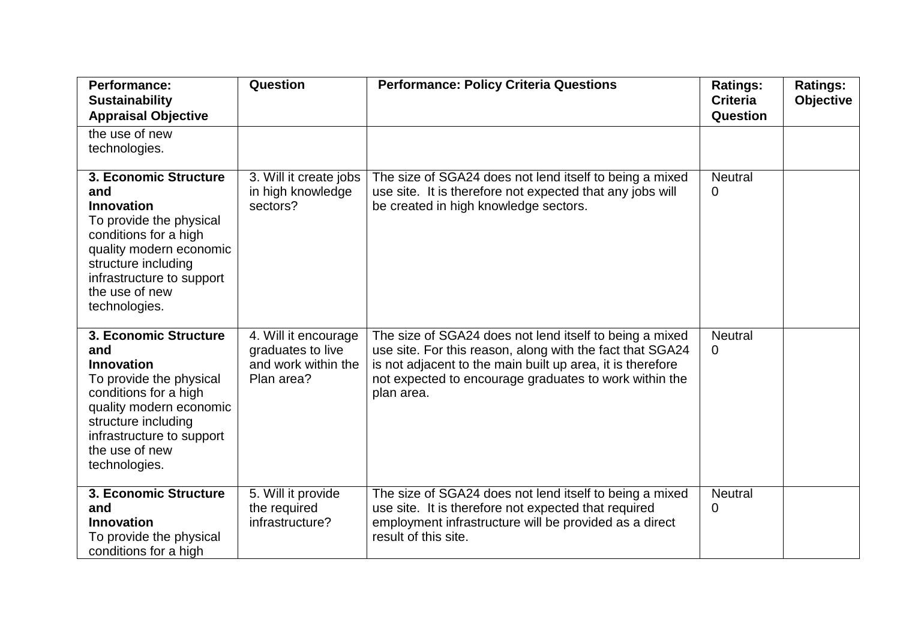| <b>Performance:</b><br><b>Sustainability</b><br><b>Appraisal Objective</b>                                                                                                                                              | Question                                                                       | <b>Performance: Policy Criteria Questions</b>                                                                                                                                                                                                              | <b>Ratings:</b><br><b>Criteria</b><br><b>Question</b> | <b>Ratings:</b><br><b>Objective</b> |
|-------------------------------------------------------------------------------------------------------------------------------------------------------------------------------------------------------------------------|--------------------------------------------------------------------------------|------------------------------------------------------------------------------------------------------------------------------------------------------------------------------------------------------------------------------------------------------------|-------------------------------------------------------|-------------------------------------|
| the use of new<br>technologies.                                                                                                                                                                                         |                                                                                |                                                                                                                                                                                                                                                            |                                                       |                                     |
| 3. Economic Structure<br>and<br><b>Innovation</b><br>To provide the physical<br>conditions for a high<br>quality modern economic<br>structure including<br>infrastructure to support<br>the use of new<br>technologies. | 3. Will it create jobs<br>in high knowledge<br>sectors?                        | The size of SGA24 does not lend itself to being a mixed<br>use site. It is therefore not expected that any jobs will<br>be created in high knowledge sectors.                                                                                              | <b>Neutral</b><br>$\mathbf{0}$                        |                                     |
| 3. Economic Structure<br>and<br>Innovation<br>To provide the physical<br>conditions for a high<br>quality modern economic<br>structure including<br>infrastructure to support<br>the use of new<br>technologies.        | 4. Will it encourage<br>graduates to live<br>and work within the<br>Plan area? | The size of SGA24 does not lend itself to being a mixed<br>use site. For this reason, along with the fact that SGA24<br>is not adjacent to the main built up area, it is therefore<br>not expected to encourage graduates to work within the<br>plan area. | <b>Neutral</b><br>$\mathbf{0}$                        |                                     |
| 3. Economic Structure<br>and<br><b>Innovation</b><br>To provide the physical<br>conditions for a high                                                                                                                   | 5. Will it provide<br>the required<br>infrastructure?                          | The size of SGA24 does not lend itself to being a mixed<br>use site. It is therefore not expected that required<br>employment infrastructure will be provided as a direct<br>result of this site.                                                          | <b>Neutral</b><br>0                                   |                                     |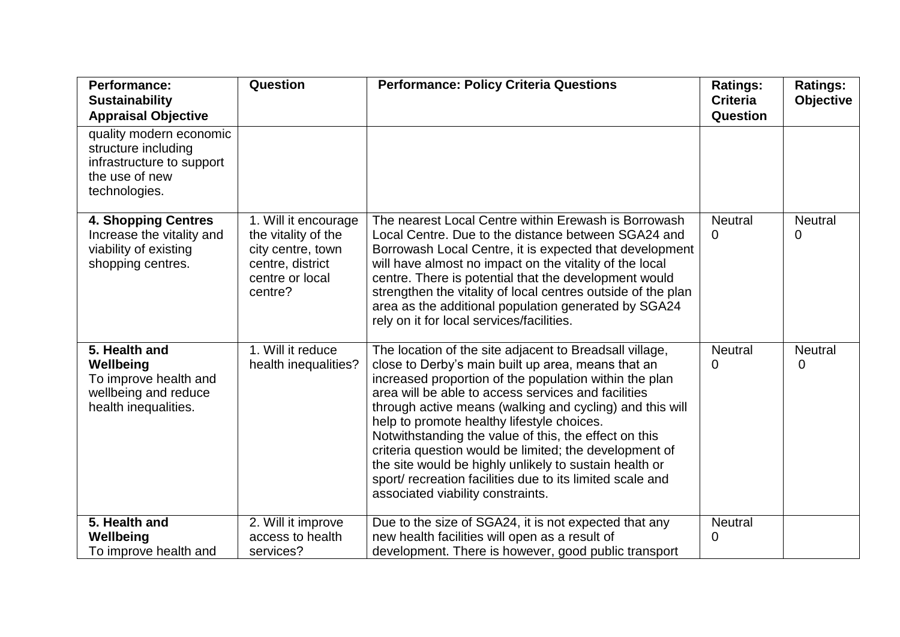| <b>Performance:</b><br><b>Sustainability</b><br><b>Appraisal Objective</b>                                     | Question                                                                                                           | <b>Performance: Policy Criteria Questions</b>                                                                                                                                                                                                                                                                                                                                                                                                                                                                                                                                                                           | <b>Ratings:</b><br><b>Criteria</b><br>Question | <b>Ratings:</b><br><b>Objective</b> |
|----------------------------------------------------------------------------------------------------------------|--------------------------------------------------------------------------------------------------------------------|-------------------------------------------------------------------------------------------------------------------------------------------------------------------------------------------------------------------------------------------------------------------------------------------------------------------------------------------------------------------------------------------------------------------------------------------------------------------------------------------------------------------------------------------------------------------------------------------------------------------------|------------------------------------------------|-------------------------------------|
| quality modern economic<br>structure including<br>infrastructure to support<br>the use of new<br>technologies. |                                                                                                                    |                                                                                                                                                                                                                                                                                                                                                                                                                                                                                                                                                                                                                         |                                                |                                     |
| <b>4. Shopping Centres</b><br>Increase the vitality and<br>viability of existing<br>shopping centres.          | 1. Will it encourage<br>the vitality of the<br>city centre, town<br>centre, district<br>centre or local<br>centre? | The nearest Local Centre within Erewash is Borrowash<br>Local Centre. Due to the distance between SGA24 and<br>Borrowash Local Centre, it is expected that development<br>will have almost no impact on the vitality of the local<br>centre. There is potential that the development would<br>strengthen the vitality of local centres outside of the plan<br>area as the additional population generated by SGA24<br>rely on it for local services/facilities.                                                                                                                                                         | <b>Neutral</b><br>0                            | <b>Neutral</b><br>0                 |
| 5. Health and<br>Wellbeing<br>To improve health and<br>wellbeing and reduce<br>health inequalities.            | 1. Will it reduce<br>health inequalities?                                                                          | The location of the site adjacent to Breadsall village,<br>close to Derby's main built up area, means that an<br>increased proportion of the population within the plan<br>area will be able to access services and facilities<br>through active means (walking and cycling) and this will<br>help to promote healthy lifestyle choices.<br>Notwithstanding the value of this, the effect on this<br>criteria question would be limited; the development of<br>the site would be highly unlikely to sustain health or<br>sport/ recreation facilities due to its limited scale and<br>associated viability constraints. | <b>Neutral</b><br>0                            | <b>Neutral</b><br>$\mathbf 0$       |
| 5. Health and<br>Wellbeing<br>To improve health and                                                            | 2. Will it improve<br>access to health<br>services?                                                                | Due to the size of SGA24, it is not expected that any<br>new health facilities will open as a result of<br>development. There is however, good public transport                                                                                                                                                                                                                                                                                                                                                                                                                                                         | <b>Neutral</b><br>0                            |                                     |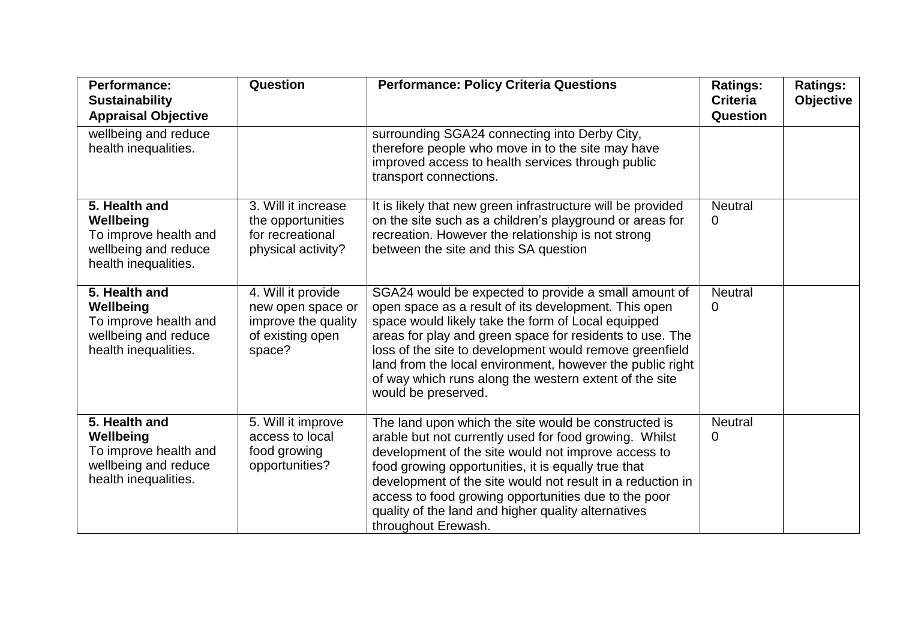| Performance:<br><b>Sustainability</b><br><b>Appraisal Objective</b>                                 | Question                                                                                     | <b>Performance: Policy Criteria Questions</b>                                                                                                                                                                                                                                                                                                                                                                                           | <b>Ratings:</b><br><b>Criteria</b><br><b>Question</b> | <b>Ratings:</b><br><b>Objective</b> |
|-----------------------------------------------------------------------------------------------------|----------------------------------------------------------------------------------------------|-----------------------------------------------------------------------------------------------------------------------------------------------------------------------------------------------------------------------------------------------------------------------------------------------------------------------------------------------------------------------------------------------------------------------------------------|-------------------------------------------------------|-------------------------------------|
| wellbeing and reduce<br>health inequalities.                                                        |                                                                                              | surrounding SGA24 connecting into Derby City,<br>therefore people who move in to the site may have<br>improved access to health services through public<br>transport connections.                                                                                                                                                                                                                                                       |                                                       |                                     |
| 5. Health and<br>Wellbeing<br>To improve health and<br>wellbeing and reduce<br>health inequalities. | 3. Will it increase<br>the opportunities<br>for recreational<br>physical activity?           | It is likely that new green infrastructure will be provided<br>on the site such as a children's playground or areas for<br>recreation. However the relationship is not strong<br>between the site and this SA question                                                                                                                                                                                                                  | <b>Neutral</b><br>0                                   |                                     |
| 5. Health and<br>Wellbeing<br>To improve health and<br>wellbeing and reduce<br>health inequalities. | 4. Will it provide<br>new open space or<br>improve the quality<br>of existing open<br>space? | SGA24 would be expected to provide a small amount of<br>open space as a result of its development. This open<br>space would likely take the form of Local equipped<br>areas for play and green space for residents to use. The<br>loss of the site to development would remove greenfield<br>land from the local environment, however the public right<br>of way which runs along the western extent of the site<br>would be preserved. | <b>Neutral</b><br>0                                   |                                     |
| 5. Health and<br>Wellbeing<br>To improve health and<br>wellbeing and reduce<br>health inequalities. | 5. Will it improve<br>access to local<br>food growing<br>opportunities?                      | The land upon which the site would be constructed is<br>arable but not currently used for food growing. Whilst<br>development of the site would not improve access to<br>food growing opportunities, it is equally true that<br>development of the site would not result in a reduction in<br>access to food growing opportunities due to the poor<br>quality of the land and higher quality alternatives<br>throughout Erewash.        | <b>Neutral</b><br>0                                   |                                     |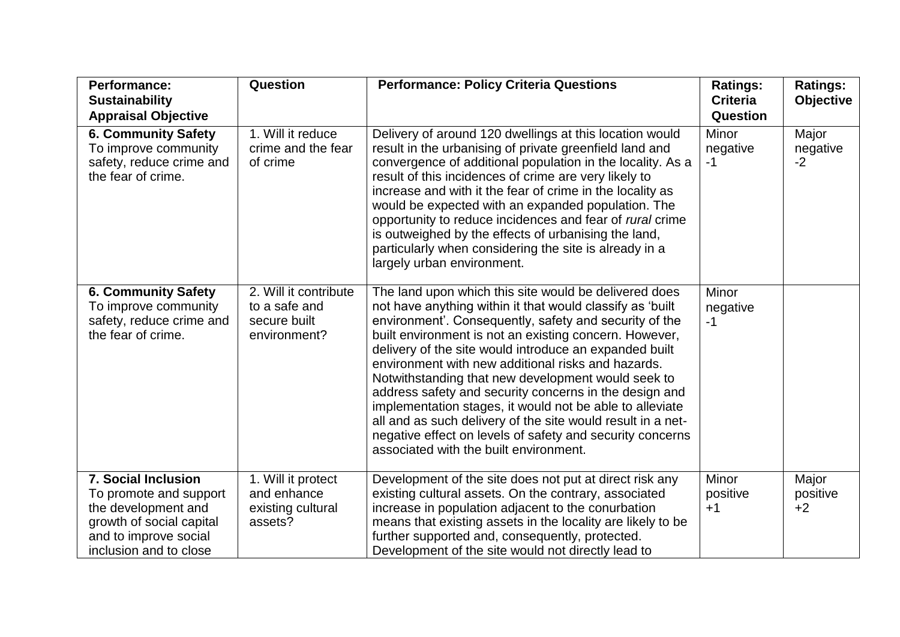| <b>Performance:</b><br><b>Sustainability</b>                                                                                                               | Question                                                               | <b>Performance: Policy Criteria Questions</b>                                                                                                                                                                                                                                                                                                                                                                                                                                                                                                                                                                                                                                                            | <b>Ratings:</b><br><b>Criteria</b> | <b>Ratings:</b><br>Objective |
|------------------------------------------------------------------------------------------------------------------------------------------------------------|------------------------------------------------------------------------|----------------------------------------------------------------------------------------------------------------------------------------------------------------------------------------------------------------------------------------------------------------------------------------------------------------------------------------------------------------------------------------------------------------------------------------------------------------------------------------------------------------------------------------------------------------------------------------------------------------------------------------------------------------------------------------------------------|------------------------------------|------------------------------|
| <b>Appraisal Objective</b>                                                                                                                                 |                                                                        |                                                                                                                                                                                                                                                                                                                                                                                                                                                                                                                                                                                                                                                                                                          | <b>Question</b>                    |                              |
| <b>6. Community Safety</b><br>To improve community<br>safety, reduce crime and<br>the fear of crime.                                                       | 1. Will it reduce<br>crime and the fear<br>of crime                    | Delivery of around 120 dwellings at this location would<br>result in the urbanising of private greenfield land and<br>convergence of additional population in the locality. As a<br>result of this incidences of crime are very likely to<br>increase and with it the fear of crime in the locality as<br>would be expected with an expanded population. The<br>opportunity to reduce incidences and fear of <i>rural</i> crime<br>is outweighed by the effects of urbanising the land,<br>particularly when considering the site is already in a<br>largely urban environment.                                                                                                                          | Minor<br>negative<br>-1            | Major<br>negative<br>$-2$    |
| <b>6. Community Safety</b><br>To improve community<br>safety, reduce crime and<br>the fear of crime.                                                       | 2. Will it contribute<br>to a safe and<br>secure built<br>environment? | The land upon which this site would be delivered does<br>not have anything within it that would classify as 'built<br>environment'. Consequently, safety and security of the<br>built environment is not an existing concern. However,<br>delivery of the site would introduce an expanded built<br>environment with new additional risks and hazards.<br>Notwithstanding that new development would seek to<br>address safety and security concerns in the design and<br>implementation stages, it would not be able to alleviate<br>all and as such delivery of the site would result in a net-<br>negative effect on levels of safety and security concerns<br>associated with the built environment. | Minor<br>negative<br>$-1$          |                              |
| <b>7. Social Inclusion</b><br>To promote and support<br>the development and<br>growth of social capital<br>and to improve social<br>inclusion and to close | 1. Will it protect<br>and enhance<br>existing cultural<br>assets?      | Development of the site does not put at direct risk any<br>existing cultural assets. On the contrary, associated<br>increase in population adjacent to the conurbation<br>means that existing assets in the locality are likely to be<br>further supported and, consequently, protected.<br>Development of the site would not directly lead to                                                                                                                                                                                                                                                                                                                                                           | Minor<br>positive<br>$+1$          | Major<br>positive<br>$+2$    |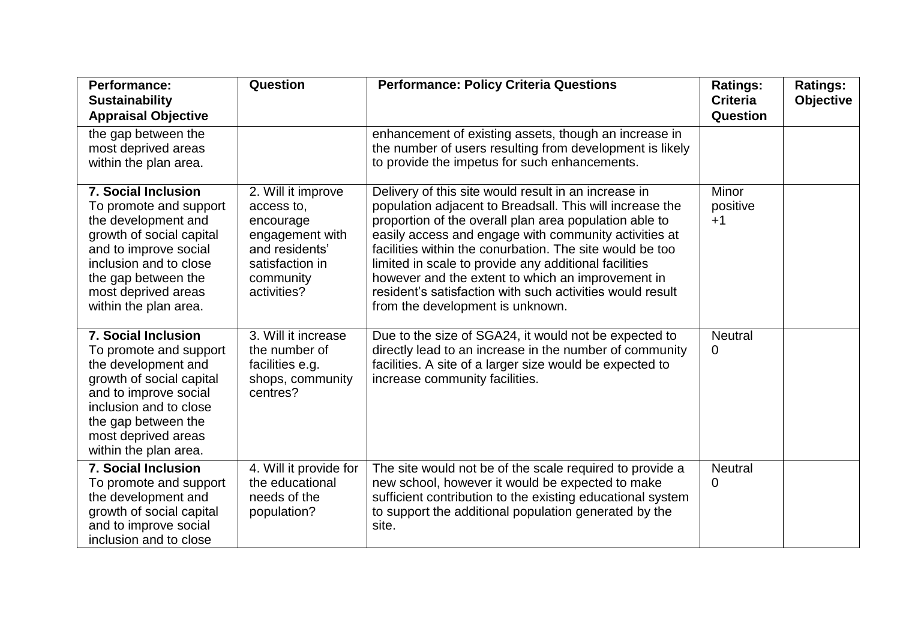| <b>Performance:</b><br><b>Sustainability</b><br><b>Appraisal Objective</b>                                                                                                                                                        | Question                                                                                                                          | <b>Performance: Policy Criteria Questions</b>                                                                                                                                                                                                                                                                                                                                                                                                                                                                  | <b>Ratings:</b><br><b>Criteria</b><br>Question | <b>Ratings:</b><br><b>Objective</b> |
|-----------------------------------------------------------------------------------------------------------------------------------------------------------------------------------------------------------------------------------|-----------------------------------------------------------------------------------------------------------------------------------|----------------------------------------------------------------------------------------------------------------------------------------------------------------------------------------------------------------------------------------------------------------------------------------------------------------------------------------------------------------------------------------------------------------------------------------------------------------------------------------------------------------|------------------------------------------------|-------------------------------------|
| the gap between the<br>most deprived areas<br>within the plan area.                                                                                                                                                               |                                                                                                                                   | enhancement of existing assets, though an increase in<br>the number of users resulting from development is likely<br>to provide the impetus for such enhancements.                                                                                                                                                                                                                                                                                                                                             |                                                |                                     |
| <b>7. Social Inclusion</b><br>To promote and support<br>the development and<br>growth of social capital<br>and to improve social<br>inclusion and to close<br>the gap between the<br>most deprived areas<br>within the plan area. | 2. Will it improve<br>access to.<br>encourage<br>engagement with<br>and residents'<br>satisfaction in<br>community<br>activities? | Delivery of this site would result in an increase in<br>population adjacent to Breadsall. This will increase the<br>proportion of the overall plan area population able to<br>easily access and engage with community activities at<br>facilities within the conurbation. The site would be too<br>limited in scale to provide any additional facilities<br>however and the extent to which an improvement in<br>resident's satisfaction with such activities would result<br>from the development is unknown. | Minor<br>positive<br>$+1$                      |                                     |
| <b>7. Social Inclusion</b><br>To promote and support<br>the development and<br>growth of social capital<br>and to improve social<br>inclusion and to close<br>the gap between the<br>most deprived areas<br>within the plan area. | 3. Will it increase<br>the number of<br>facilities e.g.<br>shops, community<br>centres?                                           | Due to the size of SGA24, it would not be expected to<br>directly lead to an increase in the number of community<br>facilities. A site of a larger size would be expected to<br>increase community facilities.                                                                                                                                                                                                                                                                                                 | <b>Neutral</b><br>$\Omega$                     |                                     |
| <b>7. Social Inclusion</b><br>To promote and support<br>the development and<br>growth of social capital<br>and to improve social<br>inclusion and to close                                                                        | 4. Will it provide for<br>the educational<br>needs of the<br>population?                                                          | The site would not be of the scale required to provide a<br>new school, however it would be expected to make<br>sufficient contribution to the existing educational system<br>to support the additional population generated by the<br>site.                                                                                                                                                                                                                                                                   | <b>Neutral</b><br>0                            |                                     |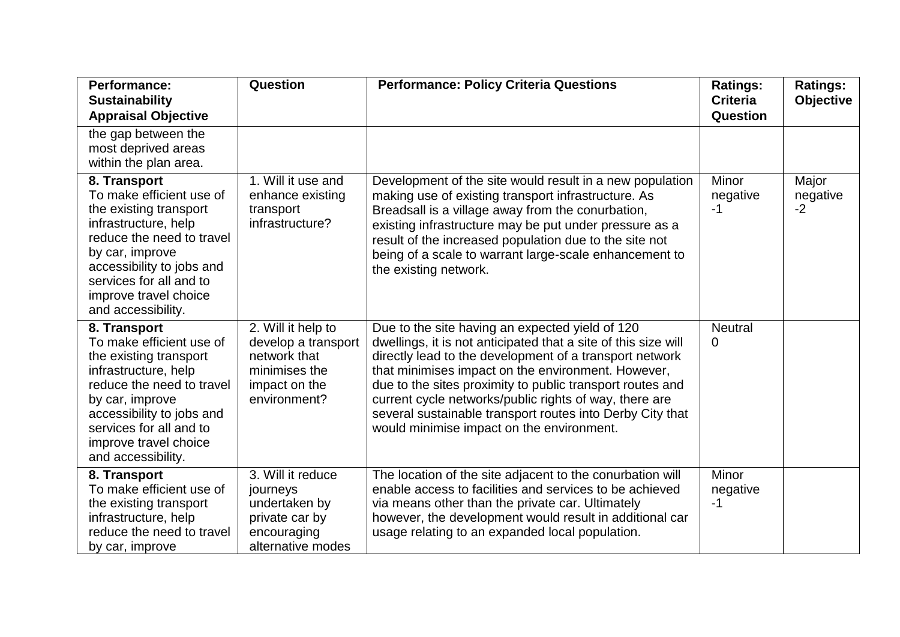| <b>Performance:</b><br><b>Sustainability</b><br><b>Appraisal Objective</b>                                                                                                                                                                        | Question                                                                                                    | <b>Performance: Policy Criteria Questions</b>                                                                                                                                                                                                                                                                                                                                                                                                                       | <b>Ratings:</b><br><b>Criteria</b><br>Question | <b>Ratings:</b><br><b>Objective</b> |
|---------------------------------------------------------------------------------------------------------------------------------------------------------------------------------------------------------------------------------------------------|-------------------------------------------------------------------------------------------------------------|---------------------------------------------------------------------------------------------------------------------------------------------------------------------------------------------------------------------------------------------------------------------------------------------------------------------------------------------------------------------------------------------------------------------------------------------------------------------|------------------------------------------------|-------------------------------------|
| the gap between the<br>most deprived areas<br>within the plan area.                                                                                                                                                                               |                                                                                                             |                                                                                                                                                                                                                                                                                                                                                                                                                                                                     |                                                |                                     |
| 8. Transport<br>To make efficient use of<br>the existing transport<br>infrastructure, help<br>reduce the need to travel<br>by car, improve<br>accessibility to jobs and<br>services for all and to<br>improve travel choice<br>and accessibility. | 1. Will it use and<br>enhance existing<br>transport<br>infrastructure?                                      | Development of the site would result in a new population<br>making use of existing transport infrastructure. As<br>Breadsall is a village away from the conurbation,<br>existing infrastructure may be put under pressure as a<br>result of the increased population due to the site not<br>being of a scale to warrant large-scale enhancement to<br>the existing network.                                                                                         | Minor<br>negative<br>$-1$                      | Major<br>negative<br>$-2$           |
| 8. Transport<br>To make efficient use of<br>the existing transport<br>infrastructure, help<br>reduce the need to travel<br>by car, improve<br>accessibility to jobs and<br>services for all and to<br>improve travel choice<br>and accessibility. | 2. Will it help to<br>develop a transport<br>network that<br>minimises the<br>impact on the<br>environment? | Due to the site having an expected yield of 120<br>dwellings, it is not anticipated that a site of this size will<br>directly lead to the development of a transport network<br>that minimises impact on the environment. However,<br>due to the sites proximity to public transport routes and<br>current cycle networks/public rights of way, there are<br>several sustainable transport routes into Derby City that<br>would minimise impact on the environment. | <b>Neutral</b><br>0                            |                                     |
| 8. Transport<br>To make efficient use of<br>the existing transport<br>infrastructure, help<br>reduce the need to travel<br>by car, improve                                                                                                        | 3. Will it reduce<br>journeys<br>undertaken by<br>private car by<br>encouraging<br>alternative modes        | The location of the site adjacent to the conurbation will<br>enable access to facilities and services to be achieved<br>via means other than the private car. Ultimately<br>however, the development would result in additional car<br>usage relating to an expanded local population.                                                                                                                                                                              | <b>Minor</b><br>negative<br>$-1$               |                                     |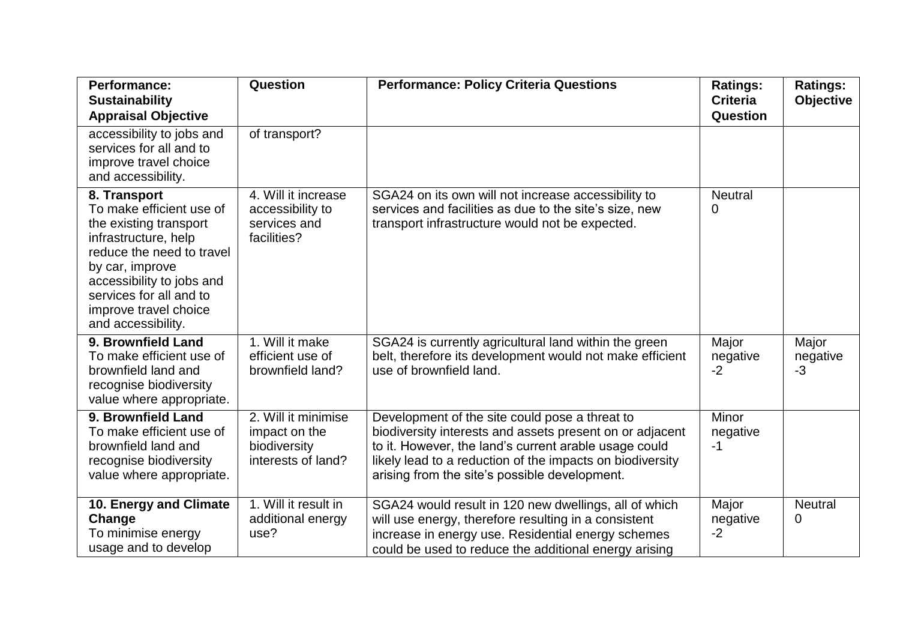| <b>Performance:</b><br><b>Sustainability</b>                                                                                                                                                                                                      | <b>Question</b>                                                            | <b>Performance: Policy Criteria Questions</b>                                                                                                                                                                                                                                     | <b>Ratings:</b><br><b>Criteria</b> | <b>Ratings:</b><br><b>Objective</b> |
|---------------------------------------------------------------------------------------------------------------------------------------------------------------------------------------------------------------------------------------------------|----------------------------------------------------------------------------|-----------------------------------------------------------------------------------------------------------------------------------------------------------------------------------------------------------------------------------------------------------------------------------|------------------------------------|-------------------------------------|
| <b>Appraisal Objective</b>                                                                                                                                                                                                                        |                                                                            |                                                                                                                                                                                                                                                                                   | <b>Question</b>                    |                                     |
| accessibility to jobs and<br>services for all and to<br>improve travel choice<br>and accessibility.                                                                                                                                               | of transport?                                                              |                                                                                                                                                                                                                                                                                   |                                    |                                     |
| 8. Transport<br>To make efficient use of<br>the existing transport<br>infrastructure, help<br>reduce the need to travel<br>by car, improve<br>accessibility to jobs and<br>services for all and to<br>improve travel choice<br>and accessibility. | 4. Will it increase<br>accessibility to<br>services and<br>facilities?     | SGA24 on its own will not increase accessibility to<br>services and facilities as due to the site's size, new<br>transport infrastructure would not be expected.                                                                                                                  | <b>Neutral</b><br>0                |                                     |
| 9. Brownfield Land<br>To make efficient use of<br>brownfield land and<br>recognise biodiversity<br>value where appropriate.                                                                                                                       | 1. Will it make<br>efficient use of<br>brownfield land?                    | SGA24 is currently agricultural land within the green<br>belt, therefore its development would not make efficient<br>use of brownfield land.                                                                                                                                      | Major<br>negative<br>$-2$          | Major<br>negative<br>$-3$           |
| 9. Brownfield Land<br>To make efficient use of<br>brownfield land and<br>recognise biodiversity<br>value where appropriate.                                                                                                                       | 2. Will it minimise<br>impact on the<br>biodiversity<br>interests of land? | Development of the site could pose a threat to<br>biodiversity interests and assets present on or adjacent<br>to it. However, the land's current arable usage could<br>likely lead to a reduction of the impacts on biodiversity<br>arising from the site's possible development. | Minor<br>negative<br>$-1$          |                                     |
| 10. Energy and Climate<br>Change<br>To minimise energy<br>usage and to develop                                                                                                                                                                    | 1. Will it result in<br>additional energy<br>use?                          | SGA24 would result in 120 new dwellings, all of which<br>will use energy, therefore resulting in a consistent<br>increase in energy use. Residential energy schemes<br>could be used to reduce the additional energy arising                                                      | Major<br>negative<br>$-2$          | <b>Neutral</b><br>0                 |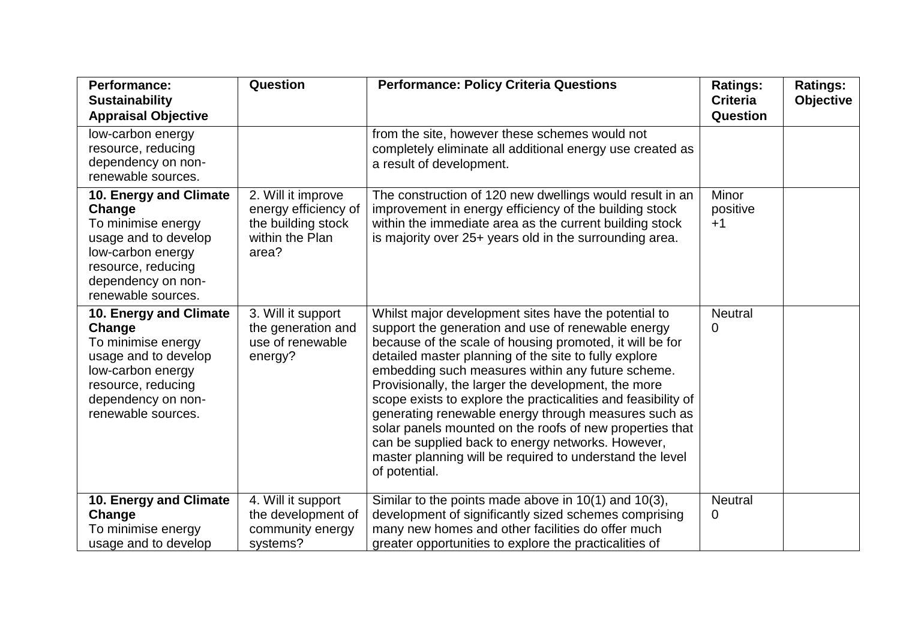| <b>Performance:</b><br><b>Sustainability</b><br><b>Appraisal Objective</b>                                                                                            | Question                                                                                     | <b>Performance: Policy Criteria Questions</b>                                                                                                                                                                                                                                                                                                                                                                                                                                                                                                                                                                                                                      | <b>Ratings:</b><br><b>Criteria</b><br>Question | <b>Ratings:</b><br><b>Objective</b> |
|-----------------------------------------------------------------------------------------------------------------------------------------------------------------------|----------------------------------------------------------------------------------------------|--------------------------------------------------------------------------------------------------------------------------------------------------------------------------------------------------------------------------------------------------------------------------------------------------------------------------------------------------------------------------------------------------------------------------------------------------------------------------------------------------------------------------------------------------------------------------------------------------------------------------------------------------------------------|------------------------------------------------|-------------------------------------|
| low-carbon energy<br>resource, reducing<br>dependency on non-<br>renewable sources.                                                                                   |                                                                                              | from the site, however these schemes would not<br>completely eliminate all additional energy use created as<br>a result of development.                                                                                                                                                                                                                                                                                                                                                                                                                                                                                                                            |                                                |                                     |
| 10. Energy and Climate<br>Change<br>To minimise energy<br>usage and to develop<br>low-carbon energy<br>resource, reducing<br>dependency on non-<br>renewable sources. | 2. Will it improve<br>energy efficiency of<br>the building stock<br>within the Plan<br>area? | The construction of 120 new dwellings would result in an<br>improvement in energy efficiency of the building stock<br>within the immediate area as the current building stock<br>is majority over 25+ years old in the surrounding area.                                                                                                                                                                                                                                                                                                                                                                                                                           | Minor<br>positive<br>$+1$                      |                                     |
| 10. Energy and Climate<br>Change<br>To minimise energy<br>usage and to develop<br>low-carbon energy<br>resource, reducing<br>dependency on non-<br>renewable sources. | 3. Will it support<br>the generation and<br>use of renewable<br>energy?                      | Whilst major development sites have the potential to<br>support the generation and use of renewable energy<br>because of the scale of housing promoted, it will be for<br>detailed master planning of the site to fully explore<br>embedding such measures within any future scheme.<br>Provisionally, the larger the development, the more<br>scope exists to explore the practicalities and feasibility of<br>generating renewable energy through measures such as<br>solar panels mounted on the roofs of new properties that<br>can be supplied back to energy networks. However,<br>master planning will be required to understand the level<br>of potential. | <b>Neutral</b><br>0                            |                                     |
| 10. Energy and Climate<br>Change<br>To minimise energy<br>usage and to develop                                                                                        | 4. Will it support<br>the development of<br>community energy<br>systems?                     | Similar to the points made above in $10(1)$ and $10(3)$ ,<br>development of significantly sized schemes comprising<br>many new homes and other facilities do offer much<br>greater opportunities to explore the practicalities of                                                                                                                                                                                                                                                                                                                                                                                                                                  | <b>Neutral</b><br>0                            |                                     |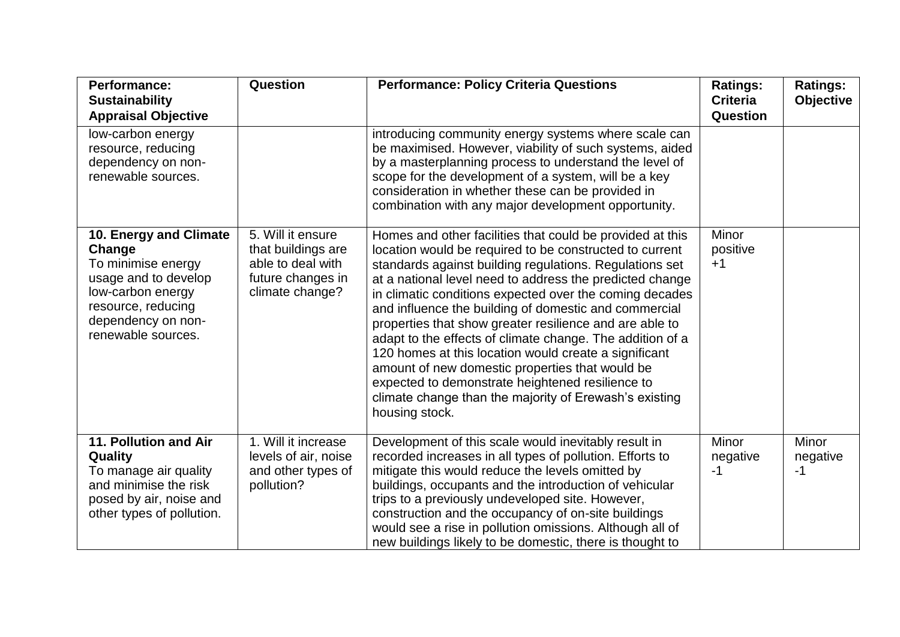| <b>Performance:</b><br><b>Sustainability</b><br><b>Appraisal Objective</b>                                                                                            | Question                                                                                             | <b>Performance: Policy Criteria Questions</b>                                                                                                                                                                                                                                                                                                                                                                                                                                                                                                                                                                                                                                                                                       | <b>Ratings:</b><br><b>Criteria</b><br><b>Question</b> | <b>Ratings:</b><br><b>Objective</b> |
|-----------------------------------------------------------------------------------------------------------------------------------------------------------------------|------------------------------------------------------------------------------------------------------|-------------------------------------------------------------------------------------------------------------------------------------------------------------------------------------------------------------------------------------------------------------------------------------------------------------------------------------------------------------------------------------------------------------------------------------------------------------------------------------------------------------------------------------------------------------------------------------------------------------------------------------------------------------------------------------------------------------------------------------|-------------------------------------------------------|-------------------------------------|
| low-carbon energy<br>resource, reducing<br>dependency on non-<br>renewable sources.                                                                                   |                                                                                                      | introducing community energy systems where scale can<br>be maximised. However, viability of such systems, aided<br>by a masterplanning process to understand the level of<br>scope for the development of a system, will be a key<br>consideration in whether these can be provided in<br>combination with any major development opportunity.                                                                                                                                                                                                                                                                                                                                                                                       |                                                       |                                     |
| 10. Energy and Climate<br>Change<br>To minimise energy<br>usage and to develop<br>low-carbon energy<br>resource, reducing<br>dependency on non-<br>renewable sources. | 5. Will it ensure<br>that buildings are<br>able to deal with<br>future changes in<br>climate change? | Homes and other facilities that could be provided at this<br>location would be required to be constructed to current<br>standards against building regulations. Regulations set<br>at a national level need to address the predicted change<br>in climatic conditions expected over the coming decades<br>and influence the building of domestic and commercial<br>properties that show greater resilience and are able to<br>adapt to the effects of climate change. The addition of a<br>120 homes at this location would create a significant<br>amount of new domestic properties that would be<br>expected to demonstrate heightened resilience to<br>climate change than the majority of Erewash's existing<br>housing stock. | Minor<br>positive<br>$+1$                             |                                     |
| 11. Pollution and Air<br>Quality<br>To manage air quality<br>and minimise the risk<br>posed by air, noise and<br>other types of pollution.                            | 1. Will it increase<br>levels of air, noise<br>and other types of<br>pollution?                      | Development of this scale would inevitably result in<br>recorded increases in all types of pollution. Efforts to<br>mitigate this would reduce the levels omitted by<br>buildings, occupants and the introduction of vehicular<br>trips to a previously undeveloped site. However,<br>construction and the occupancy of on-site buildings<br>would see a rise in pollution omissions. Although all of<br>new buildings likely to be domestic, there is thought to                                                                                                                                                                                                                                                                   | <b>Minor</b><br>negative<br>$-1$                      | Minor<br>negative<br>$-1$           |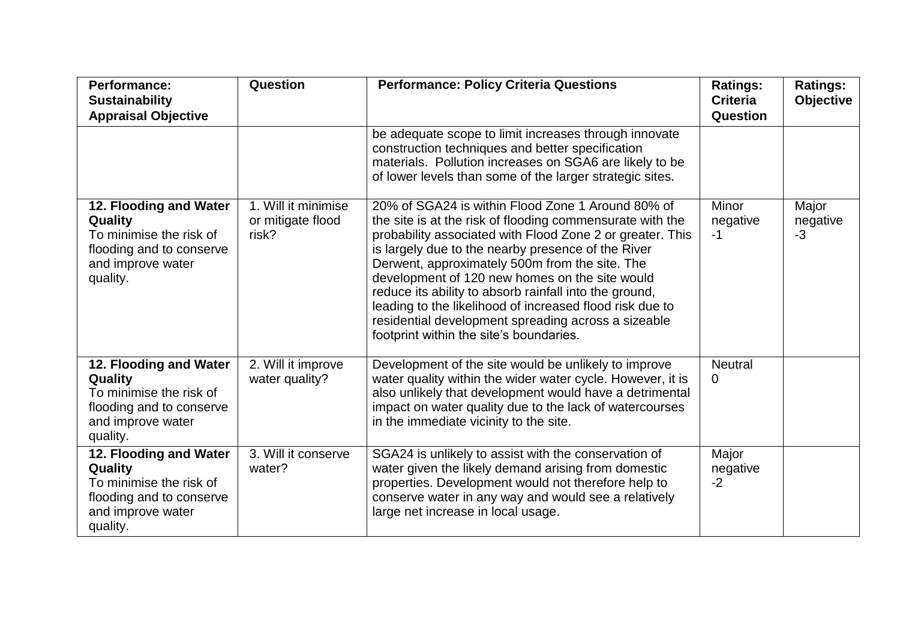| <b>Performance:</b><br><b>Sustainability</b><br><b>Appraisal Objective</b>                                                | Question                                          | <b>Performance: Policy Criteria Questions</b>                                                                                                                                                                                                                                                                                                                                                                                                                                                                                                                 | <b>Ratings:</b><br><b>Criteria</b><br><b>Question</b> | <b>Ratings:</b><br><b>Objective</b> |
|---------------------------------------------------------------------------------------------------------------------------|---------------------------------------------------|---------------------------------------------------------------------------------------------------------------------------------------------------------------------------------------------------------------------------------------------------------------------------------------------------------------------------------------------------------------------------------------------------------------------------------------------------------------------------------------------------------------------------------------------------------------|-------------------------------------------------------|-------------------------------------|
|                                                                                                                           |                                                   | be adequate scope to limit increases through innovate<br>construction techniques and better specification<br>materials. Pollution increases on SGA6 are likely to be<br>of lower levels than some of the larger strategic sites.                                                                                                                                                                                                                                                                                                                              |                                                       |                                     |
| 12. Flooding and Water<br>Quality<br>To minimise the risk of<br>flooding and to conserve<br>and improve water<br>quality. | 1. Will it minimise<br>or mitigate flood<br>risk? | 20% of SGA24 is within Flood Zone 1 Around 80% of<br>the site is at the risk of flooding commensurate with the<br>probability associated with Flood Zone 2 or greater. This<br>is largely due to the nearby presence of the River<br>Derwent, approximately 500m from the site. The<br>development of 120 new homes on the site would<br>reduce its ability to absorb rainfall into the ground,<br>leading to the likelihood of increased flood risk due to<br>residential development spreading across a sizeable<br>footprint within the site's boundaries. | Minor<br>negative<br>$-1$                             | Major<br>negative<br>$-3$           |
| 12. Flooding and Water<br>Quality<br>To minimise the risk of<br>flooding and to conserve<br>and improve water<br>quality. | 2. Will it improve<br>water quality?              | Development of the site would be unlikely to improve<br>water quality within the wider water cycle. However, it is<br>also unlikely that development would have a detrimental<br>impact on water quality due to the lack of watercourses<br>in the immediate vicinity to the site.                                                                                                                                                                                                                                                                            | <b>Neutral</b><br>0                                   |                                     |
| 12. Flooding and Water<br>Quality<br>To minimise the risk of<br>flooding and to conserve<br>and improve water<br>quality. | 3. Will it conserve<br>water?                     | SGA24 is unlikely to assist with the conservation of<br>water given the likely demand arising from domestic<br>properties. Development would not therefore help to<br>conserve water in any way and would see a relatively<br>large net increase in local usage.                                                                                                                                                                                                                                                                                              | Major<br>negative<br>$-2$                             |                                     |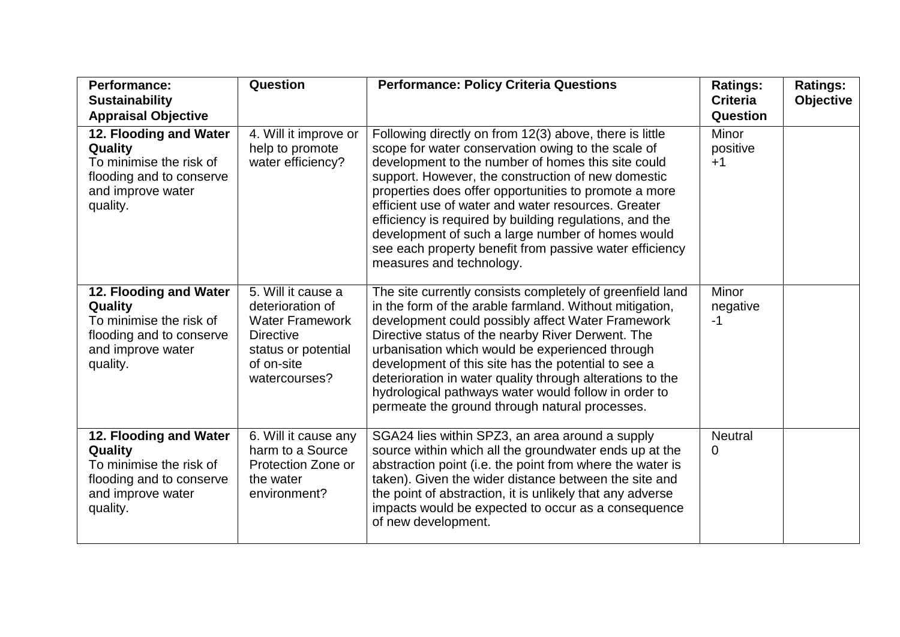| <b>Performance:</b><br><b>Sustainability</b><br><b>Appraisal Objective</b>                                                       | Question                                                                                                                                   | <b>Performance: Policy Criteria Questions</b>                                                                                                                                                                                                                                                                                                                                                                                                                                                                                                    | <b>Ratings:</b><br><b>Criteria</b><br><b>Question</b> | <b>Ratings:</b><br><b>Objective</b> |
|----------------------------------------------------------------------------------------------------------------------------------|--------------------------------------------------------------------------------------------------------------------------------------------|--------------------------------------------------------------------------------------------------------------------------------------------------------------------------------------------------------------------------------------------------------------------------------------------------------------------------------------------------------------------------------------------------------------------------------------------------------------------------------------------------------------------------------------------------|-------------------------------------------------------|-------------------------------------|
| 12. Flooding and Water<br>Quality<br>To minimise the risk of<br>flooding and to conserve<br>and improve water<br>quality.        | 4. Will it improve or<br>help to promote<br>water efficiency?                                                                              | Following directly on from 12(3) above, there is little<br>scope for water conservation owing to the scale of<br>development to the number of homes this site could<br>support. However, the construction of new domestic<br>properties does offer opportunities to promote a more<br>efficient use of water and water resources. Greater<br>efficiency is required by building regulations, and the<br>development of such a large number of homes would<br>see each property benefit from passive water efficiency<br>measures and technology. | Minor<br>positive<br>$+1$                             |                                     |
| 12. Flooding and Water<br>Quality<br>To minimise the risk of<br>flooding and to conserve<br>and improve water<br>quality.        | 5. Will it cause a<br>deterioration of<br><b>Water Framework</b><br><b>Directive</b><br>status or potential<br>of on-site<br>watercourses? | The site currently consists completely of greenfield land<br>in the form of the arable farmland. Without mitigation,<br>development could possibly affect Water Framework<br>Directive status of the nearby River Derwent. The<br>urbanisation which would be experienced through<br>development of this site has the potential to see a<br>deterioration in water quality through alterations to the<br>hydrological pathways water would follow in order to<br>permeate the ground through natural processes.                                  | Minor<br>negative<br>$-1$                             |                                     |
| 12. Flooding and Water<br><b>Quality</b><br>To minimise the risk of<br>flooding and to conserve<br>and improve water<br>quality. | 6. Will it cause any<br>harm to a Source<br>Protection Zone or<br>the water<br>environment?                                                | SGA24 lies within SPZ3, an area around a supply<br>source within which all the groundwater ends up at the<br>abstraction point (i.e. the point from where the water is<br>taken). Given the wider distance between the site and<br>the point of abstraction, it is unlikely that any adverse<br>impacts would be expected to occur as a consequence<br>of new development.                                                                                                                                                                       | <b>Neutral</b><br>$\overline{0}$                      |                                     |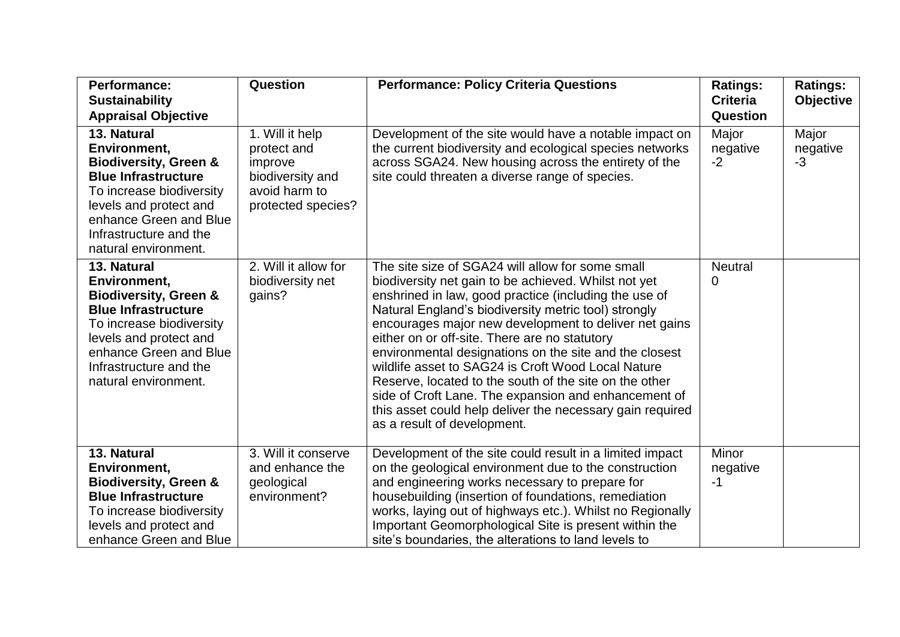| <b>Performance:</b><br><b>Sustainability</b><br><b>Appraisal Objective</b>                                                                                                                                                      | Question                                                                                             | <b>Performance: Policy Criteria Questions</b>                                                                                                                                                                                                                                                                                                                                                                                                                                                                                                                                                                                                                     | <b>Ratings:</b><br><b>Criteria</b><br>Question | <b>Ratings:</b><br><b>Objective</b> |
|---------------------------------------------------------------------------------------------------------------------------------------------------------------------------------------------------------------------------------|------------------------------------------------------------------------------------------------------|-------------------------------------------------------------------------------------------------------------------------------------------------------------------------------------------------------------------------------------------------------------------------------------------------------------------------------------------------------------------------------------------------------------------------------------------------------------------------------------------------------------------------------------------------------------------------------------------------------------------------------------------------------------------|------------------------------------------------|-------------------------------------|
| 13. Natural<br>Environment,<br><b>Biodiversity, Green &amp;</b><br><b>Blue Infrastructure</b><br>To increase biodiversity<br>levels and protect and<br>enhance Green and Blue<br>Infrastructure and the<br>natural environment. | 1. Will it help<br>protect and<br>improve<br>biodiversity and<br>avoid harm to<br>protected species? | Development of the site would have a notable impact on<br>the current biodiversity and ecological species networks<br>across SGA24. New housing across the entirety of the<br>site could threaten a diverse range of species.                                                                                                                                                                                                                                                                                                                                                                                                                                     | Major<br>negative<br>$-2$                      | Major<br>negative<br>$-3$           |
| 13. Natural<br>Environment,<br><b>Biodiversity, Green &amp;</b><br><b>Blue Infrastructure</b><br>To increase biodiversity<br>levels and protect and<br>enhance Green and Blue<br>Infrastructure and the<br>natural environment. | 2. Will it allow for<br>biodiversity net<br>gains?                                                   | The site size of SGA24 will allow for some small<br>biodiversity net gain to be achieved. Whilst not yet<br>enshrined in law, good practice (including the use of<br>Natural England's biodiversity metric tool) strongly<br>encourages major new development to deliver net gains<br>either on or off-site. There are no statutory<br>environmental designations on the site and the closest<br>wildlife asset to SAG24 is Croft Wood Local Nature<br>Reserve, located to the south of the site on the other<br>side of Croft Lane. The expansion and enhancement of<br>this asset could help deliver the necessary gain required<br>as a result of development. | <b>Neutral</b><br>$\Omega$                     |                                     |
| 13. Natural<br>Environment,<br><b>Biodiversity, Green &amp;</b><br><b>Blue Infrastructure</b><br>To increase biodiversity<br>levels and protect and<br>enhance Green and Blue                                                   | 3. Will it conserve<br>and enhance the<br>geological<br>environment?                                 | Development of the site could result in a limited impact<br>on the geological environment due to the construction<br>and engineering works necessary to prepare for<br>housebuilding (insertion of foundations, remediation<br>works, laying out of highways etc.). Whilst no Regionally<br>Important Geomorphological Site is present within the<br>site's boundaries, the alterations to land levels to                                                                                                                                                                                                                                                         | <b>Minor</b><br>negative<br>-1                 |                                     |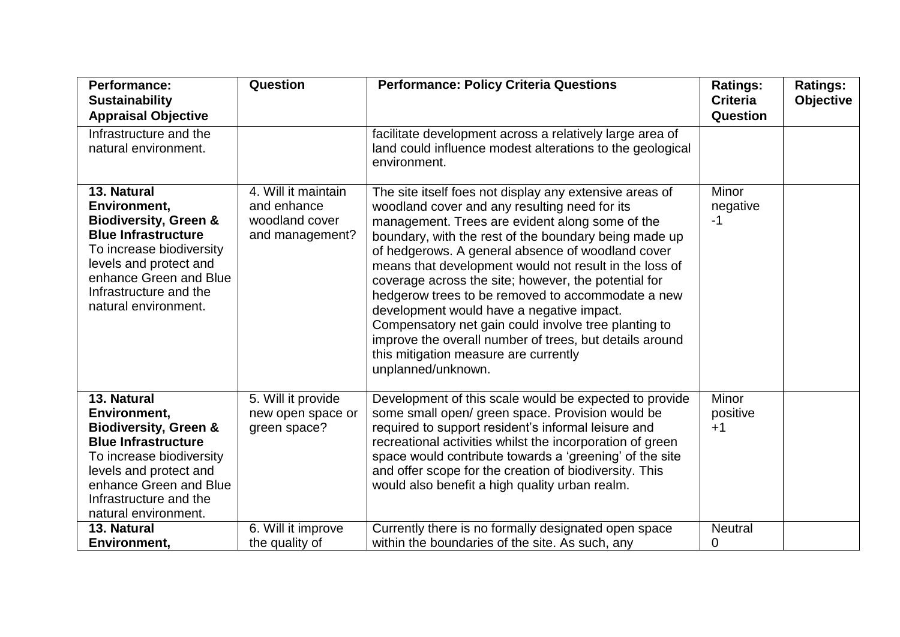| <b>Performance:</b><br><b>Sustainability</b><br><b>Appraisal Objective</b>                                                                                                                                                      | Question                                                                              | <b>Performance: Policy Criteria Questions</b>                                                                                                                                                                                                                                                                                                                                                                                                                                                                                                                                                                                                                                   | <b>Ratings:</b><br><b>Criteria</b><br>Question | <b>Ratings:</b><br><b>Objective</b> |
|---------------------------------------------------------------------------------------------------------------------------------------------------------------------------------------------------------------------------------|---------------------------------------------------------------------------------------|---------------------------------------------------------------------------------------------------------------------------------------------------------------------------------------------------------------------------------------------------------------------------------------------------------------------------------------------------------------------------------------------------------------------------------------------------------------------------------------------------------------------------------------------------------------------------------------------------------------------------------------------------------------------------------|------------------------------------------------|-------------------------------------|
| Infrastructure and the<br>natural environment.                                                                                                                                                                                  |                                                                                       | facilitate development across a relatively large area of<br>land could influence modest alterations to the geological<br>environment.                                                                                                                                                                                                                                                                                                                                                                                                                                                                                                                                           |                                                |                                     |
| 13. Natural<br>Environment,<br><b>Biodiversity, Green &amp;</b><br><b>Blue Infrastructure</b><br>To increase biodiversity<br>levels and protect and<br>enhance Green and Blue<br>Infrastructure and the<br>natural environment. | $\overline{4}$ . Will it maintain<br>and enhance<br>woodland cover<br>and management? | The site itself foes not display any extensive areas of<br>woodland cover and any resulting need for its<br>management. Trees are evident along some of the<br>boundary, with the rest of the boundary being made up<br>of hedgerows. A general absence of woodland cover<br>means that development would not result in the loss of<br>coverage across the site; however, the potential for<br>hedgerow trees to be removed to accommodate a new<br>development would have a negative impact.<br>Compensatory net gain could involve tree planting to<br>improve the overall number of trees, but details around<br>this mitigation measure are currently<br>unplanned/unknown. | Minor<br>negative<br>$-1$                      |                                     |
| 13. Natural<br>Environment,<br><b>Biodiversity, Green &amp;</b><br><b>Blue Infrastructure</b><br>To increase biodiversity<br>levels and protect and<br>enhance Green and Blue<br>Infrastructure and the<br>natural environment. | 5. Will it provide<br>new open space or<br>green space?                               | Development of this scale would be expected to provide<br>some small open/ green space. Provision would be<br>required to support resident's informal leisure and<br>recreational activities whilst the incorporation of green<br>space would contribute towards a 'greening' of the site<br>and offer scope for the creation of biodiversity. This<br>would also benefit a high quality urban realm.                                                                                                                                                                                                                                                                           | Minor<br>positive<br>$+1$                      |                                     |
| 13. Natural<br>Environment,                                                                                                                                                                                                     | 6. Will it improve<br>the quality of                                                  | Currently there is no formally designated open space<br>within the boundaries of the site. As such, any                                                                                                                                                                                                                                                                                                                                                                                                                                                                                                                                                                         | <b>Neutral</b><br>0                            |                                     |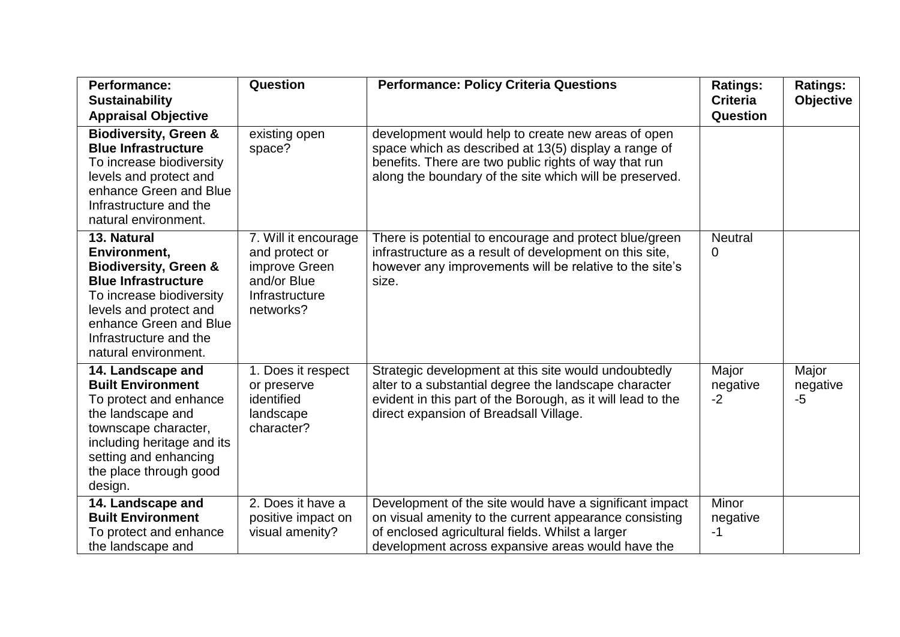| Performance:                                                                                                                                                                                                                    | Question                                                                                              | <b>Performance: Policy Criteria Questions</b>                                                                                                                                                                                  | <b>Ratings:</b><br><b>Criteria</b> | <b>Ratings:</b>           |
|---------------------------------------------------------------------------------------------------------------------------------------------------------------------------------------------------------------------------------|-------------------------------------------------------------------------------------------------------|--------------------------------------------------------------------------------------------------------------------------------------------------------------------------------------------------------------------------------|------------------------------------|---------------------------|
| <b>Sustainability</b><br><b>Appraisal Objective</b>                                                                                                                                                                             |                                                                                                       |                                                                                                                                                                                                                                | Question                           | <b>Objective</b>          |
| <b>Biodiversity, Green &amp;</b><br><b>Blue Infrastructure</b><br>To increase biodiversity<br>levels and protect and<br>enhance Green and Blue<br>Infrastructure and the<br>natural environment.                                | existing open<br>space?                                                                               | development would help to create new areas of open<br>space which as described at 13(5) display a range of<br>benefits. There are two public rights of way that run<br>along the boundary of the site which will be preserved. |                                    |                           |
| 13. Natural<br>Environment,<br><b>Biodiversity, Green &amp;</b><br><b>Blue Infrastructure</b><br>To increase biodiversity<br>levels and protect and<br>enhance Green and Blue<br>Infrastructure and the<br>natural environment. | 7. Will it encourage<br>and protect or<br>improve Green<br>and/or Blue<br>Infrastructure<br>networks? | There is potential to encourage and protect blue/green<br>infrastructure as a result of development on this site,<br>however any improvements will be relative to the site's<br>size.                                          | <b>Neutral</b><br>0                |                           |
| 14. Landscape and<br><b>Built Environment</b><br>To protect and enhance<br>the landscape and<br>townscape character,<br>including heritage and its<br>setting and enhancing<br>the place through good<br>design.                | 1. Does it respect<br>or preserve<br>identified<br>landscape<br>character?                            | Strategic development at this site would undoubtedly<br>alter to a substantial degree the landscape character<br>evident in this part of the Borough, as it will lead to the<br>direct expansion of Breadsall Village.         | Major<br>negative<br>$-2$          | Major<br>negative<br>$-5$ |
| 14. Landscape and<br><b>Built Environment</b><br>To protect and enhance<br>the landscape and                                                                                                                                    | 2. Does it have a<br>positive impact on<br>visual amenity?                                            | Development of the site would have a significant impact<br>on visual amenity to the current appearance consisting<br>of enclosed agricultural fields. Whilst a larger<br>development across expansive areas would have the     | Minor<br>negative<br>-1            |                           |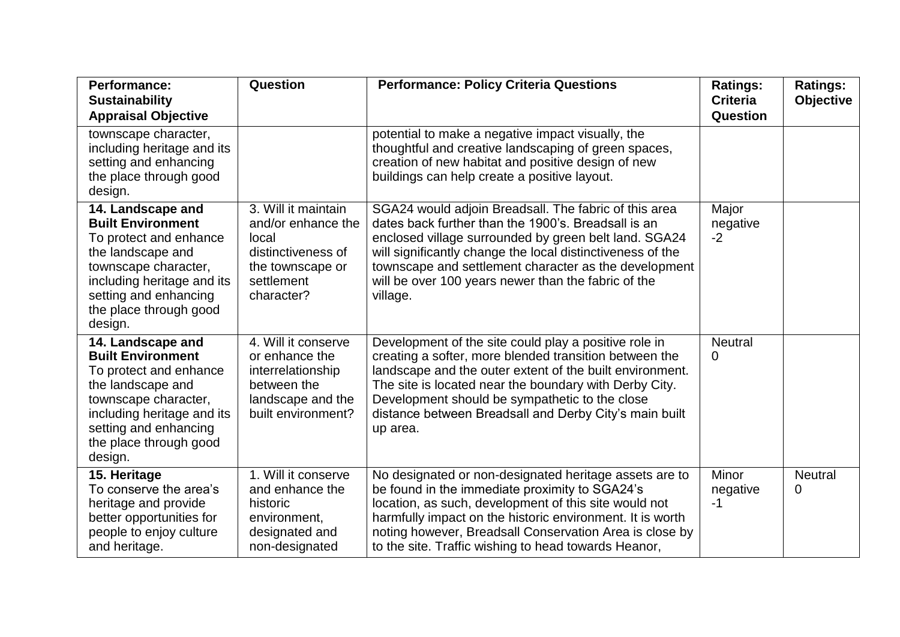| <b>Performance:</b><br><b>Sustainability</b><br><b>Appraisal Objective</b>                                                                                                                                       | Question                                                                                                                 | <b>Performance: Policy Criteria Questions</b>                                                                                                                                                                                                                                                                                                                   | <b>Ratings:</b><br><b>Criteria</b><br><b>Question</b> | <b>Ratings:</b><br><b>Objective</b> |
|------------------------------------------------------------------------------------------------------------------------------------------------------------------------------------------------------------------|--------------------------------------------------------------------------------------------------------------------------|-----------------------------------------------------------------------------------------------------------------------------------------------------------------------------------------------------------------------------------------------------------------------------------------------------------------------------------------------------------------|-------------------------------------------------------|-------------------------------------|
| townscape character,<br>including heritage and its<br>setting and enhancing<br>the place through good<br>design.                                                                                                 |                                                                                                                          | potential to make a negative impact visually, the<br>thoughtful and creative landscaping of green spaces,<br>creation of new habitat and positive design of new<br>buildings can help create a positive layout.                                                                                                                                                 |                                                       |                                     |
| 14. Landscape and<br><b>Built Environment</b><br>To protect and enhance<br>the landscape and<br>townscape character,<br>including heritage and its<br>setting and enhancing<br>the place through good<br>design. | 3. Will it maintain<br>and/or enhance the<br>local<br>distinctiveness of<br>the townscape or<br>settlement<br>character? | SGA24 would adjoin Breadsall. The fabric of this area<br>dates back further than the 1900's. Breadsall is an<br>enclosed village surrounded by green belt land. SGA24<br>will significantly change the local distinctiveness of the<br>townscape and settlement character as the development<br>will be over 100 years newer than the fabric of the<br>village. | Major<br>negative<br>$-2$                             |                                     |
| 14. Landscape and<br><b>Built Environment</b><br>To protect and enhance<br>the landscape and<br>townscape character,<br>including heritage and its<br>setting and enhancing<br>the place through good<br>design. | 4. Will it conserve<br>or enhance the<br>interrelationship<br>between the<br>landscape and the<br>built environment?     | Development of the site could play a positive role in<br>creating a softer, more blended transition between the<br>landscape and the outer extent of the built environment.<br>The site is located near the boundary with Derby City.<br>Development should be sympathetic to the close<br>distance between Breadsall and Derby City's main built<br>up area.   | <b>Neutral</b><br>0                                   |                                     |
| 15. Heritage<br>To conserve the area's<br>heritage and provide<br>better opportunities for<br>people to enjoy culture<br>and heritage.                                                                           | 1. Will it conserve<br>and enhance the<br>historic<br>environment,<br>designated and<br>non-designated                   | No designated or non-designated heritage assets are to<br>be found in the immediate proximity to SGA24's<br>location, as such, development of this site would not<br>harmfully impact on the historic environment. It is worth<br>noting however, Breadsall Conservation Area is close by<br>to the site. Traffic wishing to head towards Heanor,               | Minor<br>negative<br>$-1$                             | <b>Neutral</b><br>0                 |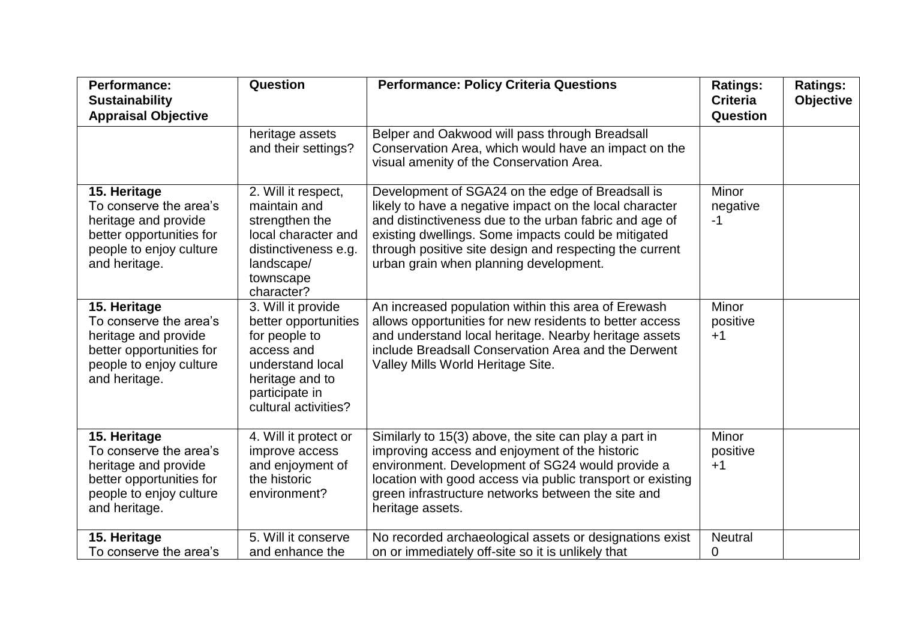| <b>Performance:</b><br><b>Sustainability</b><br><b>Appraisal Objective</b>                                                             | Question                                                                                                                                                   | <b>Performance: Policy Criteria Questions</b>                                                                                                                                                                                                                                                                                     | <b>Ratings:</b><br><b>Criteria</b><br><b>Question</b> | <b>Ratings:</b><br><b>Objective</b> |
|----------------------------------------------------------------------------------------------------------------------------------------|------------------------------------------------------------------------------------------------------------------------------------------------------------|-----------------------------------------------------------------------------------------------------------------------------------------------------------------------------------------------------------------------------------------------------------------------------------------------------------------------------------|-------------------------------------------------------|-------------------------------------|
|                                                                                                                                        | heritage assets<br>and their settings?                                                                                                                     | Belper and Oakwood will pass through Breadsall<br>Conservation Area, which would have an impact on the<br>visual amenity of the Conservation Area.                                                                                                                                                                                |                                                       |                                     |
| 15. Heritage<br>To conserve the area's<br>heritage and provide<br>better opportunities for<br>people to enjoy culture<br>and heritage. | 2. Will it respect,<br>maintain and<br>strengthen the<br>local character and<br>distinctiveness e.g.<br>landscape/<br>townscape<br>character?              | Development of SGA24 on the edge of Breadsall is<br>likely to have a negative impact on the local character<br>and distinctiveness due to the urban fabric and age of<br>existing dwellings. Some impacts could be mitigated<br>through positive site design and respecting the current<br>urban grain when planning development. | Minor<br>negative<br>$-1$                             |                                     |
| 15. Heritage<br>To conserve the area's<br>heritage and provide<br>better opportunities for<br>people to enjoy culture<br>and heritage. | 3. Will it provide<br>better opportunities<br>for people to<br>access and<br>understand local<br>heritage and to<br>participate in<br>cultural activities? | An increased population within this area of Erewash<br>allows opportunities for new residents to better access<br>and understand local heritage. Nearby heritage assets<br>include Breadsall Conservation Area and the Derwent<br>Valley Mills World Heritage Site.                                                               | Minor<br>positive<br>$+1$                             |                                     |
| 15. Heritage<br>To conserve the area's<br>heritage and provide<br>better opportunities for<br>people to enjoy culture<br>and heritage. | 4. Will it protect or<br>improve access<br>and enjoyment of<br>the historic<br>environment?                                                                | Similarly to 15(3) above, the site can play a part in<br>improving access and enjoyment of the historic<br>environment. Development of SG24 would provide a<br>location with good access via public transport or existing<br>green infrastructure networks between the site and<br>heritage assets.                               | Minor<br>positive<br>$+1$                             |                                     |
| 15. Heritage<br>To conserve the area's                                                                                                 | 5. Will it conserve<br>and enhance the                                                                                                                     | No recorded archaeological assets or designations exist<br>on or immediately off-site so it is unlikely that                                                                                                                                                                                                                      | <b>Neutral</b><br>0                                   |                                     |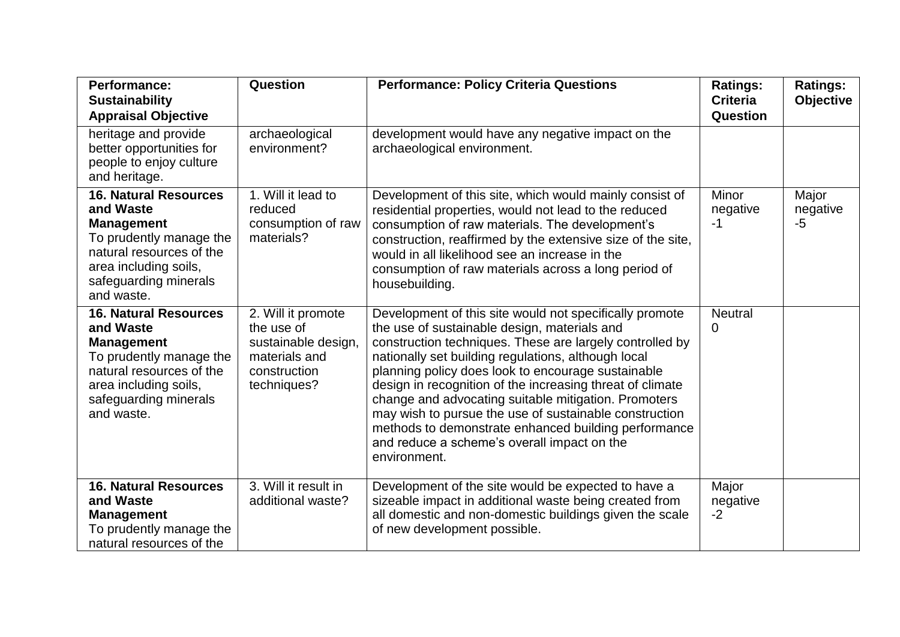| Performance:<br><b>Sustainability</b><br><b>Appraisal Objective</b>                                                                                                                   | Question                                                                                                | <b>Performance: Policy Criteria Questions</b>                                                                                                                                                                                                                                                                                                                                                                                                                                                                                                                                          | <b>Ratings:</b><br><b>Criteria</b><br>Question | <b>Ratings:</b><br><b>Objective</b> |
|---------------------------------------------------------------------------------------------------------------------------------------------------------------------------------------|---------------------------------------------------------------------------------------------------------|----------------------------------------------------------------------------------------------------------------------------------------------------------------------------------------------------------------------------------------------------------------------------------------------------------------------------------------------------------------------------------------------------------------------------------------------------------------------------------------------------------------------------------------------------------------------------------------|------------------------------------------------|-------------------------------------|
| heritage and provide<br>better opportunities for<br>people to enjoy culture<br>and heritage.                                                                                          | archaeological<br>environment?                                                                          | development would have any negative impact on the<br>archaeological environment.                                                                                                                                                                                                                                                                                                                                                                                                                                                                                                       |                                                |                                     |
| <b>16. Natural Resources</b><br>and Waste<br><b>Management</b><br>To prudently manage the<br>natural resources of the<br>area including soils,<br>safeguarding minerals<br>and waste. | 1. Will it lead to<br>reduced<br>consumption of raw<br>materials?                                       | Development of this site, which would mainly consist of<br>residential properties, would not lead to the reduced<br>consumption of raw materials. The development's<br>construction, reaffirmed by the extensive size of the site,<br>would in all likelihood see an increase in the<br>consumption of raw materials across a long period of<br>housebuilding.                                                                                                                                                                                                                         | Minor<br>negative<br>$-1$                      | Major<br>negative<br>-5             |
| 16. Natural Resources<br>and Waste<br><b>Management</b><br>To prudently manage the<br>natural resources of the<br>area including soils,<br>safeguarding minerals<br>and waste.        | 2. Will it promote<br>the use of<br>sustainable design,<br>materials and<br>construction<br>techniques? | Development of this site would not specifically promote<br>the use of sustainable design, materials and<br>construction techniques. These are largely controlled by<br>nationally set building regulations, although local<br>planning policy does look to encourage sustainable<br>design in recognition of the increasing threat of climate<br>change and advocating suitable mitigation. Promoters<br>may wish to pursue the use of sustainable construction<br>methods to demonstrate enhanced building performance<br>and reduce a scheme's overall impact on the<br>environment. | <b>Neutral</b><br>0                            |                                     |
| <b>16. Natural Resources</b><br>and Waste<br><b>Management</b><br>To prudently manage the<br>natural resources of the                                                                 | 3. Will it result in<br>additional waste?                                                               | Development of the site would be expected to have a<br>sizeable impact in additional waste being created from<br>all domestic and non-domestic buildings given the scale<br>of new development possible.                                                                                                                                                                                                                                                                                                                                                                               | Major<br>negative<br>$-2$                      |                                     |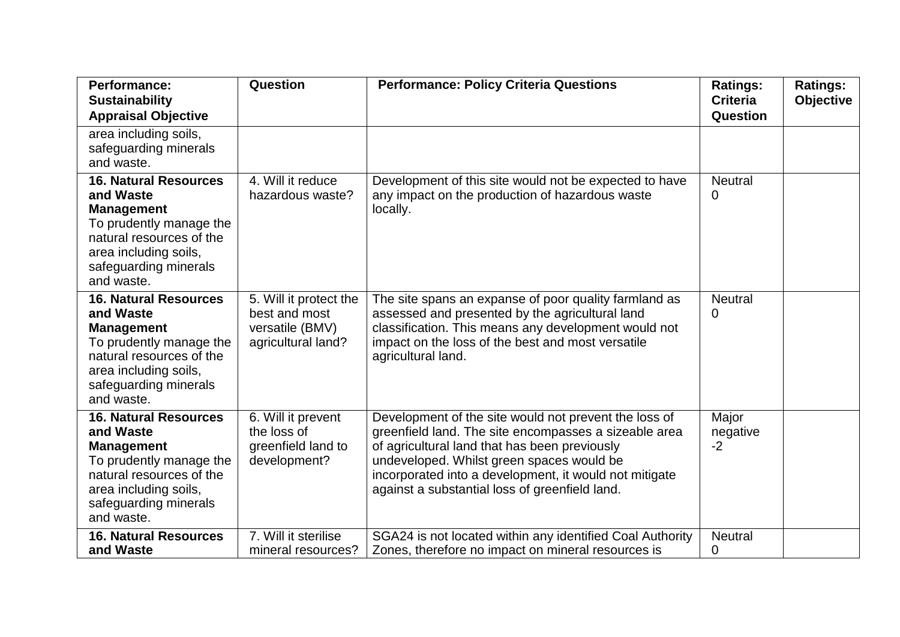| <b>Performance:</b><br><b>Sustainability</b><br><b>Appraisal Objective</b>                                                                                                            | Question                                                                         | <b>Performance: Policy Criteria Questions</b>                                                                                                                                                                                                                                                                            | <b>Ratings:</b><br><b>Criteria</b><br>Question | <b>Ratings:</b><br><b>Objective</b> |
|---------------------------------------------------------------------------------------------------------------------------------------------------------------------------------------|----------------------------------------------------------------------------------|--------------------------------------------------------------------------------------------------------------------------------------------------------------------------------------------------------------------------------------------------------------------------------------------------------------------------|------------------------------------------------|-------------------------------------|
| area including soils,<br>safeguarding minerals<br>and waste.                                                                                                                          |                                                                                  |                                                                                                                                                                                                                                                                                                                          |                                                |                                     |
| <b>16. Natural Resources</b><br>and Waste<br><b>Management</b><br>To prudently manage the<br>natural resources of the<br>area including soils,<br>safeguarding minerals<br>and waste. | 4. Will it reduce<br>hazardous waste?                                            | Development of this site would not be expected to have<br>any impact on the production of hazardous waste<br>locally.                                                                                                                                                                                                    | <b>Neutral</b><br>0                            |                                     |
| <b>16. Natural Resources</b><br>and Waste<br><b>Management</b><br>To prudently manage the<br>natural resources of the<br>area including soils,<br>safeguarding minerals<br>and waste. | 5. Will it protect the<br>best and most<br>versatile (BMV)<br>agricultural land? | The site spans an expanse of poor quality farmland as<br>assessed and presented by the agricultural land<br>classification. This means any development would not<br>impact on the loss of the best and most versatile<br>agricultural land.                                                                              | <b>Neutral</b><br>0                            |                                     |
| <b>16. Natural Resources</b><br>and Waste<br><b>Management</b><br>To prudently manage the<br>natural resources of the<br>area including soils,<br>safeguarding minerals<br>and waste. | 6. Will it prevent<br>the loss of<br>greenfield land to<br>development?          | Development of the site would not prevent the loss of<br>greenfield land. The site encompasses a sizeable area<br>of agricultural land that has been previously<br>undeveloped. Whilst green spaces would be<br>incorporated into a development, it would not mitigate<br>against a substantial loss of greenfield land. | Major<br>negative<br>$-2$                      |                                     |
| <b>16. Natural Resources</b><br>and Waste                                                                                                                                             | 7. Will it sterilise<br>mineral resources?                                       | SGA24 is not located within any identified Coal Authority<br>Zones, therefore no impact on mineral resources is                                                                                                                                                                                                          | <b>Neutral</b><br>0                            |                                     |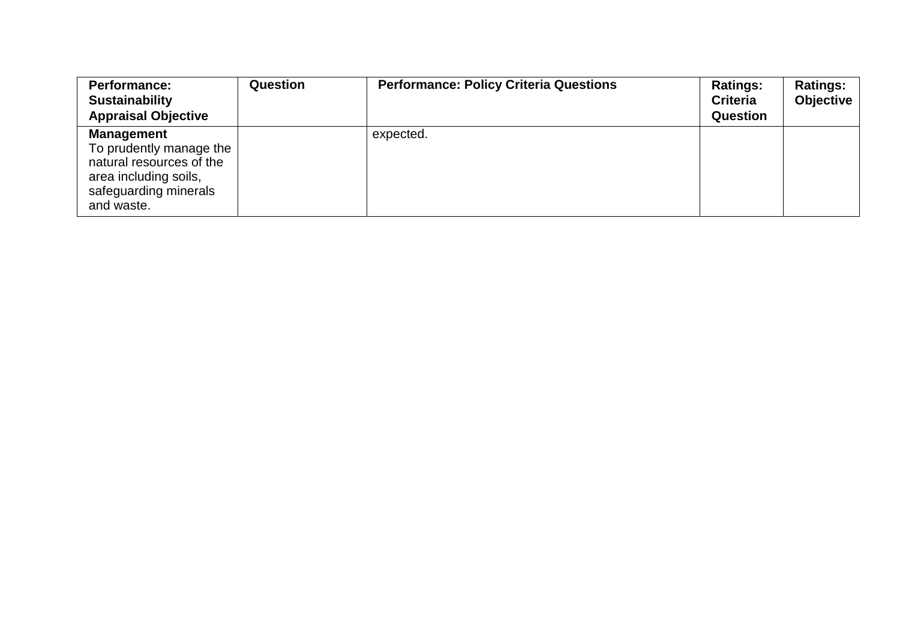| <b>Performance:</b><br><b>Sustainability</b><br><b>Appraisal Objective</b>                                                               | <b>Question</b> | <b>Performance: Policy Criteria Questions</b> | <b>Ratings:</b><br><b>Criteria</b><br>Question | <b>Ratings:</b><br><b>Objective</b> |
|------------------------------------------------------------------------------------------------------------------------------------------|-----------------|-----------------------------------------------|------------------------------------------------|-------------------------------------|
| <b>Management</b><br>To prudently manage the<br>natural resources of the<br>area including soils,<br>safeguarding minerals<br>and waste. |                 | expected.                                     |                                                |                                     |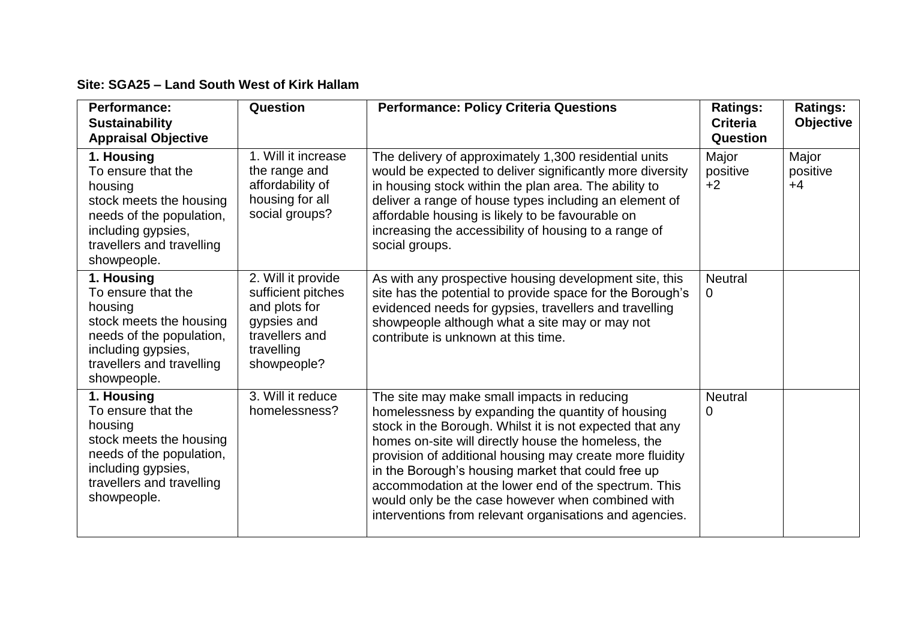## **Site: SGA25 – Land South West of Kirk Hallam**

| <b>Performance:</b><br><b>Sustainability</b><br><b>Appraisal Objective</b>                                                                                           | Question                                                                                                                | <b>Performance: Policy Criteria Questions</b>                                                                                                                                                                                                                                                                                                                                                                                                                                                                 | <b>Ratings:</b><br><b>Criteria</b><br>Question | <b>Ratings:</b><br><b>Objective</b> |
|----------------------------------------------------------------------------------------------------------------------------------------------------------------------|-------------------------------------------------------------------------------------------------------------------------|---------------------------------------------------------------------------------------------------------------------------------------------------------------------------------------------------------------------------------------------------------------------------------------------------------------------------------------------------------------------------------------------------------------------------------------------------------------------------------------------------------------|------------------------------------------------|-------------------------------------|
| 1. Housing<br>To ensure that the<br>housing<br>stock meets the housing<br>needs of the population,<br>including gypsies,<br>travellers and travelling<br>showpeople. | 1. Will it increase<br>the range and<br>affordability of<br>housing for all<br>social groups?                           | The delivery of approximately 1,300 residential units<br>would be expected to deliver significantly more diversity<br>in housing stock within the plan area. The ability to<br>deliver a range of house types including an element of<br>affordable housing is likely to be favourable on<br>increasing the accessibility of housing to a range of<br>social groups.                                                                                                                                          | Major<br>positive<br>$+2$                      | Major<br>positive<br>$+4$           |
| 1. Housing<br>To ensure that the<br>housing<br>stock meets the housing<br>needs of the population,<br>including gypsies,<br>travellers and travelling<br>showpeople. | 2. Will it provide<br>sufficient pitches<br>and plots for<br>gypsies and<br>travellers and<br>travelling<br>showpeople? | As with any prospective housing development site, this<br>site has the potential to provide space for the Borough's<br>evidenced needs for gypsies, travellers and travelling<br>showpeople although what a site may or may not<br>contribute is unknown at this time.                                                                                                                                                                                                                                        | <b>Neutral</b><br>0                            |                                     |
| 1. Housing<br>To ensure that the<br>housing<br>stock meets the housing<br>needs of the population,<br>including gypsies,<br>travellers and travelling<br>showpeople. | 3. Will it reduce<br>homelessness?                                                                                      | The site may make small impacts in reducing<br>homelessness by expanding the quantity of housing<br>stock in the Borough. Whilst it is not expected that any<br>homes on-site will directly house the homeless, the<br>provision of additional housing may create more fluidity<br>in the Borough's housing market that could free up<br>accommodation at the lower end of the spectrum. This<br>would only be the case however when combined with<br>interventions from relevant organisations and agencies. | <b>Neutral</b><br>0                            |                                     |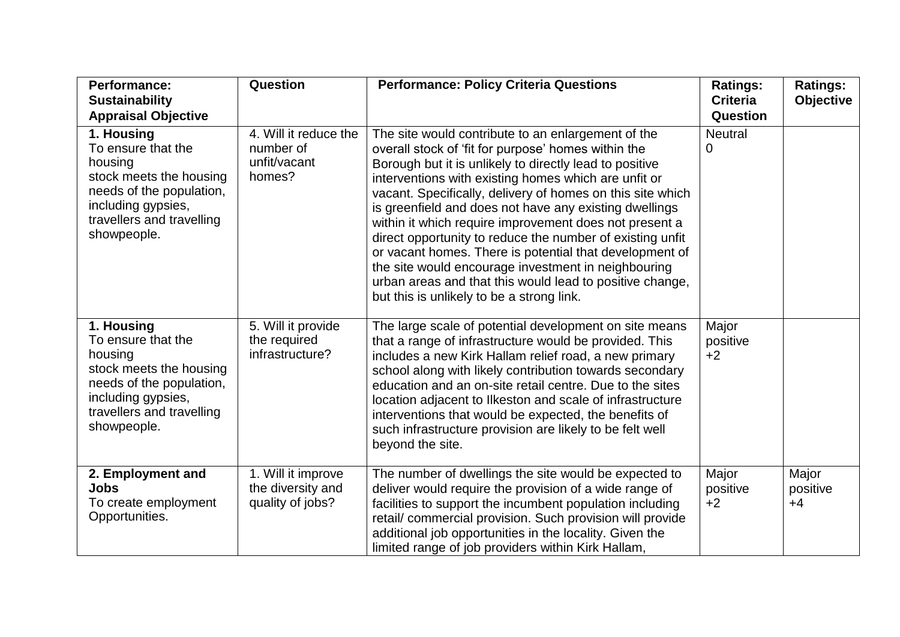| <b>Performance:</b><br><b>Sustainability</b>                                                                                                                         | Question                                                     | <b>Performance: Policy Criteria Questions</b>                                                                                                                                                                                                                                                                                                                                                                                                                                                                                                                                                                                                                                                          | <b>Ratings:</b><br><b>Criteria</b> | <b>Ratings:</b><br><b>Objective</b> |
|----------------------------------------------------------------------------------------------------------------------------------------------------------------------|--------------------------------------------------------------|--------------------------------------------------------------------------------------------------------------------------------------------------------------------------------------------------------------------------------------------------------------------------------------------------------------------------------------------------------------------------------------------------------------------------------------------------------------------------------------------------------------------------------------------------------------------------------------------------------------------------------------------------------------------------------------------------------|------------------------------------|-------------------------------------|
| <b>Appraisal Objective</b>                                                                                                                                           |                                                              |                                                                                                                                                                                                                                                                                                                                                                                                                                                                                                                                                                                                                                                                                                        | Question                           |                                     |
| 1. Housing<br>To ensure that the<br>housing<br>stock meets the housing<br>needs of the population,<br>including gypsies,<br>travellers and travelling<br>showpeople. | 4. Will it reduce the<br>number of<br>unfit/vacant<br>homes? | The site would contribute to an enlargement of the<br>overall stock of 'fit for purpose' homes within the<br>Borough but it is unlikely to directly lead to positive<br>interventions with existing homes which are unfit or<br>vacant. Specifically, delivery of homes on this site which<br>is greenfield and does not have any existing dwellings<br>within it which require improvement does not present a<br>direct opportunity to reduce the number of existing unfit<br>or vacant homes. There is potential that development of<br>the site would encourage investment in neighbouring<br>urban areas and that this would lead to positive change,<br>but this is unlikely to be a strong link. | <b>Neutral</b><br>0                |                                     |
| 1. Housing<br>To ensure that the<br>housing<br>stock meets the housing<br>needs of the population,<br>including gypsies,<br>travellers and travelling<br>showpeople. | 5. Will it provide<br>the required<br>infrastructure?        | The large scale of potential development on site means<br>that a range of infrastructure would be provided. This<br>includes a new Kirk Hallam relief road, a new primary<br>school along with likely contribution towards secondary<br>education and an on-site retail centre. Due to the sites<br>location adjacent to Ilkeston and scale of infrastructure<br>interventions that would be expected, the benefits of<br>such infrastructure provision are likely to be felt well<br>beyond the site.                                                                                                                                                                                                 | Major<br>positive<br>$+2$          |                                     |
| 2. Employment and<br><b>Jobs</b><br>To create employment<br>Opportunities.                                                                                           | 1. Will it improve<br>the diversity and<br>quality of jobs?  | The number of dwellings the site would be expected to<br>deliver would require the provision of a wide range of<br>facilities to support the incumbent population including<br>retail/ commercial provision. Such provision will provide<br>additional job opportunities in the locality. Given the<br>limited range of job providers within Kirk Hallam,                                                                                                                                                                                                                                                                                                                                              | Major<br>positive<br>$+2$          | Major<br>positive<br>$+4$           |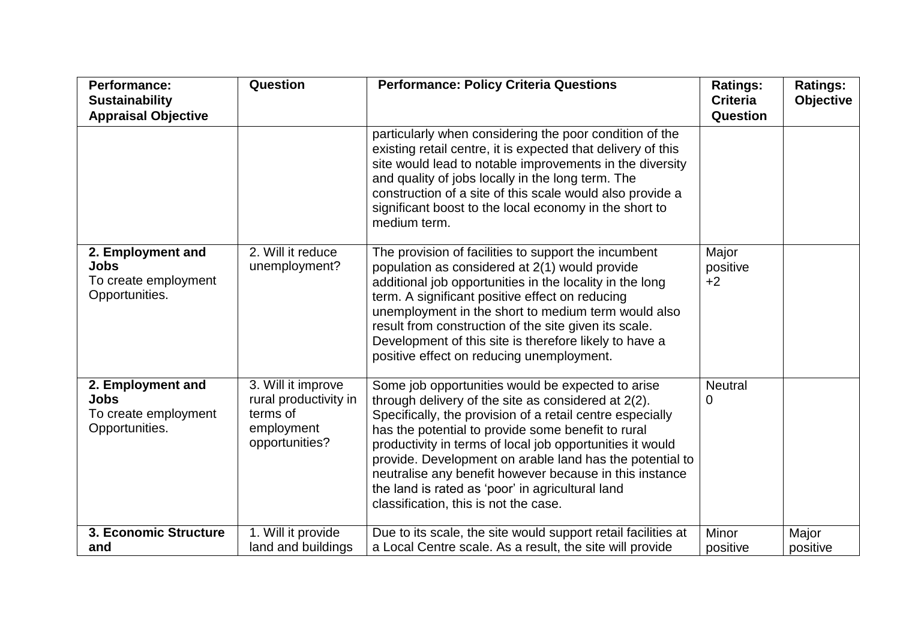| <b>Performance:</b><br><b>Sustainability</b><br><b>Appraisal Objective</b> | Question                                                                                | <b>Performance: Policy Criteria Questions</b>                                                                                                                                                                                                                                                                                                                                                                                                                                                                | <b>Ratings:</b><br><b>Criteria</b><br><b>Question</b> | <b>Ratings:</b><br><b>Objective</b> |
|----------------------------------------------------------------------------|-----------------------------------------------------------------------------------------|--------------------------------------------------------------------------------------------------------------------------------------------------------------------------------------------------------------------------------------------------------------------------------------------------------------------------------------------------------------------------------------------------------------------------------------------------------------------------------------------------------------|-------------------------------------------------------|-------------------------------------|
|                                                                            |                                                                                         | particularly when considering the poor condition of the<br>existing retail centre, it is expected that delivery of this<br>site would lead to notable improvements in the diversity<br>and quality of jobs locally in the long term. The<br>construction of a site of this scale would also provide a<br>significant boost to the local economy in the short to<br>medium term.                                                                                                                              |                                                       |                                     |
| 2. Employment and<br><b>Jobs</b><br>To create employment<br>Opportunities. | 2. Will it reduce<br>unemployment?                                                      | The provision of facilities to support the incumbent<br>population as considered at 2(1) would provide<br>additional job opportunities in the locality in the long<br>term. A significant positive effect on reducing<br>unemployment in the short to medium term would also<br>result from construction of the site given its scale.<br>Development of this site is therefore likely to have a<br>positive effect on reducing unemployment.                                                                 | Major<br>positive<br>$+2$                             |                                     |
| 2. Employment and<br><b>Jobs</b><br>To create employment<br>Opportunities. | 3. Will it improve<br>rural productivity in<br>terms of<br>employment<br>opportunities? | Some job opportunities would be expected to arise<br>through delivery of the site as considered at 2(2).<br>Specifically, the provision of a retail centre especially<br>has the potential to provide some benefit to rural<br>productivity in terms of local job opportunities it would<br>provide. Development on arable land has the potential to<br>neutralise any benefit however because in this instance<br>the land is rated as 'poor' in agricultural land<br>classification, this is not the case. | <b>Neutral</b><br>0                                   |                                     |
| 3. Economic Structure<br>and                                               | 1. Will it provide<br>land and buildings                                                | Due to its scale, the site would support retail facilities at<br>a Local Centre scale. As a result, the site will provide                                                                                                                                                                                                                                                                                                                                                                                    | Minor<br>positive                                     | Major<br>positive                   |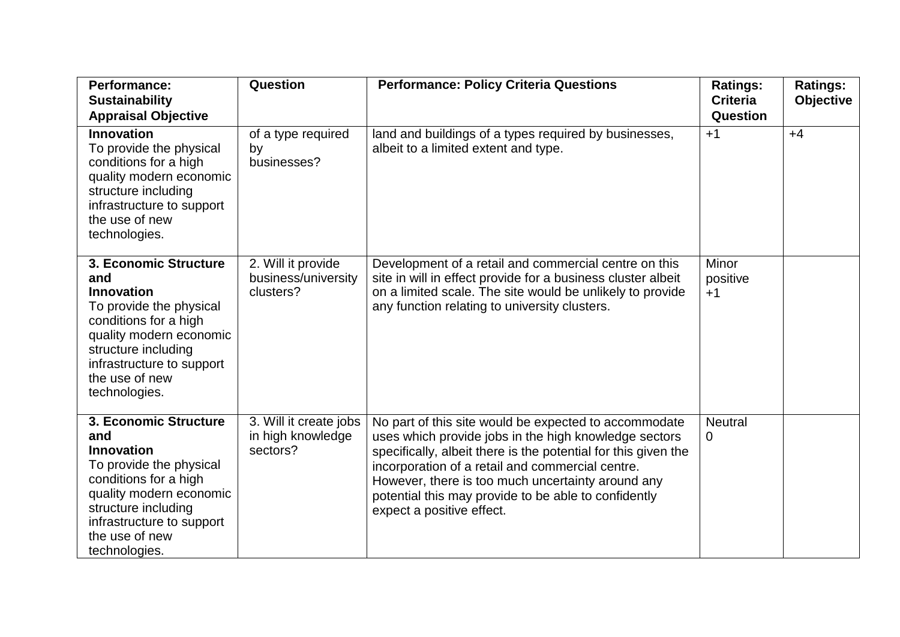| <b>Performance:</b><br><b>Sustainability</b><br><b>Appraisal Objective</b>                                                                                                                                              | Question                                                | <b>Performance: Policy Criteria Questions</b>                                                                                                                                                                                                                                                                                                                                  | <b>Ratings:</b><br><b>Criteria</b><br><b>Question</b> | <b>Ratings:</b><br>Objective |
|-------------------------------------------------------------------------------------------------------------------------------------------------------------------------------------------------------------------------|---------------------------------------------------------|--------------------------------------------------------------------------------------------------------------------------------------------------------------------------------------------------------------------------------------------------------------------------------------------------------------------------------------------------------------------------------|-------------------------------------------------------|------------------------------|
| <b>Innovation</b><br>To provide the physical<br>conditions for a high<br>quality modern economic<br>structure including<br>infrastructure to support<br>the use of new<br>technologies.                                 | of a type required<br>by<br>businesses?                 | land and buildings of a types required by businesses,<br>albeit to a limited extent and type.                                                                                                                                                                                                                                                                                  | $+1$                                                  | $+4$                         |
| 3. Economic Structure<br>and<br><b>Innovation</b><br>To provide the physical<br>conditions for a high<br>quality modern economic<br>structure including<br>infrastructure to support<br>the use of new<br>technologies. | 2. Will it provide<br>business/university<br>clusters?  | Development of a retail and commercial centre on this<br>site in will in effect provide for a business cluster albeit<br>on a limited scale. The site would be unlikely to provide<br>any function relating to university clusters.                                                                                                                                            | Minor<br>positive<br>$+1$                             |                              |
| 3. Economic Structure<br>and<br><b>Innovation</b><br>To provide the physical<br>conditions for a high<br>quality modern economic<br>structure including<br>infrastructure to support<br>the use of new<br>technologies. | 3. Will it create jobs<br>in high knowledge<br>sectors? | No part of this site would be expected to accommodate<br>uses which provide jobs in the high knowledge sectors<br>specifically, albeit there is the potential for this given the<br>incorporation of a retail and commercial centre.<br>However, there is too much uncertainty around any<br>potential this may provide to be able to confidently<br>expect a positive effect. | <b>Neutral</b><br>$\overline{0}$                      |                              |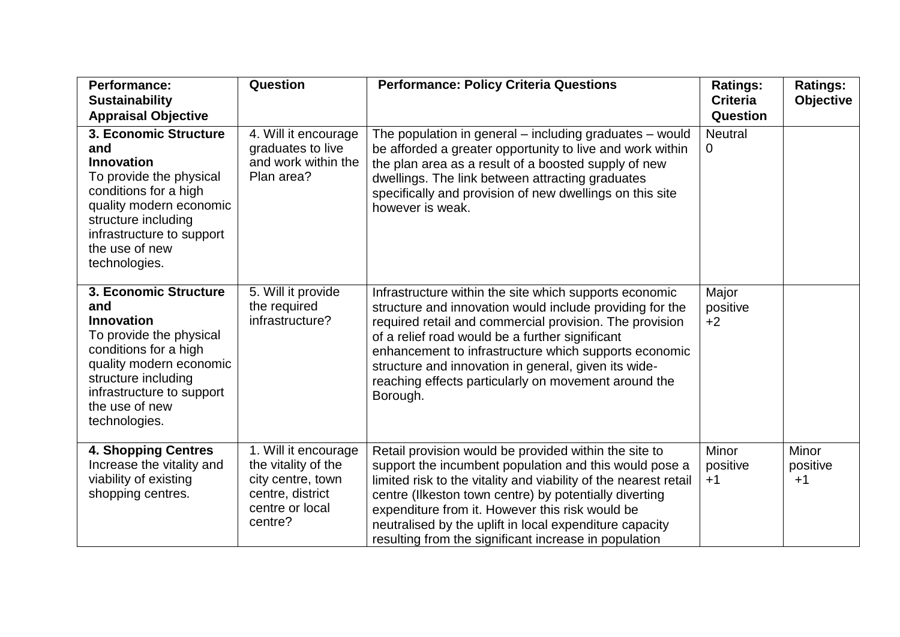| <b>Performance:</b><br><b>Sustainability</b><br><b>Appraisal Objective</b>                                                                                                                                              | Question                                                                                                           | <b>Performance: Policy Criteria Questions</b>                                                                                                                                                                                                                                                                                                                                                                         | <b>Ratings:</b><br><b>Criteria</b><br>Question | <b>Ratings:</b><br><b>Objective</b> |
|-------------------------------------------------------------------------------------------------------------------------------------------------------------------------------------------------------------------------|--------------------------------------------------------------------------------------------------------------------|-----------------------------------------------------------------------------------------------------------------------------------------------------------------------------------------------------------------------------------------------------------------------------------------------------------------------------------------------------------------------------------------------------------------------|------------------------------------------------|-------------------------------------|
| 3. Economic Structure<br>and<br><b>Innovation</b><br>To provide the physical<br>conditions for a high<br>quality modern economic<br>structure including<br>infrastructure to support<br>the use of new<br>technologies. | 4. Will it encourage<br>graduates to live<br>and work within the<br>Plan area?                                     | The population in general – including graduates – would<br>be afforded a greater opportunity to live and work within<br>the plan area as a result of a boosted supply of new<br>dwellings. The link between attracting graduates<br>specifically and provision of new dwellings on this site<br>however is weak.                                                                                                      | <b>Neutral</b><br>$\mathbf 0$                  |                                     |
| 3. Economic Structure<br>and<br><b>Innovation</b><br>To provide the physical<br>conditions for a high<br>quality modern economic<br>structure including<br>infrastructure to support<br>the use of new<br>technologies. | 5. Will it provide<br>the required<br>infrastructure?                                                              | Infrastructure within the site which supports economic<br>structure and innovation would include providing for the<br>required retail and commercial provision. The provision<br>of a relief road would be a further significant<br>enhancement to infrastructure which supports economic<br>structure and innovation in general, given its wide-<br>reaching effects particularly on movement around the<br>Borough. | Major<br>positive<br>$+2$                      |                                     |
| <b>4. Shopping Centres</b><br>Increase the vitality and<br>viability of existing<br>shopping centres.                                                                                                                   | 1. Will it encourage<br>the vitality of the<br>city centre, town<br>centre, district<br>centre or local<br>centre? | Retail provision would be provided within the site to<br>support the incumbent population and this would pose a<br>limited risk to the vitality and viability of the nearest retail<br>centre (Ilkeston town centre) by potentially diverting<br>expenditure from it. However this risk would be<br>neutralised by the uplift in local expenditure capacity<br>resulting from the significant increase in population  | Minor<br>positive<br>$+1$                      | Minor<br>positive<br>$+1$           |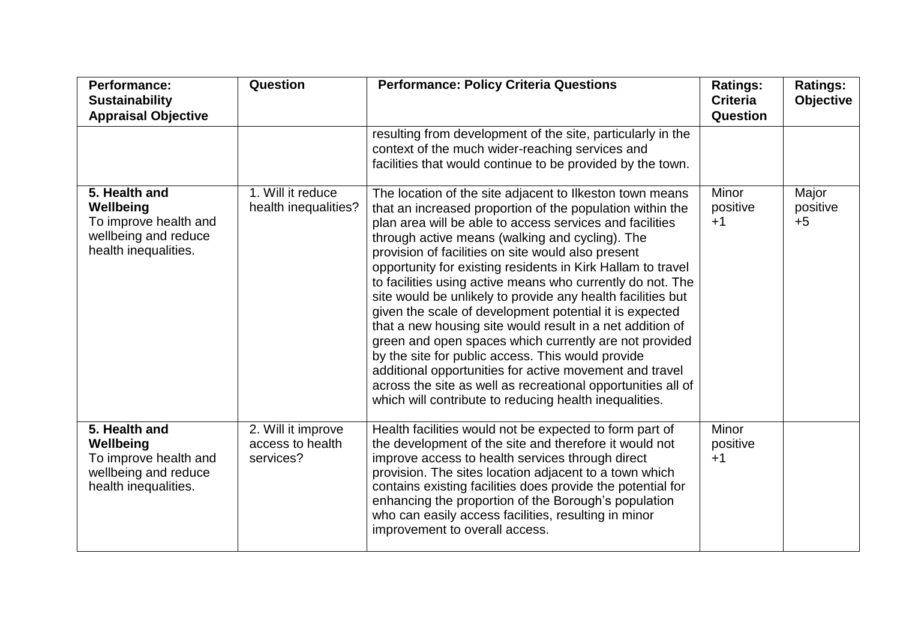| <b>Performance:</b><br><b>Sustainability</b><br><b>Appraisal Objective</b>                          | Question                                            | <b>Performance: Policy Criteria Questions</b>                                                                                                                                                                                                                                                                                                                                                                                                                                                                                                                                                                                                                                                                                                                                                                                                                                                                      | <b>Ratings:</b><br><b>Criteria</b><br><b>Question</b> | <b>Ratings:</b><br><b>Objective</b> |
|-----------------------------------------------------------------------------------------------------|-----------------------------------------------------|--------------------------------------------------------------------------------------------------------------------------------------------------------------------------------------------------------------------------------------------------------------------------------------------------------------------------------------------------------------------------------------------------------------------------------------------------------------------------------------------------------------------------------------------------------------------------------------------------------------------------------------------------------------------------------------------------------------------------------------------------------------------------------------------------------------------------------------------------------------------------------------------------------------------|-------------------------------------------------------|-------------------------------------|
|                                                                                                     |                                                     | resulting from development of the site, particularly in the<br>context of the much wider-reaching services and<br>facilities that would continue to be provided by the town.                                                                                                                                                                                                                                                                                                                                                                                                                                                                                                                                                                                                                                                                                                                                       |                                                       |                                     |
| 5. Health and<br>Wellbeing<br>To improve health and<br>wellbeing and reduce<br>health inequalities. | 1. Will it reduce<br>health inequalities?           | The location of the site adjacent to Ilkeston town means<br>that an increased proportion of the population within the<br>plan area will be able to access services and facilities<br>through active means (walking and cycling). The<br>provision of facilities on site would also present<br>opportunity for existing residents in Kirk Hallam to travel<br>to facilities using active means who currently do not. The<br>site would be unlikely to provide any health facilities but<br>given the scale of development potential it is expected<br>that a new housing site would result in a net addition of<br>green and open spaces which currently are not provided<br>by the site for public access. This would provide<br>additional opportunities for active movement and travel<br>across the site as well as recreational opportunities all of<br>which will contribute to reducing health inequalities. | Minor<br>positive<br>$+1$                             | Major<br>positive<br>$+5$           |
| 5. Health and<br>Wellbeing<br>To improve health and<br>wellbeing and reduce<br>health inequalities. | 2. Will it improve<br>access to health<br>services? | Health facilities would not be expected to form part of<br>the development of the site and therefore it would not<br>improve access to health services through direct<br>provision. The sites location adjacent to a town which<br>contains existing facilities does provide the potential for<br>enhancing the proportion of the Borough's population<br>who can easily access facilities, resulting in minor<br>improvement to overall access.                                                                                                                                                                                                                                                                                                                                                                                                                                                                   | Minor<br>positive<br>$+1$                             |                                     |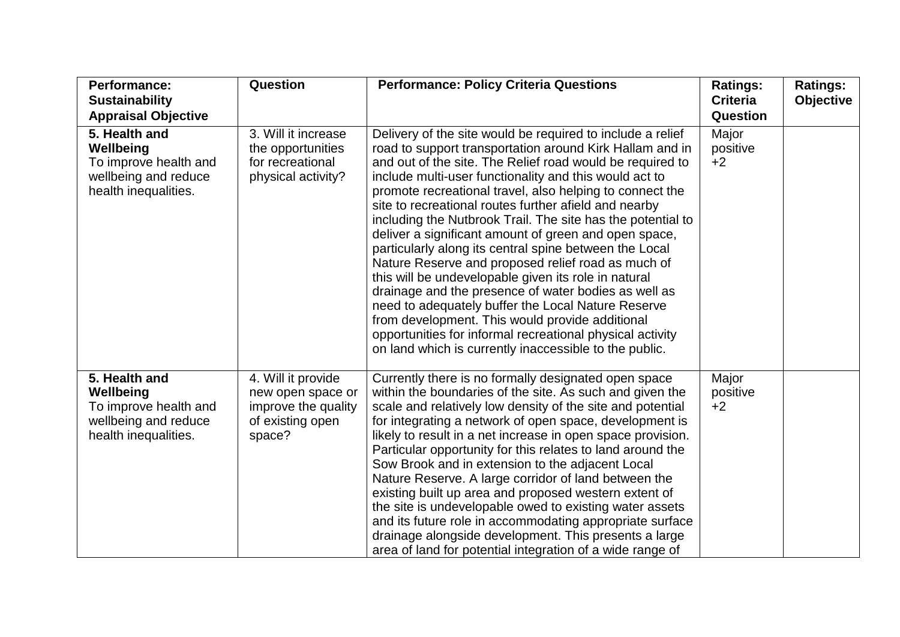| <b>Performance:</b>                                                                                 | Question                                                                                     | <b>Performance: Policy Criteria Questions</b>                                                                                                                                                                                                                                                                                                                                                                                                                                                                                                                                                                                                                                                                                                                                                                                                                                                                                                              | <b>Ratings:</b><br><b>Criteria</b> | <b>Ratings:</b> |
|-----------------------------------------------------------------------------------------------------|----------------------------------------------------------------------------------------------|------------------------------------------------------------------------------------------------------------------------------------------------------------------------------------------------------------------------------------------------------------------------------------------------------------------------------------------------------------------------------------------------------------------------------------------------------------------------------------------------------------------------------------------------------------------------------------------------------------------------------------------------------------------------------------------------------------------------------------------------------------------------------------------------------------------------------------------------------------------------------------------------------------------------------------------------------------|------------------------------------|-----------------|
| <b>Sustainability</b><br><b>Appraisal Objective</b>                                                 |                                                                                              |                                                                                                                                                                                                                                                                                                                                                                                                                                                                                                                                                                                                                                                                                                                                                                                                                                                                                                                                                            | Question                           | Objective       |
| 5. Health and<br>Wellbeing<br>To improve health and<br>wellbeing and reduce<br>health inequalities. | 3. Will it increase<br>the opportunities<br>for recreational<br>physical activity?           | Delivery of the site would be required to include a relief<br>road to support transportation around Kirk Hallam and in<br>and out of the site. The Relief road would be required to<br>include multi-user functionality and this would act to<br>promote recreational travel, also helping to connect the<br>site to recreational routes further afield and nearby<br>including the Nutbrook Trail. The site has the potential to<br>deliver a significant amount of green and open space,<br>particularly along its central spine between the Local<br>Nature Reserve and proposed relief road as much of<br>this will be undevelopable given its role in natural<br>drainage and the presence of water bodies as well as<br>need to adequately buffer the Local Nature Reserve<br>from development. This would provide additional<br>opportunities for informal recreational physical activity<br>on land which is currently inaccessible to the public. | Major<br>positive<br>$+2$          |                 |
| 5. Health and<br>Wellbeing<br>To improve health and<br>wellbeing and reduce<br>health inequalities. | 4. Will it provide<br>new open space or<br>improve the quality<br>of existing open<br>space? | Currently there is no formally designated open space<br>within the boundaries of the site. As such and given the<br>scale and relatively low density of the site and potential<br>for integrating a network of open space, development is<br>likely to result in a net increase in open space provision.<br>Particular opportunity for this relates to land around the<br>Sow Brook and in extension to the adjacent Local<br>Nature Reserve. A large corridor of land between the<br>existing built up area and proposed western extent of<br>the site is undevelopable owed to existing water assets<br>and its future role in accommodating appropriate surface<br>drainage alongside development. This presents a large<br>area of land for potential integration of a wide range of                                                                                                                                                                   | Major<br>positive<br>$+2$          |                 |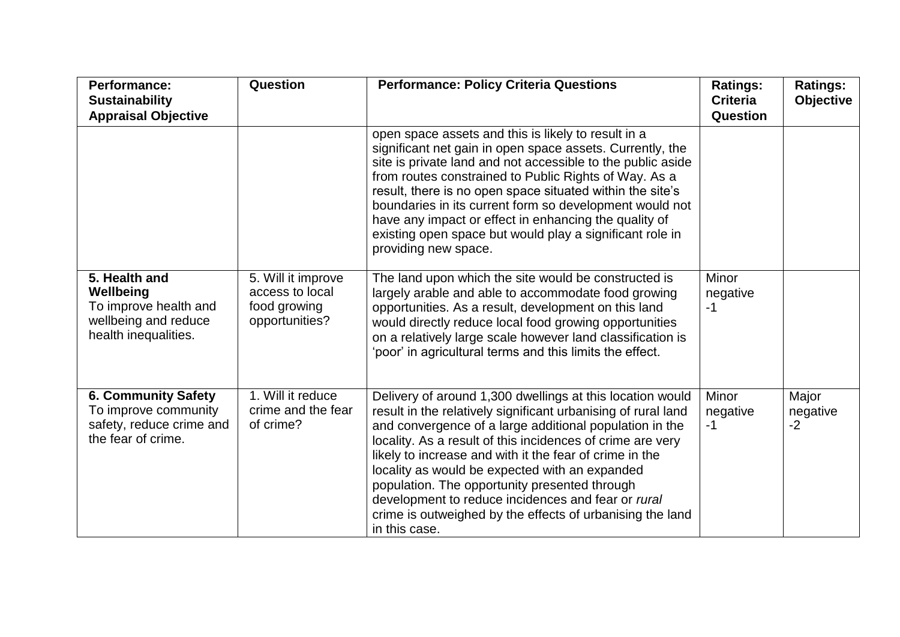| Performance:<br><b>Sustainability</b><br><b>Appraisal Objective</b>                                  | Question                                                                | <b>Performance: Policy Criteria Questions</b>                                                                                                                                                                                                                                                                                                                                                                                                                                                                                                         | <b>Ratings:</b><br><b>Criteria</b><br><b>Question</b> | <b>Ratings:</b><br><b>Objective</b> |
|------------------------------------------------------------------------------------------------------|-------------------------------------------------------------------------|-------------------------------------------------------------------------------------------------------------------------------------------------------------------------------------------------------------------------------------------------------------------------------------------------------------------------------------------------------------------------------------------------------------------------------------------------------------------------------------------------------------------------------------------------------|-------------------------------------------------------|-------------------------------------|
|                                                                                                      |                                                                         | open space assets and this is likely to result in a<br>significant net gain in open space assets. Currently, the<br>site is private land and not accessible to the public aside<br>from routes constrained to Public Rights of Way. As a<br>result, there is no open space situated within the site's<br>boundaries in its current form so development would not<br>have any impact or effect in enhancing the quality of<br>existing open space but would play a significant role in<br>providing new space.                                         |                                                       |                                     |
| 5. Health and<br>Wellbeing<br>To improve health and<br>wellbeing and reduce<br>health inequalities.  | 5. Will it improve<br>access to local<br>food growing<br>opportunities? | The land upon which the site would be constructed is<br>largely arable and able to accommodate food growing<br>opportunities. As a result, development on this land<br>would directly reduce local food growing opportunities<br>on a relatively large scale however land classification is<br>'poor' in agricultural terms and this limits the effect.                                                                                                                                                                                               | Minor<br>negative<br>$-1$                             |                                     |
| <b>6. Community Safety</b><br>To improve community<br>safety, reduce crime and<br>the fear of crime. | 1. Will it reduce<br>crime and the fear<br>of crime?                    | Delivery of around 1,300 dwellings at this location would<br>result in the relatively significant urbanising of rural land<br>and convergence of a large additional population in the<br>locality. As a result of this incidences of crime are very<br>likely to increase and with it the fear of crime in the<br>locality as would be expected with an expanded<br>population. The opportunity presented through<br>development to reduce incidences and fear or rural<br>crime is outweighed by the effects of urbanising the land<br>in this case. | <b>Minor</b><br>negative<br>$-1$                      | Major<br>negative<br>$-2$           |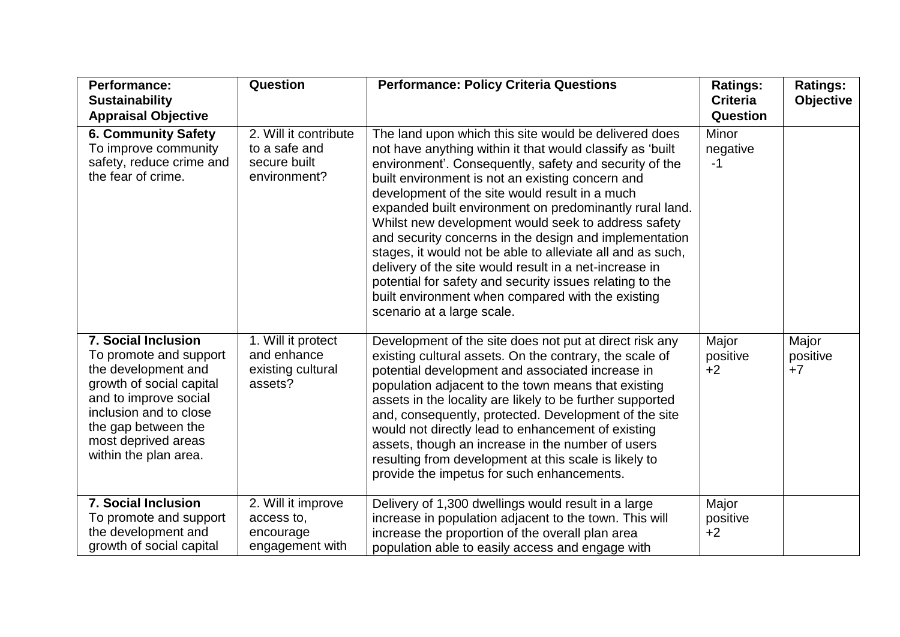| Performance:<br><b>Sustainability</b><br><b>Appraisal Objective</b>                                                                                                                                                               | Question                                                               | <b>Performance: Policy Criteria Questions</b>                                                                                                                                                                                                                                                                                                                                                                                                                                                                                                                                                                                                                                                                                         | <b>Ratings:</b><br><b>Criteria</b><br><b>Question</b> | <b>Ratings:</b><br>Objective |
|-----------------------------------------------------------------------------------------------------------------------------------------------------------------------------------------------------------------------------------|------------------------------------------------------------------------|---------------------------------------------------------------------------------------------------------------------------------------------------------------------------------------------------------------------------------------------------------------------------------------------------------------------------------------------------------------------------------------------------------------------------------------------------------------------------------------------------------------------------------------------------------------------------------------------------------------------------------------------------------------------------------------------------------------------------------------|-------------------------------------------------------|------------------------------|
| <b>6. Community Safety</b><br>To improve community<br>safety, reduce crime and<br>the fear of crime.                                                                                                                              | 2. Will it contribute<br>to a safe and<br>secure built<br>environment? | The land upon which this site would be delivered does<br>not have anything within it that would classify as 'built<br>environment'. Consequently, safety and security of the<br>built environment is not an existing concern and<br>development of the site would result in a much<br>expanded built environment on predominantly rural land.<br>Whilst new development would seek to address safety<br>and security concerns in the design and implementation<br>stages, it would not be able to alleviate all and as such,<br>delivery of the site would result in a net-increase in<br>potential for safety and security issues relating to the<br>built environment when compared with the existing<br>scenario at a large scale. | Minor<br>negative<br>$-1$                             |                              |
| <b>7. Social Inclusion</b><br>To promote and support<br>the development and<br>growth of social capital<br>and to improve social<br>inclusion and to close<br>the gap between the<br>most deprived areas<br>within the plan area. | 1. Will it protect<br>and enhance<br>existing cultural<br>assets?      | Development of the site does not put at direct risk any<br>existing cultural assets. On the contrary, the scale of<br>potential development and associated increase in<br>population adjacent to the town means that existing<br>assets in the locality are likely to be further supported<br>and, consequently, protected. Development of the site<br>would not directly lead to enhancement of existing<br>assets, though an increase in the number of users<br>resulting from development at this scale is likely to<br>provide the impetus for such enhancements.                                                                                                                                                                 | Major<br>positive<br>$+2$                             | Major<br>positive<br>$+7$    |
| <b>7. Social Inclusion</b><br>To promote and support<br>the development and<br>growth of social capital                                                                                                                           | 2. Will it improve<br>access to,<br>encourage<br>engagement with       | Delivery of 1,300 dwellings would result in a large<br>increase in population adjacent to the town. This will<br>increase the proportion of the overall plan area<br>population able to easily access and engage with                                                                                                                                                                                                                                                                                                                                                                                                                                                                                                                 | Major<br>positive<br>$+2$                             |                              |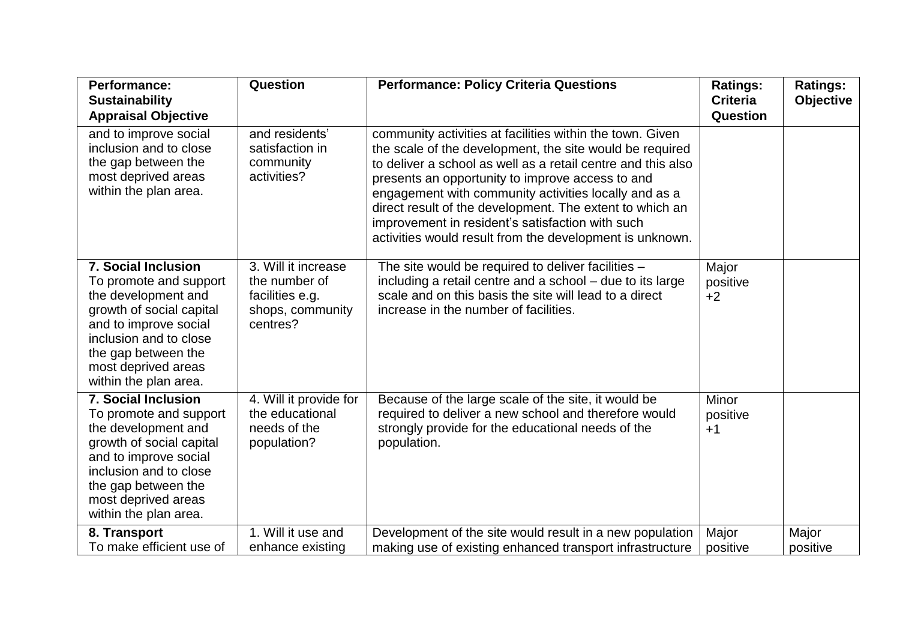| Performance:<br><b>Sustainability</b><br><b>Appraisal Objective</b>                                                                                                                                                               | Question                                                                                | <b>Performance: Policy Criteria Questions</b>                                                                                                                                                                                                                                                                                                                                                                                                                                  | <b>Ratings:</b><br><b>Criteria</b><br>Question | <b>Ratings:</b><br><b>Objective</b> |
|-----------------------------------------------------------------------------------------------------------------------------------------------------------------------------------------------------------------------------------|-----------------------------------------------------------------------------------------|--------------------------------------------------------------------------------------------------------------------------------------------------------------------------------------------------------------------------------------------------------------------------------------------------------------------------------------------------------------------------------------------------------------------------------------------------------------------------------|------------------------------------------------|-------------------------------------|
| and to improve social<br>inclusion and to close<br>the gap between the<br>most deprived areas<br>within the plan area.                                                                                                            | and residents'<br>satisfaction in<br>community<br>activities?                           | community activities at facilities within the town. Given<br>the scale of the development, the site would be required<br>to deliver a school as well as a retail centre and this also<br>presents an opportunity to improve access to and<br>engagement with community activities locally and as a<br>direct result of the development. The extent to which an<br>improvement in resident's satisfaction with such<br>activities would result from the development is unknown. |                                                |                                     |
| <b>7. Social Inclusion</b><br>To promote and support<br>the development and<br>growth of social capital<br>and to improve social<br>inclusion and to close<br>the gap between the<br>most deprived areas<br>within the plan area. | 3. Will it increase<br>the number of<br>facilities e.g.<br>shops, community<br>centres? | The site would be required to deliver facilities -<br>including a retail centre and a school – due to its large<br>scale and on this basis the site will lead to a direct<br>increase in the number of facilities.                                                                                                                                                                                                                                                             | Major<br>positive<br>$+2$                      |                                     |
| <b>7. Social Inclusion</b><br>To promote and support<br>the development and<br>growth of social capital<br>and to improve social<br>inclusion and to close<br>the gap between the<br>most deprived areas<br>within the plan area. | 4. Will it provide for<br>the educational<br>needs of the<br>population?                | Because of the large scale of the site, it would be<br>required to deliver a new school and therefore would<br>strongly provide for the educational needs of the<br>population.                                                                                                                                                                                                                                                                                                | Minor<br>positive<br>$+1$                      |                                     |
| 8. Transport<br>To make efficient use of                                                                                                                                                                                          | 1. Will it use and<br>enhance existing                                                  | Development of the site would result in a new population<br>making use of existing enhanced transport infrastructure                                                                                                                                                                                                                                                                                                                                                           | Major<br>positive                              | Major<br>positive                   |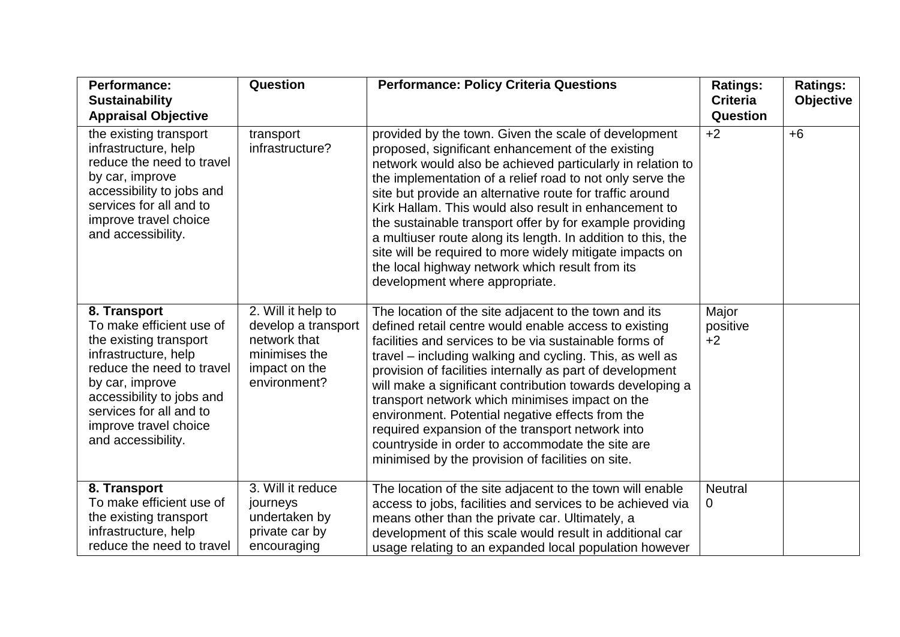| <b>Performance:</b><br><b>Sustainability</b><br><b>Appraisal Objective</b>                                                                                                                                                                        | Question                                                                                                    | <b>Performance: Policy Criteria Questions</b>                                                                                                                                                                                                                                                                                                                                                                                                                                                                                                                                                                                          | <b>Ratings:</b><br><b>Criteria</b><br><b>Question</b> | <b>Ratings:</b><br>Objective |
|---------------------------------------------------------------------------------------------------------------------------------------------------------------------------------------------------------------------------------------------------|-------------------------------------------------------------------------------------------------------------|----------------------------------------------------------------------------------------------------------------------------------------------------------------------------------------------------------------------------------------------------------------------------------------------------------------------------------------------------------------------------------------------------------------------------------------------------------------------------------------------------------------------------------------------------------------------------------------------------------------------------------------|-------------------------------------------------------|------------------------------|
| the existing transport<br>infrastructure, help<br>reduce the need to travel<br>by car, improve<br>accessibility to jobs and<br>services for all and to<br>improve travel choice<br>and accessibility.                                             | transport<br>infrastructure?                                                                                | provided by the town. Given the scale of development<br>proposed, significant enhancement of the existing<br>network would also be achieved particularly in relation to<br>the implementation of a relief road to not only serve the<br>site but provide an alternative route for traffic around<br>Kirk Hallam. This would also result in enhancement to<br>the sustainable transport offer by for example providing<br>a multiuser route along its length. In addition to this, the<br>site will be required to more widely mitigate impacts on<br>the local highway network which result from its<br>development where appropriate. | $+2$                                                  | $+6$                         |
| 8. Transport<br>To make efficient use of<br>the existing transport<br>infrastructure, help<br>reduce the need to travel<br>by car, improve<br>accessibility to jobs and<br>services for all and to<br>improve travel choice<br>and accessibility. | 2. Will it help to<br>develop a transport<br>network that<br>minimises the<br>impact on the<br>environment? | The location of the site adjacent to the town and its<br>defined retail centre would enable access to existing<br>facilities and services to be via sustainable forms of<br>travel – including walking and cycling. This, as well as<br>provision of facilities internally as part of development<br>will make a significant contribution towards developing a<br>transport network which minimises impact on the<br>environment. Potential negative effects from the<br>required expansion of the transport network into<br>countryside in order to accommodate the site are<br>minimised by the provision of facilities on site.     | Major<br>positive<br>$+2$                             |                              |
| 8. Transport<br>To make efficient use of<br>the existing transport<br>infrastructure, help<br>reduce the need to travel                                                                                                                           | 3. Will it reduce<br>journeys<br>undertaken by<br>private car by<br>encouraging                             | The location of the site adjacent to the town will enable<br>access to jobs, facilities and services to be achieved via<br>means other than the private car. Ultimately, a<br>development of this scale would result in additional car<br>usage relating to an expanded local population however                                                                                                                                                                                                                                                                                                                                       | <b>Neutral</b><br>0                                   |                              |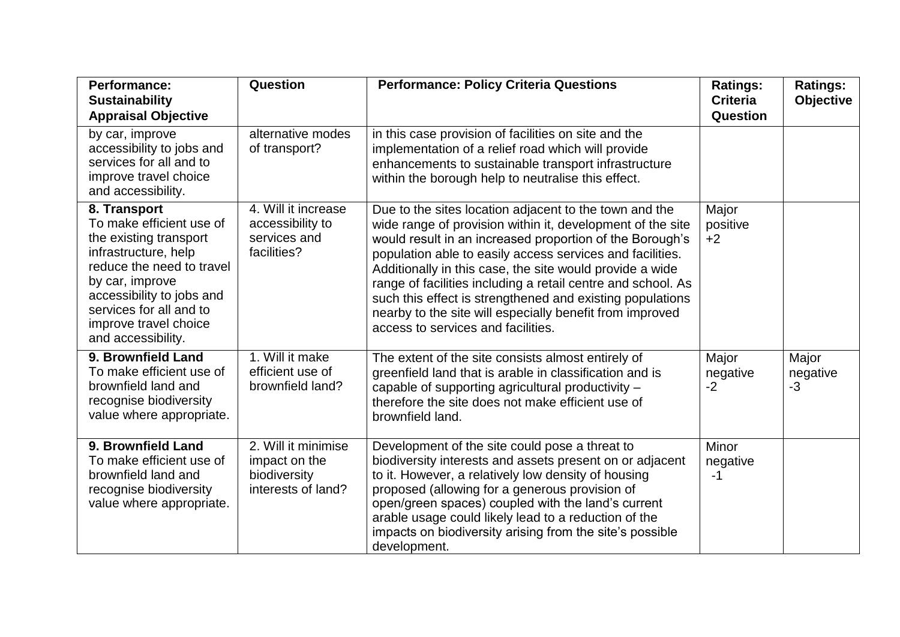| <b>Performance:</b><br><b>Sustainability</b><br><b>Appraisal Objective</b>                                                                                                                                                                        | Question                                                                   | <b>Performance: Policy Criteria Questions</b>                                                                                                                                                                                                                                                                                                                                                                                                                                                                                            | <b>Ratings:</b><br><b>Criteria</b><br>Question | <b>Ratings:</b><br><b>Objective</b> |
|---------------------------------------------------------------------------------------------------------------------------------------------------------------------------------------------------------------------------------------------------|----------------------------------------------------------------------------|------------------------------------------------------------------------------------------------------------------------------------------------------------------------------------------------------------------------------------------------------------------------------------------------------------------------------------------------------------------------------------------------------------------------------------------------------------------------------------------------------------------------------------------|------------------------------------------------|-------------------------------------|
| by car, improve<br>accessibility to jobs and<br>services for all and to<br>improve travel choice<br>and accessibility.                                                                                                                            | alternative modes<br>of transport?                                         | in this case provision of facilities on site and the<br>implementation of a relief road which will provide<br>enhancements to sustainable transport infrastructure<br>within the borough help to neutralise this effect.                                                                                                                                                                                                                                                                                                                 |                                                |                                     |
| 8. Transport<br>To make efficient use of<br>the existing transport<br>infrastructure, help<br>reduce the need to travel<br>by car, improve<br>accessibility to jobs and<br>services for all and to<br>improve travel choice<br>and accessibility. | 4. Will it increase<br>accessibility to<br>services and<br>facilities?     | Due to the sites location adjacent to the town and the<br>wide range of provision within it, development of the site<br>would result in an increased proportion of the Borough's<br>population able to easily access services and facilities.<br>Additionally in this case, the site would provide a wide<br>range of facilities including a retail centre and school. As<br>such this effect is strengthened and existing populations<br>nearby to the site will especially benefit from improved<br>access to services and facilities. | Major<br>positive<br>$+2$                      |                                     |
| 9. Brownfield Land<br>To make efficient use of<br>brownfield land and<br>recognise biodiversity<br>value where appropriate.                                                                                                                       | 1. Will it make<br>efficient use of<br>brownfield land?                    | The extent of the site consists almost entirely of<br>greenfield land that is arable in classification and is<br>capable of supporting agricultural productivity -<br>therefore the site does not make efficient use of<br>brownfield land.                                                                                                                                                                                                                                                                                              | Major<br>negative<br>$-2$                      | Major<br>negative<br>$-3$           |
| 9. Brownfield Land<br>To make efficient use of<br>brownfield land and<br>recognise biodiversity<br>value where appropriate.                                                                                                                       | 2. Will it minimise<br>impact on the<br>biodiversity<br>interests of land? | Development of the site could pose a threat to<br>biodiversity interests and assets present on or adjacent<br>to it. However, a relatively low density of housing<br>proposed (allowing for a generous provision of<br>open/green spaces) coupled with the land's current<br>arable usage could likely lead to a reduction of the<br>impacts on biodiversity arising from the site's possible<br>development.                                                                                                                            | Minor<br>negative<br>$-1$                      |                                     |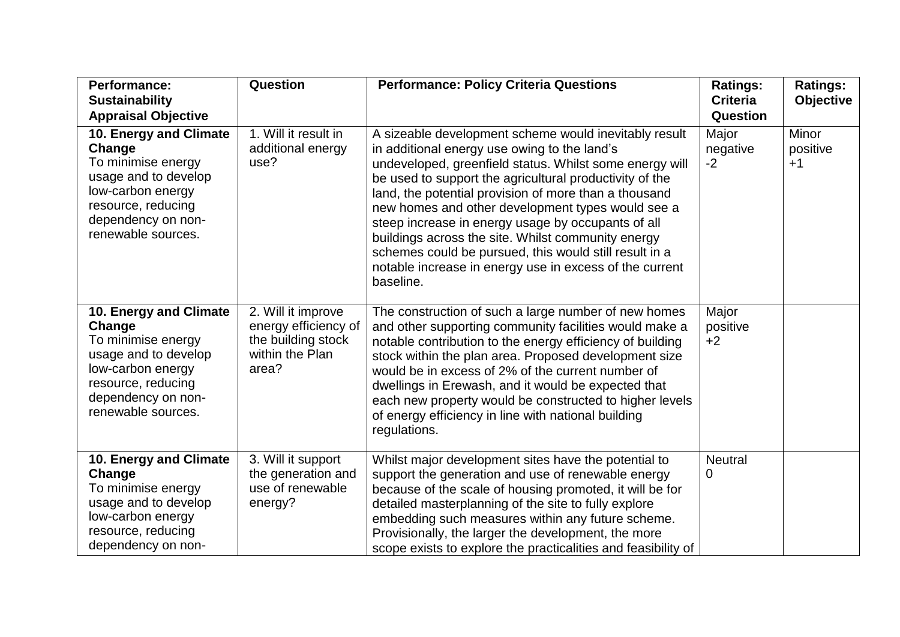| <b>Performance:</b><br><b>Sustainability</b><br><b>Appraisal Objective</b>                                                                                            | Question                                                                                     | <b>Performance: Policy Criteria Questions</b>                                                                                                                                                                                                                                                                                                                                                                                                                                                                                                                                           | <b>Ratings:</b><br><b>Criteria</b><br><b>Question</b> | <b>Ratings:</b><br><b>Objective</b> |
|-----------------------------------------------------------------------------------------------------------------------------------------------------------------------|----------------------------------------------------------------------------------------------|-----------------------------------------------------------------------------------------------------------------------------------------------------------------------------------------------------------------------------------------------------------------------------------------------------------------------------------------------------------------------------------------------------------------------------------------------------------------------------------------------------------------------------------------------------------------------------------------|-------------------------------------------------------|-------------------------------------|
| 10. Energy and Climate<br>Change<br>To minimise energy<br>usage and to develop<br>low-carbon energy<br>resource, reducing<br>dependency on non-<br>renewable sources. | 1. Will it result in<br>additional energy<br>use?                                            | A sizeable development scheme would inevitably result<br>in additional energy use owing to the land's<br>undeveloped, greenfield status. Whilst some energy will<br>be used to support the agricultural productivity of the<br>land, the potential provision of more than a thousand<br>new homes and other development types would see a<br>steep increase in energy usage by occupants of all<br>buildings across the site. Whilst community energy<br>schemes could be pursued, this would still result in a<br>notable increase in energy use in excess of the current<br>baseline. | Major<br>negative<br>$-2$                             | Minor<br>positive<br>$+1$           |
| 10. Energy and Climate<br>Change<br>To minimise energy<br>usage and to develop<br>low-carbon energy<br>resource, reducing<br>dependency on non-<br>renewable sources. | 2. Will it improve<br>energy efficiency of<br>the building stock<br>within the Plan<br>area? | The construction of such a large number of new homes<br>and other supporting community facilities would make a<br>notable contribution to the energy efficiency of building<br>stock within the plan area. Proposed development size<br>would be in excess of 2% of the current number of<br>dwellings in Erewash, and it would be expected that<br>each new property would be constructed to higher levels<br>of energy efficiency in line with national building<br>regulations.                                                                                                      | Major<br>positive<br>$+2$                             |                                     |
| 10. Energy and Climate<br>Change<br>To minimise energy<br>usage and to develop<br>low-carbon energy<br>resource, reducing<br>dependency on non-                       | 3. Will it support<br>the generation and<br>use of renewable<br>energy?                      | Whilst major development sites have the potential to<br>support the generation and use of renewable energy<br>because of the scale of housing promoted, it will be for<br>detailed masterplanning of the site to fully explore<br>embedding such measures within any future scheme.<br>Provisionally, the larger the development, the more<br>scope exists to explore the practicalities and feasibility of                                                                                                                                                                             | <b>Neutral</b><br>0                                   |                                     |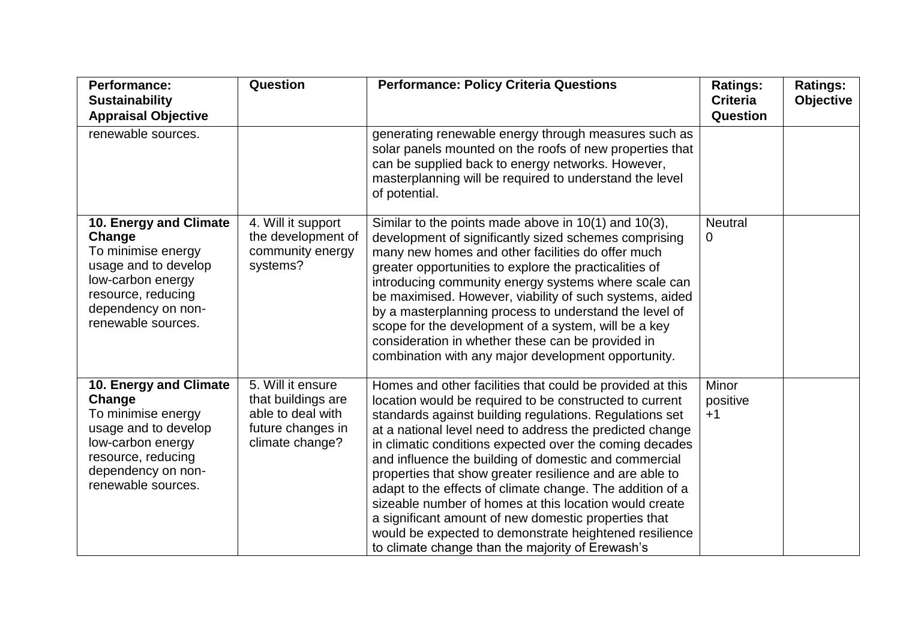| <b>Performance:</b><br><b>Sustainability</b><br><b>Appraisal Objective</b>                                                                                            | Question                                                                                             | <b>Performance: Policy Criteria Questions</b>                                                                                                                                                                                                                                                                                                                                                                                                                                                                                                                                                                                                                                                                           | <b>Ratings:</b><br><b>Criteria</b><br><b>Question</b> | <b>Ratings:</b><br>Objective |
|-----------------------------------------------------------------------------------------------------------------------------------------------------------------------|------------------------------------------------------------------------------------------------------|-------------------------------------------------------------------------------------------------------------------------------------------------------------------------------------------------------------------------------------------------------------------------------------------------------------------------------------------------------------------------------------------------------------------------------------------------------------------------------------------------------------------------------------------------------------------------------------------------------------------------------------------------------------------------------------------------------------------------|-------------------------------------------------------|------------------------------|
| renewable sources.                                                                                                                                                    |                                                                                                      | generating renewable energy through measures such as<br>solar panels mounted on the roofs of new properties that<br>can be supplied back to energy networks. However,<br>masterplanning will be required to understand the level<br>of potential.                                                                                                                                                                                                                                                                                                                                                                                                                                                                       |                                                       |                              |
| 10. Energy and Climate<br>Change<br>To minimise energy<br>usage and to develop<br>low-carbon energy<br>resource, reducing<br>dependency on non-<br>renewable sources. | 4. Will it support<br>the development of<br>community energy<br>systems?                             | Similar to the points made above in $10(1)$ and $10(3)$ ,<br>development of significantly sized schemes comprising<br>many new homes and other facilities do offer much<br>greater opportunities to explore the practicalities of<br>introducing community energy systems where scale can<br>be maximised. However, viability of such systems, aided<br>by a masterplanning process to understand the level of<br>scope for the development of a system, will be a key<br>consideration in whether these can be provided in<br>combination with any major development opportunity.                                                                                                                                      | <b>Neutral</b><br>0                                   |                              |
| 10. Energy and Climate<br>Change<br>To minimise energy<br>usage and to develop<br>low-carbon energy<br>resource, reducing<br>dependency on non-<br>renewable sources. | 5. Will it ensure<br>that buildings are<br>able to deal with<br>future changes in<br>climate change? | Homes and other facilities that could be provided at this<br>location would be required to be constructed to current<br>standards against building regulations. Regulations set<br>at a national level need to address the predicted change<br>in climatic conditions expected over the coming decades<br>and influence the building of domestic and commercial<br>properties that show greater resilience and are able to<br>adapt to the effects of climate change. The addition of a<br>sizeable number of homes at this location would create<br>a significant amount of new domestic properties that<br>would be expected to demonstrate heightened resilience<br>to climate change than the majority of Erewash's | Minor<br>positive<br>$+1$                             |                              |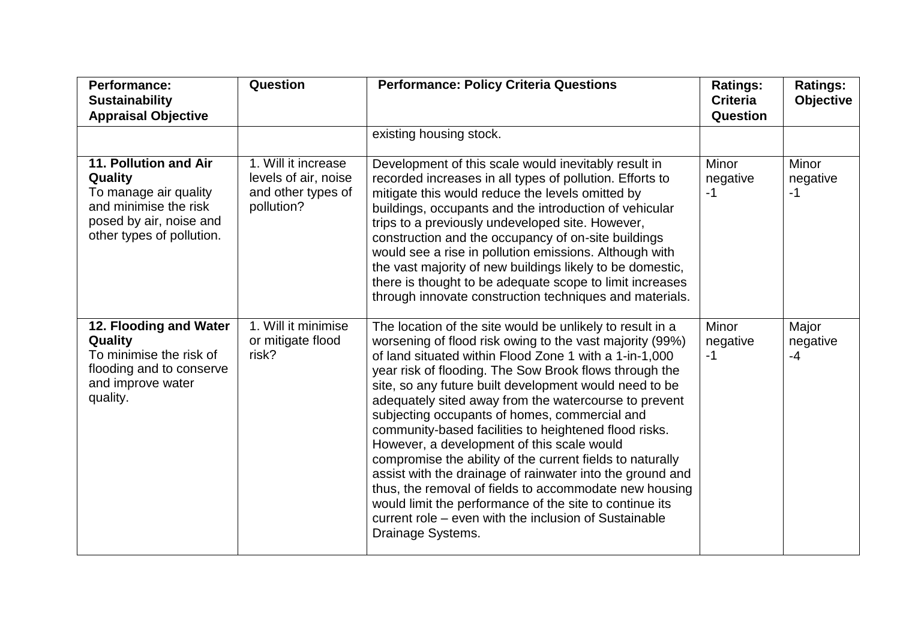| <b>Performance:</b><br><b>Sustainability</b><br><b>Appraisal Objective</b>                                                                 | Question                                                                        | <b>Performance: Policy Criteria Questions</b>                                                                                                                                                                                                                                                                                                                                                                                                                                                                                                                                                                                                                                                                                                                                                                                                     | <b>Ratings:</b><br><b>Criteria</b><br><b>Question</b> | <b>Ratings:</b><br><b>Objective</b> |
|--------------------------------------------------------------------------------------------------------------------------------------------|---------------------------------------------------------------------------------|---------------------------------------------------------------------------------------------------------------------------------------------------------------------------------------------------------------------------------------------------------------------------------------------------------------------------------------------------------------------------------------------------------------------------------------------------------------------------------------------------------------------------------------------------------------------------------------------------------------------------------------------------------------------------------------------------------------------------------------------------------------------------------------------------------------------------------------------------|-------------------------------------------------------|-------------------------------------|
|                                                                                                                                            |                                                                                 | existing housing stock.                                                                                                                                                                                                                                                                                                                                                                                                                                                                                                                                                                                                                                                                                                                                                                                                                           |                                                       |                                     |
| 11. Pollution and Air<br>Quality<br>To manage air quality<br>and minimise the risk<br>posed by air, noise and<br>other types of pollution. | 1. Will it increase<br>levels of air, noise<br>and other types of<br>pollution? | Development of this scale would inevitably result in<br>recorded increases in all types of pollution. Efforts to<br>mitigate this would reduce the levels omitted by<br>buildings, occupants and the introduction of vehicular<br>trips to a previously undeveloped site. However,<br>construction and the occupancy of on-site buildings<br>would see a rise in pollution emissions. Although with<br>the vast majority of new buildings likely to be domestic,<br>there is thought to be adequate scope to limit increases<br>through innovate construction techniques and materials.                                                                                                                                                                                                                                                           | <b>Minor</b><br>negative<br>$-1$                      | Minor<br>negative<br>$-1$           |
| 12. Flooding and Water<br>Quality<br>To minimise the risk of<br>flooding and to conserve<br>and improve water<br>quality.                  | 1. Will it minimise<br>or mitigate flood<br>risk?                               | The location of the site would be unlikely to result in a<br>worsening of flood risk owing to the vast majority (99%)<br>of land situated within Flood Zone 1 with a 1-in-1,000<br>year risk of flooding. The Sow Brook flows through the<br>site, so any future built development would need to be<br>adequately sited away from the watercourse to prevent<br>subjecting occupants of homes, commercial and<br>community-based facilities to heightened flood risks.<br>However, a development of this scale would<br>compromise the ability of the current fields to naturally<br>assist with the drainage of rainwater into the ground and<br>thus, the removal of fields to accommodate new housing<br>would limit the performance of the site to continue its<br>current role – even with the inclusion of Sustainable<br>Drainage Systems. | Minor<br>negative<br>$-1$                             | Major<br>negative<br>$-4$           |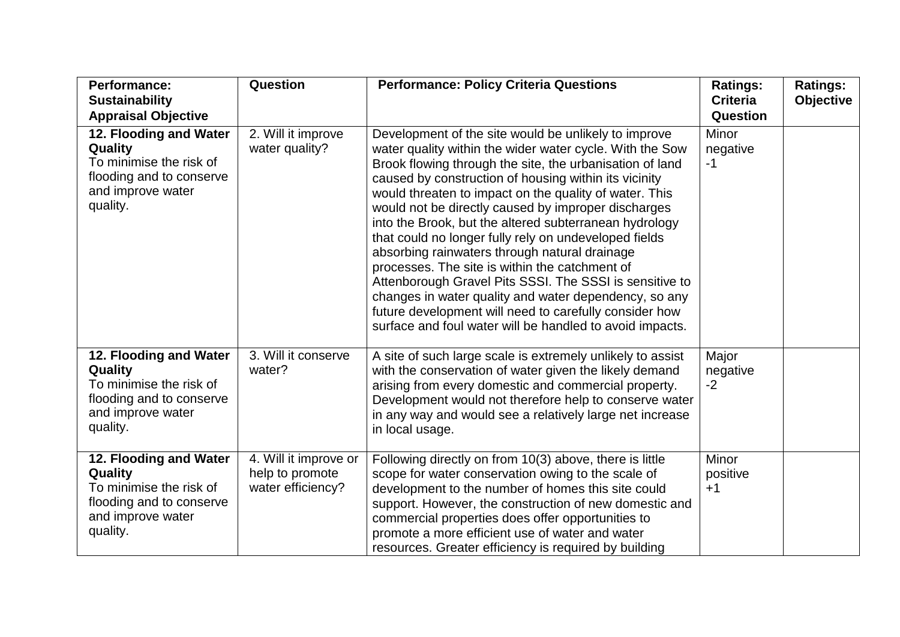| <b>Performance:</b><br><b>Sustainability</b><br><b>Appraisal Objective</b>                                                | Question                                                      | <b>Performance: Policy Criteria Questions</b>                                                                                                                                                                                                                                                                                                                                                                                                                                                                                                                                                                                                                                                                                                                                                                          | <b>Ratings:</b><br><b>Criteria</b><br><b>Question</b> | <b>Ratings:</b><br><b>Objective</b> |
|---------------------------------------------------------------------------------------------------------------------------|---------------------------------------------------------------|------------------------------------------------------------------------------------------------------------------------------------------------------------------------------------------------------------------------------------------------------------------------------------------------------------------------------------------------------------------------------------------------------------------------------------------------------------------------------------------------------------------------------------------------------------------------------------------------------------------------------------------------------------------------------------------------------------------------------------------------------------------------------------------------------------------------|-------------------------------------------------------|-------------------------------------|
| 12. Flooding and Water<br>Quality<br>To minimise the risk of<br>flooding and to conserve<br>and improve water<br>quality. | 2. Will it improve<br>water quality?                          | Development of the site would be unlikely to improve<br>water quality within the wider water cycle. With the Sow<br>Brook flowing through the site, the urbanisation of land<br>caused by construction of housing within its vicinity<br>would threaten to impact on the quality of water. This<br>would not be directly caused by improper discharges<br>into the Brook, but the altered subterranean hydrology<br>that could no longer fully rely on undeveloped fields<br>absorbing rainwaters through natural drainage<br>processes. The site is within the catchment of<br>Attenborough Gravel Pits SSSI. The SSSI is sensitive to<br>changes in water quality and water dependency, so any<br>future development will need to carefully consider how<br>surface and foul water will be handled to avoid impacts. | Minor<br>negative<br>$-1$                             |                                     |
| 12. Flooding and Water<br>Quality<br>To minimise the risk of<br>flooding and to conserve<br>and improve water<br>quality. | 3. Will it conserve<br>water?                                 | A site of such large scale is extremely unlikely to assist<br>with the conservation of water given the likely demand<br>arising from every domestic and commercial property.<br>Development would not therefore help to conserve water<br>in any way and would see a relatively large net increase<br>in local usage.                                                                                                                                                                                                                                                                                                                                                                                                                                                                                                  | Major<br>negative<br>$-2$                             |                                     |
| 12. Flooding and Water<br>Quality<br>To minimise the risk of<br>flooding and to conserve<br>and improve water<br>quality. | 4. Will it improve or<br>help to promote<br>water efficiency? | Following directly on from 10(3) above, there is little<br>scope for water conservation owing to the scale of<br>development to the number of homes this site could<br>support. However, the construction of new domestic and<br>commercial properties does offer opportunities to<br>promote a more efficient use of water and water<br>resources. Greater efficiency is required by building                                                                                                                                                                                                                                                                                                                                                                                                                         | <b>Minor</b><br>positive<br>$+1$                      |                                     |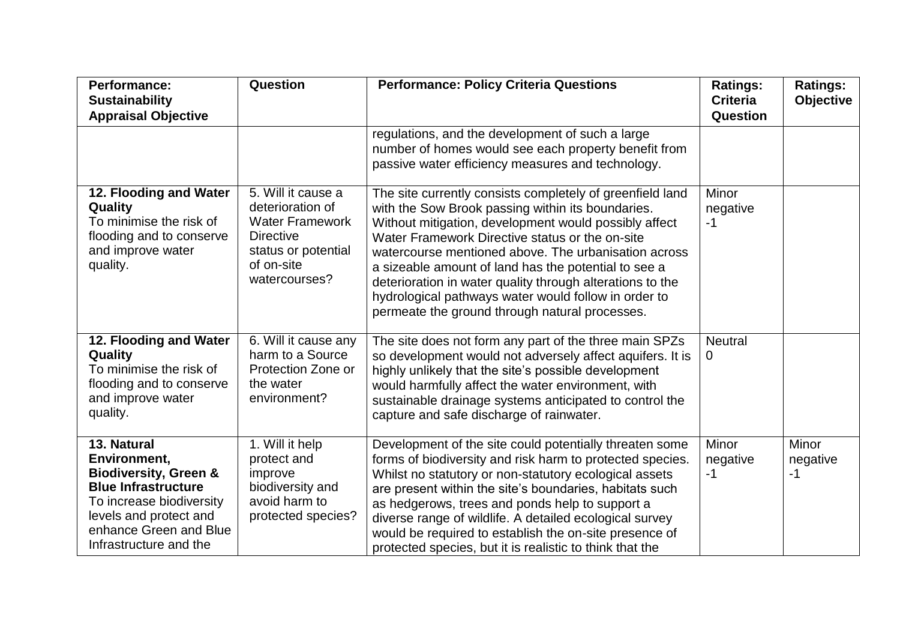| <b>Performance:</b><br><b>Sustainability</b><br><b>Appraisal Objective</b>                                                                                                                              | Question                                                                                                                                   | <b>Performance: Policy Criteria Questions</b>                                                                                                                                                                                                                                                                                                                                                                                                                                                                     | <b>Ratings:</b><br><b>Criteria</b><br><b>Question</b> | <b>Ratings:</b><br><b>Objective</b> |
|---------------------------------------------------------------------------------------------------------------------------------------------------------------------------------------------------------|--------------------------------------------------------------------------------------------------------------------------------------------|-------------------------------------------------------------------------------------------------------------------------------------------------------------------------------------------------------------------------------------------------------------------------------------------------------------------------------------------------------------------------------------------------------------------------------------------------------------------------------------------------------------------|-------------------------------------------------------|-------------------------------------|
|                                                                                                                                                                                                         |                                                                                                                                            | regulations, and the development of such a large<br>number of homes would see each property benefit from<br>passive water efficiency measures and technology.                                                                                                                                                                                                                                                                                                                                                     |                                                       |                                     |
| 12. Flooding and Water<br>Quality<br>To minimise the risk of<br>flooding and to conserve<br>and improve water<br>quality.                                                                               | 5. Will it cause a<br>deterioration of<br><b>Water Framework</b><br><b>Directive</b><br>status or potential<br>of on-site<br>watercourses? | The site currently consists completely of greenfield land<br>with the Sow Brook passing within its boundaries.<br>Without mitigation, development would possibly affect<br>Water Framework Directive status or the on-site<br>watercourse mentioned above. The urbanisation across<br>a sizeable amount of land has the potential to see a<br>deterioration in water quality through alterations to the<br>hydrological pathways water would follow in order to<br>permeate the ground through natural processes. | <b>Minor</b><br>negative<br>$-1$                      |                                     |
| 12. Flooding and Water<br>Quality<br>To minimise the risk of<br>flooding and to conserve<br>and improve water<br>quality.                                                                               | 6. Will it cause any<br>harm to a Source<br>Protection Zone or<br>the water<br>environment?                                                | The site does not form any part of the three main SPZs<br>so development would not adversely affect aquifers. It is<br>highly unlikely that the site's possible development<br>would harmfully affect the water environment, with<br>sustainable drainage systems anticipated to control the<br>capture and safe discharge of rainwater.                                                                                                                                                                          | <b>Neutral</b><br>0                                   |                                     |
| 13. Natural<br>Environment,<br><b>Biodiversity, Green &amp;</b><br><b>Blue Infrastructure</b><br>To increase biodiversity<br>levels and protect and<br>enhance Green and Blue<br>Infrastructure and the | 1. Will it help<br>protect and<br>improve<br>biodiversity and<br>avoid harm to<br>protected species?                                       | Development of the site could potentially threaten some<br>forms of biodiversity and risk harm to protected species.<br>Whilst no statutory or non-statutory ecological assets<br>are present within the site's boundaries, habitats such<br>as hedgerows, trees and ponds help to support a<br>diverse range of wildlife. A detailed ecological survey<br>would be required to establish the on-site presence of<br>protected species, but it is realistic to think that the                                     | Minor<br>negative<br>$-1$                             | Minor<br>negative<br>-1             |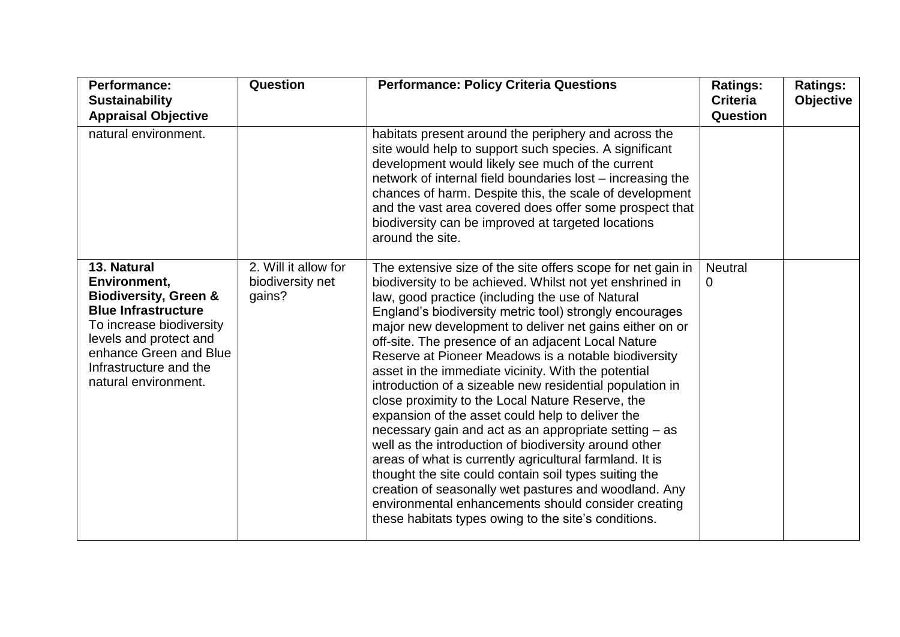| <b>Performance:</b><br><b>Sustainability</b><br><b>Appraisal Objective</b>                                                                                                                                                      | Question                                           | <b>Performance: Policy Criteria Questions</b>                                                                                                                                                                                                                                                                                                                                                                                                                                                                                                                                                                                                                                                                                                                                                                                                                                                                                                                                                                                                            | <b>Ratings:</b><br><b>Criteria</b><br>Question | <b>Ratings:</b><br><b>Objective</b> |
|---------------------------------------------------------------------------------------------------------------------------------------------------------------------------------------------------------------------------------|----------------------------------------------------|----------------------------------------------------------------------------------------------------------------------------------------------------------------------------------------------------------------------------------------------------------------------------------------------------------------------------------------------------------------------------------------------------------------------------------------------------------------------------------------------------------------------------------------------------------------------------------------------------------------------------------------------------------------------------------------------------------------------------------------------------------------------------------------------------------------------------------------------------------------------------------------------------------------------------------------------------------------------------------------------------------------------------------------------------------|------------------------------------------------|-------------------------------------|
| natural environment.                                                                                                                                                                                                            |                                                    | habitats present around the periphery and across the<br>site would help to support such species. A significant<br>development would likely see much of the current<br>network of internal field boundaries lost – increasing the<br>chances of harm. Despite this, the scale of development<br>and the vast area covered does offer some prospect that<br>biodiversity can be improved at targeted locations<br>around the site.                                                                                                                                                                                                                                                                                                                                                                                                                                                                                                                                                                                                                         |                                                |                                     |
| 13. Natural<br>Environment,<br><b>Biodiversity, Green &amp;</b><br><b>Blue Infrastructure</b><br>To increase biodiversity<br>levels and protect and<br>enhance Green and Blue<br>Infrastructure and the<br>natural environment. | 2. Will it allow for<br>biodiversity net<br>gains? | The extensive size of the site offers scope for net gain in<br>biodiversity to be achieved. Whilst not yet enshrined in<br>law, good practice (including the use of Natural<br>England's biodiversity metric tool) strongly encourages<br>major new development to deliver net gains either on or<br>off-site. The presence of an adjacent Local Nature<br>Reserve at Pioneer Meadows is a notable biodiversity<br>asset in the immediate vicinity. With the potential<br>introduction of a sizeable new residential population in<br>close proximity to the Local Nature Reserve, the<br>expansion of the asset could help to deliver the<br>necessary gain and act as an appropriate setting – as<br>well as the introduction of biodiversity around other<br>areas of what is currently agricultural farmland. It is<br>thought the site could contain soil types suiting the<br>creation of seasonally wet pastures and woodland. Any<br>environmental enhancements should consider creating<br>these habitats types owing to the site's conditions. | <b>Neutral</b><br>$\mathbf 0$                  |                                     |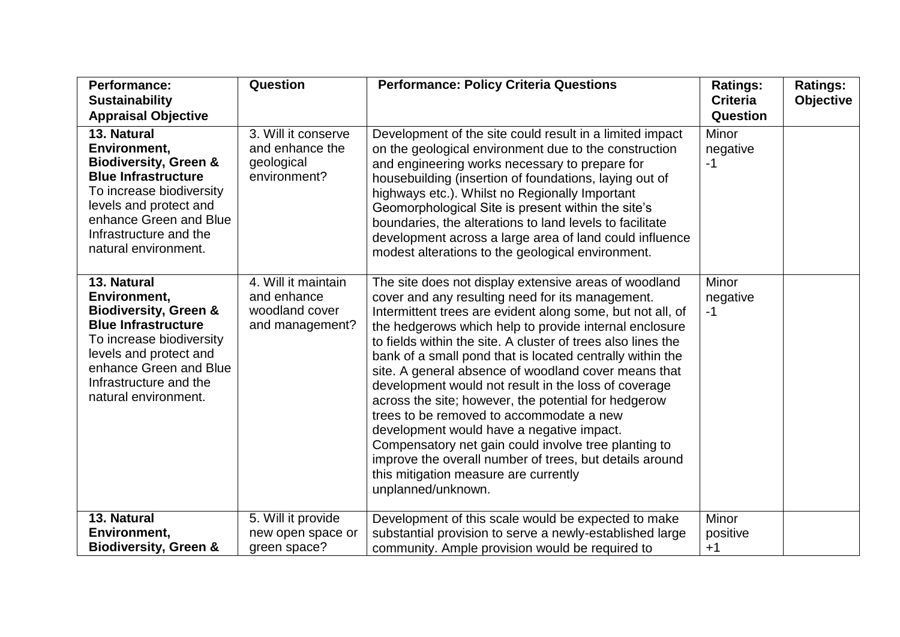| <b>Performance:</b><br><b>Sustainability</b><br><b>Appraisal Objective</b>                                                                                                                                                      | Question                                                                | <b>Performance: Policy Criteria Questions</b>                                                                                                                                                                                                                                                                                                                                                                                                                                                                                                                                                                                                                                                                                                                                                                     | <b>Ratings:</b><br><b>Criteria</b><br>Question | <b>Ratings:</b><br><b>Objective</b> |
|---------------------------------------------------------------------------------------------------------------------------------------------------------------------------------------------------------------------------------|-------------------------------------------------------------------------|-------------------------------------------------------------------------------------------------------------------------------------------------------------------------------------------------------------------------------------------------------------------------------------------------------------------------------------------------------------------------------------------------------------------------------------------------------------------------------------------------------------------------------------------------------------------------------------------------------------------------------------------------------------------------------------------------------------------------------------------------------------------------------------------------------------------|------------------------------------------------|-------------------------------------|
| 13. Natural<br>Environment,<br><b>Biodiversity, Green &amp;</b><br><b>Blue Infrastructure</b><br>To increase biodiversity<br>levels and protect and<br>enhance Green and Blue<br>Infrastructure and the<br>natural environment. | 3. Will it conserve<br>and enhance the<br>geological<br>environment?    | Development of the site could result in a limited impact<br>on the geological environment due to the construction<br>and engineering works necessary to prepare for<br>housebuilding (insertion of foundations, laying out of<br>highways etc.). Whilst no Regionally Important<br>Geomorphological Site is present within the site's<br>boundaries, the alterations to land levels to facilitate<br>development across a large area of land could influence<br>modest alterations to the geological environment.                                                                                                                                                                                                                                                                                                 | Minor<br>negative<br>$-1$                      |                                     |
| 13. Natural<br>Environment,<br><b>Biodiversity, Green &amp;</b><br><b>Blue Infrastructure</b><br>To increase biodiversity<br>levels and protect and<br>enhance Green and Blue<br>Infrastructure and the<br>natural environment. | 4. Will it maintain<br>and enhance<br>woodland cover<br>and management? | The site does not display extensive areas of woodland<br>cover and any resulting need for its management.<br>Intermittent trees are evident along some, but not all, of<br>the hedgerows which help to provide internal enclosure<br>to fields within the site. A cluster of trees also lines the<br>bank of a small pond that is located centrally within the<br>site. A general absence of woodland cover means that<br>development would not result in the loss of coverage<br>across the site; however, the potential for hedgerow<br>trees to be removed to accommodate a new<br>development would have a negative impact.<br>Compensatory net gain could involve tree planting to<br>improve the overall number of trees, but details around<br>this mitigation measure are currently<br>unplanned/unknown. | <b>Minor</b><br>negative<br>$-1$               |                                     |
| 13. Natural<br>Environment,<br><b>Biodiversity, Green &amp;</b>                                                                                                                                                                 | 5. Will it provide<br>new open space or<br>green space?                 | Development of this scale would be expected to make<br>substantial provision to serve a newly-established large<br>community. Ample provision would be required to                                                                                                                                                                                                                                                                                                                                                                                                                                                                                                                                                                                                                                                | Minor<br>positive<br>$+1$                      |                                     |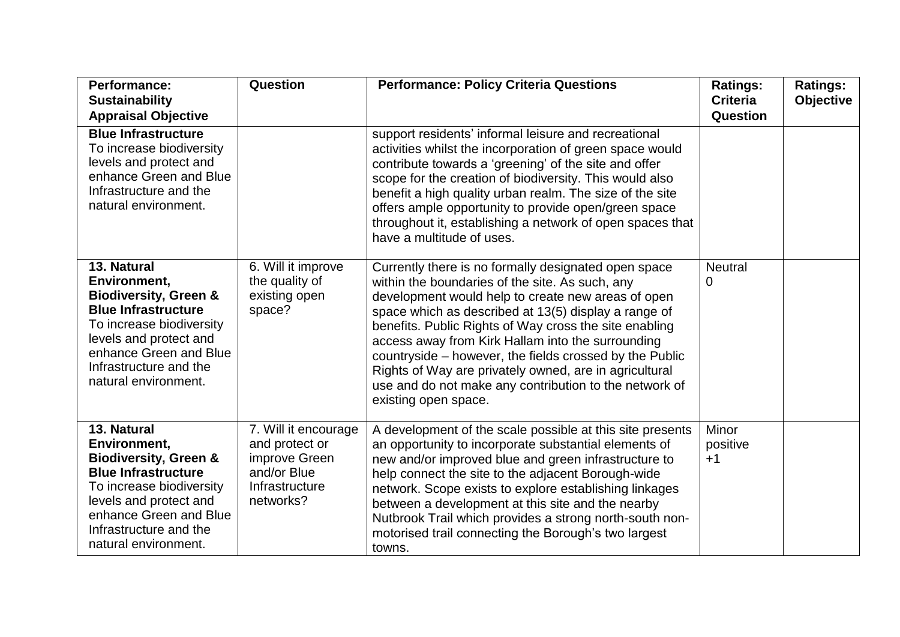| <b>Performance:</b><br><b>Sustainability</b>                                                                                                                                                                                    | Question                                                                                              | <b>Performance: Policy Criteria Questions</b>                                                                                                                                                                                                                                                                                                                                                                                                                                                                                               | <b>Ratings:</b><br><b>Criteria</b> | <b>Ratings:</b><br>Objective |
|---------------------------------------------------------------------------------------------------------------------------------------------------------------------------------------------------------------------------------|-------------------------------------------------------------------------------------------------------|---------------------------------------------------------------------------------------------------------------------------------------------------------------------------------------------------------------------------------------------------------------------------------------------------------------------------------------------------------------------------------------------------------------------------------------------------------------------------------------------------------------------------------------------|------------------------------------|------------------------------|
| <b>Appraisal Objective</b><br><b>Blue Infrastructure</b><br>To increase biodiversity<br>levels and protect and<br>enhance Green and Blue<br>Infrastructure and the<br>natural environment.                                      |                                                                                                       | support residents' informal leisure and recreational<br>activities whilst the incorporation of green space would<br>contribute towards a 'greening' of the site and offer<br>scope for the creation of biodiversity. This would also<br>benefit a high quality urban realm. The size of the site<br>offers ample opportunity to provide open/green space<br>throughout it, establishing a network of open spaces that<br>have a multitude of uses.                                                                                          | Question                           |                              |
| 13. Natural<br>Environment,<br><b>Biodiversity, Green &amp;</b><br><b>Blue Infrastructure</b><br>To increase biodiversity<br>levels and protect and<br>enhance Green and Blue<br>Infrastructure and the<br>natural environment. | 6. Will it improve<br>the quality of<br>existing open<br>space?                                       | Currently there is no formally designated open space<br>within the boundaries of the site. As such, any<br>development would help to create new areas of open<br>space which as described at 13(5) display a range of<br>benefits. Public Rights of Way cross the site enabling<br>access away from Kirk Hallam into the surrounding<br>countryside – however, the fields crossed by the Public<br>Rights of Way are privately owned, are in agricultural<br>use and do not make any contribution to the network of<br>existing open space. | <b>Neutral</b><br>$\mathbf 0$      |                              |
| 13. Natural<br>Environment,<br><b>Biodiversity, Green &amp;</b><br><b>Blue Infrastructure</b><br>To increase biodiversity<br>levels and protect and<br>enhance Green and Blue<br>Infrastructure and the<br>natural environment. | 7. Will it encourage<br>and protect or<br>improve Green<br>and/or Blue<br>Infrastructure<br>networks? | A development of the scale possible at this site presents<br>an opportunity to incorporate substantial elements of<br>new and/or improved blue and green infrastructure to<br>help connect the site to the adjacent Borough-wide<br>network. Scope exists to explore establishing linkages<br>between a development at this site and the nearby<br>Nutbrook Trail which provides a strong north-south non-<br>motorised trail connecting the Borough's two largest<br>towns.                                                                | Minor<br>positive<br>$+1$          |                              |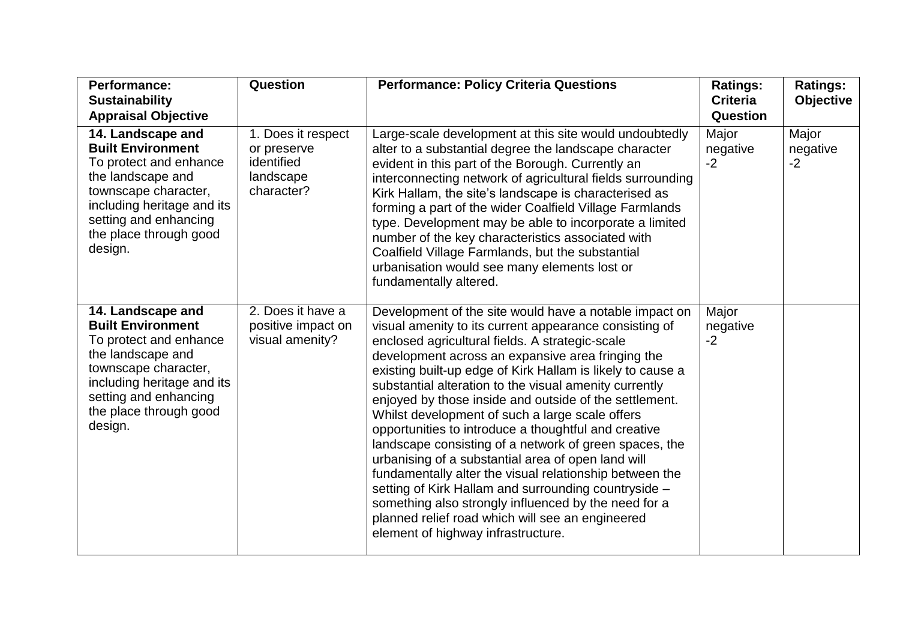| <b>Performance:</b><br><b>Sustainability</b><br><b>Appraisal Objective</b>                                                                                                                                       | Question                                                                   | <b>Performance: Policy Criteria Questions</b>                                                                                                                                                                                                                                                                                                                                                                                                                                                                                                                                                                                                                                                                                                                                                                                                                                                              | <b>Ratings:</b><br><b>Criteria</b><br>Question | <b>Ratings:</b><br><b>Objective</b> |
|------------------------------------------------------------------------------------------------------------------------------------------------------------------------------------------------------------------|----------------------------------------------------------------------------|------------------------------------------------------------------------------------------------------------------------------------------------------------------------------------------------------------------------------------------------------------------------------------------------------------------------------------------------------------------------------------------------------------------------------------------------------------------------------------------------------------------------------------------------------------------------------------------------------------------------------------------------------------------------------------------------------------------------------------------------------------------------------------------------------------------------------------------------------------------------------------------------------------|------------------------------------------------|-------------------------------------|
| 14. Landscape and<br><b>Built Environment</b><br>To protect and enhance<br>the landscape and<br>townscape character,<br>including heritage and its<br>setting and enhancing<br>the place through good<br>design. | 1. Does it respect<br>or preserve<br>identified<br>landscape<br>character? | Large-scale development at this site would undoubtedly<br>alter to a substantial degree the landscape character<br>evident in this part of the Borough. Currently an<br>interconnecting network of agricultural fields surrounding<br>Kirk Hallam, the site's landscape is characterised as<br>forming a part of the wider Coalfield Village Farmlands<br>type. Development may be able to incorporate a limited<br>number of the key characteristics associated with<br>Coalfield Village Farmlands, but the substantial<br>urbanisation would see many elements lost or<br>fundamentally altered.                                                                                                                                                                                                                                                                                                        | Major<br>negative<br>$-2$                      | Major<br>negative<br>$-2$           |
| 14. Landscape and<br><b>Built Environment</b><br>To protect and enhance<br>the landscape and<br>townscape character,<br>including heritage and its<br>setting and enhancing<br>the place through good<br>design. | 2. Does it have a<br>positive impact on<br>visual amenity?                 | Development of the site would have a notable impact on<br>visual amenity to its current appearance consisting of<br>enclosed agricultural fields. A strategic-scale<br>development across an expansive area fringing the<br>existing built-up edge of Kirk Hallam is likely to cause a<br>substantial alteration to the visual amenity currently<br>enjoyed by those inside and outside of the settlement.<br>Whilst development of such a large scale offers<br>opportunities to introduce a thoughtful and creative<br>landscape consisting of a network of green spaces, the<br>urbanising of a substantial area of open land will<br>fundamentally alter the visual relationship between the<br>setting of Kirk Hallam and surrounding countryside -<br>something also strongly influenced by the need for a<br>planned relief road which will see an engineered<br>element of highway infrastructure. | Major<br>negative<br>$-2$                      |                                     |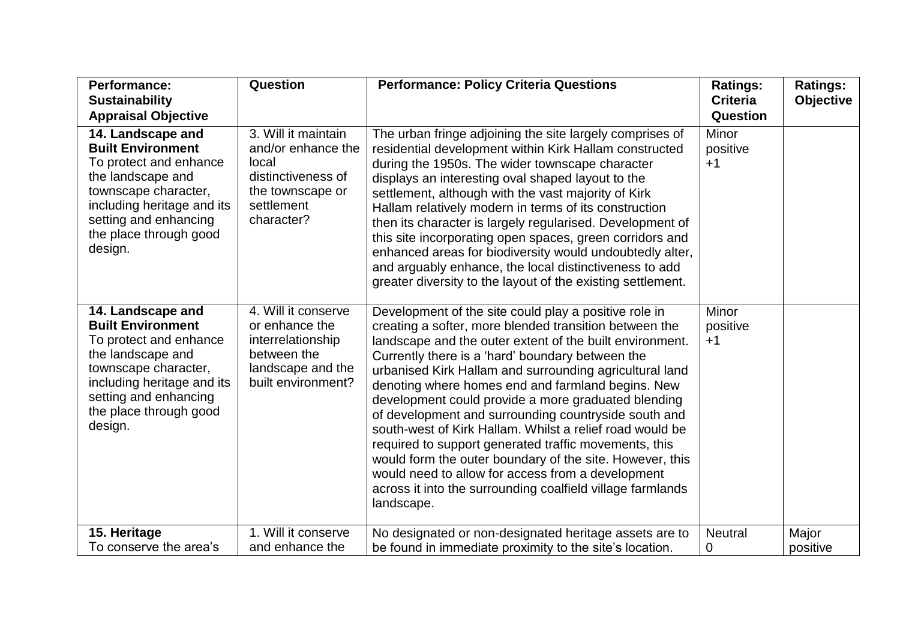| Performance:<br><b>Sustainability</b>                                                                                                                                                                                                          | Question                                                                                                                 | <b>Performance: Policy Criteria Questions</b>                                                                                                                                                                                                                                                                                                                                                                                                                                                                                                                                                                                                                                                                                                                                    | <b>Ratings:</b><br><b>Criteria</b>           | <b>Ratings:</b><br><b>Objective</b> |
|------------------------------------------------------------------------------------------------------------------------------------------------------------------------------------------------------------------------------------------------|--------------------------------------------------------------------------------------------------------------------------|----------------------------------------------------------------------------------------------------------------------------------------------------------------------------------------------------------------------------------------------------------------------------------------------------------------------------------------------------------------------------------------------------------------------------------------------------------------------------------------------------------------------------------------------------------------------------------------------------------------------------------------------------------------------------------------------------------------------------------------------------------------------------------|----------------------------------------------|-------------------------------------|
| <b>Appraisal Objective</b><br>14. Landscape and<br><b>Built Environment</b><br>To protect and enhance<br>the landscape and<br>townscape character,<br>including heritage and its<br>setting and enhancing<br>the place through good<br>design. | 3. Will it maintain<br>and/or enhance the<br>local<br>distinctiveness of<br>the townscape or<br>settlement<br>character? | The urban fringe adjoining the site largely comprises of<br>residential development within Kirk Hallam constructed<br>during the 1950s. The wider townscape character<br>displays an interesting oval shaped layout to the<br>settlement, although with the vast majority of Kirk<br>Hallam relatively modern in terms of its construction<br>then its character is largely regularised. Development of<br>this site incorporating open spaces, green corridors and<br>enhanced areas for biodiversity would undoubtedly alter,<br>and arguably enhance, the local distinctiveness to add<br>greater diversity to the layout of the existing settlement.                                                                                                                         | <b>Question</b><br>Minor<br>positive<br>$+1$ |                                     |
| 14. Landscape and<br><b>Built Environment</b><br>To protect and enhance<br>the landscape and<br>townscape character,<br>including heritage and its<br>setting and enhancing<br>the place through good<br>design.                               | 4. Will it conserve<br>or enhance the<br>interrelationship<br>between the<br>landscape and the<br>built environment?     | Development of the site could play a positive role in<br>creating a softer, more blended transition between the<br>landscape and the outer extent of the built environment.<br>Currently there is a 'hard' boundary between the<br>urbanised Kirk Hallam and surrounding agricultural land<br>denoting where homes end and farmland begins. New<br>development could provide a more graduated blending<br>of development and surrounding countryside south and<br>south-west of Kirk Hallam. Whilst a relief road would be<br>required to support generated traffic movements, this<br>would form the outer boundary of the site. However, this<br>would need to allow for access from a development<br>across it into the surrounding coalfield village farmlands<br>landscape. | Minor<br>positive<br>$+1$                    |                                     |
| 15. Heritage<br>To conserve the area's                                                                                                                                                                                                         | 1. Will it conserve<br>and enhance the                                                                                   | No designated or non-designated heritage assets are to<br>be found in immediate proximity to the site's location.                                                                                                                                                                                                                                                                                                                                                                                                                                                                                                                                                                                                                                                                | <b>Neutral</b><br>0                          | Major<br>positive                   |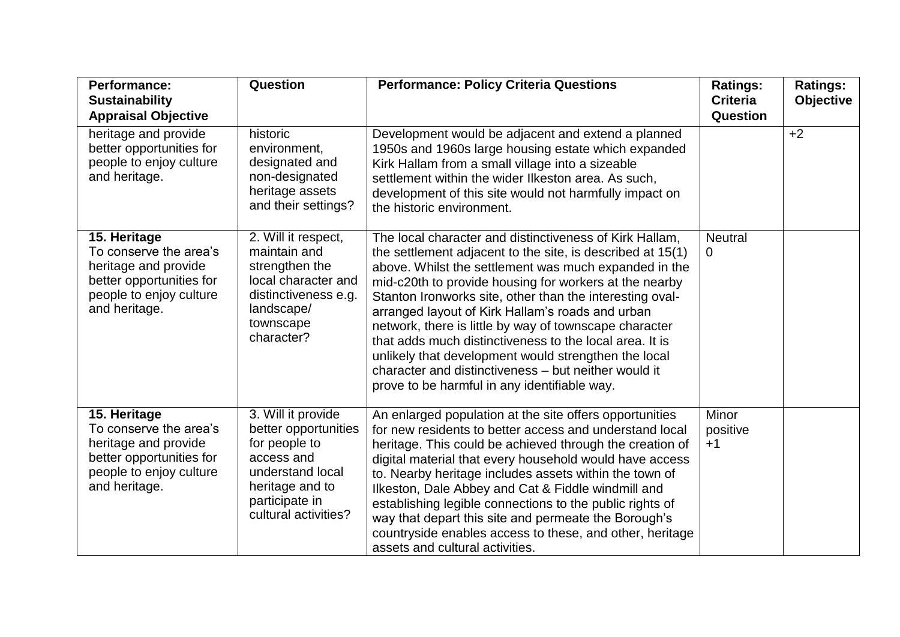| <b>Performance:</b><br><b>Sustainability</b><br><b>Appraisal Objective</b>                                                             | Question                                                                                                                                                   | <b>Performance: Policy Criteria Questions</b>                                                                                                                                                                                                                                                                                                                                                                                                                                                                                                                                                                                                 | <b>Ratings:</b><br><b>Criteria</b><br><b>Question</b> | <b>Ratings:</b><br><b>Objective</b> |
|----------------------------------------------------------------------------------------------------------------------------------------|------------------------------------------------------------------------------------------------------------------------------------------------------------|-----------------------------------------------------------------------------------------------------------------------------------------------------------------------------------------------------------------------------------------------------------------------------------------------------------------------------------------------------------------------------------------------------------------------------------------------------------------------------------------------------------------------------------------------------------------------------------------------------------------------------------------------|-------------------------------------------------------|-------------------------------------|
| heritage and provide<br>better opportunities for<br>people to enjoy culture<br>and heritage.                                           | historic<br>environment,<br>designated and<br>non-designated<br>heritage assets<br>and their settings?                                                     | Development would be adjacent and extend a planned<br>1950s and 1960s large housing estate which expanded<br>Kirk Hallam from a small village into a sizeable<br>settlement within the wider Ilkeston area. As such,<br>development of this site would not harmfully impact on<br>the historic environment.                                                                                                                                                                                                                                                                                                                                   |                                                       | $+2$                                |
| 15. Heritage<br>To conserve the area's<br>heritage and provide<br>better opportunities for<br>people to enjoy culture<br>and heritage. | 2. Will it respect,<br>maintain and<br>strengthen the<br>local character and<br>distinctiveness e.g.<br>landscape/<br>townscape<br>character?              | The local character and distinctiveness of Kirk Hallam,<br>the settlement adjacent to the site, is described at 15(1)<br>above. Whilst the settlement was much expanded in the<br>mid-c20th to provide housing for workers at the nearby<br>Stanton Ironworks site, other than the interesting oval-<br>arranged layout of Kirk Hallam's roads and urban<br>network, there is little by way of townscape character<br>that adds much distinctiveness to the local area. It is<br>unlikely that development would strengthen the local<br>character and distinctiveness – but neither would it<br>prove to be harmful in any identifiable way. | <b>Neutral</b><br>0                                   |                                     |
| 15. Heritage<br>To conserve the area's<br>heritage and provide<br>better opportunities for<br>people to enjoy culture<br>and heritage. | 3. Will it provide<br>better opportunities<br>for people to<br>access and<br>understand local<br>heritage and to<br>participate in<br>cultural activities? | An enlarged population at the site offers opportunities<br>for new residents to better access and understand local<br>heritage. This could be achieved through the creation of<br>digital material that every household would have access<br>to. Nearby heritage includes assets within the town of<br>Ilkeston, Dale Abbey and Cat & Fiddle windmill and<br>establishing legible connections to the public rights of<br>way that depart this site and permeate the Borough's<br>countryside enables access to these, and other, heritage<br>assets and cultural activities.                                                                  | Minor<br>positive<br>$+1$                             |                                     |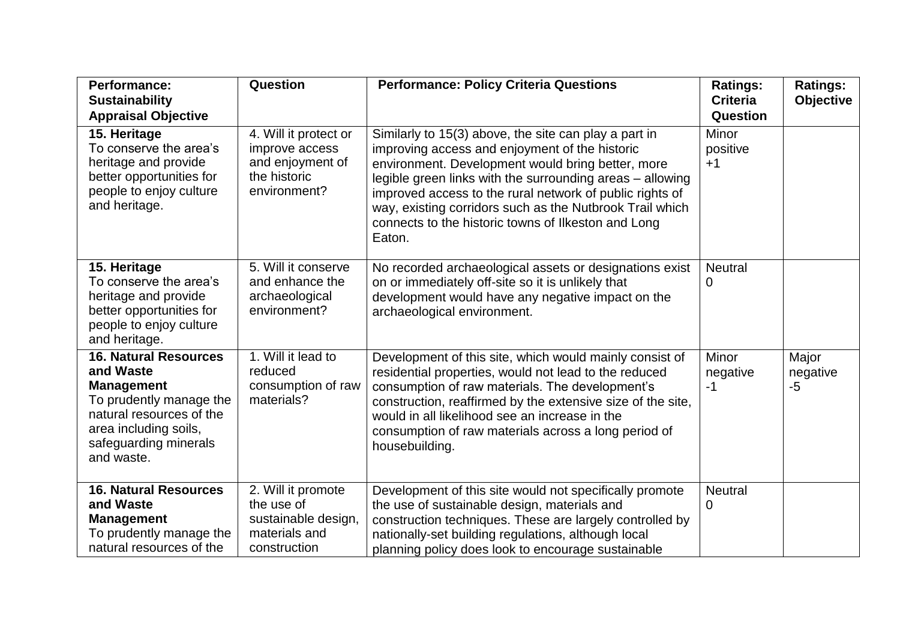| Performance:<br><b>Sustainability</b><br><b>Appraisal Objective</b>                                                                                                                   | Question                                                                                    | <b>Performance: Policy Criteria Questions</b>                                                                                                                                                                                                                                                                                                                                                                      | <b>Ratings:</b><br><b>Criteria</b><br>Question | <b>Ratings:</b><br><b>Objective</b> |
|---------------------------------------------------------------------------------------------------------------------------------------------------------------------------------------|---------------------------------------------------------------------------------------------|--------------------------------------------------------------------------------------------------------------------------------------------------------------------------------------------------------------------------------------------------------------------------------------------------------------------------------------------------------------------------------------------------------------------|------------------------------------------------|-------------------------------------|
| 15. Heritage<br>To conserve the area's<br>heritage and provide<br>better opportunities for<br>people to enjoy culture<br>and heritage.                                                | 4. Will it protect or<br>improve access<br>and enjoyment of<br>the historic<br>environment? | Similarly to 15(3) above, the site can play a part in<br>improving access and enjoyment of the historic<br>environment. Development would bring better, more<br>legible green links with the surrounding areas - allowing<br>improved access to the rural network of public rights of<br>way, existing corridors such as the Nutbrook Trail which<br>connects to the historic towns of Ilkeston and Long<br>Eaton. | Minor<br>positive<br>$+1$                      |                                     |
| 15. Heritage<br>To conserve the area's<br>heritage and provide<br>better opportunities for<br>people to enjoy culture<br>and heritage.                                                | 5. Will it conserve<br>and enhance the<br>archaeological<br>environment?                    | No recorded archaeological assets or designations exist<br>on or immediately off-site so it is unlikely that<br>development would have any negative impact on the<br>archaeological environment.                                                                                                                                                                                                                   | <b>Neutral</b><br>0                            |                                     |
| <b>16. Natural Resources</b><br>and Waste<br><b>Management</b><br>To prudently manage the<br>natural resources of the<br>area including soils,<br>safeguarding minerals<br>and waste. | 1. Will it lead to<br>reduced<br>consumption of raw<br>materials?                           | Development of this site, which would mainly consist of<br>residential properties, would not lead to the reduced<br>consumption of raw materials. The development's<br>construction, reaffirmed by the extensive size of the site,<br>would in all likelihood see an increase in the<br>consumption of raw materials across a long period of<br>housebuilding.                                                     | Minor<br>negative<br>-1                        | Major<br>negative<br>$-5$           |
| <b>16. Natural Resources</b><br>and Waste<br><b>Management</b><br>To prudently manage the<br>natural resources of the                                                                 | 2. Will it promote<br>the use of<br>sustainable design,<br>materials and<br>construction    | Development of this site would not specifically promote<br>the use of sustainable design, materials and<br>construction techniques. These are largely controlled by<br>nationally-set building regulations, although local<br>planning policy does look to encourage sustainable                                                                                                                                   | <b>Neutral</b><br>0                            |                                     |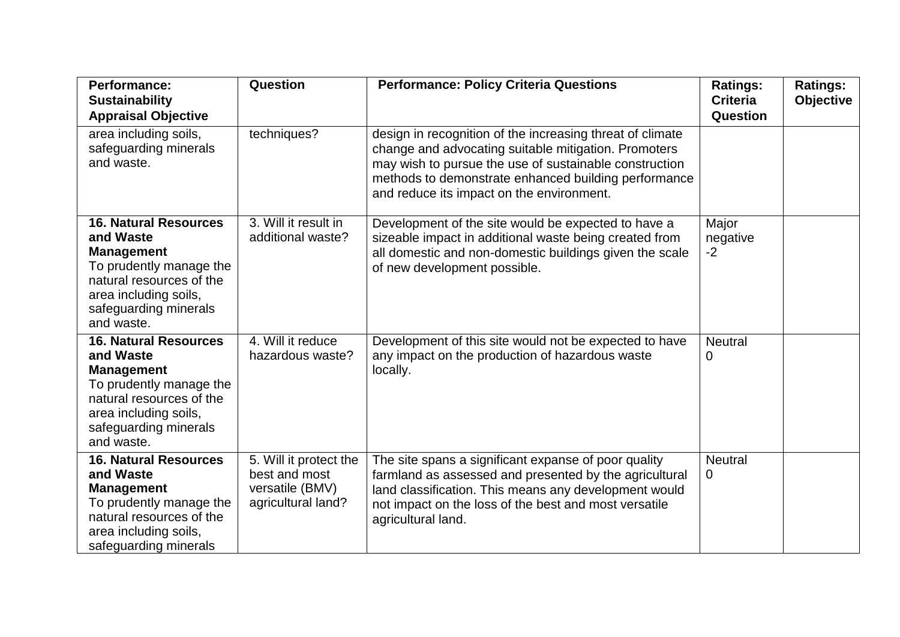| <b>Performance:</b><br><b>Sustainability</b><br><b>Appraisal Objective</b>                                                                                                            | Question                                                                         | <b>Performance: Policy Criteria Questions</b>                                                                                                                                                                                                                                    | <b>Ratings:</b><br><b>Criteria</b><br>Question | <b>Ratings:</b><br><b>Objective</b> |
|---------------------------------------------------------------------------------------------------------------------------------------------------------------------------------------|----------------------------------------------------------------------------------|----------------------------------------------------------------------------------------------------------------------------------------------------------------------------------------------------------------------------------------------------------------------------------|------------------------------------------------|-------------------------------------|
| area including soils,<br>safeguarding minerals<br>and waste.                                                                                                                          | techniques?                                                                      | design in recognition of the increasing threat of climate<br>change and advocating suitable mitigation. Promoters<br>may wish to pursue the use of sustainable construction<br>methods to demonstrate enhanced building performance<br>and reduce its impact on the environment. |                                                |                                     |
| <b>16. Natural Resources</b><br>and Waste<br><b>Management</b><br>To prudently manage the<br>natural resources of the<br>area including soils,<br>safeguarding minerals<br>and waste. | 3. Will it result in<br>additional waste?                                        | Development of the site would be expected to have a<br>sizeable impact in additional waste being created from<br>all domestic and non-domestic buildings given the scale<br>of new development possible.                                                                         | Major<br>negative<br>$-2$                      |                                     |
| <b>16. Natural Resources</b><br>and Waste<br><b>Management</b><br>To prudently manage the<br>natural resources of the<br>area including soils,<br>safeguarding minerals<br>and waste. | 4. Will it reduce<br>hazardous waste?                                            | Development of this site would not be expected to have<br>any impact on the production of hazardous waste<br>locally.                                                                                                                                                            | <b>Neutral</b><br>$\mathbf 0$                  |                                     |
| <b>16. Natural Resources</b><br>and Waste<br><b>Management</b><br>To prudently manage the<br>natural resources of the<br>area including soils,<br>safeguarding minerals               | 5. Will it protect the<br>best and most<br>versatile (BMV)<br>agricultural land? | The site spans a significant expanse of poor quality<br>farmland as assessed and presented by the agricultural<br>land classification. This means any development would<br>not impact on the loss of the best and most versatile<br>agricultural land.                           | <b>Neutral</b><br>$\Omega$                     |                                     |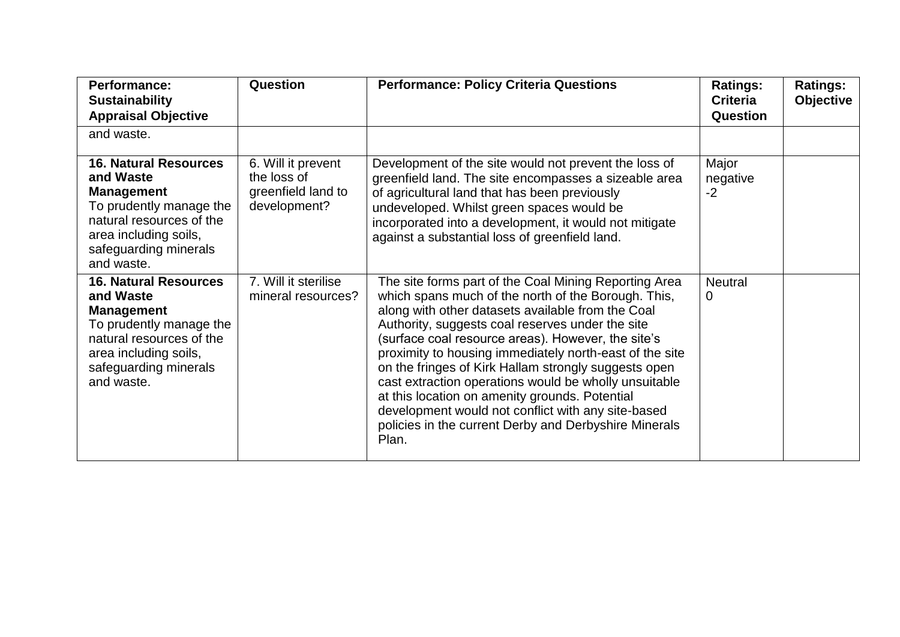| <b>Performance:</b><br><b>Sustainability</b>                                                                                                                                          | <b>Question</b>                                                         | <b>Performance: Policy Criteria Questions</b>                                                                                                                                                                                                                                                                                                                                                                                                                                                                                                                                                                                     | <b>Ratings:</b><br><b>Criteria</b> | <b>Ratings:</b><br><b>Objective</b> |
|---------------------------------------------------------------------------------------------------------------------------------------------------------------------------------------|-------------------------------------------------------------------------|-----------------------------------------------------------------------------------------------------------------------------------------------------------------------------------------------------------------------------------------------------------------------------------------------------------------------------------------------------------------------------------------------------------------------------------------------------------------------------------------------------------------------------------------------------------------------------------------------------------------------------------|------------------------------------|-------------------------------------|
| <b>Appraisal Objective</b>                                                                                                                                                            |                                                                         |                                                                                                                                                                                                                                                                                                                                                                                                                                                                                                                                                                                                                                   | Question                           |                                     |
| and waste.                                                                                                                                                                            |                                                                         |                                                                                                                                                                                                                                                                                                                                                                                                                                                                                                                                                                                                                                   |                                    |                                     |
| <b>16. Natural Resources</b><br>and Waste<br><b>Management</b><br>To prudently manage the<br>natural resources of the<br>area including soils,<br>safeguarding minerals<br>and waste. | 6. Will it prevent<br>the loss of<br>greenfield land to<br>development? | Development of the site would not prevent the loss of<br>greenfield land. The site encompasses a sizeable area<br>of agricultural land that has been previously<br>undeveloped. Whilst green spaces would be<br>incorporated into a development, it would not mitigate<br>against a substantial loss of greenfield land.                                                                                                                                                                                                                                                                                                          | Major<br>negative<br>$-2$          |                                     |
| <b>16. Natural Resources</b><br>and Waste<br><b>Management</b><br>To prudently manage the<br>natural resources of the<br>area including soils,<br>safeguarding minerals<br>and waste. | 7. Will it sterilise<br>mineral resources?                              | The site forms part of the Coal Mining Reporting Area<br>which spans much of the north of the Borough. This,<br>along with other datasets available from the Coal<br>Authority, suggests coal reserves under the site<br>(surface coal resource areas). However, the site's<br>proximity to housing immediately north-east of the site<br>on the fringes of Kirk Hallam strongly suggests open<br>cast extraction operations would be wholly unsuitable<br>at this location on amenity grounds. Potential<br>development would not conflict with any site-based<br>policies in the current Derby and Derbyshire Minerals<br>Plan. | <b>Neutral</b><br>$\Omega$         |                                     |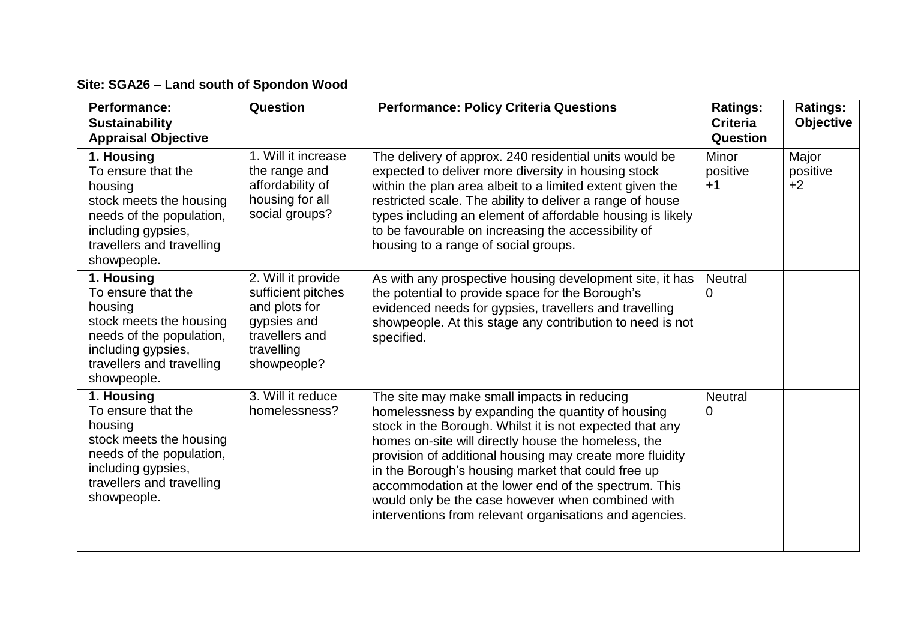## **Site: SGA26 – Land south of Spondon Wood**

| <b>Performance:</b><br><b>Sustainability</b><br><b>Appraisal Objective</b>                                                                                           | Question                                                                                                                | <b>Performance: Policy Criteria Questions</b>                                                                                                                                                                                                                                                                                                                                                                                                                                                                 | <b>Ratings:</b><br><b>Criteria</b><br>Question | <b>Ratings:</b><br><b>Objective</b> |
|----------------------------------------------------------------------------------------------------------------------------------------------------------------------|-------------------------------------------------------------------------------------------------------------------------|---------------------------------------------------------------------------------------------------------------------------------------------------------------------------------------------------------------------------------------------------------------------------------------------------------------------------------------------------------------------------------------------------------------------------------------------------------------------------------------------------------------|------------------------------------------------|-------------------------------------|
| 1. Housing<br>To ensure that the<br>housing<br>stock meets the housing<br>needs of the population,<br>including gypsies,<br>travellers and travelling<br>showpeople. | 1. Will it increase<br>the range and<br>affordability of<br>housing for all<br>social groups?                           | The delivery of approx. 240 residential units would be<br>expected to deliver more diversity in housing stock<br>within the plan area albeit to a limited extent given the<br>restricted scale. The ability to deliver a range of house<br>types including an element of affordable housing is likely<br>to be favourable on increasing the accessibility of<br>housing to a range of social groups.                                                                                                          | Minor<br>positive<br>$+1$                      | Major<br>positive<br>$+2$           |
| 1. Housing<br>To ensure that the<br>housing<br>stock meets the housing<br>needs of the population,<br>including gypsies,<br>travellers and travelling<br>showpeople. | 2. Will it provide<br>sufficient pitches<br>and plots for<br>gypsies and<br>travellers and<br>travelling<br>showpeople? | As with any prospective housing development site, it has<br>the potential to provide space for the Borough's<br>evidenced needs for gypsies, travellers and travelling<br>showpeople. At this stage any contribution to need is not<br>specified.                                                                                                                                                                                                                                                             | <b>Neutral</b><br>$\overline{0}$               |                                     |
| 1. Housing<br>To ensure that the<br>housing<br>stock meets the housing<br>needs of the population,<br>including gypsies,<br>travellers and travelling<br>showpeople. | 3. Will it reduce<br>homelessness?                                                                                      | The site may make small impacts in reducing<br>homelessness by expanding the quantity of housing<br>stock in the Borough. Whilst it is not expected that any<br>homes on-site will directly house the homeless, the<br>provision of additional housing may create more fluidity<br>in the Borough's housing market that could free up<br>accommodation at the lower end of the spectrum. This<br>would only be the case however when combined with<br>interventions from relevant organisations and agencies. | <b>Neutral</b><br>$\mathbf 0$                  |                                     |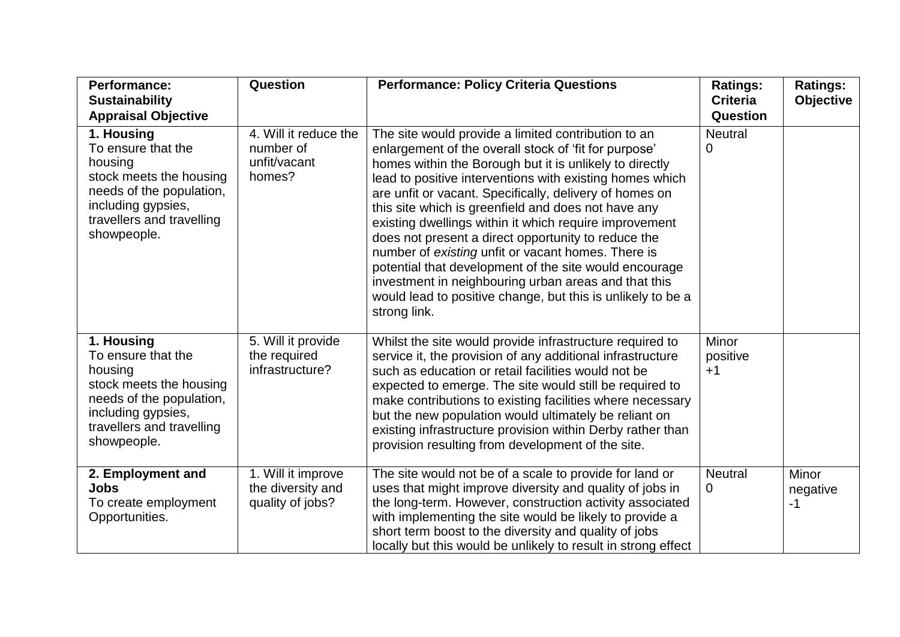| <b>Performance:</b><br><b>Sustainability</b>                                                                                                                                                       | Question                                                     | <b>Performance: Policy Criteria Questions</b>                                                                                                                                                                                                                                                                                                                                                                                                                                                                                                                                                                                                                                                                                 | <b>Ratings:</b><br><b>Criteria</b> | <b>Ratings:</b><br><b>Objective</b> |
|----------------------------------------------------------------------------------------------------------------------------------------------------------------------------------------------------|--------------------------------------------------------------|-------------------------------------------------------------------------------------------------------------------------------------------------------------------------------------------------------------------------------------------------------------------------------------------------------------------------------------------------------------------------------------------------------------------------------------------------------------------------------------------------------------------------------------------------------------------------------------------------------------------------------------------------------------------------------------------------------------------------------|------------------------------------|-------------------------------------|
| <b>Appraisal Objective</b><br>1. Housing<br>To ensure that the<br>housing<br>stock meets the housing<br>needs of the population,<br>including gypsies,<br>travellers and travelling<br>showpeople. | 4. Will it reduce the<br>number of<br>unfit/vacant<br>homes? | The site would provide a limited contribution to an<br>enlargement of the overall stock of 'fit for purpose'<br>homes within the Borough but it is unlikely to directly<br>lead to positive interventions with existing homes which<br>are unfit or vacant. Specifically, delivery of homes on<br>this site which is greenfield and does not have any<br>existing dwellings within it which require improvement<br>does not present a direct opportunity to reduce the<br>number of existing unfit or vacant homes. There is<br>potential that development of the site would encourage<br>investment in neighbouring urban areas and that this<br>would lead to positive change, but this is unlikely to be a<br>strong link. | Question<br><b>Neutral</b><br>0    |                                     |
| 1. Housing<br>To ensure that the<br>housing<br>stock meets the housing<br>needs of the population,<br>including gypsies,<br>travellers and travelling<br>showpeople.                               | 5. Will it provide<br>the required<br>infrastructure?        | Whilst the site would provide infrastructure required to<br>service it, the provision of any additional infrastructure<br>such as education or retail facilities would not be<br>expected to emerge. The site would still be required to<br>make contributions to existing facilities where necessary<br>but the new population would ultimately be reliant on<br>existing infrastructure provision within Derby rather than<br>provision resulting from development of the site.                                                                                                                                                                                                                                             | Minor<br>positive<br>$+1$          |                                     |
| 2. Employment and<br><b>Jobs</b><br>To create employment<br>Opportunities.                                                                                                                         | 1. Will it improve<br>the diversity and<br>quality of jobs?  | The site would not be of a scale to provide for land or<br>uses that might improve diversity and quality of jobs in<br>the long-term. However, construction activity associated<br>with implementing the site would be likely to provide a<br>short term boost to the diversity and quality of jobs<br>locally but this would be unlikely to result in strong effect                                                                                                                                                                                                                                                                                                                                                          | <b>Neutral</b><br>0                | Minor<br>negative<br>$-1$           |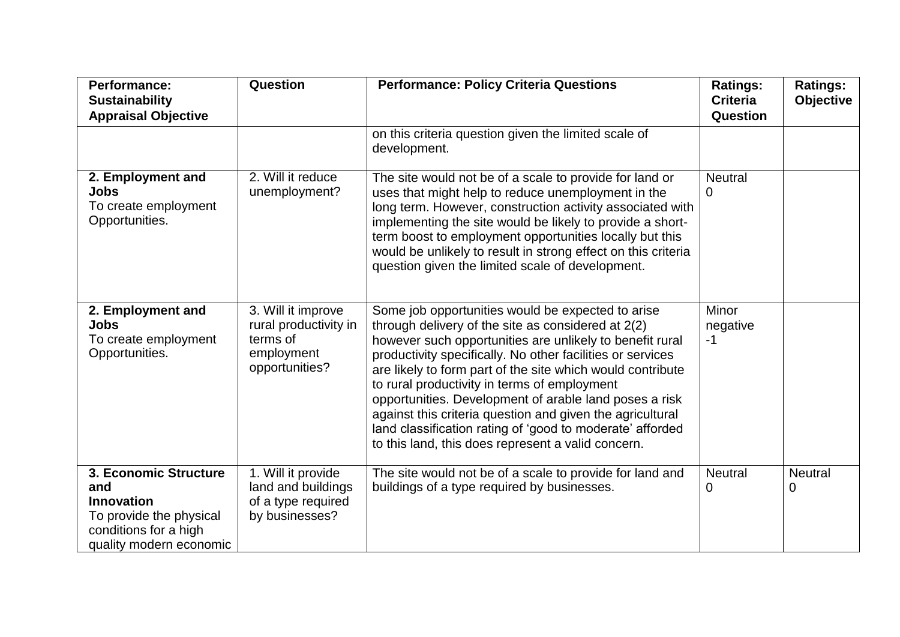| <b>Performance:</b><br><b>Sustainability</b><br><b>Appraisal Objective</b>                                                       | Question                                                                                | <b>Performance: Policy Criteria Questions</b>                                                                                                                                                                                                                                                                                                                                                                                                                                                                                                                                             | <b>Ratings:</b><br><b>Criteria</b><br>Question | <b>Ratings:</b><br><b>Objective</b> |
|----------------------------------------------------------------------------------------------------------------------------------|-----------------------------------------------------------------------------------------|-------------------------------------------------------------------------------------------------------------------------------------------------------------------------------------------------------------------------------------------------------------------------------------------------------------------------------------------------------------------------------------------------------------------------------------------------------------------------------------------------------------------------------------------------------------------------------------------|------------------------------------------------|-------------------------------------|
|                                                                                                                                  |                                                                                         | on this criteria question given the limited scale of<br>development.                                                                                                                                                                                                                                                                                                                                                                                                                                                                                                                      |                                                |                                     |
| 2. Employment and<br><b>Jobs</b><br>To create employment<br>Opportunities.                                                       | 2. Will it reduce<br>unemployment?                                                      | The site would not be of a scale to provide for land or<br>uses that might help to reduce unemployment in the<br>long term. However, construction activity associated with<br>implementing the site would be likely to provide a short-<br>term boost to employment opportunities locally but this<br>would be unlikely to result in strong effect on this criteria<br>question given the limited scale of development.                                                                                                                                                                   | <b>Neutral</b><br>0                            |                                     |
| 2. Employment and<br><b>Jobs</b><br>To create employment<br>Opportunities.                                                       | 3. Will it improve<br>rural productivity in<br>terms of<br>employment<br>opportunities? | Some job opportunities would be expected to arise<br>through delivery of the site as considered at 2(2)<br>however such opportunities are unlikely to benefit rural<br>productivity specifically. No other facilities or services<br>are likely to form part of the site which would contribute<br>to rural productivity in terms of employment<br>opportunities. Development of arable land poses a risk<br>against this criteria question and given the agricultural<br>land classification rating of 'good to moderate' afforded<br>to this land, this does represent a valid concern. | <b>Minor</b><br>negative<br>$-1$               |                                     |
| 3. Economic Structure<br>and<br><b>Innovation</b><br>To provide the physical<br>conditions for a high<br>quality modern economic | 1. Will it provide<br>land and buildings<br>of a type required<br>by businesses?        | The site would not be of a scale to provide for land and<br>buildings of a type required by businesses.                                                                                                                                                                                                                                                                                                                                                                                                                                                                                   | <b>Neutral</b><br>0                            | <b>Neutral</b><br>0                 |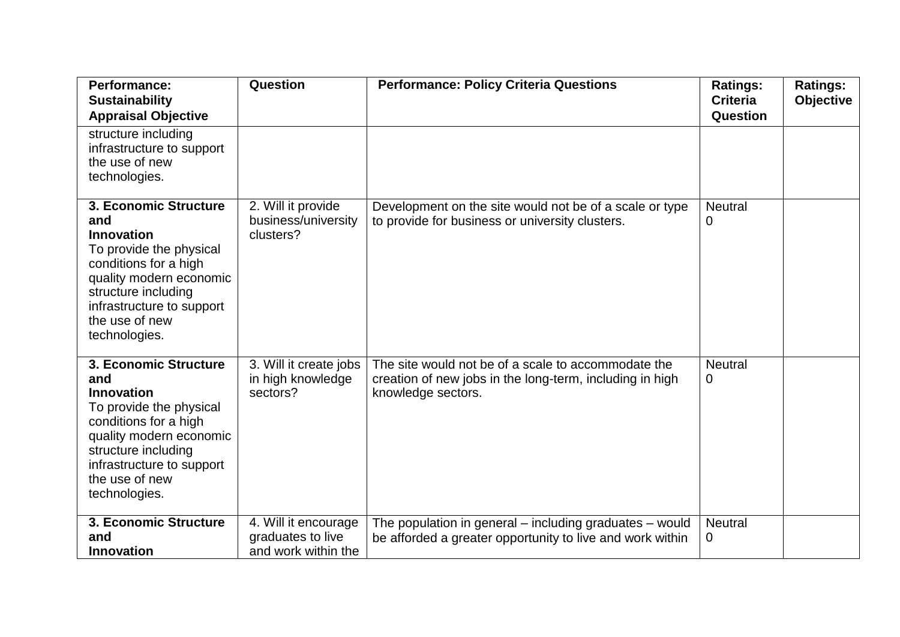| <b>Performance:</b><br><b>Sustainability</b><br><b>Appraisal Objective</b>                                                                                                                                              | Question                                                         | <b>Performance: Policy Criteria Questions</b>                                                                                         | <b>Ratings:</b><br><b>Criteria</b><br>Question | <b>Ratings:</b><br><b>Objective</b> |
|-------------------------------------------------------------------------------------------------------------------------------------------------------------------------------------------------------------------------|------------------------------------------------------------------|---------------------------------------------------------------------------------------------------------------------------------------|------------------------------------------------|-------------------------------------|
| structure including<br>infrastructure to support<br>the use of new<br>technologies.                                                                                                                                     |                                                                  |                                                                                                                                       |                                                |                                     |
| 3. Economic Structure<br>and<br><b>Innovation</b><br>To provide the physical<br>conditions for a high<br>quality modern economic<br>structure including<br>infrastructure to support<br>the use of new<br>technologies. | 2. Will it provide<br>business/university<br>clusters?           | Development on the site would not be of a scale or type<br>to provide for business or university clusters.                            | <b>Neutral</b><br>$\overline{0}$               |                                     |
| 3. Economic Structure<br>and<br><b>Innovation</b><br>To provide the physical<br>conditions for a high<br>quality modern economic<br>structure including<br>infrastructure to support<br>the use of new<br>technologies. | 3. Will it create jobs<br>in high knowledge<br>sectors?          | The site would not be of a scale to accommodate the<br>creation of new jobs in the long-term, including in high<br>knowledge sectors. | <b>Neutral</b><br>$\mathbf 0$                  |                                     |
| 3. Economic Structure<br>and<br><b>Innovation</b>                                                                                                                                                                       | 4. Will it encourage<br>graduates to live<br>and work within the | The population in general $-$ including graduates $-$ would<br>be afforded a greater opportunity to live and work within              | <b>Neutral</b><br>0                            |                                     |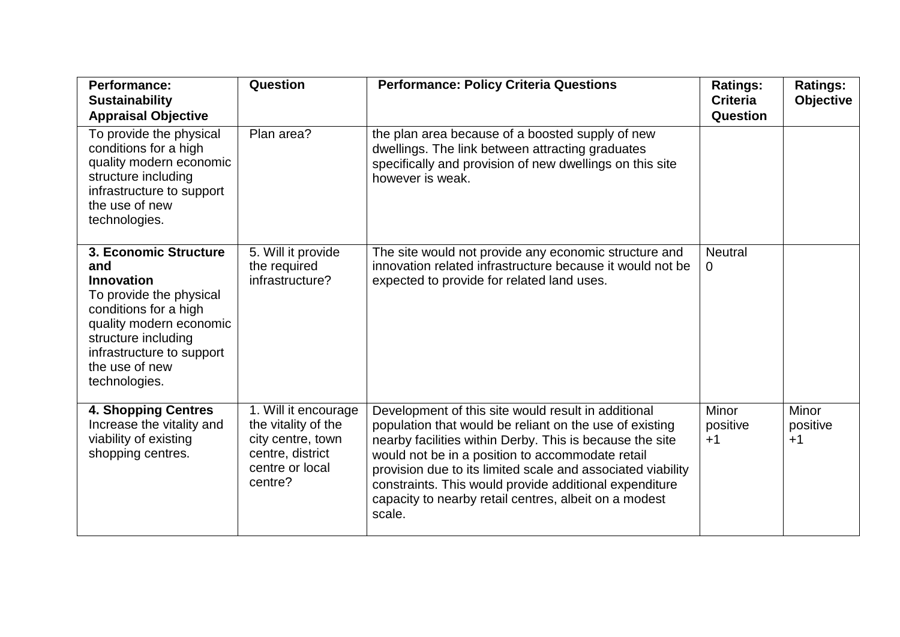| <b>Performance:</b><br><b>Sustainability</b><br><b>Appraisal Objective</b>                                                                                                                                              | Question                                                                                                           | <b>Performance: Policy Criteria Questions</b>                                                                                                                                                                                                                                                                                                                                                                              | <b>Ratings:</b><br><b>Criteria</b><br>Question | <b>Ratings:</b><br><b>Objective</b> |
|-------------------------------------------------------------------------------------------------------------------------------------------------------------------------------------------------------------------------|--------------------------------------------------------------------------------------------------------------------|----------------------------------------------------------------------------------------------------------------------------------------------------------------------------------------------------------------------------------------------------------------------------------------------------------------------------------------------------------------------------------------------------------------------------|------------------------------------------------|-------------------------------------|
| To provide the physical<br>conditions for a high<br>quality modern economic<br>structure including<br>infrastructure to support<br>the use of new<br>technologies.                                                      | Plan area?                                                                                                         | the plan area because of a boosted supply of new<br>dwellings. The link between attracting graduates<br>specifically and provision of new dwellings on this site<br>however is weak.                                                                                                                                                                                                                                       |                                                |                                     |
| 3. Economic Structure<br>and<br><b>Innovation</b><br>To provide the physical<br>conditions for a high<br>quality modern economic<br>structure including<br>infrastructure to support<br>the use of new<br>technologies. | 5. Will it provide<br>the required<br>infrastructure?                                                              | The site would not provide any economic structure and<br>innovation related infrastructure because it would not be<br>expected to provide for related land uses.                                                                                                                                                                                                                                                           | <b>Neutral</b><br>$\Omega$                     |                                     |
| <b>4. Shopping Centres</b><br>Increase the vitality and<br>viability of existing<br>shopping centres.                                                                                                                   | 1. Will it encourage<br>the vitality of the<br>city centre, town<br>centre, district<br>centre or local<br>centre? | Development of this site would result in additional<br>population that would be reliant on the use of existing<br>nearby facilities within Derby. This is because the site<br>would not be in a position to accommodate retail<br>provision due to its limited scale and associated viability<br>constraints. This would provide additional expenditure<br>capacity to nearby retail centres, albeit on a modest<br>scale. | Minor<br>positive<br>$+1$                      | Minor<br>positive<br>$+1$           |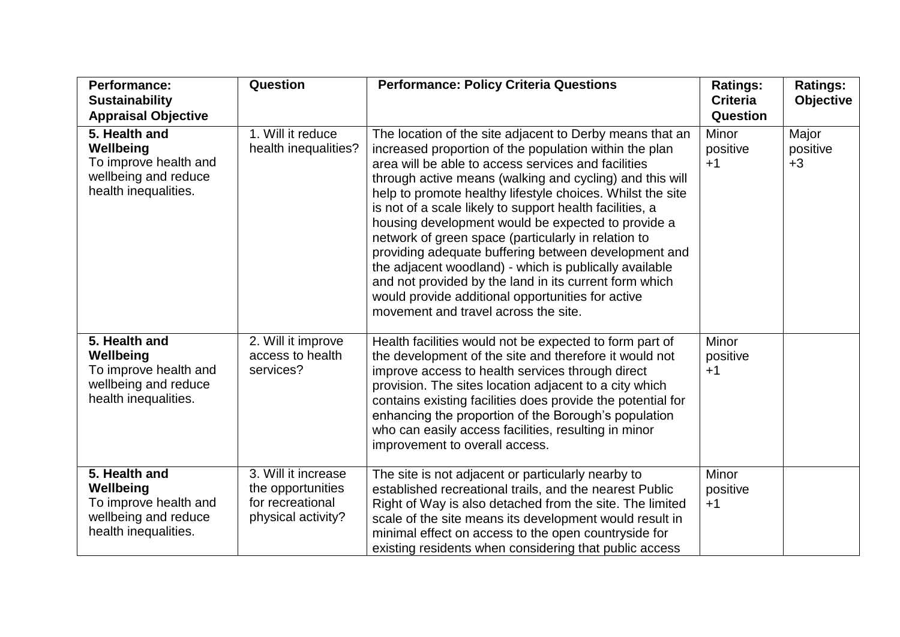| <b>Performance:</b><br><b>Sustainability</b><br><b>Appraisal Objective</b>                          | Question                                                                           | <b>Performance: Policy Criteria Questions</b>                                                                                                                                                                                                                                                                                                                                                                                                                                                                                                                                                                                                                                                                                                         | <b>Ratings:</b><br><b>Criteria</b><br>Question | <b>Ratings:</b><br><b>Objective</b> |
|-----------------------------------------------------------------------------------------------------|------------------------------------------------------------------------------------|-------------------------------------------------------------------------------------------------------------------------------------------------------------------------------------------------------------------------------------------------------------------------------------------------------------------------------------------------------------------------------------------------------------------------------------------------------------------------------------------------------------------------------------------------------------------------------------------------------------------------------------------------------------------------------------------------------------------------------------------------------|------------------------------------------------|-------------------------------------|
| 5. Health and<br>Wellbeing<br>To improve health and<br>wellbeing and reduce<br>health inequalities. | 1. Will it reduce<br>health inequalities?                                          | The location of the site adjacent to Derby means that an<br>increased proportion of the population within the plan<br>area will be able to access services and facilities<br>through active means (walking and cycling) and this will<br>help to promote healthy lifestyle choices. Whilst the site<br>is not of a scale likely to support health facilities, a<br>housing development would be expected to provide a<br>network of green space (particularly in relation to<br>providing adequate buffering between development and<br>the adjacent woodland) - which is publically available<br>and not provided by the land in its current form which<br>would provide additional opportunities for active<br>movement and travel across the site. | Minor<br>positive<br>$+1$                      | Major<br>positive<br>$+3$           |
| 5. Health and<br>Wellbeing<br>To improve health and<br>wellbeing and reduce<br>health inequalities. | 2. Will it improve<br>access to health<br>services?                                | Health facilities would not be expected to form part of<br>the development of the site and therefore it would not<br>improve access to health services through direct<br>provision. The sites location adjacent to a city which<br>contains existing facilities does provide the potential for<br>enhancing the proportion of the Borough's population<br>who can easily access facilities, resulting in minor<br>improvement to overall access.                                                                                                                                                                                                                                                                                                      | <b>Minor</b><br>positive<br>$+1$               |                                     |
| 5. Health and<br>Wellbeing<br>To improve health and<br>wellbeing and reduce<br>health inequalities. | 3. Will it increase<br>the opportunities<br>for recreational<br>physical activity? | The site is not adjacent or particularly nearby to<br>established recreational trails, and the nearest Public<br>Right of Way is also detached from the site. The limited<br>scale of the site means its development would result in<br>minimal effect on access to the open countryside for<br>existing residents when considering that public access                                                                                                                                                                                                                                                                                                                                                                                                | <b>Minor</b><br>positive<br>$+1$               |                                     |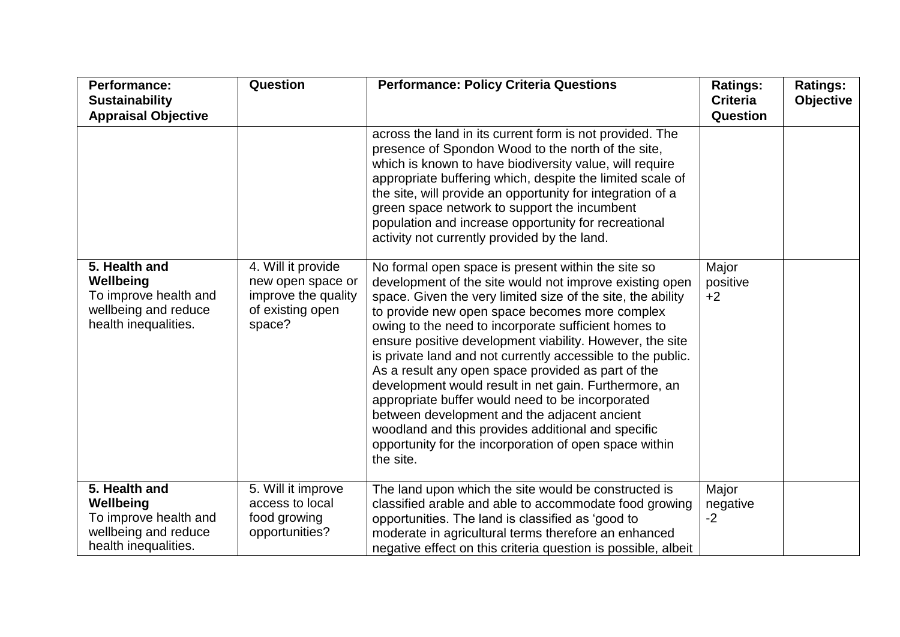| <b>Performance:</b><br><b>Sustainability</b><br><b>Appraisal Objective</b>                          | Question                                                                                     | <b>Performance: Policy Criteria Questions</b>                                                                                                                                                                                                                                                                                                                                                                                                                                                                                                                                                                                                                                                                                                                     | <b>Ratings:</b><br><b>Criteria</b><br>Question | <b>Ratings:</b><br><b>Objective</b> |
|-----------------------------------------------------------------------------------------------------|----------------------------------------------------------------------------------------------|-------------------------------------------------------------------------------------------------------------------------------------------------------------------------------------------------------------------------------------------------------------------------------------------------------------------------------------------------------------------------------------------------------------------------------------------------------------------------------------------------------------------------------------------------------------------------------------------------------------------------------------------------------------------------------------------------------------------------------------------------------------------|------------------------------------------------|-------------------------------------|
|                                                                                                     |                                                                                              | across the land in its current form is not provided. The<br>presence of Spondon Wood to the north of the site,<br>which is known to have biodiversity value, will require<br>appropriate buffering which, despite the limited scale of<br>the site, will provide an opportunity for integration of a<br>green space network to support the incumbent<br>population and increase opportunity for recreational<br>activity not currently provided by the land.                                                                                                                                                                                                                                                                                                      |                                                |                                     |
| 5. Health and<br>Wellbeing<br>To improve health and<br>wellbeing and reduce<br>health inequalities. | 4. Will it provide<br>new open space or<br>improve the quality<br>of existing open<br>space? | No formal open space is present within the site so<br>development of the site would not improve existing open<br>space. Given the very limited size of the site, the ability<br>to provide new open space becomes more complex<br>owing to the need to incorporate sufficient homes to<br>ensure positive development viability. However, the site<br>is private land and not currently accessible to the public.<br>As a result any open space provided as part of the<br>development would result in net gain. Furthermore, an<br>appropriate buffer would need to be incorporated<br>between development and the adjacent ancient<br>woodland and this provides additional and specific<br>opportunity for the incorporation of open space within<br>the site. | Major<br>positive<br>$+2$                      |                                     |
| 5. Health and<br>Wellbeing<br>To improve health and<br>wellbeing and reduce<br>health inequalities. | 5. Will it improve<br>access to local<br>food growing<br>opportunities?                      | The land upon which the site would be constructed is<br>classified arable and able to accommodate food growing<br>opportunities. The land is classified as 'good to<br>moderate in agricultural terms therefore an enhanced<br>negative effect on this criteria question is possible, albeit                                                                                                                                                                                                                                                                                                                                                                                                                                                                      | Major<br>negative<br>$-2$                      |                                     |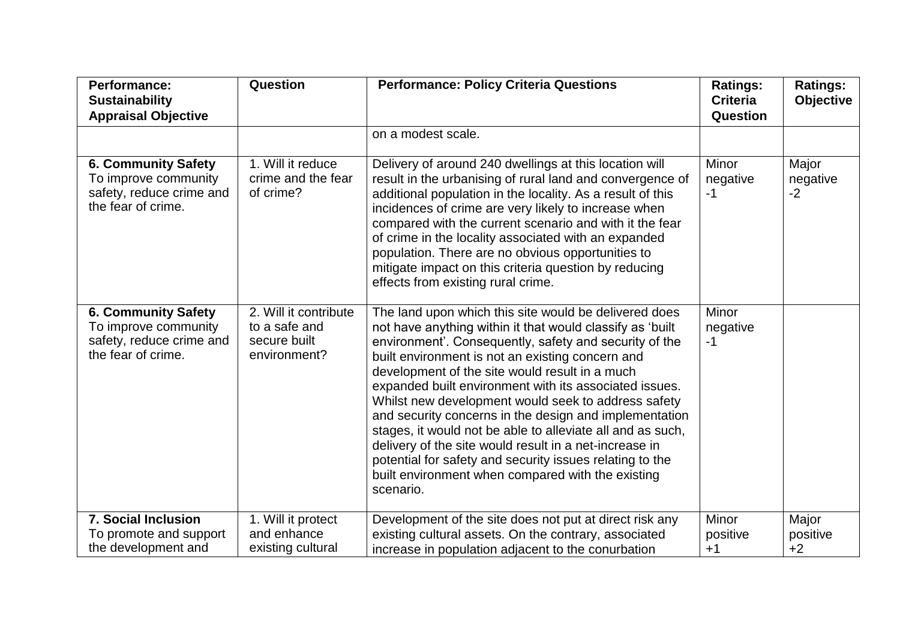| <b>Performance:</b><br><b>Sustainability</b><br><b>Appraisal Objective</b>                           | Question                                                               | <b>Performance: Policy Criteria Questions</b>                                                                                                                                                                                                                                                                                                                                                                                                                                                                                                                                                                                                                                                                       | <b>Ratings:</b><br><b>Criteria</b><br>Question | <b>Ratings:</b><br><b>Objective</b> |
|------------------------------------------------------------------------------------------------------|------------------------------------------------------------------------|---------------------------------------------------------------------------------------------------------------------------------------------------------------------------------------------------------------------------------------------------------------------------------------------------------------------------------------------------------------------------------------------------------------------------------------------------------------------------------------------------------------------------------------------------------------------------------------------------------------------------------------------------------------------------------------------------------------------|------------------------------------------------|-------------------------------------|
|                                                                                                      |                                                                        | on a modest scale.                                                                                                                                                                                                                                                                                                                                                                                                                                                                                                                                                                                                                                                                                                  |                                                |                                     |
| <b>6. Community Safety</b><br>To improve community<br>safety, reduce crime and<br>the fear of crime. | 1. Will it reduce<br>crime and the fear<br>of crime?                   | Delivery of around 240 dwellings at this location will<br>result in the urbanising of rural land and convergence of<br>additional population in the locality. As a result of this<br>incidences of crime are very likely to increase when<br>compared with the current scenario and with it the fear<br>of crime in the locality associated with an expanded<br>population. There are no obvious opportunities to<br>mitigate impact on this criteria question by reducing<br>effects from existing rural crime.                                                                                                                                                                                                    | Minor<br>negative<br>-1                        | Major<br>negative<br>$-2$           |
| <b>6. Community Safety</b><br>To improve community<br>safety, reduce crime and<br>the fear of crime. | 2. Will it contribute<br>to a safe and<br>secure built<br>environment? | The land upon which this site would be delivered does<br>not have anything within it that would classify as 'built<br>environment'. Consequently, safety and security of the<br>built environment is not an existing concern and<br>development of the site would result in a much<br>expanded built environment with its associated issues.<br>Whilst new development would seek to address safety<br>and security concerns in the design and implementation<br>stages, it would not be able to alleviate all and as such,<br>delivery of the site would result in a net-increase in<br>potential for safety and security issues relating to the<br>built environment when compared with the existing<br>scenario. | Minor<br>negative<br>$-1$                      |                                     |
| <b>7. Social Inclusion</b><br>To promote and support                                                 | 1. Will it protect<br>and enhance                                      | Development of the site does not put at direct risk any<br>existing cultural assets. On the contrary, associated                                                                                                                                                                                                                                                                                                                                                                                                                                                                                                                                                                                                    | Minor<br>positive                              | Major<br>positive                   |
| the development and                                                                                  | existing cultural                                                      | increase in population adjacent to the conurbation                                                                                                                                                                                                                                                                                                                                                                                                                                                                                                                                                                                                                                                                  | $+1$                                           | $+2$                                |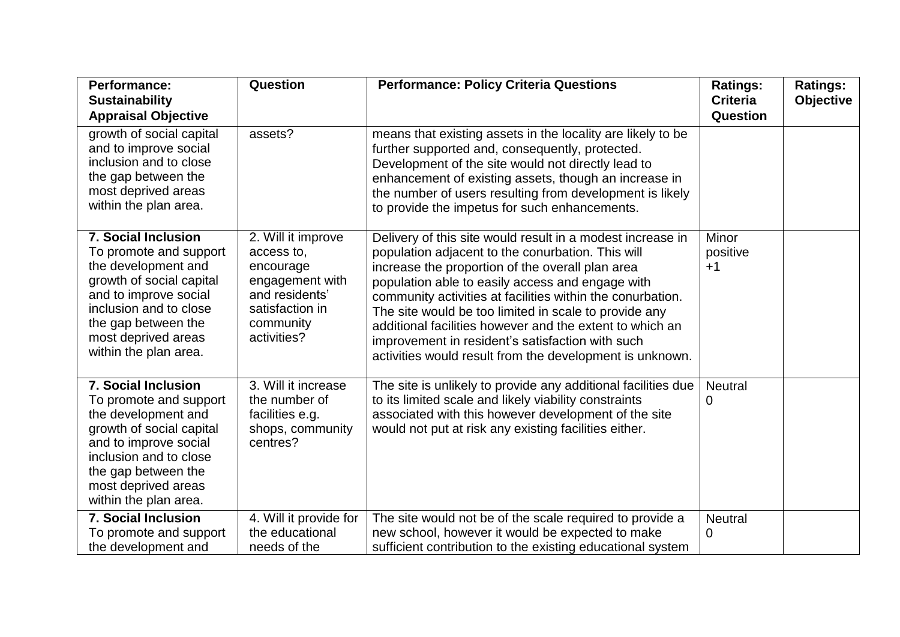| <b>Performance:</b><br><b>Sustainability</b>                                                                                                                                                                                      | Question                                                                                                                          | <b>Performance: Policy Criteria Questions</b>                                                                                                                                                                                                                                                                                                                                                                                                                                                                              | <b>Ratings:</b><br><b>Criteria</b> | <b>Ratings:</b><br>Objective |
|-----------------------------------------------------------------------------------------------------------------------------------------------------------------------------------------------------------------------------------|-----------------------------------------------------------------------------------------------------------------------------------|----------------------------------------------------------------------------------------------------------------------------------------------------------------------------------------------------------------------------------------------------------------------------------------------------------------------------------------------------------------------------------------------------------------------------------------------------------------------------------------------------------------------------|------------------------------------|------------------------------|
| <b>Appraisal Objective</b><br>growth of social capital<br>and to improve social<br>inclusion and to close<br>the gap between the<br>most deprived areas<br>within the plan area.                                                  | assets?                                                                                                                           | means that existing assets in the locality are likely to be<br>further supported and, consequently, protected.<br>Development of the site would not directly lead to<br>enhancement of existing assets, though an increase in<br>the number of users resulting from development is likely<br>to provide the impetus for such enhancements.                                                                                                                                                                                 | <b>Question</b>                    |                              |
| <b>7. Social Inclusion</b><br>To promote and support<br>the development and<br>growth of social capital<br>and to improve social<br>inclusion and to close<br>the gap between the<br>most deprived areas<br>within the plan area. | 2. Will it improve<br>access to,<br>encourage<br>engagement with<br>and residents'<br>satisfaction in<br>community<br>activities? | Delivery of this site would result in a modest increase in<br>population adjacent to the conurbation. This will<br>increase the proportion of the overall plan area<br>population able to easily access and engage with<br>community activities at facilities within the conurbation.<br>The site would be too limited in scale to provide any<br>additional facilities however and the extent to which an<br>improvement in resident's satisfaction with such<br>activities would result from the development is unknown. | <b>Minor</b><br>positive<br>$+1$   |                              |
| <b>7. Social Inclusion</b><br>To promote and support<br>the development and<br>growth of social capital<br>and to improve social<br>inclusion and to close<br>the gap between the<br>most deprived areas<br>within the plan area. | 3. Will it increase<br>the number of<br>facilities e.g.<br>shops, community<br>centres?                                           | The site is unlikely to provide any additional facilities due<br>to its limited scale and likely viability constraints<br>associated with this however development of the site<br>would not put at risk any existing facilities either.                                                                                                                                                                                                                                                                                    | <b>Neutral</b><br>$\mathbf 0$      |                              |
| <b>7. Social Inclusion</b><br>To promote and support<br>the development and                                                                                                                                                       | 4. Will it provide for<br>the educational<br>needs of the                                                                         | The site would not be of the scale required to provide a<br>new school, however it would be expected to make<br>sufficient contribution to the existing educational system                                                                                                                                                                                                                                                                                                                                                 | <b>Neutral</b><br>0                |                              |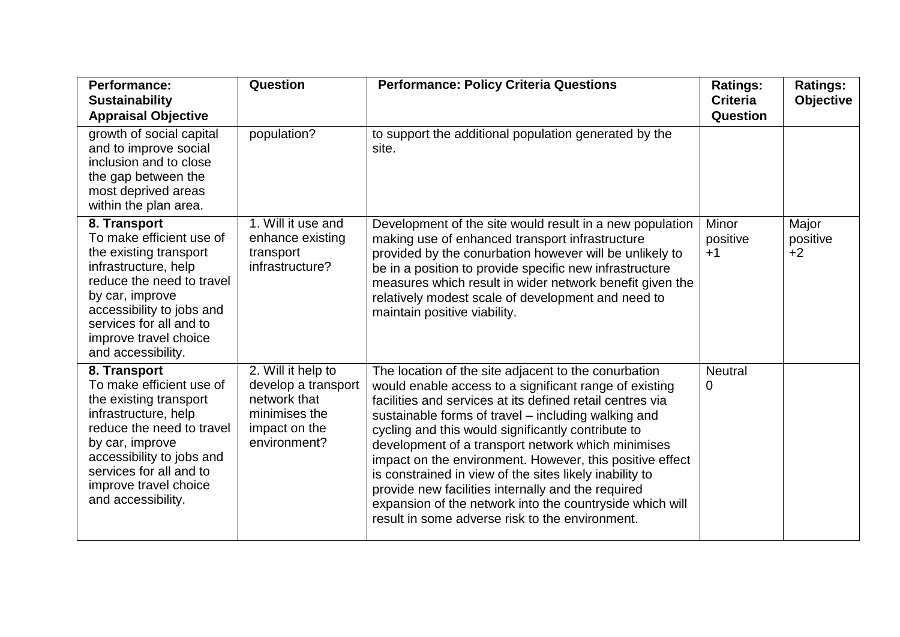| <b>Performance:</b><br><b>Sustainability</b><br><b>Appraisal Objective</b>                                                                                                                                                                        | Question                                                                                                    | <b>Performance: Policy Criteria Questions</b>                                                                                                                                                                                                                                                                                                                                                                                                                                                                                                                                                                                              | <b>Ratings:</b><br><b>Criteria</b><br>Question | <b>Ratings:</b><br><b>Objective</b> |
|---------------------------------------------------------------------------------------------------------------------------------------------------------------------------------------------------------------------------------------------------|-------------------------------------------------------------------------------------------------------------|--------------------------------------------------------------------------------------------------------------------------------------------------------------------------------------------------------------------------------------------------------------------------------------------------------------------------------------------------------------------------------------------------------------------------------------------------------------------------------------------------------------------------------------------------------------------------------------------------------------------------------------------|------------------------------------------------|-------------------------------------|
| growth of social capital<br>and to improve social<br>inclusion and to close<br>the gap between the<br>most deprived areas<br>within the plan area.                                                                                                | population?                                                                                                 | to support the additional population generated by the<br>site.                                                                                                                                                                                                                                                                                                                                                                                                                                                                                                                                                                             |                                                |                                     |
| 8. Transport<br>To make efficient use of<br>the existing transport<br>infrastructure, help<br>reduce the need to travel<br>by car, improve<br>accessibility to jobs and<br>services for all and to<br>improve travel choice<br>and accessibility. | 1. Will it use and<br>enhance existing<br>transport<br>infrastructure?                                      | Development of the site would result in a new population<br>making use of enhanced transport infrastructure<br>provided by the conurbation however will be unlikely to<br>be in a position to provide specific new infrastructure<br>measures which result in wider network benefit given the<br>relatively modest scale of development and need to<br>maintain positive viability.                                                                                                                                                                                                                                                        | Minor<br>positive<br>$+1$                      | Major<br>positive<br>$+2$           |
| 8. Transport<br>To make efficient use of<br>the existing transport<br>infrastructure, help<br>reduce the need to travel<br>by car, improve<br>accessibility to jobs and<br>services for all and to<br>improve travel choice<br>and accessibility. | 2. Will it help to<br>develop a transport<br>network that<br>minimises the<br>impact on the<br>environment? | The location of the site adjacent to the conurbation<br>would enable access to a significant range of existing<br>facilities and services at its defined retail centres via<br>sustainable forms of travel – including walking and<br>cycling and this would significantly contribute to<br>development of a transport network which minimises<br>impact on the environment. However, this positive effect<br>is constrained in view of the sites likely inability to<br>provide new facilities internally and the required<br>expansion of the network into the countryside which will<br>result in some adverse risk to the environment. | <b>Neutral</b><br>0                            |                                     |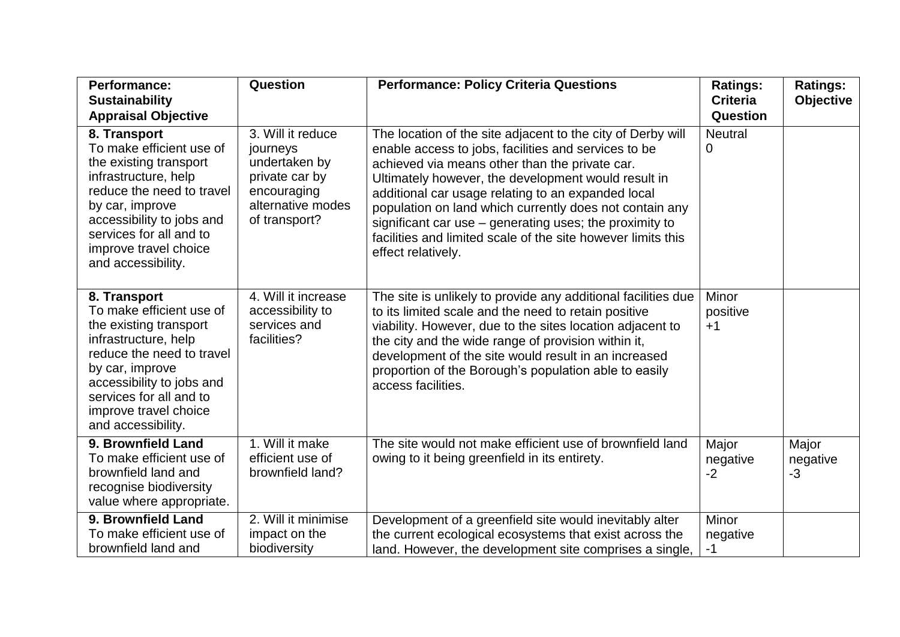| <b>Performance:</b><br><b>Sustainability</b>                                                                                                                                                                                                      | Question                                                                                                              | <b>Performance: Policy Criteria Questions</b>                                                                                                                                                                                                                                                                                                                                                                                                                                                    | <b>Ratings:</b><br><b>Criteria</b> | <b>Ratings:</b><br><b>Objective</b> |
|---------------------------------------------------------------------------------------------------------------------------------------------------------------------------------------------------------------------------------------------------|-----------------------------------------------------------------------------------------------------------------------|--------------------------------------------------------------------------------------------------------------------------------------------------------------------------------------------------------------------------------------------------------------------------------------------------------------------------------------------------------------------------------------------------------------------------------------------------------------------------------------------------|------------------------------------|-------------------------------------|
| <b>Appraisal Objective</b>                                                                                                                                                                                                                        |                                                                                                                       |                                                                                                                                                                                                                                                                                                                                                                                                                                                                                                  | Question                           |                                     |
| 8. Transport<br>To make efficient use of<br>the existing transport<br>infrastructure, help<br>reduce the need to travel<br>by car, improve<br>accessibility to jobs and<br>services for all and to<br>improve travel choice<br>and accessibility. | 3. Will it reduce<br>journeys<br>undertaken by<br>private car by<br>encouraging<br>alternative modes<br>of transport? | The location of the site adjacent to the city of Derby will<br>enable access to jobs, facilities and services to be<br>achieved via means other than the private car.<br>Ultimately however, the development would result in<br>additional car usage relating to an expanded local<br>population on land which currently does not contain any<br>significant car use $-$ generating uses; the proximity to<br>facilities and limited scale of the site however limits this<br>effect relatively. | <b>Neutral</b><br>0                |                                     |
| 8. Transport<br>To make efficient use of<br>the existing transport<br>infrastructure, help<br>reduce the need to travel<br>by car, improve<br>accessibility to jobs and<br>services for all and to<br>improve travel choice<br>and accessibility. | 4. Will it increase<br>accessibility to<br>services and<br>facilities?                                                | The site is unlikely to provide any additional facilities due<br>to its limited scale and the need to retain positive<br>viability. However, due to the sites location adjacent to<br>the city and the wide range of provision within it,<br>development of the site would result in an increased<br>proportion of the Borough's population able to easily<br>access facilities.                                                                                                                 | Minor<br>positive<br>$+1$          |                                     |
| 9. Brownfield Land<br>To make efficient use of<br>brownfield land and<br>recognise biodiversity<br>value where appropriate.                                                                                                                       | 1. Will it make<br>efficient use of<br>brownfield land?                                                               | The site would not make efficient use of brownfield land<br>owing to it being greenfield in its entirety.                                                                                                                                                                                                                                                                                                                                                                                        | Major<br>negative<br>$-2$          | Major<br>negative<br>$-3$           |
| 9. Brownfield Land<br>To make efficient use of<br>brownfield land and                                                                                                                                                                             | 2. Will it minimise<br>impact on the<br>biodiversity                                                                  | Development of a greenfield site would inevitably alter<br>the current ecological ecosystems that exist across the<br>land. However, the development site comprises a single,                                                                                                                                                                                                                                                                                                                    | Minor<br>negative<br>$-1$          |                                     |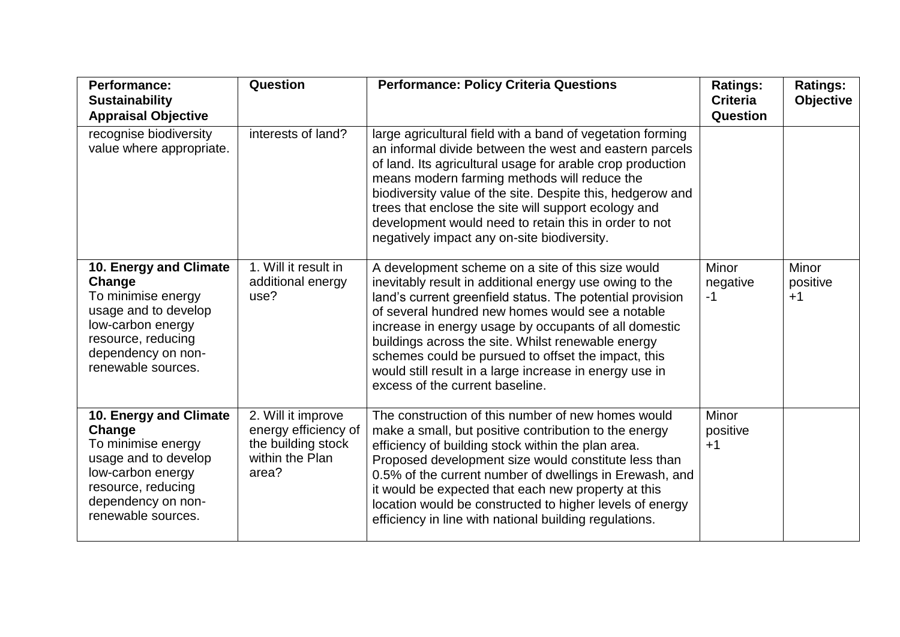| <b>Performance:</b><br><b>Sustainability</b>                                                                                                                          | Question                                                                                     | <b>Performance: Policy Criteria Questions</b>                                                                                                                                                                                                                                                                                                                                                                                                                                                     | <b>Ratings:</b><br><b>Criteria</b> | <b>Ratings:</b><br><b>Objective</b> |
|-----------------------------------------------------------------------------------------------------------------------------------------------------------------------|----------------------------------------------------------------------------------------------|---------------------------------------------------------------------------------------------------------------------------------------------------------------------------------------------------------------------------------------------------------------------------------------------------------------------------------------------------------------------------------------------------------------------------------------------------------------------------------------------------|------------------------------------|-------------------------------------|
| <b>Appraisal Objective</b>                                                                                                                                            |                                                                                              |                                                                                                                                                                                                                                                                                                                                                                                                                                                                                                   | Question                           |                                     |
| recognise biodiversity<br>value where appropriate.                                                                                                                    | interests of land?                                                                           | large agricultural field with a band of vegetation forming<br>an informal divide between the west and eastern parcels<br>of land. Its agricultural usage for arable crop production<br>means modern farming methods will reduce the<br>biodiversity value of the site. Despite this, hedgerow and<br>trees that enclose the site will support ecology and<br>development would need to retain this in order to not<br>negatively impact any on-site biodiversity.                                 |                                    |                                     |
| 10. Energy and Climate<br>Change<br>To minimise energy<br>usage and to develop<br>low-carbon energy<br>resource, reducing<br>dependency on non-<br>renewable sources. | 1. Will it result in<br>additional energy<br>use?                                            | A development scheme on a site of this size would<br>inevitably result in additional energy use owing to the<br>land's current greenfield status. The potential provision<br>of several hundred new homes would see a notable<br>increase in energy usage by occupants of all domestic<br>buildings across the site. Whilst renewable energy<br>schemes could be pursued to offset the impact, this<br>would still result in a large increase in energy use in<br>excess of the current baseline. | Minor<br>negative<br>$-1$          | Minor<br>positive<br>$+1$           |
| 10. Energy and Climate<br>Change<br>To minimise energy<br>usage and to develop<br>low-carbon energy<br>resource, reducing<br>dependency on non-<br>renewable sources. | 2. Will it improve<br>energy efficiency of<br>the building stock<br>within the Plan<br>area? | The construction of this number of new homes would<br>make a small, but positive contribution to the energy<br>efficiency of building stock within the plan area.<br>Proposed development size would constitute less than<br>0.5% of the current number of dwellings in Erewash, and<br>it would be expected that each new property at this<br>location would be constructed to higher levels of energy<br>efficiency in line with national building regulations.                                 | Minor<br>positive<br>$+1$          |                                     |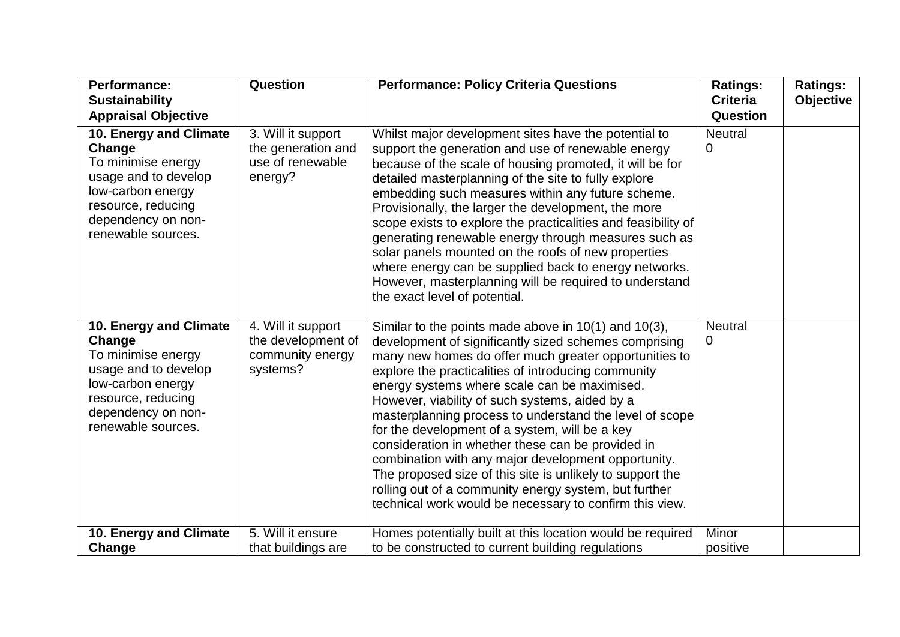| Performance:<br><b>Sustainability</b>                                                                                                                                 | Question                                                                 | <b>Performance: Policy Criteria Questions</b>                                                                                                                                                                                                                                                                                                                                                                                                                                                                                                                                                                                                                                                                                                  | <b>Ratings:</b><br><b>Criteria</b> | <b>Ratings:</b><br>Objective |
|-----------------------------------------------------------------------------------------------------------------------------------------------------------------------|--------------------------------------------------------------------------|------------------------------------------------------------------------------------------------------------------------------------------------------------------------------------------------------------------------------------------------------------------------------------------------------------------------------------------------------------------------------------------------------------------------------------------------------------------------------------------------------------------------------------------------------------------------------------------------------------------------------------------------------------------------------------------------------------------------------------------------|------------------------------------|------------------------------|
| <b>Appraisal Objective</b>                                                                                                                                            |                                                                          |                                                                                                                                                                                                                                                                                                                                                                                                                                                                                                                                                                                                                                                                                                                                                | <b>Question</b>                    |                              |
| 10. Energy and Climate<br>Change<br>To minimise energy<br>usage and to develop<br>low-carbon energy<br>resource, reducing<br>dependency on non-<br>renewable sources. | 3. Will it support<br>the generation and<br>use of renewable<br>energy?  | Whilst major development sites have the potential to<br>support the generation and use of renewable energy<br>because of the scale of housing promoted, it will be for<br>detailed masterplanning of the site to fully explore<br>embedding such measures within any future scheme.<br>Provisionally, the larger the development, the more<br>scope exists to explore the practicalities and feasibility of<br>generating renewable energy through measures such as<br>solar panels mounted on the roofs of new properties<br>where energy can be supplied back to energy networks.<br>However, masterplanning will be required to understand<br>the exact level of potential.                                                                 | <b>Neutral</b><br>0                |                              |
| 10. Energy and Climate<br>Change<br>To minimise energy<br>usage and to develop<br>low-carbon energy<br>resource, reducing<br>dependency on non-<br>renewable sources. | 4. Will it support<br>the development of<br>community energy<br>systems? | Similar to the points made above in $10(1)$ and $10(3)$ ,<br>development of significantly sized schemes comprising<br>many new homes do offer much greater opportunities to<br>explore the practicalities of introducing community<br>energy systems where scale can be maximised.<br>However, viability of such systems, aided by a<br>masterplanning process to understand the level of scope<br>for the development of a system, will be a key<br>consideration in whether these can be provided in<br>combination with any major development opportunity.<br>The proposed size of this site is unlikely to support the<br>rolling out of a community energy system, but further<br>technical work would be necessary to confirm this view. | <b>Neutral</b><br>0                |                              |
| 10. Energy and Climate<br>Change                                                                                                                                      | 5. Will it ensure<br>that buildings are                                  | Homes potentially built at this location would be required<br>to be constructed to current building regulations                                                                                                                                                                                                                                                                                                                                                                                                                                                                                                                                                                                                                                | Minor<br>positive                  |                              |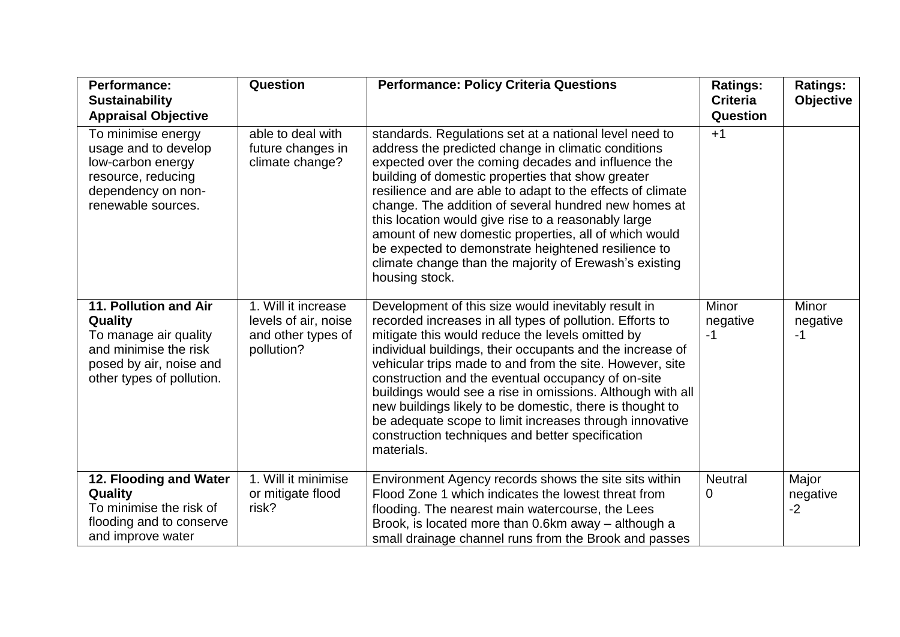| <b>Performance:</b><br><b>Sustainability</b><br><b>Appraisal Objective</b>                                                                 | Question                                                                        | <b>Performance: Policy Criteria Questions</b>                                                                                                                                                                                                                                                                                                                                                                                                                                                                                                                                                             | <b>Ratings:</b><br><b>Criteria</b><br><b>Question</b> | <b>Ratings:</b><br><b>Objective</b> |
|--------------------------------------------------------------------------------------------------------------------------------------------|---------------------------------------------------------------------------------|-----------------------------------------------------------------------------------------------------------------------------------------------------------------------------------------------------------------------------------------------------------------------------------------------------------------------------------------------------------------------------------------------------------------------------------------------------------------------------------------------------------------------------------------------------------------------------------------------------------|-------------------------------------------------------|-------------------------------------|
| To minimise energy<br>usage and to develop<br>low-carbon energy<br>resource, reducing<br>dependency on non-<br>renewable sources.          | able to deal with<br>future changes in<br>climate change?                       | standards. Regulations set at a national level need to<br>address the predicted change in climatic conditions<br>expected over the coming decades and influence the<br>building of domestic properties that show greater<br>resilience and are able to adapt to the effects of climate<br>change. The addition of several hundred new homes at<br>this location would give rise to a reasonably large<br>amount of new domestic properties, all of which would<br>be expected to demonstrate heightened resilience to<br>climate change than the majority of Erewash's existing<br>housing stock.         | $+1$                                                  |                                     |
| 11. Pollution and Air<br>Quality<br>To manage air quality<br>and minimise the risk<br>posed by air, noise and<br>other types of pollution. | 1. Will it increase<br>levels of air, noise<br>and other types of<br>pollution? | Development of this size would inevitably result in<br>recorded increases in all types of pollution. Efforts to<br>mitigate this would reduce the levels omitted by<br>individual buildings, their occupants and the increase of<br>vehicular trips made to and from the site. However, site<br>construction and the eventual occupancy of on-site<br>buildings would see a rise in omissions. Although with all<br>new buildings likely to be domestic, there is thought to<br>be adequate scope to limit increases through innovative<br>construction techniques and better specification<br>materials. | Minor<br>negative<br>-1                               | Minor<br>negative<br>$-1$           |
| 12. Flooding and Water<br>Quality<br>To minimise the risk of<br>flooding and to conserve<br>and improve water                              | 1. Will it minimise<br>or mitigate flood<br>risk?                               | Environment Agency records shows the site sits within<br>Flood Zone 1 which indicates the lowest threat from<br>flooding. The nearest main watercourse, the Lees<br>Brook, is located more than 0.6km away - although a<br>small drainage channel runs from the Brook and passes                                                                                                                                                                                                                                                                                                                          | <b>Neutral</b><br>0                                   | Major<br>negative<br>$-2$           |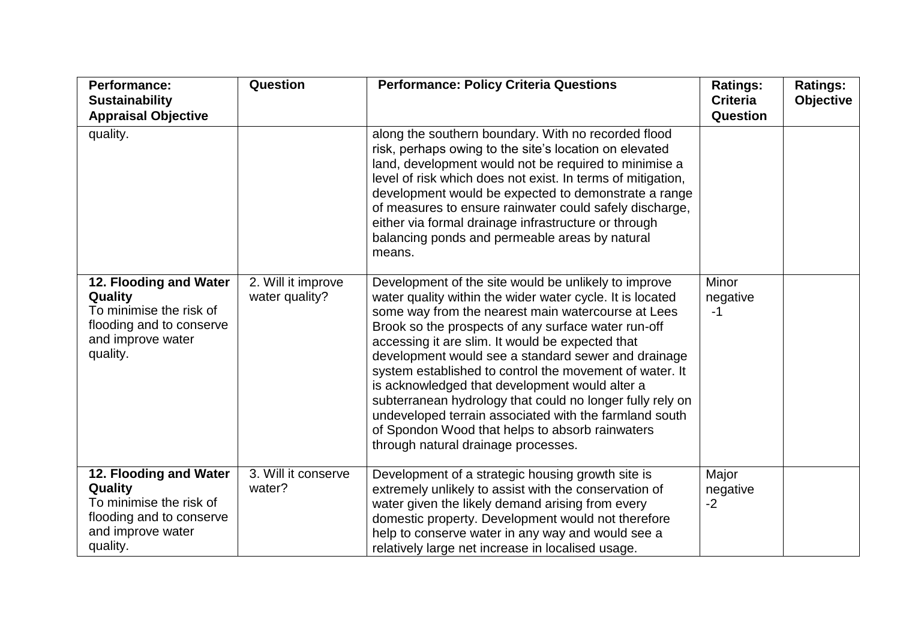| <b>Performance:</b><br><b>Sustainability</b><br><b>Appraisal Objective</b>                                                | Question                             | <b>Performance: Policy Criteria Questions</b>                                                                                                                                                                                                                                                                                                                                                                                                                                                                                                                                                                                                                           | <b>Ratings:</b><br><b>Criteria</b><br><b>Question</b> | <b>Ratings:</b><br><b>Objective</b> |
|---------------------------------------------------------------------------------------------------------------------------|--------------------------------------|-------------------------------------------------------------------------------------------------------------------------------------------------------------------------------------------------------------------------------------------------------------------------------------------------------------------------------------------------------------------------------------------------------------------------------------------------------------------------------------------------------------------------------------------------------------------------------------------------------------------------------------------------------------------------|-------------------------------------------------------|-------------------------------------|
| quality.                                                                                                                  |                                      | along the southern boundary. With no recorded flood<br>risk, perhaps owing to the site's location on elevated<br>land, development would not be required to minimise a<br>level of risk which does not exist. In terms of mitigation,<br>development would be expected to demonstrate a range<br>of measures to ensure rainwater could safely discharge,<br>either via formal drainage infrastructure or through<br>balancing ponds and permeable areas by natural<br>means.                                                                                                                                                                                            |                                                       |                                     |
| 12. Flooding and Water<br>Quality<br>To minimise the risk of<br>flooding and to conserve<br>and improve water<br>quality. | 2. Will it improve<br>water quality? | Development of the site would be unlikely to improve<br>water quality within the wider water cycle. It is located<br>some way from the nearest main watercourse at Lees<br>Brook so the prospects of any surface water run-off<br>accessing it are slim. It would be expected that<br>development would see a standard sewer and drainage<br>system established to control the movement of water. It<br>is acknowledged that development would alter a<br>subterranean hydrology that could no longer fully rely on<br>undeveloped terrain associated with the farmland south<br>of Spondon Wood that helps to absorb rainwaters<br>through natural drainage processes. | <b>Minor</b><br>negative<br>$-1$                      |                                     |
| 12. Flooding and Water<br>Quality<br>To minimise the risk of<br>flooding and to conserve<br>and improve water<br>quality. | 3. Will it conserve<br>water?        | Development of a strategic housing growth site is<br>extremely unlikely to assist with the conservation of<br>water given the likely demand arising from every<br>domestic property. Development would not therefore<br>help to conserve water in any way and would see a<br>relatively large net increase in localised usage.                                                                                                                                                                                                                                                                                                                                          | Major<br>negative<br>$-2$                             |                                     |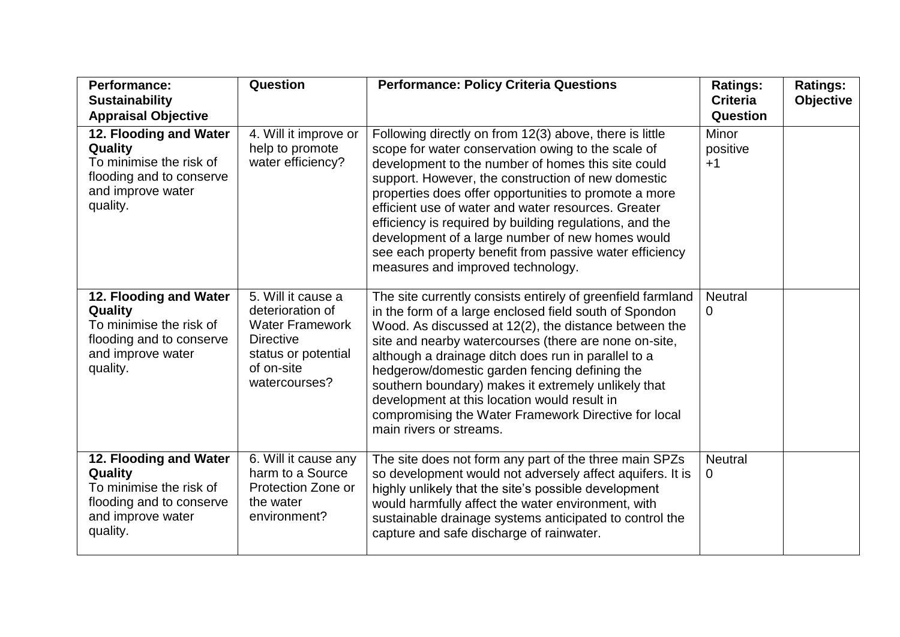| <b>Performance:</b><br><b>Sustainability</b><br><b>Appraisal Objective</b>                                                | Question                                                                                                                                   | <b>Performance: Policy Criteria Questions</b>                                                                                                                                                                                                                                                                                                                                                                                                                                                                                                            | <b>Ratings:</b><br><b>Criteria</b><br>Question | <b>Ratings:</b><br><b>Objective</b> |
|---------------------------------------------------------------------------------------------------------------------------|--------------------------------------------------------------------------------------------------------------------------------------------|----------------------------------------------------------------------------------------------------------------------------------------------------------------------------------------------------------------------------------------------------------------------------------------------------------------------------------------------------------------------------------------------------------------------------------------------------------------------------------------------------------------------------------------------------------|------------------------------------------------|-------------------------------------|
| 12. Flooding and Water<br>Quality<br>To minimise the risk of<br>flooding and to conserve<br>and improve water<br>quality. | 4. Will it improve or<br>help to promote<br>water efficiency?                                                                              | Following directly on from 12(3) above, there is little<br>scope for water conservation owing to the scale of<br>development to the number of homes this site could<br>support. However, the construction of new domestic<br>properties does offer opportunities to promote a more<br>efficient use of water and water resources. Greater<br>efficiency is required by building regulations, and the<br>development of a large number of new homes would<br>see each property benefit from passive water efficiency<br>measures and improved technology. | Minor<br>positive<br>$+1$                      |                                     |
| 12. Flooding and Water<br>Quality<br>To minimise the risk of<br>flooding and to conserve<br>and improve water<br>quality. | 5. Will it cause a<br>deterioration of<br><b>Water Framework</b><br><b>Directive</b><br>status or potential<br>of on-site<br>watercourses? | The site currently consists entirely of greenfield farmland<br>in the form of a large enclosed field south of Spondon<br>Wood. As discussed at 12(2), the distance between the<br>site and nearby watercourses (there are none on-site,<br>although a drainage ditch does run in parallel to a<br>hedgerow/domestic garden fencing defining the<br>southern boundary) makes it extremely unlikely that<br>development at this location would result in<br>compromising the Water Framework Directive for local<br>main rivers or streams.                | <b>Neutral</b><br>$\mathbf 0$                  |                                     |
| 12. Flooding and Water<br>Quality<br>To minimise the risk of<br>flooding and to conserve<br>and improve water<br>quality. | 6. Will it cause any<br>harm to a Source<br>Protection Zone or<br>the water<br>environment?                                                | The site does not form any part of the three main SPZs<br>so development would not adversely affect aquifers. It is<br>highly unlikely that the site's possible development<br>would harmfully affect the water environment, with<br>sustainable drainage systems anticipated to control the<br>capture and safe discharge of rainwater.                                                                                                                                                                                                                 | <b>Neutral</b><br>$\mathbf 0$                  |                                     |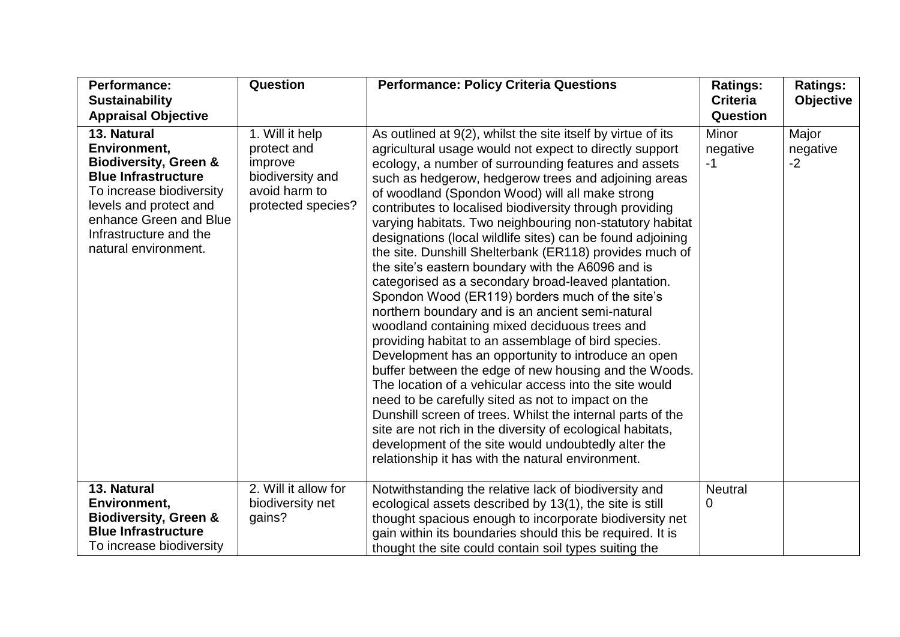| <b>Performance:</b><br><b>Sustainability</b><br><b>Appraisal Objective</b>                                                                                                                                                      | Question                                                                                             | <b>Performance: Policy Criteria Questions</b>                                                                                                                                                                                                                                                                                                                                                                                                                                                                                                                                                                                                                                                                                                                                                                                                                                                                                                                                                                                                                                                                                                                                                                                                                                                                                                 | <b>Ratings:</b><br><b>Criteria</b><br>Question | <b>Ratings:</b><br><b>Objective</b> |
|---------------------------------------------------------------------------------------------------------------------------------------------------------------------------------------------------------------------------------|------------------------------------------------------------------------------------------------------|-----------------------------------------------------------------------------------------------------------------------------------------------------------------------------------------------------------------------------------------------------------------------------------------------------------------------------------------------------------------------------------------------------------------------------------------------------------------------------------------------------------------------------------------------------------------------------------------------------------------------------------------------------------------------------------------------------------------------------------------------------------------------------------------------------------------------------------------------------------------------------------------------------------------------------------------------------------------------------------------------------------------------------------------------------------------------------------------------------------------------------------------------------------------------------------------------------------------------------------------------------------------------------------------------------------------------------------------------|------------------------------------------------|-------------------------------------|
| 13. Natural<br>Environment,<br><b>Biodiversity, Green &amp;</b><br><b>Blue Infrastructure</b><br>To increase biodiversity<br>levels and protect and<br>enhance Green and Blue<br>Infrastructure and the<br>natural environment. | 1. Will it help<br>protect and<br>improve<br>biodiversity and<br>avoid harm to<br>protected species? | As outlined at 9(2), whilst the site itself by virtue of its<br>agricultural usage would not expect to directly support<br>ecology, a number of surrounding features and assets<br>such as hedgerow, hedgerow trees and adjoining areas<br>of woodland (Spondon Wood) will all make strong<br>contributes to localised biodiversity through providing<br>varying habitats. Two neighbouring non-statutory habitat<br>designations (local wildlife sites) can be found adjoining<br>the site. Dunshill Shelterbank (ER118) provides much of<br>the site's eastern boundary with the A6096 and is<br>categorised as a secondary broad-leaved plantation.<br>Spondon Wood (ER119) borders much of the site's<br>northern boundary and is an ancient semi-natural<br>woodland containing mixed deciduous trees and<br>providing habitat to an assemblage of bird species.<br>Development has an opportunity to introduce an open<br>buffer between the edge of new housing and the Woods.<br>The location of a vehicular access into the site would<br>need to be carefully sited as not to impact on the<br>Dunshill screen of trees. Whilst the internal parts of the<br>site are not rich in the diversity of ecological habitats,<br>development of the site would undoubtedly alter the<br>relationship it has with the natural environment. | Minor<br>negative<br>$-1$                      | Major<br>negative<br>$-2$           |
| 13. Natural<br>Environment,<br><b>Biodiversity, Green &amp;</b><br><b>Blue Infrastructure</b><br>To increase biodiversity                                                                                                       | 2. Will it allow for<br>biodiversity net<br>gains?                                                   | Notwithstanding the relative lack of biodiversity and<br>ecological assets described by 13(1), the site is still<br>thought spacious enough to incorporate biodiversity net<br>gain within its boundaries should this be required. It is<br>thought the site could contain soil types suiting the                                                                                                                                                                                                                                                                                                                                                                                                                                                                                                                                                                                                                                                                                                                                                                                                                                                                                                                                                                                                                                             | <b>Neutral</b><br>0                            |                                     |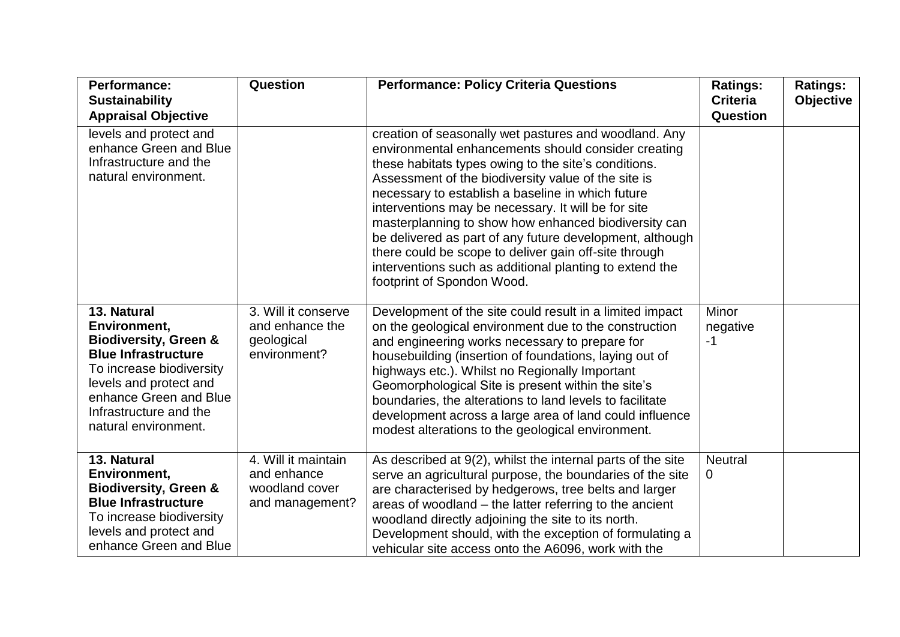| <b>Performance:</b><br><b>Sustainability</b><br><b>Appraisal Objective</b>                                                                                                                                                      | Question                                                                | <b>Performance: Policy Criteria Questions</b>                                                                                                                                                                                                                                                                                                                                                                                                                                                                                                                                                                 | <b>Ratings:</b><br><b>Criteria</b><br><b>Question</b> | <b>Ratings:</b><br>Objective |
|---------------------------------------------------------------------------------------------------------------------------------------------------------------------------------------------------------------------------------|-------------------------------------------------------------------------|---------------------------------------------------------------------------------------------------------------------------------------------------------------------------------------------------------------------------------------------------------------------------------------------------------------------------------------------------------------------------------------------------------------------------------------------------------------------------------------------------------------------------------------------------------------------------------------------------------------|-------------------------------------------------------|------------------------------|
| levels and protect and<br>enhance Green and Blue<br>Infrastructure and the<br>natural environment.                                                                                                                              |                                                                         | creation of seasonally wet pastures and woodland. Any<br>environmental enhancements should consider creating<br>these habitats types owing to the site's conditions.<br>Assessment of the biodiversity value of the site is<br>necessary to establish a baseline in which future<br>interventions may be necessary. It will be for site<br>masterplanning to show how enhanced biodiversity can<br>be delivered as part of any future development, although<br>there could be scope to deliver gain off-site through<br>interventions such as additional planting to extend the<br>footprint of Spondon Wood. |                                                       |                              |
| 13. Natural<br>Environment,<br><b>Biodiversity, Green &amp;</b><br><b>Blue Infrastructure</b><br>To increase biodiversity<br>levels and protect and<br>enhance Green and Blue<br>Infrastructure and the<br>natural environment. | 3. Will it conserve<br>and enhance the<br>geological<br>environment?    | Development of the site could result in a limited impact<br>on the geological environment due to the construction<br>and engineering works necessary to prepare for<br>housebuilding (insertion of foundations, laying out of<br>highways etc.). Whilst no Regionally Important<br>Geomorphological Site is present within the site's<br>boundaries, the alterations to land levels to facilitate<br>development across a large area of land could influence<br>modest alterations to the geological environment.                                                                                             | Minor<br>negative<br>-1                               |                              |
| 13. Natural<br>Environment,<br><b>Biodiversity, Green &amp;</b><br><b>Blue Infrastructure</b><br>To increase biodiversity<br>levels and protect and<br>enhance Green and Blue                                                   | 4. Will it maintain<br>and enhance<br>woodland cover<br>and management? | As described at 9(2), whilst the internal parts of the site<br>serve an agricultural purpose, the boundaries of the site<br>are characterised by hedgerows, tree belts and larger<br>areas of woodland - the latter referring to the ancient<br>woodland directly adjoining the site to its north.<br>Development should, with the exception of formulating a<br>vehicular site access onto the A6096, work with the                                                                                                                                                                                          | <b>Neutral</b><br>$\mathbf 0$                         |                              |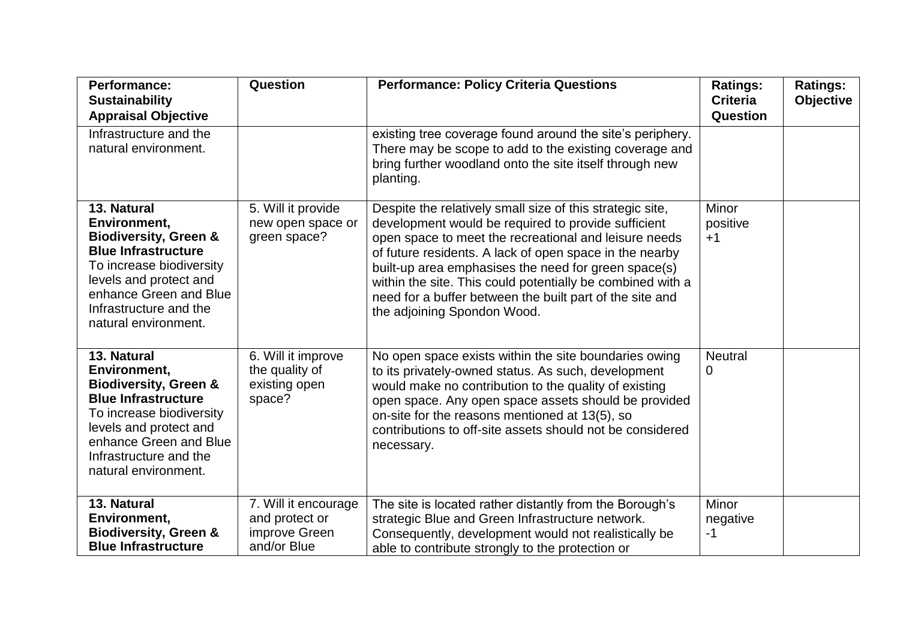| Performance:<br><b>Sustainability</b><br><b>Appraisal Objective</b>                                                                                                                                                             | Question                                                               | <b>Performance: Policy Criteria Questions</b>                                                                                                                                                                                                                                                                                                                                                                                                         | <b>Ratings:</b><br><b>Criteria</b><br><b>Question</b> | <b>Ratings:</b><br>Objective |
|---------------------------------------------------------------------------------------------------------------------------------------------------------------------------------------------------------------------------------|------------------------------------------------------------------------|-------------------------------------------------------------------------------------------------------------------------------------------------------------------------------------------------------------------------------------------------------------------------------------------------------------------------------------------------------------------------------------------------------------------------------------------------------|-------------------------------------------------------|------------------------------|
| Infrastructure and the<br>natural environment.                                                                                                                                                                                  |                                                                        | existing tree coverage found around the site's periphery.<br>There may be scope to add to the existing coverage and<br>bring further woodland onto the site itself through new<br>planting.                                                                                                                                                                                                                                                           |                                                       |                              |
| 13. Natural<br>Environment,<br><b>Biodiversity, Green &amp;</b><br><b>Blue Infrastructure</b><br>To increase biodiversity<br>levels and protect and<br>enhance Green and Blue<br>Infrastructure and the<br>natural environment. | 5. Will it provide<br>new open space or<br>green space?                | Despite the relatively small size of this strategic site,<br>development would be required to provide sufficient<br>open space to meet the recreational and leisure needs<br>of future residents. A lack of open space in the nearby<br>built-up area emphasises the need for green space(s)<br>within the site. This could potentially be combined with a<br>need for a buffer between the built part of the site and<br>the adjoining Spondon Wood. | Minor<br>positive<br>$+1$                             |                              |
| 13. Natural<br>Environment,<br><b>Biodiversity, Green &amp;</b><br><b>Blue Infrastructure</b><br>To increase biodiversity<br>levels and protect and<br>enhance Green and Blue<br>Infrastructure and the<br>natural environment. | 6. Will it improve<br>the quality of<br>existing open<br>space?        | No open space exists within the site boundaries owing<br>to its privately-owned status. As such, development<br>would make no contribution to the quality of existing<br>open space. Any open space assets should be provided<br>on-site for the reasons mentioned at 13(5), so<br>contributions to off-site assets should not be considered<br>necessary.                                                                                            | <b>Neutral</b><br>0                                   |                              |
| 13. Natural<br>Environment,<br><b>Biodiversity, Green &amp;</b><br><b>Blue Infrastructure</b>                                                                                                                                   | 7. Will it encourage<br>and protect or<br>improve Green<br>and/or Blue | The site is located rather distantly from the Borough's<br>strategic Blue and Green Infrastructure network.<br>Consequently, development would not realistically be<br>able to contribute strongly to the protection or                                                                                                                                                                                                                               | Minor<br>negative<br>$-1$                             |                              |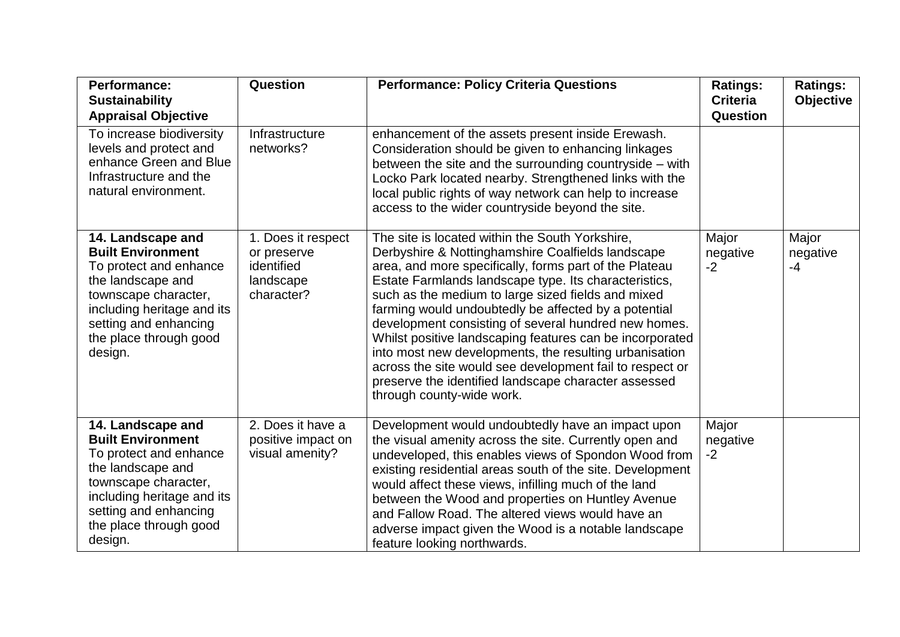| <b>Performance:</b><br><b>Sustainability</b><br><b>Appraisal Objective</b>                                                                                                                                       | Question                                                                   | <b>Performance: Policy Criteria Questions</b>                                                                                                                                                                                                                                                                                                                                                                                                                                                                                                                                                                                                                        | <b>Ratings:</b><br><b>Criteria</b><br>Question | <b>Ratings:</b><br><b>Objective</b> |
|------------------------------------------------------------------------------------------------------------------------------------------------------------------------------------------------------------------|----------------------------------------------------------------------------|----------------------------------------------------------------------------------------------------------------------------------------------------------------------------------------------------------------------------------------------------------------------------------------------------------------------------------------------------------------------------------------------------------------------------------------------------------------------------------------------------------------------------------------------------------------------------------------------------------------------------------------------------------------------|------------------------------------------------|-------------------------------------|
| To increase biodiversity<br>levels and protect and<br>enhance Green and Blue<br>Infrastructure and the<br>natural environment.                                                                                   | Infrastructure<br>networks?                                                | enhancement of the assets present inside Erewash.<br>Consideration should be given to enhancing linkages<br>between the site and the surrounding countryside - with<br>Locko Park located nearby. Strengthened links with the<br>local public rights of way network can help to increase<br>access to the wider countryside beyond the site.                                                                                                                                                                                                                                                                                                                         |                                                |                                     |
| 14. Landscape and<br><b>Built Environment</b><br>To protect and enhance<br>the landscape and<br>townscape character,<br>including heritage and its<br>setting and enhancing<br>the place through good<br>design. | 1. Does it respect<br>or preserve<br>identified<br>landscape<br>character? | The site is located within the South Yorkshire,<br>Derbyshire & Nottinghamshire Coalfields landscape<br>area, and more specifically, forms part of the Plateau<br>Estate Farmlands landscape type. Its characteristics,<br>such as the medium to large sized fields and mixed<br>farming would undoubtedly be affected by a potential<br>development consisting of several hundred new homes.<br>Whilst positive landscaping features can be incorporated<br>into most new developments, the resulting urbanisation<br>across the site would see development fail to respect or<br>preserve the identified landscape character assessed<br>through county-wide work. | Major<br>negative<br>$-2$                      | Major<br>negative<br>$-4$           |
| 14. Landscape and<br><b>Built Environment</b><br>To protect and enhance<br>the landscape and<br>townscape character,<br>including heritage and its<br>setting and enhancing<br>the place through good<br>design. | 2. Does it have a<br>positive impact on<br>visual amenity?                 | Development would undoubtedly have an impact upon<br>the visual amenity across the site. Currently open and<br>undeveloped, this enables views of Spondon Wood from<br>existing residential areas south of the site. Development<br>would affect these views, infilling much of the land<br>between the Wood and properties on Huntley Avenue<br>and Fallow Road. The altered views would have an<br>adverse impact given the Wood is a notable landscape<br>feature looking northwards.                                                                                                                                                                             | Major<br>negative<br>$-2$                      |                                     |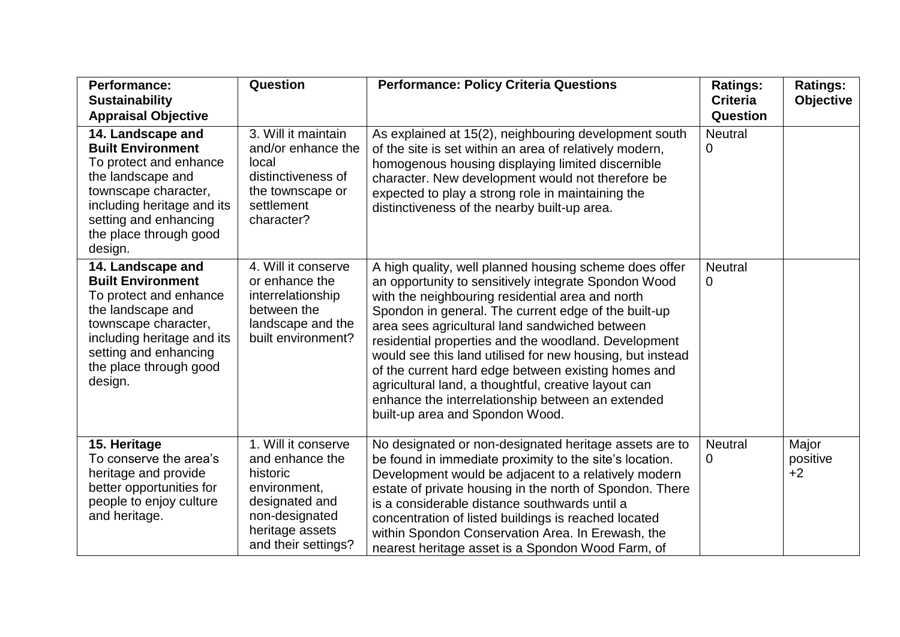| <b>Performance:</b>                                                                                                                                                                                              | Question                                                                                                                                         | <b>Performance: Policy Criteria Questions</b>                                                                                                                                                                                                                                                                                                                                                                                                                                                                                                                                                            | <b>Ratings:</b>                    | <b>Ratings:</b>           |
|------------------------------------------------------------------------------------------------------------------------------------------------------------------------------------------------------------------|--------------------------------------------------------------------------------------------------------------------------------------------------|----------------------------------------------------------------------------------------------------------------------------------------------------------------------------------------------------------------------------------------------------------------------------------------------------------------------------------------------------------------------------------------------------------------------------------------------------------------------------------------------------------------------------------------------------------------------------------------------------------|------------------------------------|---------------------------|
| <b>Sustainability</b>                                                                                                                                                                                            |                                                                                                                                                  |                                                                                                                                                                                                                                                                                                                                                                                                                                                                                                                                                                                                          | <b>Criteria</b><br><b>Question</b> | Objective                 |
| <b>Appraisal Objective</b><br>14. Landscape and<br><b>Built Environment</b><br>To protect and enhance<br>the landscape and<br>townscape character,<br>including heritage and its<br>setting and enhancing        | 3. Will it maintain<br>and/or enhance the<br>local<br>distinctiveness of<br>the townscape or<br>settlement<br>character?                         | As explained at 15(2), neighbouring development south<br>of the site is set within an area of relatively modern,<br>homogenous housing displaying limited discernible<br>character. New development would not therefore be<br>expected to play a strong role in maintaining the<br>distinctiveness of the nearby built-up area.                                                                                                                                                                                                                                                                          | <b>Neutral</b><br>0                |                           |
| the place through good<br>design.                                                                                                                                                                                |                                                                                                                                                  |                                                                                                                                                                                                                                                                                                                                                                                                                                                                                                                                                                                                          |                                    |                           |
| 14. Landscape and<br><b>Built Environment</b><br>To protect and enhance<br>the landscape and<br>townscape character,<br>including heritage and its<br>setting and enhancing<br>the place through good<br>design. | 4. Will it conserve<br>or enhance the<br>interrelationship<br>between the<br>landscape and the<br>built environment?                             | A high quality, well planned housing scheme does offer<br>an opportunity to sensitively integrate Spondon Wood<br>with the neighbouring residential area and north<br>Spondon in general. The current edge of the built-up<br>area sees agricultural land sandwiched between<br>residential properties and the woodland. Development<br>would see this land utilised for new housing, but instead<br>of the current hard edge between existing homes and<br>agricultural land, a thoughtful, creative layout can<br>enhance the interrelationship between an extended<br>built-up area and Spondon Wood. | <b>Neutral</b><br>0                |                           |
| 15. Heritage<br>To conserve the area's<br>heritage and provide<br>better opportunities for<br>people to enjoy culture<br>and heritage.                                                                           | 1. Will it conserve<br>and enhance the<br>historic<br>environment,<br>designated and<br>non-designated<br>heritage assets<br>and their settings? | No designated or non-designated heritage assets are to<br>be found in immediate proximity to the site's location.<br>Development would be adjacent to a relatively modern<br>estate of private housing in the north of Spondon. There<br>is a considerable distance southwards until a<br>concentration of listed buildings is reached located<br>within Spondon Conservation Area. In Erewash, the<br>nearest heritage asset is a Spondon Wood Farm, of                                                                                                                                                 | <b>Neutral</b><br>0                | Major<br>positive<br>$+2$ |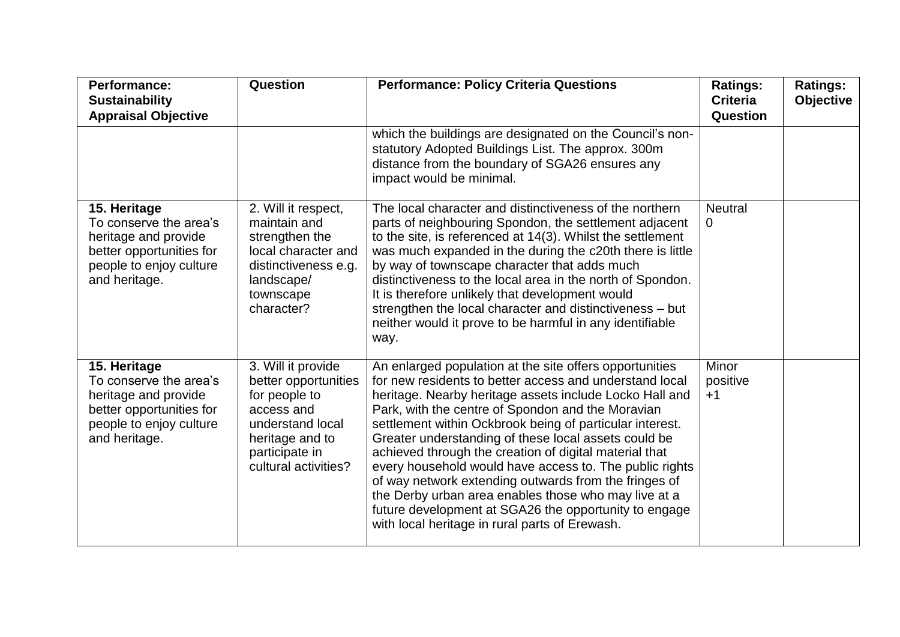| Performance:<br><b>Sustainability</b><br><b>Appraisal Objective</b>                                                                    | Question                                                                                                                                                   | <b>Performance: Policy Criteria Questions</b>                                                                                                                                                                                                                                                                                                                                                                                                                                                                                                                                                                                                                                                           | <b>Ratings:</b><br><b>Criteria</b><br><b>Question</b> | <b>Ratings:</b><br><b>Objective</b> |
|----------------------------------------------------------------------------------------------------------------------------------------|------------------------------------------------------------------------------------------------------------------------------------------------------------|---------------------------------------------------------------------------------------------------------------------------------------------------------------------------------------------------------------------------------------------------------------------------------------------------------------------------------------------------------------------------------------------------------------------------------------------------------------------------------------------------------------------------------------------------------------------------------------------------------------------------------------------------------------------------------------------------------|-------------------------------------------------------|-------------------------------------|
|                                                                                                                                        |                                                                                                                                                            | which the buildings are designated on the Council's non-<br>statutory Adopted Buildings List. The approx. 300m<br>distance from the boundary of SGA26 ensures any<br>impact would be minimal.                                                                                                                                                                                                                                                                                                                                                                                                                                                                                                           |                                                       |                                     |
| 15. Heritage<br>To conserve the area's<br>heritage and provide<br>better opportunities for<br>people to enjoy culture<br>and heritage. | 2. Will it respect,<br>maintain and<br>strengthen the<br>local character and<br>distinctiveness e.g.<br>landscape/<br>townscape<br>character?              | The local character and distinctiveness of the northern<br>parts of neighbouring Spondon, the settlement adjacent<br>to the site, is referenced at 14(3). Whilst the settlement<br>was much expanded in the during the c20th there is little<br>by way of townscape character that adds much<br>distinctiveness to the local area in the north of Spondon.<br>It is therefore unlikely that development would<br>strengthen the local character and distinctiveness - but<br>neither would it prove to be harmful in any identifiable<br>way.                                                                                                                                                           | <b>Neutral</b><br>0                                   |                                     |
| 15. Heritage<br>To conserve the area's<br>heritage and provide<br>better opportunities for<br>people to enjoy culture<br>and heritage. | 3. Will it provide<br>better opportunities<br>for people to<br>access and<br>understand local<br>heritage and to<br>participate in<br>cultural activities? | An enlarged population at the site offers opportunities<br>for new residents to better access and understand local<br>heritage. Nearby heritage assets include Locko Hall and<br>Park, with the centre of Spondon and the Moravian<br>settlement within Ockbrook being of particular interest.<br>Greater understanding of these local assets could be<br>achieved through the creation of digital material that<br>every household would have access to. The public rights<br>of way network extending outwards from the fringes of<br>the Derby urban area enables those who may live at a<br>future development at SGA26 the opportunity to engage<br>with local heritage in rural parts of Erewash. | Minor<br>positive<br>$+1$                             |                                     |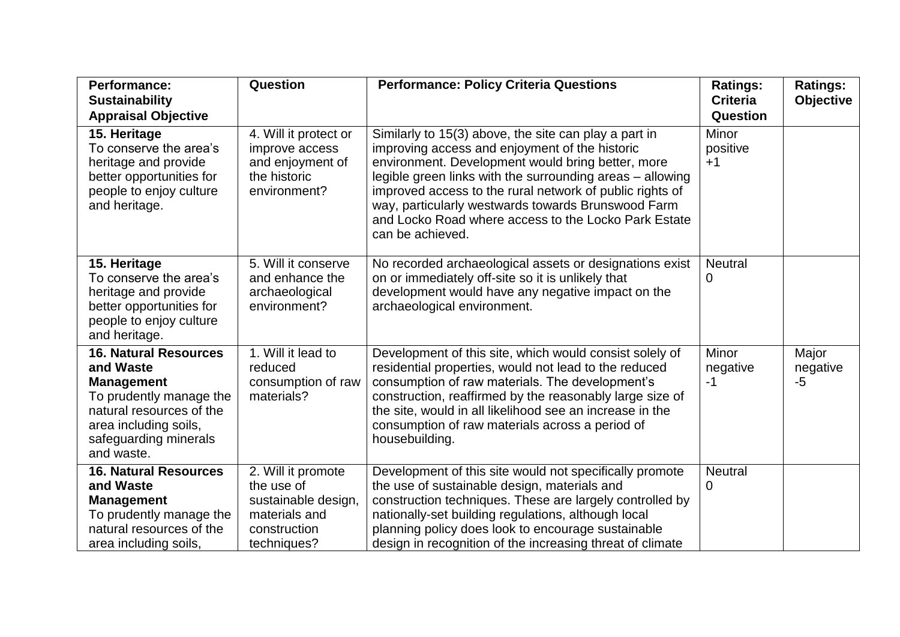| <b>Performance:</b><br><b>Sustainability</b>                                                                                                                                          | Question                                                                                    | <b>Performance: Policy Criteria Questions</b>                                                                                                                                                                                                                                                                                                                                                                           | <b>Ratings:</b><br><b>Criteria</b> | <b>Ratings:</b><br><b>Objective</b> |
|---------------------------------------------------------------------------------------------------------------------------------------------------------------------------------------|---------------------------------------------------------------------------------------------|-------------------------------------------------------------------------------------------------------------------------------------------------------------------------------------------------------------------------------------------------------------------------------------------------------------------------------------------------------------------------------------------------------------------------|------------------------------------|-------------------------------------|
| <b>Appraisal Objective</b>                                                                                                                                                            |                                                                                             |                                                                                                                                                                                                                                                                                                                                                                                                                         | Question                           |                                     |
| 15. Heritage<br>To conserve the area's<br>heritage and provide<br>better opportunities for<br>people to enjoy culture<br>and heritage.                                                | 4. Will it protect or<br>improve access<br>and enjoyment of<br>the historic<br>environment? | Similarly to 15(3) above, the site can play a part in<br>improving access and enjoyment of the historic<br>environment. Development would bring better, more<br>legible green links with the surrounding areas – allowing<br>improved access to the rural network of public rights of<br>way, particularly westwards towards Brunswood Farm<br>and Locko Road where access to the Locko Park Estate<br>can be achieved. | Minor<br>positive<br>$+1$          |                                     |
| 15. Heritage<br>To conserve the area's<br>heritage and provide<br>better opportunities for<br>people to enjoy culture<br>and heritage.                                                | 5. Will it conserve<br>and enhance the<br>archaeological<br>environment?                    | No recorded archaeological assets or designations exist<br>on or immediately off-site so it is unlikely that<br>development would have any negative impact on the<br>archaeological environment.                                                                                                                                                                                                                        | <b>Neutral</b><br>$\mathbf 0$      |                                     |
| <b>16. Natural Resources</b><br>and Waste<br><b>Management</b><br>To prudently manage the<br>natural resources of the<br>area including soils,<br>safeguarding minerals<br>and waste. | $\overline{1}$ . Will it lead to<br>reduced<br>consumption of raw<br>materials?             | Development of this site, which would consist solely of<br>residential properties, would not lead to the reduced<br>consumption of raw materials. The development's<br>construction, reaffirmed by the reasonably large size of<br>the site, would in all likelihood see an increase in the<br>consumption of raw materials across a period of<br>housebuilding.                                                        | Minor<br>negative<br>-1            | Major<br>negative<br>-5             |
| <b>16. Natural Resources</b><br>and Waste<br><b>Management</b><br>To prudently manage the<br>natural resources of the                                                                 | 2. Will it promote<br>the use of<br>sustainable design,<br>materials and<br>construction    | Development of this site would not specifically promote<br>the use of sustainable design, materials and<br>construction techniques. These are largely controlled by<br>nationally-set building regulations, although local<br>planning policy does look to encourage sustainable                                                                                                                                        | <b>Neutral</b><br>0                |                                     |
| area including soils,                                                                                                                                                                 | techniques?                                                                                 | design in recognition of the increasing threat of climate                                                                                                                                                                                                                                                                                                                                                               |                                    |                                     |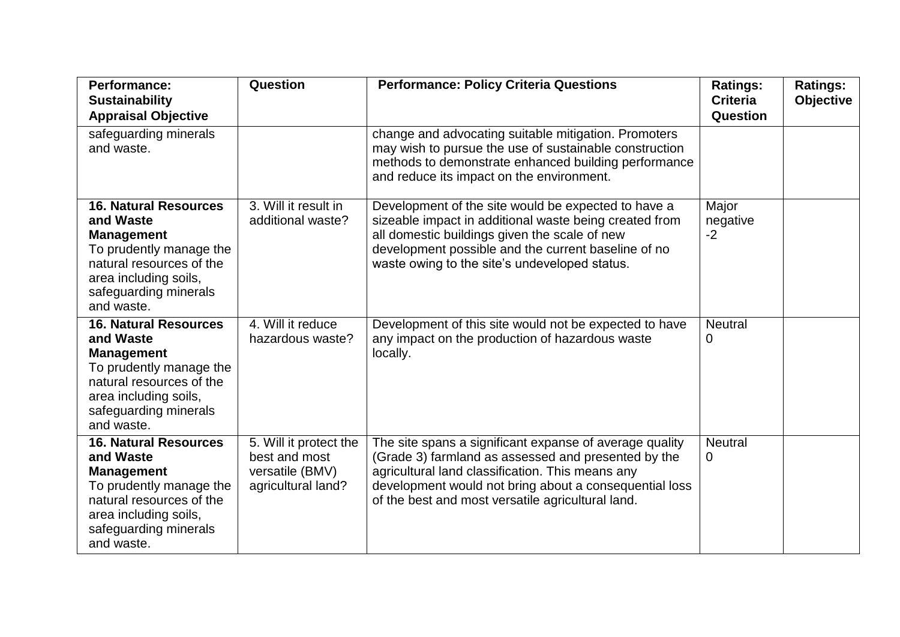| <b>Performance:</b><br><b>Sustainability</b><br><b>Appraisal Objective</b>                                                                                                            | Question                                                                         | <b>Performance: Policy Criteria Questions</b>                                                                                                                                                                                                                                     | <b>Ratings:</b><br><b>Criteria</b><br>Question | <b>Ratings:</b><br>Objective |
|---------------------------------------------------------------------------------------------------------------------------------------------------------------------------------------|----------------------------------------------------------------------------------|-----------------------------------------------------------------------------------------------------------------------------------------------------------------------------------------------------------------------------------------------------------------------------------|------------------------------------------------|------------------------------|
| safeguarding minerals<br>and waste.                                                                                                                                                   |                                                                                  | change and advocating suitable mitigation. Promoters<br>may wish to pursue the use of sustainable construction<br>methods to demonstrate enhanced building performance<br>and reduce its impact on the environment.                                                               |                                                |                              |
| <b>16. Natural Resources</b><br>and Waste<br><b>Management</b><br>To prudently manage the<br>natural resources of the<br>area including soils,<br>safeguarding minerals<br>and waste. | 3. Will it result in<br>additional waste?                                        | Development of the site would be expected to have a<br>sizeable impact in additional waste being created from<br>all domestic buildings given the scale of new<br>development possible and the current baseline of no<br>waste owing to the site's undeveloped status.            | Major<br>negative<br>$-2$                      |                              |
| <b>16. Natural Resources</b><br>and Waste<br><b>Management</b><br>To prudently manage the<br>natural resources of the<br>area including soils,<br>safeguarding minerals<br>and waste. | 4. Will it reduce<br>hazardous waste?                                            | Development of this site would not be expected to have<br>any impact on the production of hazardous waste<br>locally.                                                                                                                                                             | <b>Neutral</b><br>0                            |                              |
| <b>16. Natural Resources</b><br>and Waste<br><b>Management</b><br>To prudently manage the<br>natural resources of the<br>area including soils,<br>safeguarding minerals<br>and waste. | 5. Will it protect the<br>best and most<br>versatile (BMV)<br>agricultural land? | The site spans a significant expanse of average quality<br>(Grade 3) farmland as assessed and presented by the<br>agricultural land classification. This means any<br>development would not bring about a consequential loss<br>of the best and most versatile agricultural land. | <b>Neutral</b><br>$\mathbf 0$                  |                              |